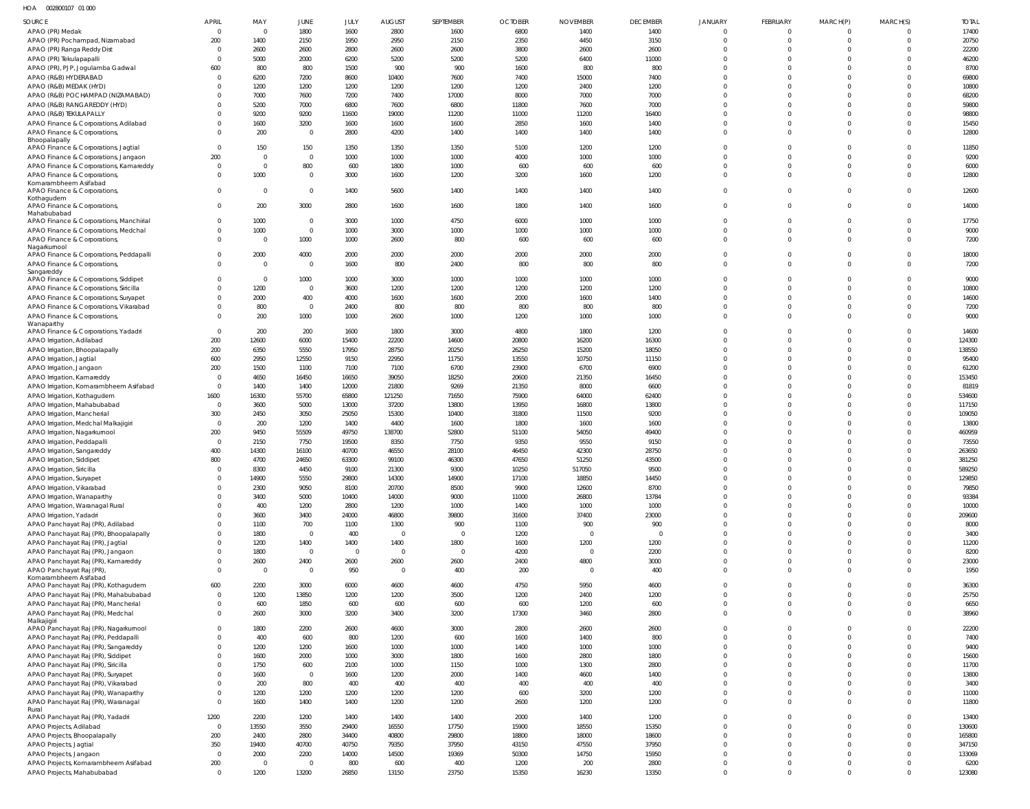HOA 002800107 01 000

| SOURCE                                                                          | <b>APRIL</b>               | MAY                  | JUNE                  | JULY           | <b>AUGUST</b>          | SEPTEMBER                       | <b>OCTOBER</b> | <b>NOVEMBER</b>                 | <b>DECEMBER</b> | <b>JANUARY</b>       | <b>FEBRUARY</b>      | MARCH(P)                         | MARCH(S)             | <b>TOTAL</b>    |
|---------------------------------------------------------------------------------|----------------------------|----------------------|-----------------------|----------------|------------------------|---------------------------------|----------------|---------------------------------|-----------------|----------------------|----------------------|----------------------------------|----------------------|-----------------|
| APAO (PR) Medak                                                                 | $\overline{0}$             | $\overline{0}$       | 1800                  | 1600           | 2800                   | 1600                            | 6800           | 1400                            | 1400            | $\Omega$             | $\Omega$             | $\circ$                          |                      | 17400           |
| APAO (PR) Pochampad, Nizamabad                                                  | 200                        | 1400                 | 2150                  | 1950           | 2950                   | 2150                            | 2350           | 4450                            | 3150            | $\Omega$             | $\Omega$             | $\overline{0}$                   | $\Omega$             | 20750           |
| APAO (PR) Ranga Reddy Dist                                                      | $\mathbf 0$                | 2600                 | 2600                  | 2800           | 2600                   | 2600                            | 3800           | 2600                            | 2600            | $\Omega$             | $\Omega$             | $\overline{0}$                   |                      | 22200           |
| APAO (PR) Tekulapapalli                                                         | 0                          | 5000                 | 2000                  | 6200           | 5200                   | 5200                            | 5200           | 6400                            | 11000           | $\Omega$             | $\Omega$             | $\overline{0}$                   |                      | 46200           |
| APAO (PR), PJP, Jogulamba Gadwal                                                | 600                        | 800                  | 800                   | 1500           | 900                    | 900                             | 1600           | 800                             | 800             | $\Omega$             | $\Omega$             | $\Omega$                         |                      | 8700            |
| APAO (R&B) HYDERABAD                                                            | $\mathbf 0$                | 6200                 | 7200                  | 8600           | 10400                  | 7600                            | 7400           | 15000                           | 7400            | $\Omega$             | $\Omega$             | $\Omega$                         |                      | 69800           |
| APAO (R&B) MEDAK (HYD)                                                          | $\Omega$                   | 1200                 | 1200                  | 1200           | 1200                   | 1200                            | 1200           | 2400                            | 1200            | $\Omega$             | $\Omega$             | $\Omega$                         |                      | 10800           |
| APAO (R&B) POCHAMPAD (NIZAMABAD)                                                | $\Omega$<br>$\Omega$       | 7000                 | 7600                  | 7200           | 7400                   | 17000                           | 8000           | 7000                            | 7000            | $\Omega$<br>$\Omega$ | $\Omega$<br>$\Omega$ | $\Omega$<br>$\Omega$             |                      | 68200           |
| APAO (R&B) RANGAREDDY (HYD)<br>APAO (R&B) TEKULAPALLY                           | $\Omega$                   | 5200<br>9200         | 7000<br>9200          | 6800<br>11600  | 7600<br>19000          | 6800<br>11200                   | 11800<br>11000 | 7600<br>11200                   | 7000<br>16400   | $\Omega$             | $\Omega$             | $\Omega$                         |                      | 59800<br>98800  |
| APAO Finance & Corporations, Adilabad                                           | $\Omega$                   | 1600                 | 3200                  | 1600           | 1600                   | 1600                            | 2850           | 1600                            | 1400            | $\Omega$             | $\Omega$             | $\overline{0}$                   |                      | 15450           |
| APAO Finance & Corporations                                                     | $\Omega$                   | 200                  | $\mathbf 0$           | 2800           | 4200                   | 1400                            | 1400           | 1400                            | 1400            | $\Omega$             | $\Omega$             | $\Omega$                         | $\Omega$             | 12800           |
| Bhoopalapally                                                                   |                            |                      |                       |                |                        |                                 |                |                                 |                 |                      |                      |                                  |                      |                 |
| APAO Finance & Corporations, Jagtial                                            | $\overline{0}$             | 150                  | 150                   | 1350           | 1350                   | 1350                            | 5100           | 1200                            | 1200            | $\Omega$             | $\Omega$             | $\Omega$                         |                      | 11850           |
| APAO Finance & Corporations, Jangaon                                            | 200                        | $\Omega$<br>$\Omega$ | $\overline{0}$        | 1000           | 1000                   | 1000                            | 4000           | 1000                            | 1000            | $\Omega$<br>$\Omega$ | $\Omega$<br>$\Omega$ | $\overline{0}$                   | $\Omega$<br>$\Omega$ | 9200            |
| APAO Finance & Corporations, Kamareddy<br>APAO Finance & Corporations           | $\overline{0}$<br>$\Omega$ | 1000                 | 800<br>$\overline{0}$ | 600<br>3000    | 1800<br>1600           | 1000<br>1200                    | 600<br>3200    | 600<br>1600                     | 600<br>1200     | $\Omega$             | $\Omega$             | $\overline{0}$<br>$\overline{0}$ | $\Omega$             | 6000<br>12800   |
| Komarambheem Asifabad                                                           |                            |                      |                       |                |                        |                                 |                |                                 |                 |                      |                      |                                  |                      |                 |
| APAO Finance & Corporations,                                                    | $\Omega$                   | $\Omega$             | $\mathbf 0$           | 1400           | 5600                   | 1400                            | 1400           | 1400                            | 1400            | $\mathbf{0}$         | $\Omega$             | $\overline{0}$                   | $\Omega$             | 12600           |
| Kothagudem<br>APAO Finance & Corporations,                                      | $\mathbf 0$                | 200                  | 3000                  | 2800           | 1600                   | 1600                            | 1800           | 1400                            | 1600            | $\Omega$             | $\Omega$             | $\overline{0}$                   | $\Omega$             | 14000           |
| Mahabubabad                                                                     |                            |                      |                       |                |                        |                                 |                |                                 |                 |                      |                      |                                  |                      |                 |
| APAO Finance & Corporations, Manchirial                                         | $^{\circ}$                 | 1000                 | $\mathbf 0$           | 3000           | 1000                   | 4750                            | 6000           | 1000                            | 1000            | $\Omega$             | $\Omega$             | $\overline{0}$                   | $\Omega$             | 17750           |
| APAO Finance & Corporations, Medchal                                            | $\Omega$                   | 1000                 | $\mathbf 0$           | 1000           | 3000                   | 1000                            | 1000           | 1000                            | 1000            | $\Omega$             | $\Omega$             | $\overline{0}$                   | $\Omega$             | 9000            |
| APAO Finance & Corporations<br>Nagarkurnool                                     | $\Omega$                   | - 0                  | 1000                  | 1000           | 2600                   | 800                             | 600            | 600                             | 600             | $\Omega$             | $\Omega$             | $\Omega$                         | $\Omega$             | 7200            |
| APAO Finance & Corporations, Peddapalli                                         | $\Omega$                   | 2000                 | 4000                  | 2000           | 2000                   | 2000                            | 2000           | 2000                            | 2000            | $\Omega$             | $\Omega$             | $\overline{0}$                   | $\Omega$             | 18000           |
| APAO Finance & Corporations,                                                    | $\Omega$                   | $\Omega$             | $\overline{0}$        | 1600           | 800                    | 2400                            | 800            | 800                             | 800             | $\Omega$             | $\Omega$             | $\Omega$                         | $\Omega$             | 7200            |
| Sangareddy                                                                      |                            |                      |                       |                |                        |                                 |                |                                 |                 |                      |                      |                                  |                      |                 |
| APAO Finance & Corporations, Siddipet                                           | $\Omega$                   | $\Omega$             | 1000                  | 1000           | 3000                   | 1000                            | 1000           | 1000                            | 1000            | $\Omega$             | $\Omega$             | $\Omega$                         | $\Omega$             | 9000            |
| APAO Finance & Corporations, Siricilla                                          | $\Omega$<br>$\Omega$       | 1200<br>2000         | $\overline{0}$<br>400 | 3600<br>4000   | 1200<br>1600           | 1200<br>1600                    | 1200<br>2000   | 1200<br>1600                    | 1200<br>1400    | $\Omega$<br>$\Omega$ | $\Omega$<br>$\Omega$ | $\overline{0}$<br>$\overline{0}$ | $\Omega$             | 10800<br>14600  |
| APAO Finance & Corporations, Suryapet<br>APAO Finance & Corporations, Vikarabad | $\Omega$                   | 800                  | $\overline{0}$        | 2400           | 800                    | 800                             | 800            | 800                             | 800             | $\Omega$             | $\Omega$             | $\overline{0}$                   | $\Omega$             | 7200            |
| APAO Finance & Corporations,                                                    | $\Omega$                   | 200                  | 1000                  | 1000           | 2600                   | 1000                            | 1200           | 1000                            | 1000            | $\Omega$             | $\Omega$             | $\overline{0}$                   | $\Omega$             | 9000            |
| Wanaparthy                                                                      |                            |                      |                       |                |                        |                                 |                |                                 |                 |                      |                      |                                  |                      |                 |
| APAO Finance & Corporations, Yadadri                                            | $\overline{0}$             | 200                  | 200                   | 1600           | 1800                   | 3000                            | 4800           | 1800                            | 1200            | $\Omega$             | $\Omega$             | $\overline{0}$                   |                      | 14600           |
| APAO Irrigation, Adilabad                                                       | 200                        | 12600                | 6000                  | 15400          | 22200                  | 14600                           | 20800          | 16200                           | 16300           | $\Omega$             | $\Omega$             | $\Omega$                         | $\Omega$             | 124300          |
| APAO Irrigation, Bhoopalapally<br>APAO Irrigation, Jagtial                      | 200<br>600                 | 6350<br>2950         | 5550<br>12550         | 17950<br>9150  | 28750<br>22950         | 20250<br>11750                  | 26250<br>13550 | 15200<br>10750                  | 18050<br>11150  | $\Omega$<br>$\Omega$ | $\Omega$<br>$\Omega$ | $\overline{0}$<br>$\Omega$       |                      | 138550<br>95400 |
| APAO Irrigation, Jangaon                                                        | 200                        | 1500                 | 1100                  | 7100           | 7100                   | 6700                            | 23900          | 6700                            | 6900            | $\Omega$             | $\Omega$             | $\Omega$                         |                      | 61200           |
| APAO Irrigation, Kamareddy                                                      | $\overline{0}$             | 4650                 | 16450                 | 16650          | 39050                  | 18250                           | 20600          | 21350                           | 16450           | $\Omega$             | $\Omega$             | $\Omega$                         |                      | 153450          |
| APAO Irrigation, Komarambheem Asifabad                                          | $\overline{0}$             | 1400                 | 1400                  | 12000          | 21800                  | 9269                            | 21350          | 8000                            | 6600            | $\Omega$             | $\Omega$             | $\overline{0}$                   |                      | 81819           |
| APAO Irrigation, Kothagudem                                                     | 1600                       | 16300                | 55700                 | 65800          | 121250                 | 71650                           | 75900          | 64000                           | 62400           | $\Omega$             | $\Omega$             | $\Omega$                         |                      | 534600          |
| APAO Irrigation, Mahabubabad                                                    | $\overline{0}$             | 3600                 | 5000                  | 13000          | 37200                  | 13800                           | 13950          | 16800                           | 13800           | $\Omega$             | $\Omega$             | $\Omega$                         |                      | 117150          |
| APAO Irrigation, Mancherial                                                     | 300                        | 2450                 | 3050                  | 25050          | 15300                  | 10400                           | 31800          | 11500                           | 9200            | $\Omega$             | $\Omega$             | $\Omega$                         |                      | 109050          |
| APAO Irrigation, Medchal Malkajigiri                                            | $\overline{0}$             | 200                  | 1200                  | 1400           | 4400                   | 1600                            | 1800           | 1600                            | 1600            | $\Omega$             | $\Omega$             | $\Omega$                         |                      | 13800           |
| APAO Irrigation, Nagarkurnool                                                   | 200                        | 9450                 | 55509                 | 49750          | 138700                 | 52800                           | 51100          | 54050                           | 49400           | $\Omega$             | $\Omega$             | $\Omega$                         |                      | 460959          |
| APAO Irrigation, Peddapalli<br>APAO Irrigation, Sangareddy                      | $\overline{0}$<br>400      | 2150<br>14300        | 7750<br>16100         | 19500<br>40700 | 8350<br>46550          | 7750<br>28100                   | 9350<br>46450  | 9550<br>42300                   | 9150<br>28750   | $\Omega$             | $\Omega$<br>$\Omega$ | $\Omega$<br>$\Omega$             |                      | 73550<br>263650 |
| APAO Irrigation, Siddipet                                                       | 800                        | 4700                 | 24650                 | 63300          | 99100                  | 46300                           | 47650          | 51250                           | 43500           | $\Omega$             | $\Omega$             | $\Omega$                         | $\Omega$             | 381250          |
| APAO Irrigation, Siricilla                                                      |                            | 8300                 | 4450                  | 9100           | 21300                  | 9300                            | 10250          | 517050                          | 9500            |                      | $\Omega$             | $\cap$                           |                      | 589250          |
| APAO Irrigation, Suryapet                                                       | $\mathbf 0$                | 14900                | 5550                  | 29800          | 14300                  | 14900                           | 17100          | 18850                           | 14450           | $\Omega$             | $\Omega$             | $\Omega$                         |                      | 129850          |
| APAO Irrigation, Vikarabad                                                      | $\Omega$                   | 2300                 | 9050                  | 8100           | 20700                  | 8500                            | 9900           | 12600                           | 8700            | $\Omega$             | $\Omega$             | $\overline{0}$                   | $\Omega$             | 79850           |
| APAO Irrigation, Wanaparthy                                                     | $\Omega$                   | 3400                 | 5000                  | 10400          | 14000                  | 9000                            | 11000          | 26800                           | 13784           | $\Omega$             | $\Omega$             | $\Omega$                         | $\Omega$             | 93384           |
| APAO Irrigation, Waranagal Rural                                                | $\Omega$                   | 400                  | 1200                  | 2800           | 1200                   | 1000                            | 1400           | 1000                            | 1000            | $\Omega$             | $\Omega$             | $\overline{0}$                   | $\Omega$             | 10000           |
| APAO Irrigation, Yadadri                                                        | $\Omega$<br>$\Omega$       | 3600                 | 3400                  | 24000          | 46800                  | 39800                           | 31600          | 37400                           | 23000           | $\Omega$<br>$\Omega$ | $\Omega$<br>$\Omega$ | $\overline{0}$<br>$\overline{0}$ | $\Omega$<br>$\Omega$ | 209600          |
| APAO Panchayat Raj (PR), Adilabad<br>APAO Panchayat Raj (PR), Bhoopalapally     | 0                          | 1100<br>1800         | 700<br>$\overline{0}$ | 1100<br>400    | 1300<br>$\overline{0}$ | 900<br>$\overline{\phantom{0}}$ | 1100<br>1200   | 900<br>$\overline{\phantom{0}}$ | 900<br>$\Omega$ | $\Omega$             | $\Omega$             | $\overline{0}$                   | $\Omega$             | 8000<br>3400    |
| APAO Panchayat Raj (PR), Jagtial                                                | $\Omega$                   | 1200                 | 1400                  | 1400           | 1400                   | 1800                            | 1600           | 1200                            | 1200            | $\Omega$             | $\Omega$             | $\overline{0}$                   | $\Omega$             | 11200           |
| APAO Panchayat Raj (PR), Jangaon                                                | $\Omega$                   | 1800                 | $\overline{0}$        | $\mathbf 0$    | $\overline{0}$         | $\overline{0}$                  | 4200           | $\overline{0}$                  | 2200            | $\Omega$             | $\Omega$             | $\overline{0}$                   |                      | 8200            |
| APAO Panchayat Raj (PR), Kamareddy                                              | $\mathbf 0$                | 2600                 | 2400                  | 2600           | 2600                   | 2600                            | 2400           | 4800                            | 3000            | $\Omega$             | $\Omega$             | $\overline{0}$                   | $\Omega$             | 23000           |
| APAO Panchayat Raj (PR)                                                         | $\Omega$                   | $\overline{0}$       | $\overline{0}$        | 950            | $\overline{0}$         | 400                             | 200            | $\overline{0}$                  | 400             | $\Omega$             | $\Omega$             | $\overline{0}$                   | $\Omega$             | 1950            |
| Komarambheem Asifabad<br>APAO Panchayat Raj (PR), Kothagudem                    | 600                        | 2200                 | 3000                  | 6000           | 4600                   | 4600                            | 4750           | 5950                            | 4600            | $\Omega$             | $\Omega$             | $\Omega$                         | $\Omega$             | 36300           |
| APAO Panchayat Raj (PR), Mahabubabad                                            | $\overline{0}$             | 1200                 | 13850                 | 1200           | 1200                   | 3500                            | 1200           | 2400                            | 1200            | $\mathbf 0$          | $\Omega$             | $\overline{0}$                   | $\Omega$             | 25750           |
| APAO Panchayat Raj (PR), Mancherial                                             | $\overline{0}$             | 600                  | 1850                  | 600            | 600                    | 600                             | 600            | 1200                            | 600             | $\Omega$             | $\Omega$             | $\overline{0}$                   | $\Omega$             | 6650            |
| APAO Panchayat Raj (PR), Medchal                                                | $\Omega$                   | 2600                 | 3000                  | 3200           | 3400                   | 3200                            | 17300          | 3460                            | 2800            | $\Omega$             | $\Omega$             | $\Omega$                         | $\Omega$             | 38960           |
| Malkajigiri                                                                     |                            |                      |                       |                |                        |                                 |                |                                 |                 |                      |                      |                                  |                      |                 |
| APAO Panchayat Raj (PR), Nagarkurnool                                           | $\mathbf 0$<br>$\Omega$    | 1800<br>400          | 2200<br>600           | 2600<br>800    | 4600<br>1200           | 3000<br>600                     | 2800<br>1600   | 2600<br>1400                    | 2600<br>800     | $\Omega$<br>$\Omega$ | $\Omega$<br>$\Omega$ | $\Omega$<br>$\Omega$             | $\Omega$<br>$\Omega$ | 22200<br>7400   |
| APAO Panchayat Raj (PR), Peddapalli<br>APAO Panchayat Raj (PR), Sangareddy      | $\Omega$                   | 1200                 | 1200                  | 1600           | 1000                   | 1000                            | 1400           | 1000                            | 1000            | $\Omega$             | $\Omega$             | $\overline{0}$                   | $\Omega$             | 9400            |
| APAO Panchayat Raj (PR), Siddipet                                               | $\Omega$                   | 1600                 | 2000                  | 1000           | 3000                   | 1800                            | 1600           | 2800                            | 1800            | $\Omega$             | $\Omega$             | $\overline{0}$                   | $\Omega$             | 15600           |
| APAO Panchayat Raj (PR), Siricilla                                              | $\Omega$                   | 1750                 | 600                   | 2100           | 1000                   | 1150                            | 1000           | 1300                            | 2800            | $\Omega$             | $\Omega$             | $\Omega$                         |                      | 11700           |
| APAO Panchayat Raj (PR), Suryapet                                               | $\Omega$                   | 1600                 | $\overline{0}$        | 1600           | 1200                   | 2000                            | 1400           | 4600                            | 1400            | $\Omega$             | $\Omega$             | $\overline{0}$                   | $\Omega$             | 13800           |
| APAO Panchayat Raj (PR), Vikarabad                                              | $\Omega$                   | 200                  | 800                   | 400            | 400                    | 400                             | 400            | 400                             | 400             | $\Omega$             | $\Omega$             | $\Omega$                         | $\Omega$             | 3400            |
| APAO Panchayat Raj (PR), Wanaparthy                                             | $\mathbf 0$                | 1200                 | 1200                  | 1200           | 1200                   | 1200                            | 600            | 3200                            | 1200            | $\mathbf 0$          | $\Omega$             | $\overline{0}$                   | $\Omega$             | 11000           |
| APAO Panchayat Raj (PR), Waranagal                                              | $\Omega$                   | 1600                 | 1400                  | 1400           | 1200                   | 1200                            | 2600           | 1200                            | 1200            | $\Omega$             | $\Omega$             | $\overline{0}$                   | $\Omega$             | 11800           |
| Rural<br>APAO Panchayat Raj (PR), Yadadri                                       | 1200                       | 2200                 | 1200                  | 1400           | 1400                   | 1400                            | 2000           | 1400                            | 1200            | $\mathbf{0}$         | $\Omega$             | $\overline{0}$                   | $\Omega$             | 13400           |
| APAO Projects, Adilabad                                                         | $\overline{0}$             | 13550                | 3550                  | 29400          | 16550                  | 17750                           | 15900          | 18550                           | 15350           | $\Omega$             | $\Omega$             | $\Omega$                         | $\Omega$             | 130600          |
| APAO Projects, Bhoopalapally                                                    | 200                        | 2400                 | 2800                  | 34400          | 40800                  | 29800                           | 18800          | 18000                           | 18600           | $\Omega$             | $\Omega$             | $\Omega$                         | $\Omega$             | 165800          |
| APAO Projects, Jagtial                                                          | 350                        | 19400                | 40700                 | 40750          | 79350                  | 37950                           | 43150          | 47550                           | 37950           | $\Omega$             | $\Omega$             | $\Omega$                         | $\Omega$             | 347150          |
| APAO Projects, Jangaon                                                          | $\overline{0}$             | 2000                 | 2200                  | 14000          | 14500                  | 19369                           | 50300          | 14750                           | 15950           | $\Omega$             | $\Omega$             | $\Omega$                         | $\Omega$             | 133069          |
| APAO Projects, Komarambheem Asifabad                                            | 200                        | - 0                  | $\mathbf{0}$          | 800            | 600                    | 400                             | 1200           | 200                             | 2800            | $\Omega$             | $\Omega$             | $\overline{0}$                   | $\Omega$             | 6200            |
| APAO Projects, Mahabubabad                                                      | $\overline{0}$             | 1200                 | 13200                 | 26850          | 13150                  | 23750                           | 15350          | 16230                           | 13350           | $\mathbf{0}$         | $\Omega$             | $\overline{0}$                   | $\Omega$             | 123080          |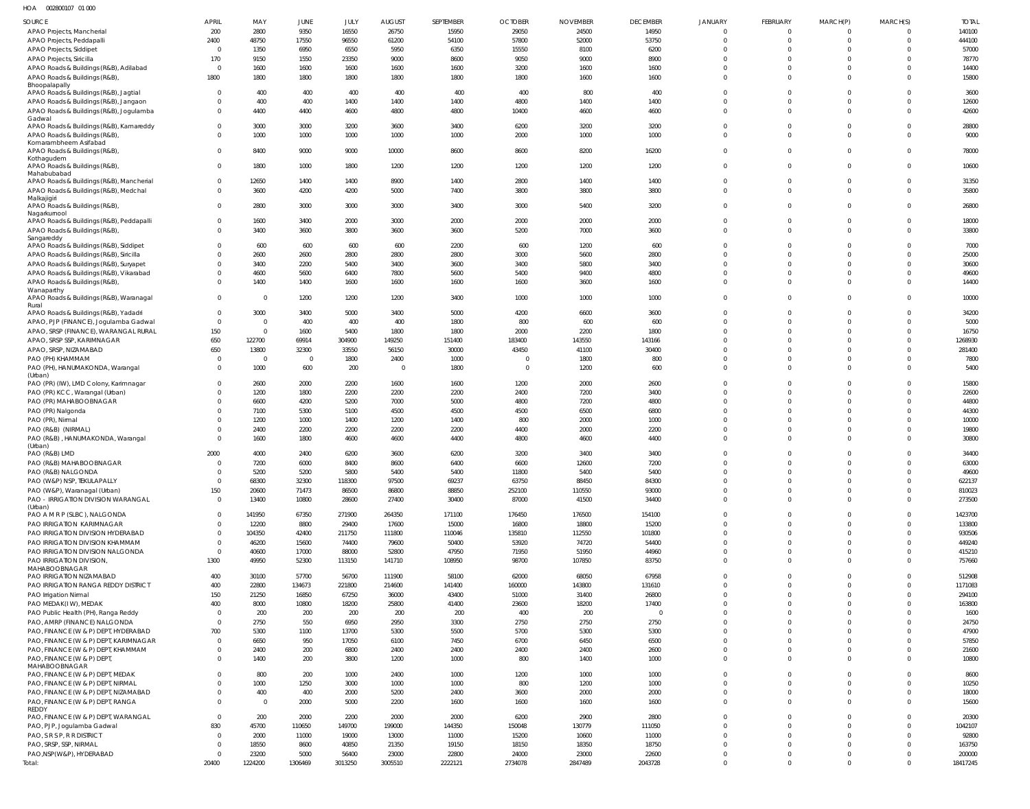| HOA | 002800107 01 000 |  |
|-----|------------------|--|
|     |                  |  |

| SOURCE                                                                           | <b>APRIL</b>                     | MAY                            | JUNE            | JULY            | <b>AUGUST</b>    | SEPTEMBER       | <b>OCTOBER</b>  | <b>NOVEMBER</b> | <b>DECEMBER</b> | <b>JANUARY</b>       | <b>FEBRUARY</b>          | MARCH(P)                 | MARCH(S)             | <b>TOTAL</b>      |
|----------------------------------------------------------------------------------|----------------------------------|--------------------------------|-----------------|-----------------|------------------|-----------------|-----------------|-----------------|-----------------|----------------------|--------------------------|--------------------------|----------------------|-------------------|
| APAO Projects, Mancherial                                                        | 200                              | 2800                           | 9350            | 16550           | 26750            | 15950           | 29050           | 24500           | 14950           | $\Omega$             | $\Omega$                 | 0                        | $\Omega$             | 140100            |
| APAO Projects, Peddapalli                                                        | 2400                             | 48750                          | 17550           | 96550           | 61200            | 54100           | 57800           | 52000           | 53750           | $\Omega$             | $\Omega$                 | $\Omega$                 | $\Omega$             | 444100            |
| APAO Projects, Siddipet                                                          | $\Omega$                         | 1350                           | 6950            | 6550            | 5950             | 6350            | 15550           | 8100            | 6200            |                      | $\Omega$                 | -0                       |                      | 57000             |
| APAO Projects, Siricilla<br>APAO Roads & Buildings (R&B), Adilabad               | 170<br>$\overline{0}$            | 9150<br>1600                   | 1550<br>1600    | 23350<br>1600   | 9000<br>1600     | 8600<br>1600    | 9050<br>3200    | 9000<br>1600    | 8900<br>1600    |                      | $\Omega$<br>$\Omega$     | $\Omega$<br>$\Omega$     |                      | 78770<br>14400    |
| APAO Roads & Buildings (R&B),                                                    | 1800                             | 1800                           | 1800            | 1800            | 1800             | 1800            | 1800            | 1600            | 1600            | $\Omega$             | $\Omega$                 | $\Omega$                 | $\Omega$             | 15800             |
| Bhoopalapally                                                                    |                                  |                                |                 |                 |                  |                 |                 |                 |                 |                      |                          |                          |                      |                   |
| APAO Roads & Buildings (R&B), Jagtial                                            | $\Omega$                         | 400                            | 400             | 400             | 400              | 400             | 400             | 800             | 400             |                      | $\Omega$                 | $\Omega$                 | $\Omega$             | 3600              |
| APAO Roads & Buildings (R&B), Jangaon<br>APAO Roads & Buildings (R&B), Jogulamba | $\Omega$<br>$\Omega$             | 400<br>4400                    | 400<br>4400     | 1400<br>4600    | 1400<br>4800     | 1400<br>4800    | 4800<br>10400   | 1400<br>4600    | 1400<br>4600    | $\Omega$             | $\Omega$<br>$\Omega$     | $\Omega$<br>$\Omega$     | $\Omega$<br>$\Omega$ | 12600<br>42600    |
| Gadwal                                                                           |                                  |                                |                 |                 |                  |                 |                 |                 |                 |                      |                          |                          |                      |                   |
| APAO Roads & Buildings (R&B), Kamareddy                                          | $\overline{0}$                   | 3000                           | 3000            | 3200            | 3600             | 3400            | 6200            | 3200            | 3200            | $\Omega$             | $\Omega$                 | $\Omega$                 | $\Omega$             | 28800             |
| APAO Roads & Buildings (R&B),<br>Komarambheem Asifabad                           | $\Omega$                         | 1000                           | 1000            | 1000            | 1000             | 1000            | 2000            | 1000            | 1000            | $\Omega$             | $\Omega$                 | $\mathbf{0}$             | $\Omega$             | 9000              |
| APAO Roads & Buildings (R&B),                                                    | $\Omega$                         | 8400                           | 9000            | 9000            | 10000            | 8600            | 8600            | 8200            | 16200           | $\Omega$             | $\Omega$                 | $\Omega$                 | $\Omega$             | 78000             |
| Kothagudem                                                                       |                                  |                                |                 |                 |                  |                 |                 |                 |                 |                      |                          |                          |                      |                   |
| APAO Roads & Buildings (R&B),<br>Mahabubabad                                     | $\overline{0}$                   | 1800                           | 1000            | 1800            | 1200             | 1200            | 1200            | 1200            | 1200            | $\Omega$             | $\Omega$                 | $^{\circ}$               | $\Omega$             | 10600             |
| APAO Roads & Buildings (R&B), Mancherial                                         | $\overline{0}$                   | 12650                          | 1400            | 1400            | 8900             | 1400            | 2800            | 1400            | 1400            | $\Omega$             | $\Omega$                 | 0                        | $\Omega$             | 31350             |
| APAO Roads & Buildings (R&B), Medchal                                            | $\Omega$                         | 3600                           | 4200            | 4200            | 5000             | 7400            | 3800            | 3800            | 3800            | $\Omega$             | $\Omega$                 | $\Omega$                 | $\Omega$             | 35800             |
| Malkajigiri<br>APAO Roads & Buildings (R&B),                                     | $\Omega$                         | 2800                           | 3000            | 3000            | 3000             | 3400            | 3000            | 5400            | 3200            | $\Omega$             | $\Omega$                 | $\Omega$                 | $\Omega$             | 26800             |
| Nagarkurnool                                                                     |                                  |                                |                 |                 |                  |                 |                 |                 |                 |                      |                          |                          |                      |                   |
| APAO Roads & Buildings (R&B), Peddapalli                                         | $\Omega$                         | 1600                           | 3400            | 2000            | 3000             | 2000            | 2000            | 2000            | 2000            |                      | $\Omega$                 | $\Omega$                 | $\Omega$             | 18000             |
| APAO Roads & Buildings (R&B),<br>Sangareddy                                      | $\Omega$                         | 3400                           | 3600            | 3800            | 3600             | 3600            | 5200            | 7000            | 3600            | $\Omega$             | $\Omega$                 | $\Omega$                 | $\Omega$             | 33800             |
| APAO Roads & Buildings (R&B), Siddipet                                           | $\Omega$                         | 600                            | 600             | 600             | 600              | 2200            | 600             | 1200            | 600             | $\cap$               | $\Omega$                 | $\Omega$                 | $\Omega$             | 7000              |
| APAO Roads & Buildings (R&B), Siricilla                                          | $\overline{0}$                   | 2600                           | 2600            | 2800            | 2800             | 2800            | 3000            | 5600            | 2800            |                      | $\Omega$                 | $\Omega$                 | $\Omega$             | 25000             |
| APAO Roads & Buildings (R&B), Suryapet                                           | $\Omega$                         | 3400                           | 2200            | 5400            | 3400             | 3600            | 3400            | 5800            | 3400            |                      | $\Omega$                 | $\Omega$                 | $\Omega$             | 30600             |
| APAO Roads & Buildings (R&B), Vikarabad                                          | $\Omega$                         | 4600                           | 5600            | 6400            | 7800             | 5600            | 5400            | 9400            | 4800            |                      | $\Omega$                 | $\Omega$                 | $\Omega$             | 49600             |
| APAO Roads & Buildings (R&B),<br>Wanaparthy                                      | $\Omega$                         | 1400                           | 1400            | 1600            | 1600             | 1600            | 1600            | 3600            | 1600            | $\Omega$             | $\Omega$                 | $\Omega$                 | $\Omega$             | 14400             |
| APAO Roads & Buildings (R&B), Waranagal                                          | $\overline{0}$                   | $\overline{\mathbf{0}}$        | 1200            | 1200            | 1200             | 3400            | 1000            | 1000            | 1000            | $\Omega$             | $\Omega$                 | $\Omega$                 | $\Omega$             | 10000             |
| Rural                                                                            |                                  |                                |                 |                 |                  |                 |                 |                 |                 |                      |                          |                          |                      |                   |
| APAO Roads & Buildings (R&B), Yadadri                                            | $\overline{0}$<br>$\overline{0}$ | 3000<br>$\overline{0}$         | 3400<br>400     | 5000<br>400     | 3400<br>400      | 5000<br>1800    | 4200<br>800     | 6600<br>600     | 3600<br>600     | $\Omega$             | $\Omega$<br>$\Omega$     | $\Omega$<br>$\Omega$     | $\Omega$<br>$\Omega$ | 34200<br>5000     |
| APAO, PJP (FINANCE), Jogulamba Gadwal<br>APAO, SRSP (FINANCE), WARANGAL RURAL    | 150                              | $\overline{\mathbf{0}}$        | 1600            | 5400            | 1800             | 1800            | 2000            | 2200            | 1800            |                      | $\Omega$                 | $\Omega$                 | $\Omega$             | 16750             |
| APAO, SRSP SSP, KARIMNAGAR                                                       | 650                              | 122700                         | 69914           | 304900          | 149250           | 151400          | 183400          | 143550          | 143166          |                      | $\Omega$                 | $\Omega$                 | $\Omega$             | 1268930           |
| APAO, SRSP, NIZAMABAD                                                            | 650                              | 13800                          | 32300           | 33550           | 56150            | 30000           | 43450           | 41100           | 30400           |                      | $\Omega$                 | 0                        | $\Omega$             | 281400            |
| PAO (PH) KHAMMAM                                                                 | $\Omega$                         | $\overline{\mathbf{0}}$        | $\Omega$        | 1800            | 2400             | 1000            | $\Omega$        | 1800            | 800             | $\Omega$             | $\Omega$                 | $\Omega$                 | $\Omega$             | 7800              |
| PAO (PH), HANUMAKONDA, Warangal                                                  | - 0                              | 1000                           | 600             | 200             | $\overline{0}$   | 1800            | $\Omega$        | 1200            | 600             | $\Omega$             | $\Omega$                 | $\Omega$                 | $\Omega$             | 5400              |
| (Urban)<br>PAO (PR) (IW), LMD Colony, Karimnagar                                 | $\overline{0}$                   | 2600                           | 2000            | 2200            | 1600             | 1600            | 1200            | 2000            | 2600            | $\Omega$             | $\Omega$                 | $\Omega$                 | $\Omega$             | 15800             |
| PAO (PR) KCC, Warangal (Urban)                                                   | $\Omega$                         | 1200                           | 1800            | 2200            | 2200             | 2200            | 2400            | 7200            | 3400            | $\Omega$             | $\Omega$                 | $\Omega$                 | $\Omega$             | 22600             |
| PAO (PR) MAHABOOBNAGAR                                                           | $\Omega$                         | 6600                           | 4200            | 5200            | 7000             | 5000            | 4800            | 7200            | 4800            |                      | $\Omega$                 | $\Omega$                 | $\Omega$             | 44800             |
| PAO (PR) Nalgonda                                                                | $\Omega$                         | 7100                           | 5300            | 5100            | 4500             | 4500            | 4500            | 6500            | 6800            |                      | $\Omega$                 | $\Omega$                 | $\Omega$             | 44300             |
| PAO (PR), Nirmal                                                                 | $\Omega$                         | 1200                           | 1000            | 1400            | 1200             | 1400            | 800             | 2000            | 1000            |                      | $\Omega$                 | $\Omega$                 | $\Omega$             | 10000             |
| PAO (R&B) (NIRMAL)<br>PAO (R&B), HANUMAKONDA, Warangal                           | $\Omega$<br>$\Omega$             | 2400<br>1600                   | 2200<br>1800    | 2200<br>4600    | 2200<br>4600     | 2200<br>4400    | 4400<br>4800    | 2000<br>4600    | 2200<br>4400    | $\Omega$             | $\Omega$<br>$\Omega$     | $\Omega$<br>$\Omega$     | $\Omega$<br>$\Omega$ | 19800<br>30800    |
| (Urban)                                                                          |                                  |                                |                 |                 |                  |                 |                 |                 |                 |                      |                          |                          |                      |                   |
| PAO (R&B) LMD                                                                    | 2000                             | 4000                           | 2400            | 6200            | 3600             | 6200            | 3200            | 3400            | 3400            |                      | $\Omega$                 | 0                        | $\Omega$             | 34400             |
| PAO (R&B) MAHABOOBNAGAR                                                          | $\overline{\mathbf{0}}$          | 7200                           | 6000            | 8400            | 8600             | 6400            | 6600            | 12600           | 7200            | $\Omega$             | $\Omega$                 | $\Omega$                 | $\Omega$             | 63000             |
| PAO (R&B) NALGONDA                                                               |                                  | 5200                           | 5200            | 5800            | 5400             | 5400            | 11800           | 5400            | 5400            |                      |                          | $\cap$                   |                      | 49600             |
| PAO (W&P) NSP, TEKULAPALLY<br>PAO (W&P), Waranagal (Urban)                       | $\overline{0}$<br>150            | 68300<br>20600                 | 32300<br>71473  | 118300<br>86500 | 97500<br>86800   | 69237<br>88850  | 63750<br>252100 | 88450<br>110550 | 84300<br>93000  | $\Omega$<br>$\Omega$ | $\Omega$<br>$\mathbf{0}$ | $\Omega$<br>$\mathbf{0}$ | $\Omega$<br>$\Omega$ | 622137<br>810023  |
| PAO - IRRIGATION DIVISION WARANGAL                                               | $\overline{0}$                   | 13400                          | 10800           | 28600           | 27400            | 30400           | 87000           | 41500           | 34400           | $\Omega$             | $\Omega$                 | $\Omega$                 | $\Omega$             | 273500            |
| (Urban)                                                                          |                                  |                                |                 |                 |                  |                 |                 |                 |                 |                      |                          |                          |                      |                   |
| PAO A M R P (SLBC), NALGONDA                                                     | $\overline{0}$                   | 141950                         | 67350           | 271900          | 264350           | 171100          | 176450          | 176500          | 154100          | $\Omega$             | $\Omega$                 | $\Omega$                 | $\Omega$             | 1423700           |
| PAO IRRIGATION KARIMNAGAR<br>PAO IRRIGATION DIVISION HYDERABAD                   | $\overline{0}$<br>$\overline{0}$ | 12200<br>104350                | 8800<br>42400   | 29400<br>211750 | 17600<br>111800  | 15000<br>110046 | 16800<br>135810 | 18800<br>112550 | 15200<br>101800 | $\Omega$             | $\Omega$<br>$\Omega$     | $\Omega$<br>$\Omega$     | $\Omega$<br>$\Omega$ | 133800<br>930506  |
| PAO IRRIGATION DIVISION KHAMMAM                                                  | $\overline{0}$                   | 46200                          | 15600           | 74400           | 79600            | 50400           | 53920           | 74720           | 54400           |                      | $\Omega$                 | $\mathbf{0}$             | $\Omega$             | 449240            |
| PAO IRRIGATION DIVISION NALGONDA                                                 | $\overline{0}$                   | 40600                          | 17000           | 88000           | 52800            | 47950           | 71950           | 51950           | 44960           |                      | $\Omega$                 | $\mathbf{0}$             | $\Omega$             | 415210            |
| PAO IRRIGATION DIVISION,                                                         | 1300                             | 49950                          | 52300           | 113150          | 141710           | 108950          | 98700           | 107850          | 83750           | $\Omega$             | $\Omega$                 | $\mathbf 0$              | $\Omega$             | 757660            |
| MAHABOOBNAGAR                                                                    |                                  |                                |                 |                 |                  | 58100           |                 |                 |                 | $\Omega$             | $\Omega$                 | $\Omega$                 | $\Omega$             |                   |
| PAO IRRIGATION NIZAMABAD<br>PAO IRRIGATION RANGA REDDY DISTRICT                  | 400<br>400                       | 30100<br>22800                 | 57700<br>134673 | 56700<br>221800 | 111900<br>214600 | 141400          | 62000<br>160000 | 68050<br>143800 | 67958<br>131610 |                      | $\Omega$                 | $\Omega$                 | $\Omega$             | 512908<br>1171083 |
| PAO Irrigation Nirmal                                                            | 150                              | 21250                          | 16850           | 67250           | 36000            | 43400           | 51000           | 31400           | 26800           |                      | $\Omega$                 | $\Omega$                 | $\Omega$             | 294100            |
| PAO MEDAK(IW), MEDAK                                                             | 400                              | 8000                           | 10800           | 18200           | 25800            | 41400           | 23600           | 18200           | 17400           |                      | $\Omega$                 | $\Omega$                 | $\Omega$             | 163800            |
| PAO Public Health (PH), Ranga Reddy                                              | $\overline{0}$                   | 200                            | 200             | 200             | 200              | 200             | 400             | 200             | $\mathbf 0$     |                      | $\Omega$                 | $\Omega$                 | $\Omega$             | 1600              |
| PAO, AMRP (FINANCE) NALGONDA                                                     | $\overline{0}$                   | 2750                           | 550             | 6950            | 2950             | 3300            | 2750            | 2750            | 2750            |                      | $\Omega$                 | $\Omega$                 | $\Omega$             | 24750             |
| PAO, FINANCE (W & P) DEPT, HYDERABAD                                             | 700                              | 5300                           | 1100            | 13700           | 5300             | 5500            | 5700            | 5300            | 5300            |                      | $\Omega$                 | $\Omega$                 | $\Omega$             | 47900             |
| PAO, FINANCE (W & P) DEPT, KARIMNAGAR<br>PAO, FINANCE (W & P) DEPT, KHAMMAM      | $\overline{0}$<br>$\overline{0}$ | 6650<br>2400                   | 950<br>200      | 17050<br>6800   | 6100             | 7450<br>2400    | 6700<br>2400    | 6450<br>2400    | 6500<br>2600    |                      | $\Omega$<br>$\Omega$     | $\Omega$<br>$\mathbf{0}$ | $\Omega$<br>$\Omega$ | 57850             |
| PAO, FINANCE (W & P) DEPT,                                                       | $\Omega$                         | 1400                           | 200             | 3800            | 2400<br>1200     | 1000            | 800             | 1400            | 1000            | $\Omega$             | $\Omega$                 | $\Omega$                 | $\Omega$             | 21600<br>10800    |
| MAHABOOBNAGAR                                                                    |                                  |                                |                 |                 |                  |                 |                 |                 |                 |                      |                          |                          |                      |                   |
| PAO, FINANCE (W & P) DEPT, MEDAK                                                 | $\Omega$                         | 800                            | 200             | 1000            | 2400             | 1000            | 1200            | 1000            | 1000            | $\Omega$             | $\Omega$                 | $\Omega$                 | $\Omega$             | 8600              |
| PAO, FINANCE (W & P) DEPT, NIRMAL                                                | $\overline{0}$                   | 1000                           | 1250            | 3000            | 1000             | 1000            | 800             | 1200            | 1000            | $\Omega$             | $\Omega$                 | $\mathbf{0}$             | $\Omega$             | 10250             |
| PAO, FINANCE (W & P) DEPT, NIZAMABAD                                             | $\Omega$<br>$\Omega$             | 400<br>$\overline{\mathbf{0}}$ | 400             | 2000            | 5200             | 2400            | 3600            | 2000            | 2000            | $\Omega$<br>$\Omega$ | $\Omega$<br>$\Omega$     | $\mathbf{0}$<br>$\Omega$ | $\Omega$<br>$\Omega$ | 18000             |
| PAO, FINANCE (W & P) DEPT, RANGA<br>REDDY                                        |                                  |                                | 2000            | 5000            | 2200             | 1600            | 1600            | 1600            | 1600            |                      |                          |                          |                      | 15600             |
| PAO, FINANCE (W & P) DEPT, WARANGAL                                              | $\overline{0}$                   | 200                            | 2000            | 2200            | 2000             | 2000            | 6200            | 2900            | 2800            | $\Omega$             | $\Omega$                 | $\Omega$                 | $\Omega$             | 20300             |
| PAO, PJP, Jogulamba Gadwal                                                       | 830                              | 45700                          | 110650          | 149700          | 199000           | 144350          | 150048          | 130779          | 111050          |                      | $\Omega$                 | $\Omega$                 | $\Omega$             | 1042107           |
| PAO, S R S P, R R DISTRICT                                                       | $\overline{0}$                   | 2000                           | 11000           | 19000           | 13000            | 11000           | 15200           | 10600           | 11000           |                      | $\Omega$                 | $\Omega$                 | $\Omega$             | 92800             |
| PAO, SRSP, SSP, NIRMAL<br>PAO, NSP(W&P), HYDERABAD                               | $\Omega$<br>$\overline{0}$       | 18550<br>23200                 | 8600<br>5000    | 40850<br>56400  | 21350<br>23000   | 19150<br>22800  | 18150<br>24000  | 18350<br>23000  | 18750<br>22600  | $\Omega$             | $\Omega$<br>$\Omega$     | $\Omega$<br>$\mathbf{0}$ | $\Omega$<br>$\Omega$ | 163750<br>200000  |
| Total:                                                                           | 20400                            | 1224200                        | 1306469         | 3013250         | 3005510          | 2222121         | 2734078         | 2847489         | 2043728         | $\Omega$             | $\Omega$                 | $\mathbf 0$              | $\Omega$             | 18417245          |
|                                                                                  |                                  |                                |                 |                 |                  |                 |                 |                 |                 |                      |                          |                          |                      |                   |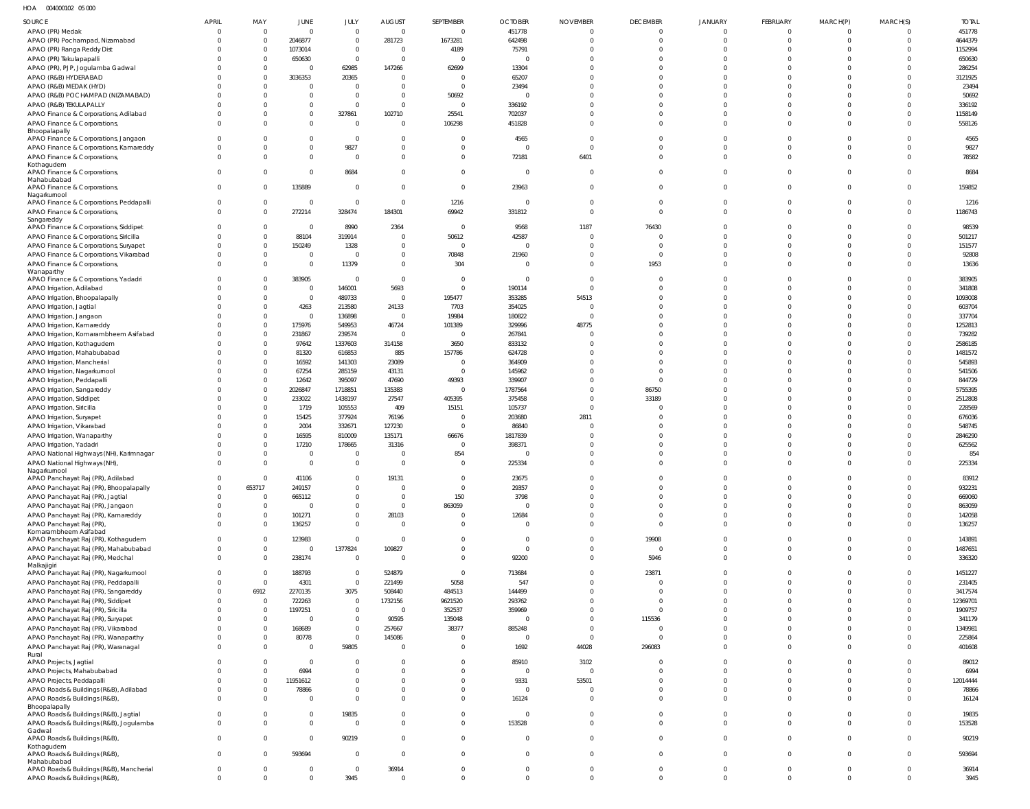HOA 004000102 05 000

| SOURCE                                                                          | <b>APRIL</b>         | MAY                        | JUNE                             | JULY                         | <b>AUGUST</b>              | SEPTEMBER                     | <b>OCTOBER</b>                   | <b>NOVEMBER</b>                  | <b>DECEMBER</b>         | <b>JANUARY</b>             | FEBRUARY                    | MARCH(P)                   | MARCH(S)                      | <b>TOTAL</b>        |
|---------------------------------------------------------------------------------|----------------------|----------------------------|----------------------------------|------------------------------|----------------------------|-------------------------------|----------------------------------|----------------------------------|-------------------------|----------------------------|-----------------------------|----------------------------|-------------------------------|---------------------|
| APAO (PR) Medak                                                                 |                      | $\mathbf 0$                | $\overline{0}$                   | $\mathbf{0}$                 | $\overline{0}$             | $\overline{0}$                | 451778                           | $\mathbf 0$                      | $\Omega$                | $\mathbf 0$                | $\overline{0}$              | $\Omega$                   | $\Omega$                      | 451778              |
| APAO (PR) Pochampad, Nizamabad                                                  |                      | $\overline{0}$<br>$\Omega$ | 2046877                          | $\mathbf{0}$                 | 281723                     | 1673281                       | 642498                           | $\Omega$<br>$\Omega$             | $\Omega$                | $\mathbf 0$                | $\mathbf{0}$<br>$\Omega$    | $\Omega$                   | $\overline{0}$                | 4644379             |
| APAO (PR) Ranga Reddy Dist<br>APAO (PR) Tekulapapalli                           |                      | $\Omega$                   | 1073014<br>650630                | $\mathbf{0}$<br>$\mathbf{0}$ | $\Omega$<br>$\Omega$       | 4189<br>$\mathsf{C}$          | 75791<br>$\Omega$                | $\Omega$                         | $\Omega$                | $\Omega$<br>$\Omega$       | $\Omega$                    |                            | $\Omega$<br>$\Omega$          | 1152994<br>650630   |
| APAO (PR), PJP, Jogulamba Gadwal                                                |                      | $\Omega$                   | $\overline{0}$                   | 62985                        | 147266                     | 62699                         | 13304                            | $\Omega$                         | $\Omega$                | $\Omega$                   | $\Omega$                    |                            | $\Omega$                      | 286254              |
| APAO (R&B) HYDERABAD                                                            |                      | $\Omega$                   | 3036353                          | 20365                        | $\Omega$                   | C                             | 65207                            | $\Omega$                         |                         | $\Omega$                   | $\Omega$                    |                            | $\Omega$                      | 3121925             |
| APAO (R&B) MEDAK (HYD)                                                          |                      |                            | $\overline{0}$                   | - 0                          | $\Omega$                   | $\mathsf{C}$                  | 23494                            | $\Omega$                         |                         | $\Omega$                   | $\Omega$                    |                            | $\Omega$                      | 23494               |
| APAO (R&B) POCHAMPAD (NIZAMABAD)                                                |                      |                            | $\overline{0}$<br>$\overline{0}$ | $\Omega$<br>$\mathbf{0}$     | $\Omega$<br>$\Omega$       | 50692<br>$\overline{0}$       | $\Omega$                         | $\Omega$<br>$\Omega$             |                         | $\Omega$<br>$\Omega$       | $\Omega$<br>$\Omega$        |                            | $\Omega$<br>$\Omega$          | 50692<br>336192     |
| APAO (R&B) TEKULAPALLY<br>APAO Finance & Corporations, Adilabad                 |                      |                            | $\overline{0}$                   | 327861                       | 102710                     | 25541                         | 336192<br>702037                 | $\Omega$                         | $\Omega$                | $\Omega$                   | $\mathbf 0$                 | $\Omega$                   | $\mathbf 0$                   | 1158149             |
| APAO Finance & Corporations,                                                    |                      |                            | $\mathbf{0}$                     | $\Omega$                     | $\Omega$                   | 106298                        | 451828                           | $\Omega$                         | $\Omega$                | $\Omega$                   | $\Omega$                    |                            | $\Omega$                      | 558126              |
| Bhoopalapally                                                                   |                      |                            |                                  |                              |                            |                               |                                  |                                  |                         |                            |                             |                            |                               |                     |
| APAO Finance & Corporations, Jangaon<br>APAO Finance & Corporations, Kamareddy  |                      |                            | $\overline{0}$<br>$\overline{0}$ | $\Omega$<br>9827             | $\Omega$<br>$\overline{0}$ | C<br>$\overline{0}$           | 4565<br>$\overline{0}$           | $\Omega$<br>$\Omega$             | $\Omega$                | $\Omega$<br>$\mathbf 0$    | $\Omega$<br>$\mathbf 0$     | $\Omega$                   | $\Omega$<br>$\Omega$          | 4565<br>9827        |
| APAO Finance & Corporations,                                                    |                      |                            | $\overline{0}$                   | $\Omega$                     | $\Omega$                   | $\overline{0}$                | 72181                            | 6401                             | $\Omega$                | $\Omega$                   | $\mathbf 0$                 | $\Omega$                   | $\Omega$                      | 78582               |
| Kothagudem                                                                      |                      |                            |                                  |                              |                            |                               |                                  |                                  |                         |                            |                             |                            |                               |                     |
| APAO Finance & Corporations,<br>Mahabubabad                                     | $\Omega$             |                            | $\overline{0}$                   | 8684                         | $\Omega$                   | $\overline{0}$                | $\overline{0}$                   | $\overline{0}$                   | $\Omega$                | $\mathbf 0$                | $\Omega$                    | $\Omega$                   | $\Omega$                      | 8684                |
| APAO Finance & Corporations,                                                    | $\Omega$             | 0                          | 135889                           | $\mathbf 0$                  | $\Omega$                   | $\overline{0}$                | 23963                            | $\overline{0}$                   | $\Omega$                | $\Omega$                   | $\mathbf 0$                 | $\Omega$                   | $\Omega$                      | 159852              |
| Nagarkurnool<br>APAO Finance & Corporations, Peddapalli                         |                      | $\mathbf{0}$               | $\overline{0}$                   | $\overline{0}$               | $\Omega$                   | 1216                          | $\overline{0}$                   | $\overline{0}$                   | $\Omega$                | $^{\circ}$                 | $\mathbf 0$                 | $\Omega$                   | $\mathbf 0$                   | 1216                |
| APAO Finance & Corporations,                                                    | $\Omega$             | $\Omega$                   | 272214                           | 328474                       | 184301                     | 69942                         | 331812                           | $\overline{0}$                   | $\Omega$                | $\Omega$                   | $\mathbf 0$                 | $\Omega$                   | $\Omega$                      | 1186743             |
| Sangareddy                                                                      |                      |                            |                                  |                              |                            |                               |                                  |                                  |                         |                            |                             |                            |                               |                     |
| APAO Finance & Corporations, Siddipet<br>APAO Finance & Corporations, Siricilla |                      | $\Omega$<br>$\Omega$       | $\overline{0}$<br>88104          | 8990<br>319914               | 2364<br>$\overline{0}$     | $\overline{0}$<br>50612       | 9568<br>42587                    | 1187<br>$\overline{0}$           | 76430                   | $\Omega$<br>$\Omega$       | $^{\circ}$<br>$\Omega$      | $\Omega$                   | $\Omega$<br>$\Omega$          | 98539<br>501217     |
| APAO Finance & Corporations, Suryapet                                           |                      | $\Omega$                   | 150249                           | 1328                         | $\overline{0}$             | $\overline{0}$                | $\overline{0}$                   | $\Omega$                         | $\Omega$                | $\Omega$                   | $\Omega$                    | $\Omega$                   | $\Omega$                      | 151577              |
| APAO Finance & Corporations, Vikarabad                                          |                      | $\Omega$                   | $\mathbf 0$                      | $\Omega$                     | $\overline{0}$             | 70848                         | 21960                            | $\overline{0}$                   | $\Omega$                | $\Omega$                   | $\mathbf 0$                 | $\Omega$                   | $\mathbf 0$                   | 92808               |
| APAO Finance & Corporations,                                                    |                      | $\Omega$                   | $\overline{0}$                   | 11379                        | $\Omega$                   | 304                           | $\Omega$                         | $\Omega$                         | 1953                    | $\Omega$                   | $\Omega$                    | $\Omega$                   | $\Omega$                      | 13636               |
| Wanaparthy<br>APAO Finance & Corporations, Yadadri                              |                      |                            | 383905                           | $\circ$                      | $\Omega$                   | $\overline{0}$                | $\overline{0}$                   | $\Omega$                         |                         | $\Omega$                   | $\Omega$                    |                            | $\Omega$                      | 383905              |
| APAO Irrigation, Adilabad                                                       |                      |                            | $\overline{0}$                   | 146001                       | 5693                       | $\overline{0}$                | 190114                           | $\Omega$                         |                         | $\Omega$                   | $\Omega$                    |                            | $\Omega$                      | 341808              |
| APAO Irrigation, Bhoopalapally                                                  |                      | $\Omega$                   | $\overline{0}$                   | 489733                       | $\overline{0}$             | 195477                        | 353285                           | 54513                            | $\Omega$                | $\Omega$                   | $\Omega$                    | $\Omega$                   | $\Omega$                      | 1093008             |
| APAO Irrigation, Jagtial                                                        |                      |                            | 4263                             | 213580                       | 24133                      | 7703                          | 354025                           | $\Omega$                         | $\Omega$                | $\Omega$                   | $\Omega$                    |                            | $\Omega$                      | 603704              |
| APAO Irrigation, Jangaon                                                        |                      | $\Omega$<br>$\Omega$       | $\overline{0}$<br>175976         | 136898                       | $\overline{0}$             | 19984                         | 180822                           | $\Omega$                         | $\Omega$                | $\Omega$<br>$\Omega$       | $\Omega$<br>$\Omega$        |                            | $\Omega$<br>$\Omega$          | 337704              |
| APAO Irrigation, Kamareddy<br>APAO Irrigation, Komarambheem Asifabad            |                      | $\Omega$                   | 231867                           | 549953<br>239574             | 46724<br>$\overline{0}$    | 101389<br>- 0                 | 329996<br>267841                 | 48775<br>$\Omega$                |                         | $\Omega$                   | $\Omega$                    |                            | $\Omega$                      | 1252813<br>739282   |
| APAO Irrigation, Kothagudem                                                     |                      |                            | 97642                            | 1337603                      | 314158                     | 3650                          | 833132                           | $\Omega$                         |                         | $\Omega$                   | $\Omega$                    |                            | $\Omega$                      | 2586185             |
| APAO Irrigation, Mahabubabad                                                    |                      | $\Omega$                   | 81320                            | 616853                       | 885                        | 157786                        | 624728                           | $\Omega$                         |                         | $\Omega$                   | $\Omega$                    |                            | $\Omega$                      | 1481572             |
| APAO Irrigation, Mancherial                                                     |                      | $\Omega$                   | 16592                            | 141303                       | 23089                      | $\overline{0}$                | 364909                           | $\Omega$                         | $\Omega$                | $\Omega$                   | $\Omega$                    |                            | $\Omega$                      | 545893              |
| APAO Irrigation, Nagarkurnool                                                   |                      | $\Omega$                   | 67254                            | 285159                       | 43131                      | C                             | 145962                           | $\Omega$                         | $\Omega$                | $\Omega$                   | $\Omega$                    |                            | $\Omega$                      | 541506              |
| APAO Irrigation, Peddapalli<br>APAO Irrigation, Sangareddy                      |                      | $\Omega$<br>$\Omega$       | 12642<br>2026847                 | 395097<br>1718851            | 47690<br>135383            | 49393<br>$\mathbf{C}$         | 339907<br>1787564                | $\Omega$<br>$\Omega$             | $\Omega$<br>86750       | $\Omega$<br>$\Omega$       | $\Omega$<br>$\Omega$        |                            | $\Omega$<br>$\Omega$          | 844729<br>5755395   |
| APAO Irrigation, Siddipet                                                       |                      | $\Omega$                   | 233022                           | 1438197                      | 27547                      | 405395                        | 375458                           | $\overline{0}$                   | 33189                   | $\Omega$                   | $\Omega$                    |                            | $\Omega$                      | 2512808             |
| APAO Irrigation, Siricilla                                                      |                      | $\Omega$                   | 1719                             | 105553                       | 409                        | 15151                         | 105737                           | $\Omega$                         |                         | $\Omega$                   | $\Omega$                    |                            | $\Omega$                      | 228569              |
| APAO Irrigation, Suryapet                                                       |                      | $\Omega$                   | 15425                            | 377924                       | 76196                      | C                             | 203680                           | 2811                             |                         | $\Omega$                   | $\Omega$                    |                            | $\Omega$                      | 676036              |
| APAO Irrigation, Vikarabad                                                      |                      | $\Omega$<br>$\Omega$       | 2004                             | 332671                       | 127230                     | $\overline{0}$                | 86840                            | $\Omega$                         |                         | $\Omega$                   | $\Omega$                    |                            | $\Omega$                      | 548745              |
| APAO Irrigation, Wanaparthy<br>APAO Irrigation, Yadadri                         |                      | $\Omega$                   | 16595<br>17210                   | 810009<br>178665             | 135171<br>31316            | 66676<br>$\overline{0}$       | 1817839<br>398371                | $\Omega$<br>$\Omega$             | $\Omega$                | $\Omega$<br>$\Omega$       | $\Omega$<br>$\Omega$        |                            | $\Omega$<br>$\Omega$          | 2846290<br>625562   |
| APAO National Highways (NH), Karimnagar                                         |                      | $\Omega$                   | $\overline{0}$                   | $\Omega$                     | $\Omega$                   | 854                           | - 0                              | $\Omega$                         | $\Omega$                | $\mathbf 0$                | $\mathbf 0$                 |                            | $\Omega$                      | 854                 |
| APAO National Highways (NH),                                                    | $\Omega$             | $\Omega$                   | $\overline{0}$                   | $\mathbf 0$                  | $\Omega$                   | $\Omega$                      | 225334                           | $\Omega$                         | $\Omega$                | $\Omega$                   | $\Omega$                    | $\Omega$                   | $\Omega$                      | 225334              |
| Nagarkurnool<br>APAO Panchayat Raj (PR), Adilabad                               | $\Omega$             | $\Omega$                   | 41106                            | $\Omega$                     | 19131                      | $\overline{0}$                | 23675                            | $\Omega$                         |                         | $\Omega$                   | $\mathbf 0$                 |                            | $\Omega$                      | 83912               |
| APAO Panchayat Raj (PR), Bhoopalapally                                          | $\Omega$             | 653717                     | 249157                           | $\mathbf 0$                  | $\overline{0}$             | $\overline{0}$                | 29357                            | $\overline{0}$                   | $\Omega$                | $\mathbf 0$                | $\mathbf 0$                 | $\Omega$                   | $\Omega$                      | 932231              |
| APAO Panchayat Raj (PR), Jagtial                                                | $\Omega$             | $\Omega$                   | 665112                           | $\mathbf 0$                  | $\Omega$                   | 150                           | 3798                             | $\mathbf 0$                      | $\Omega$                | $\mathbf 0$                | $\mathbf 0$                 | $\Omega$                   | $\Omega$                      | 669060              |
| APAO Panchayat Raj (PR), Jangaon                                                |                      | $\overline{0}$             | $\overline{0}$                   | $\mathbf 0$                  | $\Omega$                   | 863059                        | $\overline{0}$                   | $\overline{0}$                   | $\Omega$                | $\Omega$                   | $\Omega$                    | $\Omega$                   | $\Omega$                      | 863059              |
| APAO Panchayat Raj (PR), Kamareddy                                              | $\Omega$             | $\mathbf 0$<br>$\Omega$    | 101271                           | $\mathbf 0$<br>$\mathbf 0$   | 28103                      | $\overline{0}$                | 12684                            | $\overline{0}$                   | $\mathbf 0$<br>$\Omega$ | $\mathbf 0$                | $\mathbf 0$                 | $\Omega$<br>$\Omega$       | $\mathbf 0$<br>$\Omega$       | 142058              |
| APAO Panchayat Raj (PR),<br>Komarambheem Asifabad                               |                      |                            | 136257                           |                              | $\overline{0}$             | $\overline{0}$                | $\overline{0}$                   | $\overline{0}$                   |                         | $\mathbf 0$                | $\mathbf 0$                 |                            |                               | 136257              |
| APAO Panchayat Raj (PR), Kothagudem                                             |                      | $\Omega$                   | 123983                           | $\mathbf 0$                  | $\Omega$                   | $\overline{0}$                | $\overline{\mathbf{0}}$          | $\overline{0}$                   | 19908                   | $\mathbf 0$                | $\mathbf 0$                 | $\Omega$                   | $\mathbf 0$                   | 143891              |
| APAO Panchayat Raj (PR), Mahabubabad<br>APAO Panchayat Raj (PR), Medchal        | $\Omega$<br>$\Omega$ | $\mathbf 0$<br>$\Omega$    | $^{\circ}$<br>238174             | 1377824<br>$\mathbf 0$       | 109827<br>$\Omega$         | $\mathbf 0$<br>$\mathbf 0$    | $\overline{0}$                   | $\overline{0}$<br>$\overline{0}$ | $\mathbf 0$<br>5946     | $\mathbf 0$<br>$\mathbf 0$ | $\mathbf 0$<br>$\mathbf 0$  | $\Omega$<br>$\Omega$       | $\mathbf 0$<br>$\Omega$       | 1487651<br>336320   |
| Malkajigiri                                                                     |                      |                            |                                  |                              |                            |                               | 92200                            |                                  |                         |                            |                             |                            |                               |                     |
| APAO Panchayat Raj (PR), Nagarkurnool                                           | $\Omega$             | $\Omega$                   | 188793                           | $\mathbf 0$                  | 524879                     | $\overline{0}$                | 713684                           | $\overline{0}$                   | 23871                   | $\Omega$                   | $\Omega$                    | $\Omega$                   | $\Omega$                      | 1451227             |
| APAO Panchayat Raj (PR), Peddapalli                                             | $\Omega$<br>$\Omega$ | $\Omega$                   | 4301                             | $\mathbf 0$                  | 221499                     | 5058                          | 547                              | $\mathbf 0$                      | $\Omega$                | $\mathbf 0$<br>$\Omega$    | $\mathbf 0$<br>$\Omega$     | $\Omega$<br>$\Omega$       | $\Omega$                      | 231405              |
| APAO Panchayat Raj (PR), Sangareddy<br>APAO Panchayat Raj (PR), Siddipet        |                      | 6912<br>$\overline{0}$     | 2270135<br>722263                | 3075<br>$\mathbf 0$          | 508440<br>1732156          | 484513<br>9621520             | 144499<br>293762                 | $\mathbf 0$<br>$\mathbf 0$       | $\Omega$<br>0           | $\Omega$                   | $\mathbf{0}$                | $\Omega$                   | $\Omega$<br>$\mathbf 0$       | 3417574<br>12369701 |
| APAO Panchayat Raj (PR), Siricilla                                              |                      | $\Omega$                   | 1197251                          | $\mathbf 0$                  | $\Omega$                   | 352537                        | 359969                           | $\overline{0}$                   | $\Omega$                | $\Omega$                   | $\Omega$                    | $\Omega$                   | $\Omega$                      | 1909757             |
| APAO Panchayat Raj (PR), Suryapet                                               |                      | $\Omega$                   | $\overline{0}$                   | $\mathbf 0$                  | 90595                      | 135048                        | $\overline{0}$                   | $\overline{0}$                   | 115536                  | $\Omega$                   | $\Omega$                    | $\cap$                     | $\Omega$                      | 341179              |
| APAO Panchayat Raj (PR), Vikarabad                                              |                      | $\Omega$                   | 168689                           | $\mathbf 0$                  | 257667                     | 38377                         | 885248                           | $\overline{0}$                   | $\Omega$                | $\Omega$                   | $\mathbf 0$                 | $\Omega$                   | $\Omega$                      | 1349981             |
| APAO Panchayat Raj (PR), Wanaparthy                                             | $\Omega$             | $\mathbf 0$<br>$\Omega$    | 80778                            | $\mathbf 0$                  | 145086                     | $\overline{0}$                | $\overline{0}$                   | $\overline{0}$                   | 0                       | $\mathbf 0$<br>$\mathbf 0$ | $\mathbf 0$<br>$\mathbf 0$  | $\Omega$<br>$\Omega$       | $\mathbf 0$<br>$\Omega$       | 225864              |
| APAO Panchayat Raj (PR), Waranagal<br>Rural                                     |                      |                            | $\overline{0}$                   | 59805                        | $\overline{0}$             | $\overline{0}$                | 1692                             | 44028                            | 296083                  |                            |                             |                            |                               | 401608              |
| APAO Projects, Jagtial                                                          |                      |                            | $\overline{0}$                   | $\overline{0}$               | $\Omega$                   | $\overline{0}$                | 85910                            | 3102                             | $\Omega$                | $\mathbf 0$                | $\mathbf 0$                 | $\Omega$                   | $\mathbf 0$                   | 89012               |
| APAO Projects, Mahabubabad                                                      |                      | $\Omega$                   | 6994                             | $\mathbf{0}$                 | $\Omega$                   | $\mathbf{0}$                  | $\overline{0}$                   | $\Omega$                         | $\Omega$                | $\Omega$                   | $\mathbf 0$                 | $\Omega$                   | $\mathbf 0$                   | 6994                |
| APAO Projects, Peddapalli<br>APAO Roads & Buildings (R&B), Adilabad             | $\Omega$             | $\Omega$<br>$\Omega$       | 11951612<br>78866                | $\mathbf{0}$<br>$\mathbf 0$  | $\Omega$<br>$\Omega$       | $\mathbf{0}$<br>$\mathbf{0}$  | 9331<br>$\overline{0}$           | 53501<br>$\overline{0}$          | $\Omega$<br>$\Omega$    | $\mathbf 0$<br>$\mathbf 0$ | $\mathbf 0$<br>$\mathbf 0$  | $\Omega$<br>$\Omega$       | $\mathbf 0$<br>$\mathbf 0$    | 12014444<br>78866   |
| APAO Roads & Buildings (R&B),                                                   | $\Omega$             |                            | $\overline{0}$                   | $\Omega$                     | $\Omega$                   | $\mathbf 0$                   | 16124                            | $\overline{0}$                   | $\Omega$                | $\Omega$                   | $\Omega$                    | $\Omega$                   | $\Omega$                      | 16124               |
| Bhoopalapally                                                                   |                      |                            |                                  |                              |                            |                               |                                  |                                  |                         |                            |                             |                            |                               |                     |
| APAO Roads & Buildings (R&B), Jagtial                                           | $\Omega$<br>$\Omega$ | $\Omega$                   | $\overline{0}$<br>$\mathbf 0$    | 19835<br>$\overline{0}$      | $\Omega$<br>$\Omega$       | $\mathbf 0$<br>$\mathbf 0$    | $\overline{0}$<br>153528         | $\overline{0}$<br>$\overline{0}$ | $\Omega$<br>$\Omega$    | $\mathbf 0$<br>$\mathbf 0$ | $\mathbf 0$<br>$\mathbf 0$  | $\Omega$<br>$\Omega$       | $\Omega$<br>$\overline{0}$    | 19835<br>153528     |
| APAO Roads & Buildings (R&B), Jogulamba<br>Gadwal                               |                      |                            |                                  |                              |                            |                               |                                  |                                  |                         |                            |                             |                            |                               |                     |
| APAO Roads & Buildings (R&B),                                                   | $\Omega$             | $\Omega$                   | $\overline{0}$                   | 90219                        | $\overline{0}$             | $\mathbf 0$                   | $\overline{0}$                   | $\overline{0}$                   | $\mathbf 0$             | $\mathbf 0$                | $\mathbf 0$                 | $\Omega$                   | $\overline{0}$                | 90219               |
| Kothagudem<br>APAO Roads & Buildings (R&B),                                     | $\Omega$             | $\Omega$                   | 593694                           | $\mathbf{0}$                 | $\Omega$                   | $\mathbf 0$                   | $\overline{0}$                   | $\overline{0}$                   | $\Omega$                | $\mathbf 0$                | $\mathbf 0$                 | $\Omega$                   | $\Omega$                      | 593694              |
| Mahabubabad                                                                     |                      |                            |                                  |                              |                            |                               |                                  |                                  |                         |                            |                             |                            |                               |                     |
| APAO Roads & Buildings (R&B), Mancherial<br>APAO Roads & Buildings (R&B),       | $\Omega$<br>$\Omega$ | $\mathbf 0$<br>$\Omega$    | $\overline{0}$<br>$\overline{0}$ | $\mathbf 0$<br>3945          | 36914<br>$\overline{0}$    | $\mathbf 0$<br>$\overline{0}$ | $\overline{0}$<br>$\overline{0}$ | $\overline{0}$<br>$\overline{0}$ | $\mathbf 0$<br>$\Omega$ | $\mathbf 0$<br>$\mathbf 0$ | $\mathbf 0$<br>$\mathbf{0}$ | $\overline{0}$<br>$\Omega$ | $\overline{0}$<br>$\mathbf 0$ | 36914<br>3945       |
|                                                                                 |                      |                            |                                  |                              |                            |                               |                                  |                                  |                         |                            |                             |                            |                               |                     |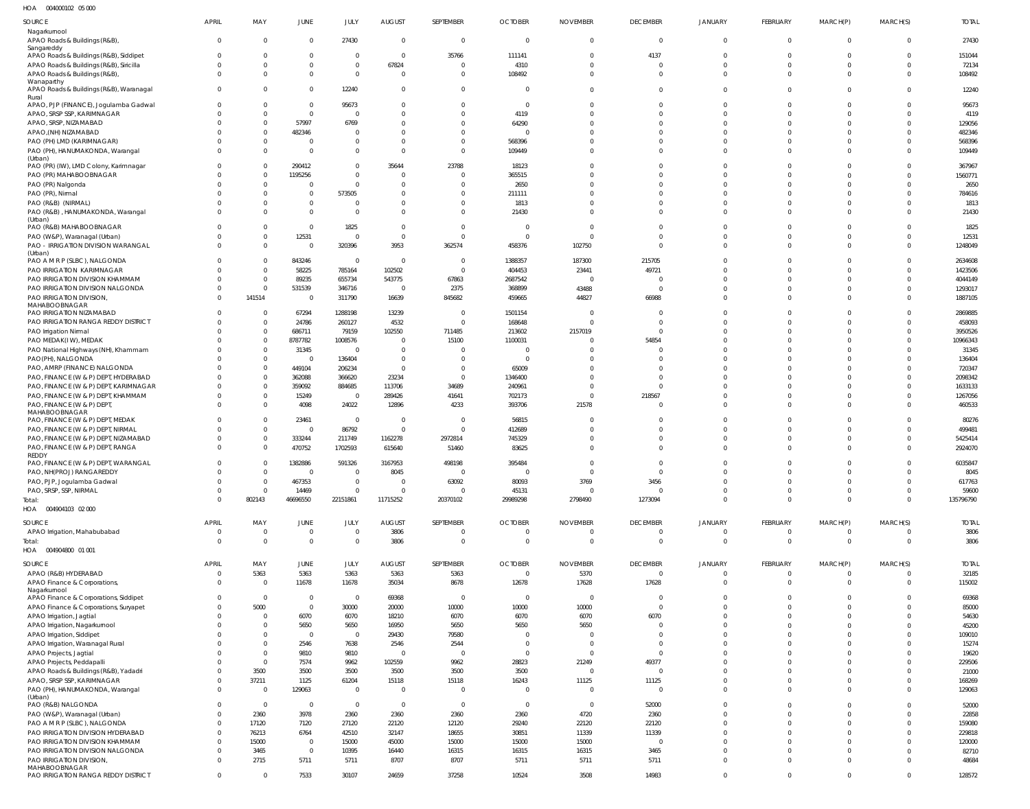004000102 05 000 HOA

| SOURCE                                                                        | APRIL         | MAY                              | <b>JUNE</b>                      | JULY                    | <b>AUGUST</b>                    | SEPTEMBER                        | <b>OCTOBER</b>                   | <b>NOVEMBER</b>                  | <b>DECEMBER</b>               | <b>JANUARY</b>              | <b>FEBRUARY</b>               | MARCH(P)             | MARCH(S)                         | <b>TOTAL</b>       |
|-------------------------------------------------------------------------------|---------------|----------------------------------|----------------------------------|-------------------------|----------------------------------|----------------------------------|----------------------------------|----------------------------------|-------------------------------|-----------------------------|-------------------------------|----------------------|----------------------------------|--------------------|
| Nagarkurnool<br>APAO Roads & Buildings (R&B)                                  | $\Omega$      | $\overline{0}$                   | $\overline{0}$                   | 27430                   | $\overline{0}$                   | $\overline{0}$                   | $\overline{0}$                   | $\mathbf{0}$                     | $\mathbf{0}$                  | $\mathbf 0$                 | $\overline{0}$                | $\Omega$             | $\overline{0}$                   | 27430              |
| Sangareddy                                                                    |               |                                  |                                  |                         |                                  |                                  |                                  |                                  |                               |                             |                               |                      |                                  |                    |
| APAO Roads & Buildings (R&B), Siddipet                                        |               | $\mathbf 0$<br>$\overline{0}$    | $\mathbf 0$<br>$\mathbf 0$       | $\Omega$<br>$\Omega$    | $\overline{0}$<br>67824          | 35766<br>$\overline{0}$          | 111141                           | $\mathbf 0$<br>$\Omega$          | 4137<br>$\mathbf 0$           | $\Omega$<br>$\Omega$        | $\Omega$<br>$\Omega$          | $\Omega$             | $\overline{0}$<br>$\overline{0}$ | 151044             |
| APAO Roads & Buildings (R&B), Siricilla<br>APAO Roads & Buildings (R&B),      |               | $\Omega$                         | $\mathbf 0$                      | $\Omega$                | $\overline{0}$                   | $\overline{0}$                   | 4310<br>108492                   | $\Omega$                         | $\mathbf 0$                   | $\mathbf 0$                 | $\mathbf 0$                   | $\Omega$             | $\overline{0}$                   | 72134<br>108492    |
| Wanaparthy<br>APAO Roads & Buildings (R&B), Waranagal                         | $\Omega$      | $\Omega$                         | $\overline{0}$                   | 12240                   | $\overline{0}$                   | $\overline{0}$                   | $\overline{0}$                   | $\mathbf{0}$                     | $\mathbf 0$                   | $\mathbf 0$                 | $\Omega$                      | $\Omega$             | $\overline{0}$                   | 12240              |
| Rural<br>APAO, PJP (FINANCE), Jogulamba Gadwal                                |               | $\mathbf 0$                      | $\overline{0}$                   | 95673                   | $\overline{0}$                   | $\mathbf{0}$                     | $\overline{0}$                   | $\Omega$                         | $\mathbf 0$                   | $\Omega$                    | $\Omega$                      |                      | $\overline{0}$                   | 95673              |
| APAO, SRSP SSP, KARIMNAGAR                                                    |               | $\Omega$                         | $\overline{0}$                   | $\Omega$                | $\overline{0}$                   | $\Omega$                         | 4119                             | $\Omega$                         | $\Omega$                      | $\Omega$                    | $\Omega$                      | $\Omega$             | $\Omega$                         | 4119               |
| APAO, SRSP, NIZAMABAD                                                         |               | $\overline{0}$                   | 57997                            | 6769                    | $\Omega$                         | $\Omega$                         | 64290                            | $\Omega$                         | $\Omega$                      | $\Omega$                    | $\Omega$                      |                      | $\Omega$                         | 129056             |
| APAO, (NH) NIZAMABAD                                                          |               | $\overline{0}$                   | 482346                           | - 0                     | $\Omega$                         | $\Omega$                         | $\Omega$                         | $\Omega$                         | $\Omega$                      | $\Omega$                    | $\Omega$                      |                      | $\Omega$                         | 482346             |
| PAO (PH) LMD (KARIMNAGAR)<br>PAO (PH), HANUMAKONDA, Warangal                  |               | $\overline{0}$<br>$\overline{0}$ | $\overline{0}$<br>$\mathbf{0}$   | $\Omega$<br>$\Omega$    | $\overline{0}$<br>$\Omega$       | $\mathbf{0}$<br>$\Omega$         | 568396<br>109449                 | $\Omega$<br>$\Omega$             | $\Omega$<br>$\Omega$          | $\Omega$<br>$\Omega$        | $\Omega$<br>$\Omega$          | $\Omega$<br>$\Omega$ | $\overline{0}$<br>$\Omega$       | 568396<br>109449   |
| (Urban)                                                                       |               |                                  |                                  |                         |                                  |                                  |                                  |                                  |                               |                             |                               |                      |                                  |                    |
| PAO (PR) (IW), LMD Colony, Karimnagar                                         |               | $\Omega$                         | 290412                           | $\Omega$                | 35644                            | 23788                            | 18123                            | $\Omega$                         | $\Omega$                      | $\Omega$                    | C                             |                      | $\Omega$                         | 367967             |
| PAO (PR) MAHABOOBNAGAR<br>PAO (PR) Nalgonda                                   |               | $\Omega$<br>$\Omega$             | 1195256<br>$^{\circ}$            | $\Omega$<br>$\Omega$    | $\overline{0}$<br>$\Omega$       | $\overline{0}$<br>$\Omega$       | 365515<br>2650                   | $\Omega$<br>$\Omega$             | $\Omega$<br>$\Omega$          | $\Omega$<br>$\Omega$        | $\Omega$<br>$\Omega$          | $\Omega$             | $\Omega$<br>$\Omega$             | 1560771<br>2650    |
| PAO (PR), Nirmal                                                              |               | $\Omega$                         | $\mathbf 0$                      | 573505                  | $\Omega$                         | $\Omega$                         | 211111                           | $\Omega$                         | $\Omega$                      | $\Omega$                    | $\Omega$                      |                      | $\Omega$                         | 784616             |
| PAO (R&B) (NIRMAL)                                                            |               | $\mathbf{0}$                     | $\mathbf 0$                      | $\Omega$                | $\overline{0}$                   | $\mathbf{0}$                     | 1813                             | $\Omega$                         | $\mathbf 0$                   | $\Omega$                    | $\Omega$                      |                      | $\overline{0}$                   | 1813               |
| PAO (R&B), HANUMAKONDA, Warangal                                              |               | $\Omega$                         | $\mathbf 0$                      | $\Omega$                | $\Omega$                         | $\mathbf 0$                      | 21430                            | $\Omega$                         | $\Omega$                      | $\Omega$                    | $\Omega$                      | $\Omega$             | $\Omega$                         | 21430              |
| (Urban)<br>PAO (R&B) MAHABOOBNAGAR                                            |               | $\mathbf{0}$                     | $\mathbf{0}$                     | 1825                    | $\overline{0}$                   | $\overline{0}$                   | $\overline{0}$                   | $\Omega$                         | $\Omega$                      | $\Omega$                    | $\Omega$                      |                      | $\Omega$                         | 1825               |
| PAO (W&P), Waranagal (Urban)                                                  |               | $\overline{0}$                   | 12531                            | $\Omega$                | $\overline{0}$                   | $\overline{0}$                   | $\Omega$                         | $\Omega$                         | $\mathbf 0$                   | $\Omega$                    | $\Omega$                      | $\Omega$             | $\Omega$                         | 12531              |
| PAO - IRRIGATION DIVISION WARANGAL                                            |               | $\mathbf 0$                      | $\mathbf{0}$                     | 320396                  | 3953                             | 362574                           | 458376                           | 102750                           | $\mathbf{0}$                  | $\Omega$                    | $\mathbf 0$                   | $\Omega$             | $\overline{0}$                   | 1248049            |
| (Urban)<br>PAO A M R P (SLBC), NALGONDA                                       |               | $\overline{0}$                   | 843246                           | $\overline{0}$          | $\overline{0}$                   | $\overline{0}$                   | 1388357                          | 187300                           | 215705                        | $\Omega$                    | $\Omega$                      |                      | $\Omega$                         | 2634608            |
| PAO IRRIGATION KARIMNAGAR                                                     |               | $\overline{0}$                   | 58225                            | 785164                  | 102502                           | $\overline{0}$                   | 404453                           | 23441                            | 49721                         | $\Omega$                    | $\Omega$                      |                      | $\Omega$                         | 1423506            |
| PAO IRRIGATION DIVISION KHAMMAM                                               |               | $\overline{0}$                   | 89235                            | 655734                  | 543775                           | 67863                            | 2687542                          | $\Omega$                         | -0                            | $\Omega$                    | $\Omega$                      | $\cap$               | $\Omega$                         | 4044149            |
| PAO IRRIGATION DIVISION NALGONDA<br>PAO IRRIGATION DIVISION,                  |               | $\overline{0}$<br>141514         | 531539<br>$\overline{0}$         | 346716<br>311790        | $\overline{0}$<br>16639          | 2375<br>845682                   | 368899<br>459665                 | 43488<br>44827                   | $\overline{0}$<br>66988       | $\Omega$<br>$\Omega$        | $\mathbf{0}$<br>$\Omega$      | $\Omega$<br>$\Omega$ | $\overline{0}$<br>$\Omega$       | 1293017<br>1887105 |
| MAHABOOBNAGAR                                                                 |               |                                  |                                  |                         |                                  |                                  |                                  |                                  |                               |                             |                               |                      |                                  |                    |
| PAO IRRIGATION NIZAMABAD                                                      |               | $\overline{0}$                   | 67294                            | 1288198                 | 13239                            | $\overline{0}$                   | 1501154                          | $\Omega$                         | $^{\circ}$                    | $\Omega$                    | C                             |                      | $\Omega$                         | 2869885            |
| PAO IRRIGATION RANGA REDDY DISTRICT<br>PAO Irrigation Nirmal                  |               | $\overline{0}$<br>$\mathbf 0$    | 24786<br>686711                  | 260127<br>79159         | 4532<br>102550                   | $\Omega$<br>711485               | 168648<br>213602                 | $\Omega$<br>2157019              | $\Omega$<br>$\mathbf 0$       | $\Omega$<br>$\Omega$        | $\Omega$<br>$\Omega$          | $\Omega$             | $\Omega$<br>$\overline{0}$       | 458093<br>3950526  |
| PAO MEDAK(IW), MEDAK                                                          |               | $\overline{0}$                   | 8787782                          | 1008576                 | $\Omega$                         | 15100                            | 1100031                          | $\Omega$                         | 54854                         | $\Omega$                    | $\Omega$                      |                      | $\Omega$                         | 10966343           |
| PAO National Highways (NH), Khammam                                           |               | $\overline{0}$                   | 31345                            | $\overline{0}$          | $\overline{0}$                   | $\Omega$                         | $\overline{0}$                   | $\Omega$                         | $\Omega$                      | $\Omega$                    | $\Omega$                      |                      | $\Omega$                         | 31345              |
| PAO(PH), NALGONDA                                                             |               | $\overline{0}$                   | $\overline{0}$                   | 136404                  | $\overline{0}$                   | $\Omega$                         | $\overline{0}$                   | $\Omega$                         | $\Omega$                      | $\Omega$                    | $\Omega$                      |                      | $\Omega$                         | 136404             |
| PAO, AMRP (FINANCE) NALGONDA                                                  |               | $\overline{0}$<br>$\overline{0}$ | 449104                           | 206234                  | $\overline{0}$                   | 0<br>$\Omega$                    | 65009                            | $\Omega$<br>$\Omega$             | $\Omega$<br>$\Omega$          | $\Omega$<br>$\Omega$        | $\Omega$<br>$\Omega$          |                      | $\Omega$<br>$\Omega$             | 720347             |
| PAO, FINANCE (W & P) DEPT, HYDERABAD<br>PAO, FINANCE (W & P) DEPT, KARIMNAGAR |               | $\overline{0}$                   | 362088<br>359092                 | 366620<br>884685        | 23234<br>113706                  | 34689                            | 1346400<br>240961                | $\Omega$                         | $\mathbf 0$                   | $\Omega$                    | $\Omega$                      |                      | $\overline{0}$                   | 2098342<br>1633133 |
| PAO, FINANCE (W & P) DEPT, KHAMMAM                                            |               | $\overline{0}$                   | 15249                            | $\overline{\mathbf{0}}$ | 289426                           | 41641                            | 702173                           | $\Omega$                         | 218567                        | $\Omega$                    | $\Omega$                      | $\Omega$             | $\Omega$                         | 1267056            |
| PAO, FINANCE (W & P) DEPT,                                                    |               | $\mathbf 0$                      | 4098                             | 24022                   | 12896                            | 4233                             | 393706                           | 21578                            | $\Omega$                      | $\Omega$                    | $\Omega$                      | $\Omega$             | $\Omega$                         | 460533             |
| MAHABOOBNAGAR<br>PAO, FINANCE (W & P) DEPT, MEDAK                             |               | $\overline{0}$                   | 23461                            | $\overline{0}$          | $\overline{0}$                   | $\overline{0}$                   | 56815                            | $\Omega$                         | $\Omega$                      | $\Omega$                    | $\Omega$                      |                      | $\Omega$                         | 80276              |
| PAO, FINANCE (W & P) DEPT, NIRMAL                                             |               | $\mathbf 0$                      | $\overline{0}$                   | 86792                   | $\overline{0}$                   | $\overline{0}$                   | 412689                           | $\Omega$                         | $\Omega$                      | $\Omega$                    | $\Omega$                      |                      | $\overline{0}$                   | 499481             |
| PAO, FINANCE (W & P) DEPT, NIZAMABAD                                          |               | $\mathbf 0$                      | 333244                           | 211749                  | 1162278                          | 2972814                          | 745329                           | $\Omega$                         | $\Omega$                      | $\Omega$                    | $\Omega$                      |                      | $\Omega$                         | 5425414            |
| PAO, FINANCE (W & P) DEPT, RANGA<br>REDDY                                     |               | $\Omega$                         | 470752                           | 1702593                 | 615640                           | 51460                            | 83625                            | $\Omega$                         | $\mathbf 0$                   | $\mathbf 0$                 | $\mathbf 0$                   | $\Omega$             | $\overline{0}$                   | 2924070            |
| PAO, FINANCE (W & P) DEPT, WARANGAL                                           | $\Omega$      | $\mathbf 0$                      | 1382886                          | 591326                  | 3167953                          | 498198                           | 395484                           | $\Omega$                         | $\Omega$                      | $\Omega$                    | $\Omega$                      | $\Omega$             | $\overline{0}$                   | 6035847            |
| PAO, NH(PROJ) RANGAREDDY                                                      |               |                                  |                                  | $\Omega$                | 8045                             | 0                                | -0                               |                                  | 0                             |                             |                               | $\Omega$             |                                  | 8045               |
| PAO, PJP, Jogulamba Gadwal<br>PAO, SRSP, SSP, NIRMAL                          | 0             | $\overline{0}$<br>$\overline{0}$ | 467353<br>14469                  | $\Omega$                | $\overline{0}$<br>$\overline{0}$ | 63092<br>$\overline{0}$          | 80093<br>45131                   | 3769<br>$\overline{0}$           | 3456<br>$\overline{0}$        | $\mathbf 0$<br>$\mathbf 0$  | $\mathbf 0$<br>$\mathbf 0$    | $\overline{0}$       | $\Omega$<br>$\overline{0}$       | 617763<br>59600    |
| Total:                                                                        | $\Omega$      | 802143                           | 46696550                         | 22151861                | 11715252                         | 20370102                         | 29989298                         | 2798490                          | 1273094                       | $\overline{0}$              | $\mathbf 0$                   | $\Omega$             | $\overline{0}$                   | 135796790          |
| HOA<br>004904103 02 000                                                       |               |                                  |                                  |                         |                                  |                                  |                                  |                                  |                               |                             |                               |                      |                                  |                    |
| SOURCE                                                                        | <b>APRIL</b>  | MAY                              | <b>JUNE</b>                      | JULY                    | <b>AUGUST</b>                    | SEPTEMBER                        | <b>OCTOBER</b>                   | <b>NOVEMBER</b>                  | <b>DECEMBER</b>               | <b>JANUARY</b>              | <b>FEBRUARY</b>               | MARCH(P)             | MARCH(S)                         | <b>TOTAL</b>       |
| APAO Irrigation, Mahabubabad<br>Total:                                        | 0<br>$\Omega$ | $\overline{0}$<br>$\overline{0}$ | $\overline{0}$<br>$\overline{0}$ | $\Omega$<br>$\Omega$    | 3806<br>3806                     | $\overline{0}$<br>$\overline{0}$ | $\overline{0}$<br>$\overline{0}$ | $\overline{0}$<br>$\overline{0}$ | $\mathbf 0$<br>$\overline{0}$ | $\mathbf 0$<br>$\mathbf 0$  | $\mathbf 0$<br>$\mathbf 0$    | $\Omega$<br>$\Omega$ | $\overline{0}$<br>$\overline{0}$ | 3806<br>3806       |
| 004904800 01 001<br>HOA                                                       |               |                                  |                                  |                         |                                  |                                  |                                  |                                  |                               |                             |                               |                      |                                  |                    |
| SOURCE                                                                        | <b>APRIL</b>  | MAY                              | <b>JUNE</b>                      | JULY                    | <b>AUGUST</b>                    | SEPTEMBER                        | <b>OCTOBER</b>                   | <b>NOVEMBER</b>                  | <b>DECEMBER</b>               | JANUARY                     | <b>FEBRUARY</b>               | MARCH(P)             | MARCH(S)                         | <b>TOTAL</b>       |
| APAO (R&B) HYDERABAD                                                          | $\mathbf 0$   | 5363                             | 5363                             | 5363                    | 5363                             | 5363                             | $\overline{0}$                   | 5370                             | $\mathbf{0}$                  | $\mathbf{0}$                | $\overline{0}$                | $\Omega$             | $\overline{0}$                   | 32185              |
| APAO Finance & Corporations,<br>Nagarkurnool                                  | $\Omega$      | $\overline{0}$                   | 11678                            | 11678                   | 35034                            | 8678                             | 12678                            | 17628                            | 17628                         | $\mathbf 0$                 | $\mathbf 0$                   | $\Omega$             | $\overline{0}$                   | 115002             |
| APAO Finance & Corporations, Siddipet                                         | $\Omega$      | $\overline{0}$                   | $\overline{0}$                   | $\Omega$                | 69368                            | $\overline{0}$                   | $\overline{0}$                   | $\overline{0}$                   | $\overline{0}$                | $\mathbf 0$                 | $\overline{0}$                | $\Omega$             | $\overline{0}$                   | 69368              |
| APAO Finance & Corporations, Suryapet                                         |               | 5000                             | $\overline{0}$                   | 30000                   | 20000                            | 10000                            | 10000                            | 10000                            | $\mathbf 0$                   | $\mathbf 0$                 | $\overline{0}$                | $\Omega$             | $\overline{0}$                   | 85000              |
| APAO Irrigation, Jagtial                                                      |               | $\overline{0}$                   | 6070                             | 6070                    | 18210                            | 6070                             | 6070                             | 6070                             | 6070                          | $\Omega$                    | $\Omega$                      | $\Omega$             | $\Omega$                         | 54630              |
| APAO Irrigation, Nagarkurnool<br>APAO Irrigation, Siddipet                    |               | $\overline{0}$<br>$\Omega$       | 5650<br>$\overline{0}$           | 5650<br>$\Omega$        | 16950<br>29430                   | 5650<br>79580                    | 5650<br>$\overline{0}$           | 5650<br>$\Omega$                 | $\mathbf 0$<br>$\mathbf 0$    | $\Omega$<br>$\Omega$        | $\Omega$<br>$\Omega$          | $\Omega$<br>$\Omega$ | $\overline{0}$<br>$\Omega$       | 45200<br>109010    |
| APAO Irrigation, Waranagal Rural                                              |               | $\overline{0}$                   | 2546                             | 7638                    | 2546                             | 2544                             | $\overline{0}$                   | $\overline{0}$                   | $\mathbf 0$                   | $\Omega$                    | $\Omega$                      | $\Omega$             | $\overline{0}$                   | 15274              |
| APAO Projects, Jagtial                                                        |               | $\overline{0}$                   | 9810                             | 9810                    | $\overline{0}$                   | $\overline{0}$                   | $\overline{0}$                   | $\Omega$                         | $\mathbf{0}$                  | $\Omega$                    | $\Omega$                      | $\Omega$             | $\Omega$                         | 19620              |
| APAO Projects, Peddapalli                                                     |               | $\overline{0}$                   | 7574                             | 9962                    | 102559                           | 9962                             | 28823                            | 21249                            | 49377                         | $\Omega$                    | $\Omega$                      | $\Omega$             | $\overline{0}$                   | 229506             |
| APAO Roads & Buildings (R&B), Yadadri                                         |               | 3500                             | 3500                             | 3500                    | 3500                             | 3500                             | 3500                             | $\mathbf 0$                      | $\overline{0}$                | $\Omega$                    | $\Omega$                      | $\Omega$             | $\overline{0}$                   | 21000              |
| APAO, SRSP SSP, KARIMNAGAR<br>PAO (PH), HANUMAKONDA, Warangal                 |               | 37211<br>$\overline{0}$          | 1125<br>129063                   | 61204<br>$\overline{0}$ | 15118<br>$\overline{0}$          | 15118<br>$\overline{0}$          | 16243<br>$\overline{0}$          | 11125<br>$\overline{0}$          | 11125<br>$\overline{0}$       | $\mathbf 0$<br>$\mathbf{0}$ | $\overline{0}$<br>$\mathbf 0$ | $\Omega$<br>$\Omega$ | $\overline{0}$<br>$\overline{0}$ | 168269<br>129063   |
| (Urban)                                                                       |               |                                  |                                  |                         |                                  |                                  |                                  |                                  |                               |                             |                               |                      |                                  |                    |
| PAO (R&B) NALGONDA                                                            |               | $\overline{0}$                   | $\overline{0}$                   | $\overline{0}$          | $\overline{0}$                   | $\overline{0}$                   | $\overline{0}$                   | $\overline{0}$                   | 52000                         | $\mathbf 0$                 | $\mathbf{0}$                  | $\Omega$             | $\overline{0}$                   | 52000              |
| PAO (W&P), Waranagal (Urban)<br>PAO A M R P (SLBC), NALGONDA                  |               | 2360<br>17120                    | 3978<br>7120                     | 2360<br>27120           | 2360<br>22120                    | 2360<br>12120                    | 2360<br>29240                    | 4720<br>22120                    | 2360<br>22120                 | $\Omega$<br>$\Omega$        | $\Omega$<br>$\mathbf{0}$      | $\Omega$<br>$\Omega$ | $\Omega$<br>$\overline{0}$       | 22858<br>159080    |
| PAO IRRIGATION DIVISION HYDERABAD                                             | $\Omega$      | 76213                            | 6764                             | 42510                   | 32147                            | 18655                            | 30851                            | 11339                            | 11339                         | $\Omega$                    | $\Omega$                      | $\Omega$             | $\overline{0}$                   | 229818             |
| PAO IRRIGATION DIVISION KHAMMAM                                               | $\Omega$      | 15000                            | $\overline{0}$                   | 15000                   | 45000                            | 15000                            | 15000                            | 15000                            | $\overline{0}$                | $\Omega$                    | $\Omega$                      | $\Omega$             | $\overline{0}$                   | 120000             |
| PAO IRRIGATION DIVISION NALGONDA                                              |               | 3465                             | $\overline{0}$                   | 10395                   | 16440                            | 16315                            | 16315                            | 16315                            | 3465                          | $\Omega$                    | $\Omega$                      | $\Omega$             | $\overline{0}$                   | 82710              |
| PAO IRRIGATION DIVISION,<br>MAHABOOBNAGAR                                     |               | 2715                             | 5711                             | 5711                    | 8707                             | 8707                             | 5711                             | 5711                             | 5711                          | $\mathbf 0$                 | $\mathbf 0$                   | $\Omega$             | $\overline{0}$                   | 48684              |
| PAO IRRIGATION RANGA REDDY DISTRICT                                           | $\Omega$      | $\overline{0}$                   | 7533                             | 30107                   | 24659                            | 37258                            | 10524                            | 3508                             | 14983                         | $\mathbf{0}$                | $\mathbf 0$                   | $\overline{0}$       | $\overline{0}$                   | 128572             |
|                                                                               |               |                                  |                                  |                         |                                  |                                  |                                  |                                  |                               |                             |                               |                      |                                  |                    |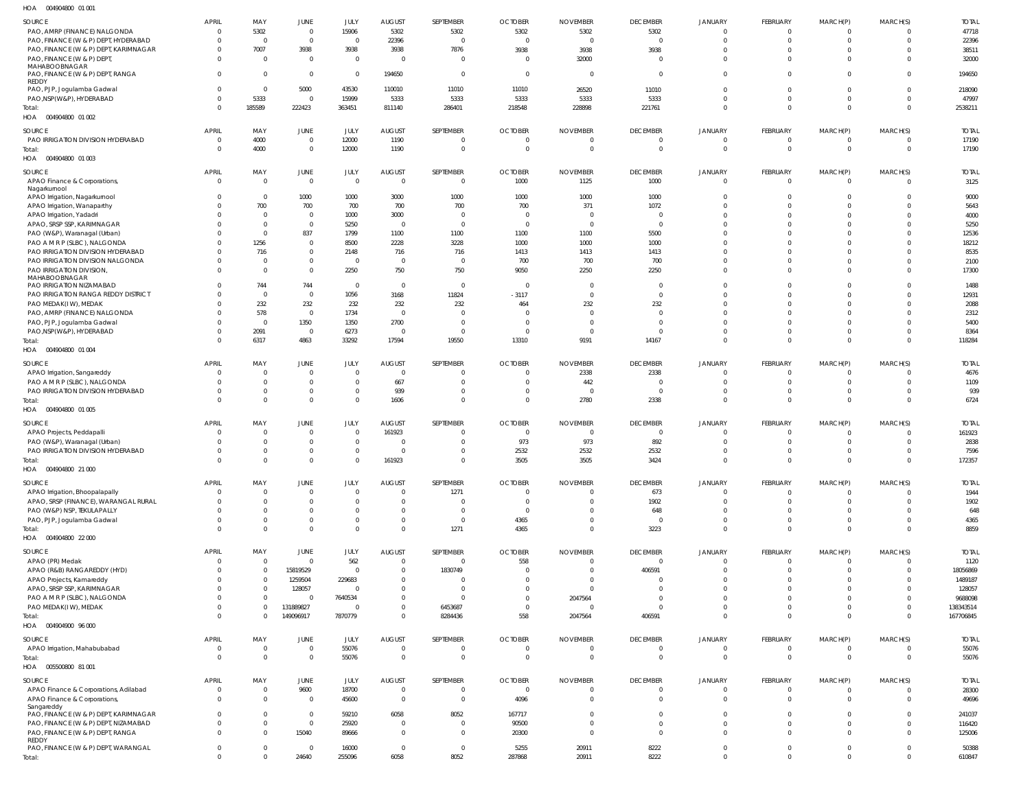| HOA | 004904800 01 001 |  |
|-----|------------------|--|

| $\cdot$                               |                |                |                |                |                |                |                |                 |                 |                |                |                |          |              |
|---------------------------------------|----------------|----------------|----------------|----------------|----------------|----------------|----------------|-----------------|-----------------|----------------|----------------|----------------|----------|--------------|
| SOURCE                                | <b>APRIL</b>   | MAY            | JUNE           | JULY           | <b>AUGUST</b>  | SEPTEMBER      | <b>OCTOBER</b> | <b>NOVEMBER</b> | <b>DECEMBER</b> | <b>JANUARY</b> | FEBRUARY       | MARCH(P)       | MARCH(S) | <b>TOTAL</b> |
| PAO, AMRP (FINANCE) NALGONDA          | $\Omega$       | 5302           | $\mathbf 0$    | 15906          | 5302           | 5302           | 5302           | 5302            | 5302            | $\Omega$       | $\Omega$       |                |          | 47718        |
| PAO, FINANCE (W & P) DEPT, HYDERABAD  | $\Omega$       | $\Omega$       | $\overline{0}$ | $\mathbf{0}$   | 22396          | $\Omega$       | $\Omega$       | $\Omega$        | $\overline{0}$  | $\Omega$       | $\Omega$       | $\Omega$       |          | 22396        |
|                                       | $\Omega$       |                |                |                |                |                |                |                 |                 | $\Omega$       | $\Omega$       | $\Omega$       |          |              |
| PAO, FINANCE (W & P) DEPT, KARIMNAGAR |                | 7007           | 3938           | 3938           | 3938           | 7876           | 3938           | 3938            | 3938            |                |                |                |          | 38511        |
| PAO, FINANCE (W & P) DEPT,            | $\Omega$       | $\Omega$       | $\overline{0}$ | $\Omega$       | $\overline{0}$ | $\Omega$       | $\Omega$       | 32000           | $\Omega$        | $\Omega$       | $\Omega$       | $\Omega$       |          | 32000        |
| MAHABOOBNAGAR                         |                |                |                |                |                |                |                |                 |                 |                |                |                |          |              |
| PAO, FINANCE (W & P) DEPT, RANGA      | $\Omega$       | $\Omega$       | $\overline{0}$ | $\overline{0}$ | 194650         | $\Omega$       | $\Omega$       | $\Omega$        | $\overline{0}$  | $\mathbf 0$    | $\Omega$       | $\Omega$       |          | 194650       |
| REDDY                                 |                |                |                |                |                |                |                |                 |                 |                |                |                |          |              |
| PAO, PJP, Jogulamba Gadwal            | $\Omega$       | $\Omega$       | 5000           | 43530          | 110010         | 11010          | 11010          | 26520           | 11010           | $\Omega$       | $\Omega$       | $\Omega$       |          | 218090       |
| PAO, NSP(W&P), HYDERABAD              | $\Omega$       | 5333           | $\Omega$       | 15999          | 5333           | 5333           | 5333           | 5333            | 5333            | $\Omega$       | $\Omega$       | $\Omega$       |          | 47997        |
| Total:                                | $\Omega$       | 185589         | 222423         | 363451         | 811140         | 286401         | 218548         | 228898          | 221761          | $\mathbf 0$    | $\mathbf 0$    | $\Omega$       | $\Omega$ | 2538211      |
| HOA  004904800  01  002               |                |                |                |                |                |                |                |                 |                 |                |                |                |          |              |
|                                       |                |                |                |                |                |                |                |                 |                 |                |                |                |          |              |
| SOURCE                                | <b>APRIL</b>   | MAY            | JUNE           | JULY           | <b>AUGUST</b>  | SEPTEMBER      | <b>OCTOBER</b> | <b>NOVEMBER</b> | <b>DECEMBER</b> | JANUARY        | FEBRUARY       | MARCH(P)       | MARCH(S) | <b>TOTAL</b> |
| PAO IRRIGATION DIVISION HYDERABAD     | $\overline{0}$ | 4000           | $\overline{0}$ | 12000          | 1190           | $\mathbf{0}$   | $\overline{0}$ | $\mathbf{0}$    | $\mathbf 0$     | $\mathbf 0$    | $\mathbf 0$    | 0              |          | 17190        |
| Total:                                | C              | 4000           | $\mathbf{0}$   | 12000          | 1190           | $\Omega$       | $\Omega$       | $\Omega$        | $\mathbf{0}$    | $\mathbf{0}$   | $\mathbf{0}$   | $\Omega$       | $\Omega$ | 17190        |
| HOA 004904800 01 003                  |                |                |                |                |                |                |                |                 |                 |                |                |                |          |              |
|                                       |                |                |                |                |                |                |                |                 |                 |                |                |                |          |              |
| SOURCE                                | <b>APRIL</b>   | MAY            | JUNE           | JULY           | <b>AUGUST</b>  | SEPTEMBER      | <b>OCTOBER</b> | <b>NOVEMBER</b> | <b>DECEMBER</b> | JANUARY        | FEBRUARY       | MARCH(P)       | MARCH(S) | <b>TOTAL</b> |
| APAO Finance & Corporations,          | $\overline{0}$ | $\Omega$       | $\overline{0}$ | $\overline{0}$ | $\overline{0}$ | $\Omega$       | 1000           | 1125            | 1000            | $\mathbf 0$    | $\mathbf 0$    | $\Omega$       | $\Omega$ | 3125         |
| Nagarkurnool                          |                |                |                |                |                |                |                |                 |                 |                |                |                |          |              |
| APAO Irrigation, Nagarkurnool         | $\Omega$       | $\Omega$       | 1000           | 1000           | 3000           | 1000           | 1000           | 1000            | 1000            | $\Omega$       | $\Omega$       | 0              |          | 9000         |
| APAO Irrigation, Wanaparthy           |                | 700            | 700            | 700            | 700            | 700            | 700            | 371             | 1072            | $\Omega$       | $\Omega$       |                |          | 5643         |
|                                       |                | - 0            | $\overline{0}$ | 1000           | 3000           |                | $\Omega$       |                 | $\Omega$        | $\Omega$       | $\Omega$       |                |          | 4000         |
| APAO Irrigation, Yadadri              |                |                |                |                |                |                |                |                 |                 |                |                |                |          |              |
| APAO, SRSP SSP, KARIMNAGAR            |                | $\sqrt{ }$     | $\mathbf{0}$   | 5250           | $\overline{0}$ | $\Omega$       | $\Omega$       | $\Omega$        | $\overline{0}$  | $\Omega$       | $\Omega$       |                |          | 5250         |
| PAO (W&P), Waranagal (Urban)          |                | - 0            | 837            | 1799           | 1100           | 1100           | 1100           | 1100            | 5500            | $\Omega$       | $\Omega$       |                |          | 12536        |
| PAO A M R P (SLBC), NALGONDA          |                | 1256           | $\mathbf{0}$   | 8500           | 2228           | 3228           | 1000           | 1000            | 1000            | $\Omega$       | $\Omega$       |                |          | 18212        |
| PAO IRRIGATION DIVISION HYDERABAD     |                | 716            | $\mathbf 0$    | 2148           | 716            | 716            | 1413           | 1413            | 1413            | $\Omega$       | $\Omega$       |                |          | 8535         |
| PAO IRRIGATION DIVISION NALGONDA      | -C             | - 0            | $\mathbf 0$    | $\mathbf{0}$   | $\overline{0}$ | $\Omega$       | 700            | 700             | 700             | $\Omega$       | $\Omega$       | <sup>0</sup>   |          | 2100         |
|                                       |                |                |                |                |                |                |                |                 |                 |                |                |                |          |              |
| PAO IRRIGATION DIVISION,              |                | - 0            | $\mathbf{0}$   | 2250           | 750            | 750            | 9050           | 2250            | 2250            | $\Omega$       | $\Omega$       | $\Omega$       |          | 17300        |
| MAHABOOBNAGAR                         |                |                |                |                |                |                |                |                 |                 |                |                |                |          |              |
| PAO IRRIGATION NIZAMABAD              |                | 744            | 744            | $\mathbf{0}$   | $\overline{0}$ | $\Omega$       | $\Omega$       | $\Omega$        | $\Omega$        | $\Omega$       | $\Omega$       |                |          | 1488         |
| PAO IRRIGATION RANGA REDDY DISTRICT   | -C             | - 0            | $\overline{0}$ | 1056           | 3168           | 11824          | $-3117$        | $\Omega$        | $\Omega$        | $\Omega$       | $\Omega$       | <sup>0</sup>   |          | 12931        |
| PAO MEDAK(IW), MEDAK                  |                | 232            | 232            | 232            | 232            | 232            | 464            | 232             | 232             | $\Omega$       | $\Omega$       |                |          | 2088         |
| PAO, AMRP (FINANCE) NALGONDA          | -C             | 578            | $\overline{0}$ | 1734           | $\mathbf{0}$   |                |                |                 | $\Omega$        | $\Omega$       | $\Omega$       |                |          | 2312         |
| PAO, PJP, Jogulamba Gadwal            | -C             | $\Omega$       | 1350           | 1350           | 2700           | $\Omega$       |                | $\Omega$        | $\Omega$        | $\Omega$       | $\Omega$       |                |          | 5400         |
|                                       | $\Omega$       |                | $\overline{0}$ |                | $\overline{0}$ | $\Omega$       | $\Omega$       | $\Omega$        | $\Omega$        | $\Omega$       | $\mathbf 0$    | $\Omega$       |          |              |
| PAO, NSP(W&P), HYDERABAD              |                | 2091           |                | 6273           |                |                |                |                 |                 |                |                |                |          | 8364         |
| Total:                                | C              | 6317           | 4863           | 33292          | 17594          | 19550          | 13310          | 9191            | 14167           | $\Omega$       | $\Omega$       | $\Omega$       |          | 118284       |
| HOA  004904800  01 004                |                |                |                |                |                |                |                |                 |                 |                |                |                |          |              |
|                                       |                |                |                |                |                |                |                |                 |                 |                |                |                |          |              |
| SOURCE                                | <b>APRIL</b>   | MAY            | JUNE           | JULY           | <b>AUGUST</b>  | SEPTEMBER      | <b>OCTOBER</b> | <b>NOVEMBER</b> | <b>DECEMBER</b> | JANUARY        | FEBRUARY       | MARCH(P)       | MARCH(S) | <b>TOTAL</b> |
| APAO Irrigation, Sangareddy           | $\Omega$       | - 0            | $\overline{0}$ | $\mathbf{0}$   | $\overline{0}$ | $\Omega$       | $\mathbf{0}$   | 2338            | 2338            | $\mathbf 0$    | $\overline{0}$ | $\Omega$       |          | 4676         |
| PAO A M R P (SLBC), NALGONDA          | C              | $\Omega$       | $\mathbf 0$    | $\Omega$       | 667            | $\Omega$       | $\Omega$       | 442             | $^{\circ}$      | $\mathbf 0$    | $\overline{0}$ | $\Omega$       | $\Omega$ | 1109         |
| PAO IRRIGATION DIVISION HYDERABAD     | C              | $\Omega$       | $\mathbf 0$    | $\mathbf{0}$   | 939            | $\Omega$       | $\Omega$       |                 | $\overline{0}$  | $\overline{0}$ | $\overline{0}$ | $\Omega$       | - 0      | 939          |
| Total:                                | C              | - 0            | $\,0\,$        | $\mathbf{0}$   | 1606           | $\Omega$       | $\Omega$       | 2780            | 2338            | $\mathbf{0}$   | $\mathbf{0}$   | $\overline{0}$ | $\Omega$ | 6724         |
|                                       |                |                |                |                |                |                |                |                 |                 |                |                |                |          |              |
| HOA   004904800  01  005              |                |                |                |                |                |                |                |                 |                 |                |                |                |          |              |
| SOURCE                                | <b>APRIL</b>   | MAY            | JUNE           | JULY           | <b>AUGUST</b>  | SEPTEMBER      | <b>OCTOBER</b> | <b>NOVEMBER</b> | <b>DECEMBER</b> | JANUARY        | FEBRUARY       | MARCH(P)       | MARCH(S) | <b>TOTAL</b> |
|                                       | $\Omega$       | - 0            | $\overline{0}$ | $\Omega$       |                | $\Omega$       | $\overline{0}$ | $\Omega$        | $\overline{0}$  | $\Omega$       | $\Omega$       |                |          |              |
| APAO Projects, Peddapalli             |                |                |                |                | 161923         |                |                |                 |                 |                |                |                |          | 161923       |
| PAO (W&P), Waranagal (Urban)          | -C             | - 0            | $\mathbf 0$    | $\Omega$       | - 0            | 0              | 973            | 973             | 892             | $\Omega$       | $\Omega$       |                |          | 2838         |
| PAO IRRIGATION DIVISION HYDERABAD     |                |                | $^{\circ}$     | $\Omega$       | $\Omega$       |                | 2532           | 2532            | 2532            | $\Omega$       | $\Omega$       |                |          | 7596         |
| Total:                                | $\Omega$       |                | $\Omega$       | $\Omega$       | 161923         | $\Omega$       | 3505           | 3505            | 3424            | $\Omega$       | $\Omega$       | $\Omega$       |          | 172357       |
| HOA  004904800  21 000                |                |                |                |                |                |                |                |                 |                 |                |                |                |          |              |
|                                       |                |                |                |                |                |                |                |                 |                 |                |                |                |          |              |
| SOURCE                                | <b>APRIL</b>   | MAY            | JUNE           | JULY           | <b>AUGUST</b>  | SEPTEMBER      | <b>OCTOBER</b> | <b>NOVEMBER</b> | <b>DECEMBER</b> | <b>JANUARY</b> | FEBRUARY       | MARCH(P)       | MARCH(S) | <b>TOTAL</b> |
| APAO Irrigation, Bhoopalapally        | $\Omega$       | $\Omega$       | $\mathbf 0$    | $\mathbf{0}$   | $\overline{0}$ | 1271           | $\overline{0}$ | $\mathbf 0$     | 673             | $\overline{0}$ | $\overline{0}$ | $\Omega$       |          | 1944         |
| APAO, SRSP (FINANCE), WARANGAL RURAL  | C              | - 0            | $\overline{0}$ | $\Omega$       | $\overline{0}$ |                | $\Omega$       | $\mathbf 0$     | 1902            | $\overline{0}$ | $\overline{0}$ | $\Omega$       |          | 1902         |
|                                       |                |                |                | $\mathbf{0}$   | $\mathbf 0$    | $\overline{0}$ | $\Omega$       | $\Omega$        |                 | $\mathbf 0$    | $\Omega$       | $\Omega$       |          |              |
| PAO (W&P) NSP, TEKULAPALLY            |                |                | $\mathbf 0$    |                |                |                |                |                 | 648             |                |                |                |          | 648          |
| PAO, PJP, Jogulamba Gadwal            | $\Omega$       | $\Omega$       | $\mathbf 0$    | $\mathbf{0}$   | $\overline{0}$ | $\overline{0}$ | 4365           | $\Omega$        | $^{\circ}$      | $\overline{0}$ | $\overline{0}$ | $\Omega$       | - 0      | 4365         |
| Total:                                | C              | - 0            | $\mathbf 0$    | $\mathbf 0$    | $\mathbf 0$    | 1271           | 4365           | $\Omega$        | 3223            | $\mathbf{0}$   | $\mathbf 0$    | $\Omega$       | $\Omega$ | 8859         |
| HOA 004904800 22 000                  |                |                |                |                |                |                |                |                 |                 |                |                |                |          |              |
|                                       |                |                |                |                |                |                |                |                 |                 |                |                |                |          |              |
| SOURCE                                | <b>APRIL</b>   | MAY            | JUNE           | JULY           | <b>AUGUST</b>  | SEPTEMBER      | <b>OCTOBER</b> | <b>NOVEMBER</b> | <b>DECEMBER</b> | JANUARY        | FEBRUARY       | MARCH(P)       | MARCH(S) | <b>TOTAL</b> |
| APAO (PR) Medak                       | $\Omega$       | $\Omega$       | $\overline{0}$ | 562            | $\overline{0}$ | $\overline{0}$ | 558            | $\Omega$        | $^{\circ}$      | $\Omega$       | $\Omega$       | $\Omega$       |          | 1120         |
| APAO (R&B) RANGAREDDY (HYD)           | $\Omega$       | $\Omega$       | 15819529       | $\Omega$       | $\Omega$       | 1830749        | $\Omega$       | $\Omega$        | 406591          | $\Omega$       | $\Omega$       | 0              |          | 18056869     |
| APAO Projects, Kamareddy              | -C             | $\Omega$       | 1259504        | 229683         | $\Omega$       |                |                |                 | $\Omega$        | $\Omega$       | $\Omega$       | <sup>0</sup>   |          | 1489187      |
| APAO, SRSP SSP, KARIMNAGAR            | $\Omega$       | $\Omega$       | 128057         | $\Omega$       | $\Omega$       |                |                |                 | $\Omega$        | $\Omega$       | $\Omega$       | <sup>0</sup>   |          | 128057       |
|                                       |                |                |                |                |                |                |                |                 |                 |                |                |                |          |              |
| PAO A M R P (SLBC), NALGONDA          | -C             | $\overline{0}$ | $\Omega$       | 7640534        | $\Omega$       |                | $\Omega$       | 2047564         | $\Omega$        | $\Omega$       | $\Omega$       |                |          | 9688098      |
| PAO MEDAK(IW), MEDAK                  | $\Omega$       | $\Omega$       | 131889827      | $\Omega$       | $\Omega$       | 6453687        |                |                 | $\Omega$        | $\Omega$       | $\Omega$       | $\Omega$       |          | 138343514    |
| Total:                                | $\Omega$       | $\Omega$       | 149096917      | 7870779        | $\mathbf 0$    | 8284436        | 558            | 2047564         | 406591          | $\mathbf 0$    | $\Omega$       | $\Omega$       | - 0      | 167706845    |
| HOA 004904900 96 000                  |                |                |                |                |                |                |                |                 |                 |                |                |                |          |              |
|                                       |                |                |                |                |                |                |                |                 |                 |                |                |                |          |              |
| SOURCE                                | <b>APRIL</b>   | MAY            | JUNE           | JULY           | <b>AUGUST</b>  | SEPTEMBER      | <b>OCTOBER</b> | <b>NOVEMBER</b> | <b>DECEMBER</b> | JANUARY        | FEBRUARY       | MARCH(P)       | MARCH(S) | <b>TOTAL</b> |
| APAO Irrigation, Mahabubabad          | 0              | $\overline{0}$ | $\mathbf 0$    | 55076          | $\mathbf 0$    | $\mathbf{0}$   | $\overline{0}$ | $\mathbf{0}$    | $\mathbf 0$     | $\mathbf 0$    | $\mathbf 0$    | $^{\circ}$     |          | 55076        |
| Total:                                | $\Omega$       | $\Omega$       | $\mathbf{0}$   | 55076          | $\mathbf 0$    | $\Omega$       | $\overline{0}$ | $\Omega$        | $\mathbf{0}$    | $\mathbf 0$    | $\mathbf{0}$   | $\overline{0}$ | $\Omega$ | 55076        |
|                                       |                |                |                |                |                |                |                |                 |                 |                |                |                |          |              |
|                                       |                |                |                |                |                |                |                |                 |                 |                |                |                |          |              |
| SOURCE                                | <b>APRIL</b>   | MAY            | JUNE           | JULY           | <b>AUGUST</b>  | SEPTEMBER      | <b>OCTOBER</b> | <b>NOVEMBER</b> | <b>DECEMBER</b> | JANUARY        | FEBRUARY       | MARCH(P)       | MARCH(S) | <b>TOTAL</b> |
|                                       | $\overline{0}$ | $\Omega$       |                | 18700          | $\overline{0}$ | $\mathbf{0}$   | $\mathbf 0$    | $\mathbf{0}$    | $^{\circ}$      | $^{\circ}$     | $^{\circ}$     | $\Omega$       |          | 28300        |
| APAO Finance & Corporations, Adilabad |                |                | 9600           |                |                |                |                |                 |                 |                |                |                |          |              |
| APAO Finance & Corporations,          | $\Omega$       | $\Omega$       | $\overline{0}$ | 45600          | $\mathbf 0$    | $\overline{0}$ | 4096           | $\Omega$        | $\overline{0}$  | $\overline{0}$ | $\overline{0}$ | $\Omega$       |          | 49696        |
| Sangareddy                            |                |                | $\overline{0}$ |                |                |                |                |                 |                 |                |                |                |          |              |
|                                       |                |                |                | 59210          | 6058           | 8052           | 167717         | $\Omega$        | $\Omega$        | $\Omega$       | $\Omega$       | $\Omega$       |          | 241037       |
| PAO, FINANCE (W & P) DEPT, KARIMNAGAR | $\Omega$       |                |                |                |                |                |                |                 |                 |                |                |                |          |              |
| PAO, FINANCE (W & P) DEPT, NIZAMABAD  | $\Omega$       | $\Omega$       | $\overline{0}$ | 25920          | $\overline{0}$ | $\Omega$       | 90500          | $\Omega$        | $\Omega$        | $\Omega$       | $\Omega$       | $\Omega$       |          | 116420       |
| PAO, FINANCE (W & P) DEPT, RANGA      | $\Omega$       | $\Omega$       | 15040          | 89666          | $\overline{0}$ | $\Omega$       | 20300          | $\Omega$        | $\Omega$        | $\Omega$       | $\Omega$       | $\Omega$       |          | 125006       |
| REDDY                                 |                |                |                |                |                |                |                |                 |                 |                |                |                |          |              |
| PAO, FINANCE (W & P) DEPT, WARANGAL   | $\Omega$       |                | $\overline{0}$ | 16000          | $\overline{0}$ | $\mathbf 0$    | 5255           | 20911           | 8222            | $\overline{0}$ | $\overline{0}$ | $\mathbf 0$    |          | 50388        |
| Total:                                | $\Omega$       |                | 24640          | 255096         | 6058           | 8052           | 287868         | 20911           | 8222            | $\Omega$       | $\Omega$       | $\Omega$       | $\Omega$ | 610847       |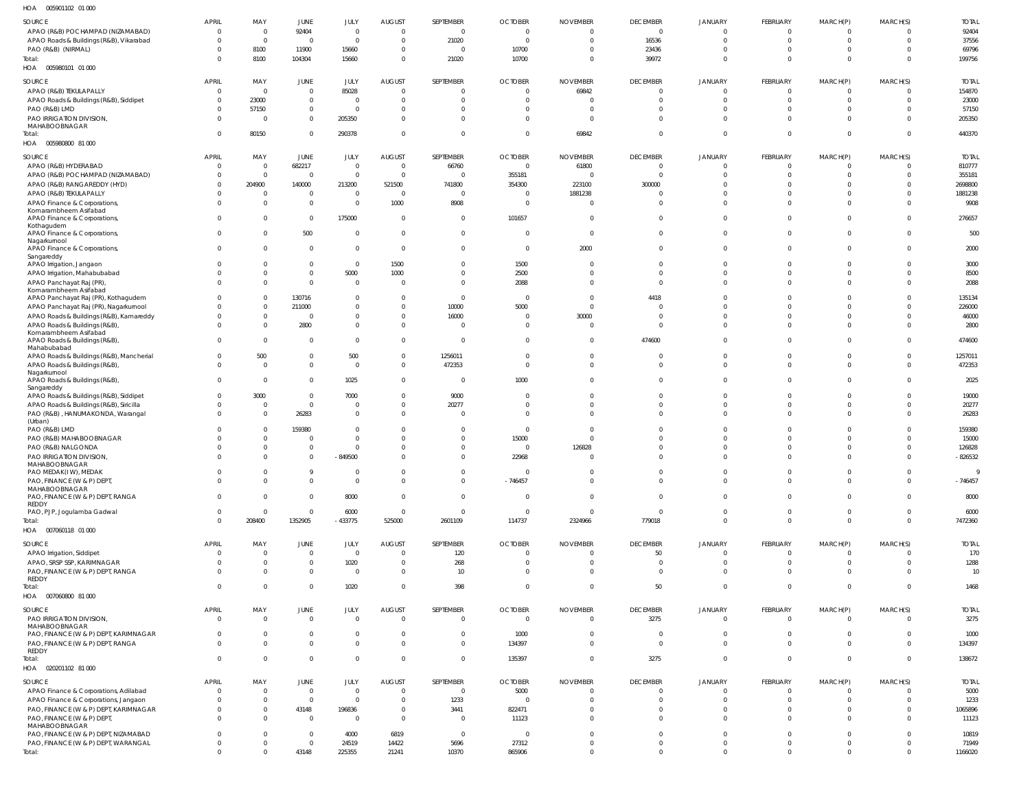005901102 01 000 HOA

| .                                                |                            |                 |                                  |                             |                      |                      |                         |                                  |                             |                            |                             |                              |                                  |                     |
|--------------------------------------------------|----------------------------|-----------------|----------------------------------|-----------------------------|----------------------|----------------------|-------------------------|----------------------------------|-----------------------------|----------------------------|-----------------------------|------------------------------|----------------------------------|---------------------|
| SOURCE                                           | <b>APRIL</b>               | MAY             | JUNE                             | JULY                        | <b>AUGUST</b>        | SEPTEMBER            | <b>OCTOBER</b>          | <b>NOVEMBER</b>                  | <b>DECEMBER</b>             | <b>JANUARY</b>             | FEBRUARY                    | MARCH(P)                     | MARCH(S)                         | <b>TOTAL</b>        |
| APAO (R&B) POCHAMPAD (NIZAMABAD)                 | $\Omega$                   | $\Omega$        | 92404                            | $\overline{0}$              | $\Omega$             | $\mathbf{0}$         | $\overline{0}$          | $\Omega$                         | $\Omega$                    |                            | $\Omega$                    | $\Omega$                     | $\Omega$                         | 92404               |
| APAO Roads & Buildings (R&B), Vikarabad          | $\Omega$                   | $\Omega$        | $\Omega$                         | $\Omega$                    | $\Omega$             | 21020                | $\Omega$                | $\Omega$                         | 16536                       |                            | $\Omega$                    | $\Omega$                     | $\Omega$                         | 37556               |
| PAO (R&B) (NIRMAL)                               | <sup>0</sup>               | 8100            | 11900                            | 15660                       | $\Omega$             | $\Omega$             | 10700                   | $\Omega$                         | 23436                       |                            | <sup>0</sup>                | $\Omega$                     | $\Omega$                         | 69796               |
| Total:                                           | <sup>0</sup>               | 8100            | 104304                           | 15660                       | $\Omega$             | 21020                | 10700                   | $\overline{0}$                   | 39972                       | 0                          | $\Omega$                    | $\Omega$                     | $\Omega$                         | 199756              |
| HOA   005980101   01   000                       |                            |                 |                                  |                             |                      |                      |                         |                                  |                             |                            |                             |                              |                                  |                     |
|                                                  |                            |                 |                                  |                             |                      |                      |                         |                                  |                             |                            |                             |                              |                                  |                     |
| SOURCE                                           | <b>APRIL</b>               | MAY             | JUNE                             | JULY                        | <b>AUGUST</b>        | SEPTEMBER            | <b>OCTOBER</b>          | <b>NOVEMBER</b>                  | <b>DECEMBER</b>             | <b>JANUARY</b>             | FEBRUARY                    | MARCH(P)                     | MARCH(S)                         | <b>TOTAL</b>        |
| APAO (R&B) TEKULAPALLY                           | $\Omega$                   | $\mathbf 0$     | $\mathbf 0$                      | 85028                       | $\Omega$             | $\overline{0}$       | $\overline{0}$          | 69842                            | $\mathbf 0$                 | $\Omega$                   | $\overline{0}$              | $\Omega$                     | $\Omega$                         | 154870              |
| APAO Roads & Buildings (R&B), Siddipet           | $\Omega$                   | 23000           | $\overline{0}$                   | $\overline{0}$              | $\Omega$             | $\overline{0}$       | $\Omega$                |                                  | $\Omega$                    | $\Omega$                   | $\Omega$                    | $\Omega$                     | $\Omega$                         | 23000               |
| PAO (R&B) LMD                                    | $\Omega$                   | 57150           | $\mathbf 0$                      | $\overline{0}$              | $\Omega$             | $\Omega$             | $\Omega$                |                                  | $\Omega$                    | $\Omega$                   | $\Omega$                    | $\Omega$                     | $\Omega$                         | 57150               |
| PAO IRRIGATION DIVISION,                         | $\Omega$                   | 0               | $\mathbf 0$                      | 205350                      | $\Omega$             | $\Omega$             | $\Omega$                | $\Omega$                         | $\Omega$                    | $\Omega$                   | $\Omega$                    | $\mathbf{0}$                 | $\Omega$                         | 205350              |
| MAHABOOBNAGAR<br>Total:                          | $\Omega$                   | 80150           | $\overline{0}$                   | 290378                      | $\overline{0}$       | $\mathbf{0}$         | $\Omega$                | 69842                            | $\mathbf{0}$                | $\Omega$                   | $\Omega$                    | $\mathbf 0$                  | $\Omega$                         | 440370              |
| HOA  005980800  81 000                           |                            |                 |                                  |                             |                      |                      |                         |                                  |                             |                            |                             |                              |                                  |                     |
|                                                  |                            |                 |                                  |                             |                      |                      |                         |                                  |                             |                            |                             |                              |                                  |                     |
| SOURCE                                           | <b>APRIL</b>               | MAY             | JUNE                             | JULY                        | <b>AUGUST</b>        | SEPTEMBER            | <b>OCTOBER</b>          | <b>NOVEMBER</b>                  | <b>DECEMBER</b>             | <b>JANUARY</b>             | FEBRUARY                    | MARCH(P)                     | MARCH(S)                         | <b>TOTAL</b>        |
| APAO (R&B) HYDERABAD                             | $\Omega$                   | 0               | 682217                           | $\overline{0}$              | $\overline{0}$       | 66760                | $\Omega$                | 61800                            | $\Omega$                    |                            | $\Omega$                    | $\Omega$                     | $\Omega$                         | 810777              |
| APAO (R&B) POCHAMPAD (NIZAMABAD)                 | $\Omega$                   | $\Omega$        | $\overline{0}$                   | $\overline{0}$              | $\Omega$             | $\overline{0}$       | 355181                  | $\Omega$                         | $\Omega$                    |                            | $\Omega$                    | $\Omega$                     | $\Omega$                         | 355181              |
| APAO (R&B) RANGAREDDY (HYD)                      | $\Omega$                   | 204900          | 140000                           | 213200                      | 521500               | 741800               | 354300                  | 223100                           | 300000                      |                            |                             | $\Omega$                     | $\Omega$                         | 2698800             |
| APAO (R&B) TEKULAPALLY                           | $\Omega$                   |                 | $\overline{0}$                   | $\Omega$                    | $\Omega$             | $\Omega$             | $\Omega$                | 1881238                          |                             |                            | <sup>0</sup>                | $\Omega$                     | $\Omega$                         | 1881238             |
| APAO Finance & Corporations,                     | $\Omega$                   | $\Omega$        | $\overline{0}$                   | $\Omega$                    | 1000                 | 8908                 | $\Omega$                | $\Omega$                         | $\Omega$                    | $\Omega$                   | $\Omega$                    | $\Omega$                     | $\Omega$                         | 9908                |
| Komarambheem Asifabad                            | $\Omega$                   | 0               | $\overline{0}$                   | 175000                      | $\Omega$             | $\Omega$             | 101657                  | $\Omega$                         | $\Omega$                    |                            | $\Omega$                    | $\Omega$                     | $\Omega$                         | 276657              |
| APAO Finance & Corporations,<br>Kothagudem       |                            |                 |                                  |                             |                      |                      |                         |                                  |                             |                            |                             |                              |                                  |                     |
| APAO Finance & Corporations,                     | $\Omega$                   | <sup>0</sup>    | 500                              | $\Omega$                    | $\Omega$             | $\mathbf{0}$         | $\Omega$                | $\Omega$                         | $\Omega$                    | $\Omega$                   | $\Omega$                    | $\Omega$                     | $\Omega$                         | 500                 |
| Nagarkurnool                                     |                            |                 |                                  |                             |                      |                      |                         |                                  |                             |                            |                             |                              |                                  |                     |
| APAO Finance & Corporations,                     | $\Omega$                   | U               | $\overline{0}$                   | $\Omega$                    | $\Omega$             | $\Omega$             | $\Omega$                | 2000                             | $\Omega$                    | $\Omega$                   | $\Omega$                    | $\Omega$                     | $\Omega$                         | 2000                |
| Sangareddy                                       |                            |                 |                                  |                             |                      |                      |                         |                                  |                             |                            |                             |                              |                                  |                     |
| APAO Irrigation, Jangaon                         | <sup>0</sup>               | 0<br>$\Omega$   | $\overline{0}$<br>$\overline{0}$ | $\overline{0}$<br>5000      | 1500<br>1000         | $\Omega$<br>$\Omega$ | 1500<br>2500            | $\Omega$<br>$\Omega$             | $\Omega$<br>$\Omega$        |                            | $\Omega$<br>$\Omega$        | $\Omega$<br>$\Omega$         | $\Omega$<br>$\Omega$             | 3000<br>8500        |
| APAO Irrigation, Mahabubabad                     | <sup>0</sup>               | $\Omega$        | $\Omega$                         | $\Omega$                    | $\Omega$             | $\Omega$             |                         | $\Omega$                         | $\Omega$                    | $\Omega$                   | $\Omega$                    | $\Omega$                     | $\Omega$                         |                     |
| APAO Panchayat Raj (PR)<br>Komarambheem Asifabad |                            |                 |                                  |                             |                      |                      | 2088                    |                                  |                             |                            |                             |                              |                                  | 2088                |
| APAO Panchayat Raj (PR), Kothagudem              |                            | U               | 130716                           | $\overline{0}$              | $\Omega$             | $\mathbf{0}$         | $\Omega$                | $\Omega$                         | 4418                        |                            | <sup>0</sup>                | $\Omega$                     | $\Omega$                         | 135134              |
| APAO Panchayat Raj (PR), Nagarkurnool            | <sup>0</sup>               | $\Omega$        | 211000                           | $\Omega$                    | $\Omega$             | 10000                | 5000                    | $\Omega$                         |                             |                            | <sup>0</sup>                | $\Omega$                     | $\Omega$                         | 226000              |
| APAO Roads & Buildings (R&B), Kamareddy          |                            | $\Omega$        | $\Omega$                         | $\Omega$                    | $\Omega$             | 16000                | $\Omega$                | 30000                            |                             |                            | U                           | $\Omega$                     | $\Omega$                         | 46000               |
| APAO Roads & Buildings (R&B),                    | $\Omega$                   | $\Omega$        | 2800                             | $\overline{0}$              | $\Omega$             | $\Omega$             | $\Omega$                | $\Omega$                         | $\Omega$                    | $\Omega$                   | $\Omega$                    | $\Omega$                     | $\Omega$                         | 2800                |
| Komarambheem Asifabad                            |                            |                 |                                  |                             |                      |                      |                         |                                  |                             |                            |                             |                              |                                  |                     |
| APAO Roads & Buildings (R&B),                    | $\Omega$                   | $\Omega$        | $\Omega$                         | $\Omega$                    | $\Omega$             | $\Omega$             | $\Omega$                | $\Omega$                         | 474600                      |                            | $\Omega$                    | $\Omega$                     | $\Omega$                         | 474600              |
| Mahabubabad                                      |                            |                 |                                  |                             |                      |                      | $\Omega$                |                                  |                             |                            |                             |                              |                                  |                     |
| APAO Roads & Buildings (R&B), Mancherial         | $\Omega$<br>$\Omega$       | 500<br>$\Omega$ | $\overline{0}$<br>$\mathbf 0$    | 500<br>$\overline{0}$       | $\Omega$<br>$\Omega$ | 1256011              | $\Omega$                | $\Omega$<br>$\Omega$             | $\Omega$<br>$\Omega$        | $\Omega$<br>$\Omega$       | $\Omega$<br>$\Omega$        | $\Omega$<br>$\mathbf{0}$     | $\overline{0}$<br>$\overline{0}$ | 1257011             |
| APAO Roads & Buildings (R&B),<br>Nagarkurnool    |                            |                 |                                  |                             |                      | 472353               |                         |                                  |                             |                            |                             |                              |                                  | 472353              |
| APAO Roads & Buildings (R&B),                    | $\Omega$                   | $\Omega$        | $\overline{0}$                   | 1025                        | $\Omega$             | $\Omega$             | 1000                    | $\Omega$                         | $\Omega$                    | $\Omega$                   | $\Omega$                    | $\Omega$                     | $\Omega$                         | 2025                |
| Sangareddy                                       |                            |                 |                                  |                             |                      |                      |                         |                                  |                             |                            |                             |                              |                                  |                     |
| APAO Roads & Buildings (R&B), Siddipet           | $\Omega$                   | 3000            | $\overline{0}$                   | 7000                        | $\Omega$             | 9000                 | $\Omega$                | $\Omega$                         | $\Omega$                    |                            | $\Omega$                    | $\Omega$                     | $\Omega$                         | 19000               |
| APAO Roads & Buildings (R&B), Siricilla          | $\Omega$                   | 0               | $\overline{0}$                   | 0                           | $\Omega$             | 20277                | $\Omega$                | $\Omega$                         | $\Omega$                    |                            | $\Omega$                    | $\Omega$                     | $\Omega$                         | 20277               |
| PAO (R&B), HANUMAKONDA, Warangal                 | $\Omega$                   | $\Omega$        | 26283                            | $\overline{0}$              | $\Omega$             | $\Omega$             | $\Omega$                | $\Omega$                         | $\Omega$                    |                            | $\Omega$                    | $\Omega$                     | $\Omega$                         | 26283               |
| (Urban)                                          |                            |                 |                                  |                             |                      |                      |                         |                                  |                             |                            |                             |                              |                                  |                     |
| PAO (R&B) LMD                                    |                            | 0               | 159380                           | $\Omega$                    | $\Omega$<br>$\Omega$ | $\Omega$             | $\Omega$                | $\Omega$<br>$\Omega$             |                             |                            | $\Omega$                    | $\Omega$                     | $\Omega$                         | 159380              |
| PAO (R&B) MAHABOOBNAGAR                          |                            | $\Omega$        | $\Omega$                         | $\overline{0}$              | $\Omega$             | $\Omega$<br>$\Omega$ | 15000<br>$\Omega$       |                                  | $\Omega$                    |                            | <sup>0</sup><br>$\Omega$    | $\Omega$<br>$\Omega$         | $\Omega$<br>$\Omega$             | 15000               |
| PAO (R&B) NALGONDA<br>PAO IRRIGATION DIVISION,   | $\Omega$                   | 0<br>$\Omega$   | $\overline{0}$<br>$\overline{0}$ | $\overline{0}$<br>$-849500$ | $\Omega$             | $\Omega$             | 22968                   | 126828<br>$\Omega$               | $\Omega$                    | $\Omega$                   | $\Omega$                    | $\Omega$                     | $\overline{0}$                   | 126828<br>$-826532$ |
| MAHABOOBNAGAR                                    |                            |                 |                                  |                             |                      |                      |                         |                                  |                             |                            |                             |                              |                                  |                     |
| PAO MEDAK(IW), MEDAK                             | 0                          |                 | - 9                              | $^{\circ}$                  | $\Omega$             | $\Omega$             | - 0                     | $\Omega$                         | 0                           |                            | 0                           | $\Omega$                     |                                  |                     |
| PAO, FINANCE (W & P) DEPT,                       | $\mathbf 0$                | $\Omega$        | $\mathbf 0$                      | $\overline{0}$              | $\Omega$             | $\mathbf{0}$         | $-746457$               | $\overline{0}$                   | $\mathbf 0$                 | $\Omega$                   | $\mathbf 0$                 | $\mathbf{0}$                 | $\overline{0}$                   | $-746457$           |
| MAHABOOBNAGAR                                    |                            |                 |                                  |                             |                      |                      |                         |                                  |                             |                            |                             |                              |                                  |                     |
| PAO, FINANCE (W & P) DEPT, RANGA                 | $\overline{0}$             | $\Omega$        | $\overline{0}$                   | 8000                        | $\Omega$             | $\overline{0}$       | $\overline{\mathbf{0}}$ | $\overline{0}$                   | $\mathbf 0$                 | $\Omega$                   | $\overline{0}$              | $\overline{0}$               | $\overline{0}$                   | 8000                |
| REDDY                                            |                            |                 | $\overline{0}$                   |                             |                      | $\overline{0}$       |                         |                                  | $\mathbf 0$                 | $\Omega$                   | $\mathbf{0}$                |                              |                                  |                     |
| PAO, PJP, Jogulamba Gadwal                       | $\overline{0}$<br>$\Omega$ | $\mathbf 0$     |                                  | 6000                        | $\overline{0}$       |                      | $\overline{0}$          | $\overline{0}$                   |                             | $\mathbf 0$                | $\mathbf{0}$                | $\overline{0}$               | $\overline{0}$<br>$\overline{0}$ | 6000                |
| Total:                                           |                            | 208400          | 1352905                          | $-433775$                   | 525000               | 2601109              | 114737                  | 2324966                          | 779018                      |                            |                             | $\mathbf{0}$                 |                                  | 7472360             |
| HOA  007060118  01  000                          |                            |                 |                                  |                             |                      |                      |                         |                                  |                             |                            |                             |                              |                                  |                     |
| SOURCE                                           | <b>APRIL</b>               | MAY             | <b>JUNE</b>                      | JULY                        | <b>AUGUST</b>        | SEPTEMBER            | <b>OCTOBER</b>          | <b>NOVEMBER</b>                  | <b>DECEMBER</b>             | <b>JANUARY</b>             | FEBRUARY                    | MARCH(P)                     | MARCH(S)                         | <b>TOTAL</b>        |
| APAO Irrigation, Siddipet                        | $\overline{0}$             | $\mathbf 0$     | $\overline{0}$                   | $\overline{0}$              | $\Omega$             | 120                  | $\overline{0}$          | $\overline{0}$                   | 50                          | $^{\circ}$                 | $\overline{0}$              | 0                            | $\Omega$                         | 170                 |
| APAO, SRSP SSP, KARIMNAGAR                       | $\Omega$                   | $\mathbf 0$     | $\overline{0}$                   | 1020                        | $\overline{0}$       | 268                  | $\overline{0}$          | $\overline{0}$                   | $\mathbf 0$                 | $\mathbf 0$                | $\mathbf 0$                 | $\overline{0}$               | $\overline{0}$                   | 1288                |
| PAO, FINANCE (W & P) DEPT, RANGA                 | $\Omega$                   | 0               | $\mathbf 0$                      | $\overline{0}$              | $\Omega$             | 10                   | $\overline{0}$          | $\overline{0}$                   | $\mathbf 0$                 | $\Omega$                   | $\Omega$                    | $\overline{0}$               | $\Omega$                         | 10                  |
| REDDY                                            |                            |                 |                                  |                             |                      |                      |                         |                                  |                             |                            |                             |                              |                                  |                     |
| Total:                                           | $\mathbf 0$                | $\Omega$        | $\overline{0}$                   | 1020                        | $\Omega$             | 398                  | $\overline{0}$          | $\overline{0}$                   | 50                          | $\mathbf 0$                | $\mathbf{0}$                | $\overline{0}$               | $\overline{0}$                   | 1468                |
| HOA  007060800  81  000                          |                            |                 |                                  |                             |                      |                      |                         |                                  |                             |                            |                             |                              |                                  |                     |
| SOURCE                                           | <b>APRIL</b>               | MAY             | JUNE                             | JULY                        | AUGUST               | SEPTEMBER            | <b>OCTOBER</b>          | NOVEMBER                         | <b>DECEMBER</b>             | <b>JANUARY</b>             | FEBRUARY                    | MARCH(P)                     | MARCH(S)                         | <b>TOTAL</b>        |
| PAO IRRIGATION DIVISION,                         | $\overline{0}$             | $\mathbf 0$     | $\overline{0}$                   | $\overline{0}$              | $\Omega$             | $\mathbf 0$          | $\overline{0}$          | $\mathbf{0}$                     | 3275                        | $\mathbf 0$                | $\overline{0}$              | 0                            | $\Omega$                         | 3275                |
| MAHABOOBNAGAR                                    |                            |                 |                                  |                             |                      |                      |                         |                                  |                             |                            |                             |                              |                                  |                     |
| PAO, FINANCE (W & P) DEPT, KARIMNAGAR            | $\Omega$                   | $\Omega$        | $\mathbf 0$                      | $\overline{0}$              | $\Omega$             | $\mathbf 0$          | 1000                    | $\overline{0}$                   | $\mathbf 0$                 | $\mathbf 0$                | $\mathbf 0$                 | $\mathbf{0}$                 | $\overline{0}$                   | 1000                |
| PAO, FINANCE (W & P) DEPT, RANGA                 | $\mathbf 0$                | $\Omega$        | $\mathbf 0$                      | $\overline{0}$              | $\Omega$             | $\mathbf 0$          | 134397                  | $\overline{0}$                   | $\mathbf 0$                 | $\mathbf 0$                | $\mathbf{0}$                | $\mathbf{0}$                 | $\overline{0}$                   | 134397              |
| REDDY<br>Total:                                  | $\Omega$                   | 0               | $\overline{0}$                   | $\overline{0}$              | $\Omega$             | $\overline{0}$       | 135397                  | $\overline{0}$                   | 3275                        | $\mathbf 0$                | $\mathbf{0}$                | $\overline{0}$               | $\overline{0}$                   | 138672              |
|                                                  |                            |                 |                                  |                             |                      |                      |                         |                                  |                             |                            |                             |                              |                                  |                     |
| HOA  020201102  81  000                          |                            |                 |                                  |                             |                      |                      |                         |                                  |                             |                            |                             |                              |                                  |                     |
|                                                  |                            | MAY             | JUNE                             | JULY                        | <b>AUGUST</b>        | SEPTEMBER            | <b>OCTOBER</b>          | <b>NOVEMBER</b>                  | <b>DECEMBER</b>             | <b>JANUARY</b>             | FEBRUARY                    | MARCH(P)                     | MARCH(S)                         | <b>TOTAL</b>        |
| SOURCE                                           | APRIL                      |                 |                                  |                             |                      | $\mathbf 0$          | 5000                    | $\overline{0}$                   | $\mathbf 0$                 | $\mathbf 0$                | $\overline{0}$              | 0                            |                                  | 5000                |
| APAO Finance & Corporations, Adilabad            | $\mathbf{0}$               | $\Omega$        | $\overline{0}$                   | $\overline{0}$              | $\Omega$             |                      |                         |                                  |                             |                            |                             |                              |                                  |                     |
| APAO Finance & Corporations, Jangaon             | $\Omega$                   | $\mathbf 0$     | $\overline{0}$                   | $\overline{0}$              | $\Omega$             | 1233                 | $\overline{0}$          | $\overline{0}$                   | $\mathbf 0$                 | $\mathbf 0$                | $\mathbf{0}$                | $\overline{0}$               | $\overline{0}$                   | 1233                |
| PAO, FINANCE (W & P) DEPT, KARIMNAGAR            | $\mathbf 0$                | $\mathbf 0$     | 43148                            | 196836                      | $\overline{0}$       | 3441                 | 822471                  | $\overline{0}$                   | 0                           | 0                          | $\mathbf 0$                 | $\mathbf{0}$                 | $\overline{0}$                   | 1065896             |
| PAO, FINANCE (W & P) DEPT,                       | $\Omega$                   | $\Omega$        | $\overline{0}$                   | $\overline{0}$              | $\Omega$             | $\overline{0}$       | 11123                   | $\Omega$                         | $\Omega$                    | $\Omega$                   | $\Omega$                    | $\overline{0}$               | $\Omega$                         | 11123               |
| MAHABOOBNAGAR                                    |                            |                 |                                  |                             |                      |                      |                         |                                  |                             |                            |                             |                              |                                  |                     |
| PAO, FINANCE (W & P) DEPT, NIZAMABAD             | $\Omega$                   | 0               | $\overline{0}$                   | 4000                        | 6819                 | $\overline{0}$       | $\overline{\mathbf{0}}$ | $\overline{0}$                   | $\mathbf 0$                 | $\Omega$                   | $\mathbf 0$                 | $\overline{0}$               | $\overline{0}$                   | 10819               |
| PAO, FINANCE (W & P) DEPT, WARANGAL<br>Total:    | $\mathbf 0$<br>$\mathbf 0$ | 0<br>$\Omega$   | $\overline{0}$<br>43148          | 24519<br>225355             | 14422<br>21241       | 5696<br>10370        | 27312<br>865906         | $\overline{0}$<br>$\overline{0}$ | $\mathbf 0$<br>$\mathbf{0}$ | $\mathbf 0$<br>$\mathbf 0$ | $\mathbf{0}$<br>$\mathbf 0$ | $\mathbf{0}$<br>$\mathbf{0}$ | $\overline{0}$<br>$\overline{0}$ | 71949<br>1166020    |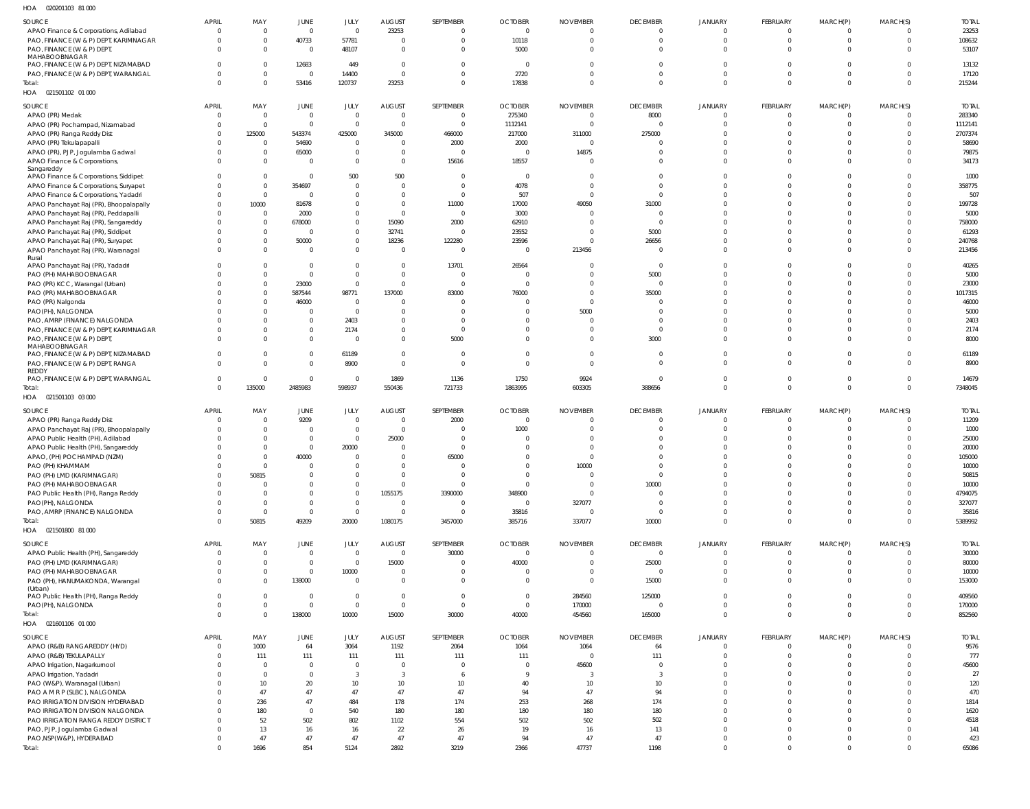020201103 81 000 HOA

| SOURCE<br>23253<br>23253<br>$\mathbf{0}$<br>$\overline{0}$<br>APAO Finance & Corporations, Adilabad<br>$\overline{0}$<br>$\Omega$<br>$\mathbf 0$<br>$\mathbf 0$<br>$\mathbf 0$<br>$\Omega$<br>$\Omega$<br>$\Omega$<br>$\Omega$<br>10118<br>40733<br>57781<br>$\overline{0}$<br>$\mathbf 0$<br>$\mathbf 0$<br>$\mathbf 0$<br>108632<br>PAO, FINANCE (W & P) DEPT, KARIMNAGAR<br>$\Omega$<br>$\overline{0}$<br>$\mathbf 0$<br>$\Omega$<br>$\Omega$<br>5000<br>53107<br>$\Omega$<br>$\Omega$<br>$\Omega$<br>$\mathbf 0$<br>$\Omega$<br>$\Omega$<br>PAO, FINANCE (W & P) DEPT,<br>$\Omega$<br>48107<br>$\Omega$<br>$\Omega$<br>$\overline{0}$<br>$\Omega$<br>MAHABOOBNAGAR<br>12683<br>13132<br>PAO, FINANCE (W & P) DEPT, NIZAMABAD<br>$\Omega$<br>449<br>$\mathbf 0$<br>$\Omega$<br>$\overline{0}$<br>$\Omega$<br>$\Omega$<br>$\Omega$<br>$\Omega$<br>$\Omega$<br>$\Omega$<br>$\Omega$<br>2720<br>17120<br>$\mathbf 0$<br>$\overline{0}$<br>14400<br>$\mathbf{0}$<br>$\Omega$<br>$\Omega$<br>$\mathbf 0$<br>$\Omega$<br>$\Omega$<br>PAO, FINANCE (W & P) DEPT, WARANGAL<br>$\Omega$<br>$\Omega$<br>$\Omega$<br>53416<br>120737<br>23253<br>17838<br>$\Omega$<br>215244<br>$\Omega$<br>$\Omega$<br>$\Omega$<br>$\Omega$<br>$\mathbf{0}$<br>$\overline{0}$<br>Total:<br>$\Omega$<br>$\Omega$<br>HOA  021501102  01  000<br>JANUARY<br>MARCH(S)<br>JUNE<br>JULY<br><b>AUGUST</b><br>SEPTEMBER<br><b>OCTOBER</b><br><b>NOVEMBER</b><br><b>DECEMBER</b><br><b>FEBRUARY</b><br>MARCH(P)<br><b>TOTAL</b><br>SOURCE<br><b>APRIL</b><br>MAY<br>$\overline{0}$<br>275340<br>283340<br>$\overline{0}$<br>$\overline{0}$<br>$\overline{0}$<br>8000<br>$\mathbf 0$<br>APAO (PR) Medak<br>$\overline{0}$<br>$\Omega$<br>$\mathbf{0}$<br>$\Omega$<br>$\Omega$<br>$\Omega$<br>$\overline{0}$<br>$\overline{0}$<br>$\overline{0}$<br>$\overline{0}$<br>1112141<br>$\mathbf{0}$<br>$\overline{0}$<br>1112141<br>APAO (PR) Pochampad, Nizamabad<br>$\Omega$<br>$\mathbf 0$<br>$\mathbf 0$<br>$\Omega$<br>$\Omega$<br>$\Omega$<br>543374<br>466000<br>217000<br>311000<br>275000<br>2707374<br>125000<br>425000<br>345000<br>$\overline{0}$<br>APAO (PR) Ranga Reddy Dist<br>$\Omega$<br>$\Omega$<br>$\Omega$<br>$\Omega$<br>58690<br>54690<br>$\overline{0}$<br>2000<br>2000<br>$\Omega$<br>APAO (PR) Tekulapapalli<br>$\Omega$<br>$\Omega$<br>$\Omega$<br>$\Omega$<br>$\overline{0}$<br>$\Omega$<br>$\Omega$<br>$\Omega$<br>14875<br>79875<br>65000<br>$\overline{0}$<br>APAO (PR), PJP, Jogulamba Gadwal<br>$\mathbf 0$<br>$\overline{0}$<br>$\Omega$<br>$\overline{0}$<br>$\mathbf 0$<br>$\mathbf 0$<br>$\Omega$<br>$\Omega$<br>$\Omega$<br>$\Omega$<br>$\overline{0}$<br>15616<br>18557<br>34173<br>$\overline{0}$<br>$\Omega$<br>$\Omega$<br>$\Omega$<br>$\Omega$<br>$\mathbf 0$<br>$\overline{\mathbf{0}}$<br>$\Omega$<br>$\Omega$<br>APAO Finance & Corporations,<br>$\Omega$<br>Sangareddy<br>500<br>500<br>1000<br>APAO Finance & Corporations, Siddipet<br>$\mathbf{0}$<br>$\overline{0}$<br>$\overline{0}$<br>$\Omega$<br>$\Omega$<br>$\Omega$<br>$\Omega$<br>- 0<br>$\Omega$<br>$\Omega$<br>354697<br>4078<br>358775<br>APAO Finance & Corporations, Suryapet<br>$\mathbf 0$<br>$\overline{0}$<br>$\overline{0}$<br>$\Omega$<br>$\Omega$<br>$\Omega$<br>$\Omega$<br>$\Omega$<br>$\Omega$<br>$\Omega$<br>$\Omega$<br>507<br>507<br>$\mathbf 0$<br>$\overline{0}$<br>$\overline{0}$<br>APAO Finance & Corporations, Yadadri<br>$\Omega$<br>$\overline{0}$<br>$\overline{0}$<br>$\Omega$<br>$\Omega$<br>$\Omega$<br>$\Omega$<br>$\Omega$<br>$\Omega$<br>81678<br>$\overline{0}$<br>11000<br>17000<br>49050<br>199728<br>APAO Panchayat Raj (PR), Bhoopalapally<br>10000<br>$\overline{0}$<br>31000<br>$\Omega$<br>$\Omega$<br>$\Omega$<br>$\Omega$<br>$\Omega$<br>3000<br>5000<br>APAO Panchayat Raj (PR), Peddapalli<br>2000<br>$\overline{0}$<br>$\overline{0}$<br>$\mathbf 0$<br>$\circ$<br>$\Omega$<br>$\Omega$<br>$\Omega$<br>$\Omega$<br>$\Omega$<br>2000<br>62910<br>678000<br>$\overline{0}$<br>15090<br>$\Omega$<br>758000<br>APAO Panchayat Raj (PR), Sangareddy<br>$\mathbf 0$<br>$\Omega$<br>$\mathbf 0$<br>$\Omega$<br>$\Omega$<br>$\Omega$<br>$\Omega$<br>$\mathbf 0$<br>23552<br>5000<br>61293<br>$\mathbf 0$<br>32741<br>$\Omega$<br>APAO Panchayat Raj (PR), Siddipet<br>- 0<br>$\Omega$<br>$\overline{0}$<br>$\Omega$<br>$\Omega$<br>$\Omega$<br>50000<br>$\mathbf 0$<br>122280<br>23596<br>240768<br>18236<br>26656<br>$\Omega$<br>APAO Panchayat Raj (PR), Suryapet<br>$\mathbf 0$<br>$\Omega$<br>$\Omega$<br>$\Omega$<br>$\Omega$<br>$\Omega$<br>213456<br>213456<br>APAO Panchayat Raj (PR), Waranagal<br>$\Omega$<br>$\overline{0}$<br>$\overline{0}$<br>$\Omega$<br>$\Omega$<br>$\Omega$<br>$\Omega$<br>$\overline{0}$<br>$\Omega$<br>$\overline{0}$<br>$\mathbf 0$<br>$\Omega$<br>Rural<br>13701<br>APAO Panchayat Raj (PR), Yadadri<br>$\overline{0}$<br>26564<br>40265<br>$\mathbf 0$<br>$\overline{0}$<br>$\overline{0}$<br>$\Omega$<br>$\overline{0}$<br>$\Omega$<br>$\Omega$<br>$\Omega$<br>$\Omega$<br>$\Omega$<br>$\overline{0}$<br>5000<br>5000<br>PAO (PH) MAHABOOBNAGAR<br>$\Omega$<br>$\overline{0}$<br>$\overline{0}$<br>$\Omega$<br>$\Omega$<br>$\overline{0}$<br>$\Omega$<br>$\Omega$<br>$\Omega$<br>$\Omega$<br>PAO (PR) KCC, Warangal (Urban)<br>23000<br>$\overline{0}$<br>$\Omega$<br>23000<br>$\mathbf{0}$<br>$\overline{0}$<br>$\Omega$<br>$\overline{0}$<br>$\Omega$<br>$\Omega$<br>0<br>$\Omega$<br>$\Omega$<br>587544<br>83000<br>76000<br>35000<br>1017315<br>PAO (PR) MAHABOOBNAGAR<br>$\mathbf 0$<br>98771<br>137000<br>$\overline{0}$<br>$\Omega$<br>$\Omega$<br>$\Omega$<br>$\Omega$<br>46000<br>46000<br>PAO (PR) Nalgonda<br>$\Omega$<br>$\Omega$<br>$\Omega$<br>$\Omega$<br>$\Omega$<br>$\Omega$<br>$\Omega$<br>$\Omega$<br>$\Omega$<br>$\Omega$<br>$\Omega$<br>5000<br>PAO(PH), NALGONDA<br>$\overline{0}$<br>5000<br>$\Omega$<br>$\Omega$<br>$\Omega$<br>$\Omega$<br>$\Omega$<br>$\overline{0}$<br>$\Omega$<br>$\Omega$<br>$\Omega$<br>$\Omega$<br>2403<br>2403<br>PAO, AMRP (FINANCE) NALGONDA<br>$\overline{0}$<br>$\mathbf 0$<br>$\Omega$<br>$\Omega$<br>$\Omega$<br>$\Omega$<br>$\Omega$<br>$\Omega$<br>$\Omega$<br>$\Omega$<br>$\Omega$<br>$\Omega$<br>2174<br>2174<br>PAO, FINANCE (W & P) DEPT, KARIMNAGAR<br>$\overline{0}$<br>$\mathbf 0$<br>$\mathbf{0}$<br>$\Omega$<br>$\overline{0}$<br>$\Omega$<br>$\Omega$<br>$\Omega$<br>$\Omega$<br>$\Omega$<br>$\Omega$<br>$\Omega$<br>5000<br>8000<br>PAO, FINANCE (W & P) DEPT,<br>$\overline{0}$<br>$\Omega$<br>3000<br>$\Omega$<br>$\Omega$<br>$\Omega$<br>$\Omega$<br>$\Omega$<br>$\overline{0}$<br>$\Omega$<br>$\Omega$<br>$\Omega$<br>MAHABOOBNAGAR<br>61189<br>61189<br>PAO, FINANCE (W & P) DEPT, NIZAMABAD<br>$\overline{0}$<br>$\mathbf 0$<br>$\overline{0}$<br>$\mathbf{0}$<br>0<br>$\mathbf{0}$<br>$\Omega$<br>$\overline{0}$<br>0<br>$^{\circ}$<br>$^{\circ}$<br>$\Omega$<br>$\overline{0}$<br>8900<br>$\overline{0}$<br>$\Omega$<br>$\Omega$<br>8900<br>PAO, FINANCE (W & P) DEPT, RANGA<br>$\Omega$<br>$\Omega$<br>$\Omega$<br>$\overline{0}$<br>$\Omega$<br>$\Omega$<br>$\Omega$<br>$\Omega$<br>REDDY<br>9924<br>PAO, FINANCE (W & P) DEPT, WARANGAL<br>$\overline{0}$<br>1869<br>1136<br>1750<br>$\mathbf{0}$<br>14679<br>$\mathbf 0$<br>$\overline{0}$<br>$\overline{0}$<br>$\mathbf 0$<br>$\mathbf 0$<br>$\mathbf 0$<br>$\Omega$<br>721733<br>1863995<br>603305<br>388656<br>$\mathbf 0$<br>$\overline{0}$<br>$\overline{0}$<br>7348045<br>135000<br>2485983<br>$\Omega$<br>$\Omega$<br>598937<br>550436<br>Total:<br>HOA  021501103  03  000<br><b>AUGUST</b><br><b>OCTOBER</b><br>JANUARY<br>MARCH(S)<br>SOURCE<br><b>APRIL</b><br>MAY<br><b>JUNE</b><br>JULY<br>SEPTEMBER<br><b>NOVEMBER</b><br><b>DECEMBER</b><br><b>FEBRUARY</b><br>MARCH(P)<br><b>TOTAL</b><br>9209<br>11209<br>APAO (PR) Ranga Reddy Dist<br>$\mathbf 0$<br>$\overline{0}$<br>$\overline{0}$<br>2000<br>$\overline{0}$<br>$\overline{0}$<br>$\mathbf 0$<br>$\mathbf{0}$<br>$\Omega$<br>$\Omega$<br>$\mathbf 0$<br>$\Omega$<br>1000<br>APAO Panchayat Raj (PR), Bhoopalapally<br>$\overline{0}$<br>$\overline{0}$<br>1000<br>$\Omega$<br>$\overline{0}$<br>$\Omega$<br>$\Omega$<br>$\Omega$<br>$\Omega$<br>$\Omega$<br>$\Omega$<br>$\Omega$<br>APAO Public Health (PH), Adilabad<br>$\overline{0}$<br>25000<br>25000<br>$\Omega$<br>$\overline{0}$<br>$\Omega$<br>$\Omega$<br>$\Omega$<br>$\Omega$<br>$\Omega$<br>20000<br>APAO Public Health (PH), Sangareddy<br>$\overline{0}$<br>20000<br>$\Omega$<br>$\Omega$<br>$\Omega$<br>APAO, (PH) POCHAMPAD (NZM)<br>105000<br>40000<br>$\overline{0}$<br>65000<br>$\Omega$<br>$\Omega$<br>$\Omega$<br>$\Omega$<br>$\Omega$<br>$\Omega$<br>$\Omega$<br>$\Omega$<br>$\Omega$<br>PAO (PH) KHAMMAM<br>10000<br>10000<br>$\Omega$<br>$\Omega$<br>$\Omega$<br>$\Omega$<br>$\Omega$<br>$\Omega$<br>$\bigcap$<br>$\Omega$<br>PAO (PH) LMD (KARIMNAGAR)<br>50815<br>50815<br>$\Omega$<br>$\overline{0}$<br>$\mathbf{0}$<br>$\mathbf 0$<br>$\Omega$<br>$\Omega$<br>$\Omega$<br>$\Omega$<br>$\Omega$<br>$\Omega$<br>$\Omega$<br>$\overline{0}$<br>PAO (PH) MAHABOOBNAGAR<br>10000<br>$\Omega$<br>$\Omega$<br>$\overline{0}$<br>$\mathbf{0}$<br>$\overline{0}$<br>10000<br>$\mathbf 0$<br>$\mathbf 0$<br>$\Omega$<br>$\Omega$<br>$\Omega$<br>$\overline{0}$<br>$\Omega$<br>1055175<br>3390000<br>348900<br>4794075<br>PAO Public Health (PH), Ranga Reddy<br>$\Omega$<br>$\overline{0}$<br>$\overline{0}$<br>$\mathbf 0$<br>$\mathbf 0$<br>$\Omega$<br>$\Omega$<br>$\mathbf{0}$<br>$\Omega$<br>$\Omega$<br>$\mathbf 0$<br>327077<br>327077<br>PAO(PH), NALGONDA<br>$\Omega$<br>$\overline{0}$<br>$\Omega$<br>$\mathbf 0$<br>$\Omega$<br>$\Omega$<br>$\Omega$<br>$\overline{0}$<br>$\Omega$<br>$\overline{0}$<br>$\Omega$<br>35816<br>PAO, AMRP (FINANCE) NALGONDA<br>$\Omega$<br>$\overline{0}$<br>$\overline{0}$<br>$\overline{0}$<br>$\overline{0}$<br>$\mathbf 0$<br>$\mathbf 0$<br>$\Omega$<br>$\mathbf{0}$<br>35816<br>$\Omega$<br>$\mathbf 0$<br>$\Omega$<br>337077<br>10000<br>$\mathbf 0$<br>$\overline{0}$<br>$\Omega$<br>$\overline{0}$<br>5389992<br>50815<br>3457000<br>385716<br>Total:<br>49209<br>20000<br>1080175<br>$\Omega$<br>HOA  021501800  81  000<br><b>APRIL</b><br><b>JUNE</b><br><b>OCTOBER</b><br><b>DECEMBER</b><br>JANUARY<br><b>FEBRUARY</b><br>MARCH(S)<br><b>TOTAL</b><br>SOURCE<br>MAY<br>JULY<br><b>AUGUST</b><br>SEPTEMBER<br><b>NOVEMBER</b><br>MARCH(P)<br>30000<br>APAO Public Health (PH), Sangareddy<br>$\overline{0}$<br>$\overline{0}$<br>$\overline{0}$<br>30000<br>$\mathbf{0}$<br>$\mathbf 0$<br>$\overline{0}$<br>$\overline{0}$<br>$\overline{0}$<br>$\mathbf{0}$<br>$\mathbf 0$<br>$\overline{0}$<br>$\Omega$<br>$\mathbf 0$<br>40000<br>25000<br>80000<br>PAO (PH) LMD (KARIMNAGAR)<br>$\mathbf 0$<br>$\mathbf 0$<br>$\overline{0}$<br>15000<br>$\overline{0}$<br>$\mathbf 0$<br>$\mathbf 0$<br>$\Omega$<br>$\mathbf{0}$<br>$\Omega$<br>PAO (PH) MAHABOOBNAGAR<br>$\overline{0}$<br>10000<br>$\overline{0}$<br>$\overline{0}$<br>$\mathbf 0$<br>10000<br>$\mathbf 0$<br>$\mathbf 0$<br>$\overline{0}$<br>$\overline{0}$<br>0<br>$\mathbf 0$<br>$\Omega$<br>$\overline{0}$<br>138000<br>15000<br>PAO (PH), HANUMAKONDA, Warangal<br>$\Omega$<br>$\Omega$<br>$\overline{0}$<br>$\Omega$<br>$\mathbf 0$<br>$\overline{0}$<br>$\mathbf{0}$<br>$\mathbf 0$<br>$\Omega$<br>$\overline{0}$<br>153000<br>$\Omega$<br>(Urban)<br>284560<br>125000<br>PAO Public Health (PH), Ranga Reddy<br>$\overline{0}$<br>$\overline{0}$<br>$\mathbf{0}$<br>409560<br>$\mathbf{0}$<br>$\mathbf{0}$<br>$\overline{0}$<br>$\overline{0}$<br>$\overline{0}$<br>$\overline{0}$<br>$\Omega$<br>$\Omega$<br>$\mathbf 0$<br>$\overline{0}$<br>$\mathbf 0$<br>$\overline{0}$<br>170000<br>$\mathbf 0$<br>$\mathbf 0$<br>170000<br>PAO(PH), NALGONDA<br>$\mathbf 0$<br>$\overline{0}$<br>$\overline{0}$<br>$\mathbf 0$<br>$\Omega$<br>0<br>40000<br>165000<br>$\mathbf 0$<br>852560<br>138000<br>10000<br>15000<br>30000<br>454560<br>$\overline{0}$<br>$\Omega$<br>$\overline{0}$<br>$\Omega$<br>$\mathbf 0$<br>Total:<br>HOA 021601106 01 000<br>SOURCE<br><b>APRIL</b><br>JUNE<br>JULY<br>AUGUST<br>SEPTEMBER<br><b>OCTOBER</b><br><b>NOVEMBER</b><br><b>DECEMBER</b><br>JANUARY<br><b>FEBRUARY</b><br>MARCH(P)<br>MARCH(S)<br>MAY<br><b>TOTAL</b><br>1000<br>64<br>3064<br>1192<br>1064<br>1064<br>64<br>9576<br>APAO (R&B) RANGAREDDY (HYD)<br>2064<br>$\mathbf 0$<br>$\mathbf 0$<br>$\mathbf{0}$<br>$\mathbf{0}$<br>$\Omega$<br>111<br>777<br>APAO (R&B) TEKULAPALLY<br>$\mathbf 0$<br>111<br>111<br>111<br>111<br>111<br>$\mathbf 0$<br>111<br>$\Omega$<br>$\mathbf 0$<br>$\Omega$<br>$\overline{0}$<br>45600<br>45600<br>$\overline{0}$<br>$\overline{0}$<br>$\overline{0}$<br>$\overline{0}$<br>$\mathbf{0}$<br>$\mathbf 0$<br>$\Omega$<br>$\mathbf{0}$<br>APAO Irrigation, Nagarkurnool<br>$\Omega$<br>$\circ$<br>$\overline{0}$<br>$\Omega$<br>$\overline{0}$<br>$\overline{3}$<br>$\overline{3}$<br>3<br>27<br>APAO Irrigation, Yadadri<br>$\Omega$<br>-3<br>$\mathbf 0$<br>$\Omega$<br>$\Omega$<br>- 9<br>$\Omega$<br>$\Omega$<br>-6<br>20<br>10 <sup>1</sup><br>10<br>10<br>40<br>10<br>10<br>120<br>PAO (W&P), Waranagal (Urban)<br>10<br>$\Omega$<br>$\Omega$<br>$\Omega$<br>$\Omega$<br>$\Omega$<br>47<br>47<br>47<br>47<br>94<br>47<br>94<br>470<br>PAO A M R P (SLBC), NALGONDA<br>47<br>$\Omega$<br>$\Omega$<br>$\Omega$<br>$\Omega$<br>$\Omega$<br>236<br>47<br>174<br>253<br>268<br>174<br>1814<br>PAO IRRIGATION DIVISION HYDERABAD<br>484<br>178<br>$\Omega$<br>$\Omega$<br>$\Omega$<br>$\Omega$<br>$\Omega$<br>180<br>180<br>180<br>180<br>180<br>1620<br>PAO IRRIGATION DIVISION NALGONDA<br>$\overline{0}$<br>540<br>180<br>$\Omega$<br>$\Omega$<br>$\Omega$<br>$\Omega$<br>$\Omega$<br>PAO IRRIGATION RANGA REDDY DISTRICT<br>52<br>502<br>802<br>554<br>502<br>502<br>502<br>4518<br>1102<br>$\Omega$<br>$\Omega$<br>$\Omega$<br>$\Omega$<br>$\Omega$<br>22<br>26<br>16<br>PAO, PJP, Jogulamba Gadwal<br>13<br>16<br>16<br>19<br>13<br>$\Omega$<br>141<br>$\Omega$<br>$\Omega$<br>$\Omega$<br>$\Omega$<br>PAO, NSP(W&P), HYDERABAD<br>47<br>47<br>47<br>94<br>47<br>423<br>47<br>47<br>47<br>$\mathbf 0$<br>$\Omega$<br>$\mathbf 0$<br>$\mathbf 0$<br>$\Omega$ |       |     |      |             |               |           |                |                 |                 |                |                 |          |          |              |
|----------------------------------------------------------------------------------------------------------------------------------------------------------------------------------------------------------------------------------------------------------------------------------------------------------------------------------------------------------------------------------------------------------------------------------------------------------------------------------------------------------------------------------------------------------------------------------------------------------------------------------------------------------------------------------------------------------------------------------------------------------------------------------------------------------------------------------------------------------------------------------------------------------------------------------------------------------------------------------------------------------------------------------------------------------------------------------------------------------------------------------------------------------------------------------------------------------------------------------------------------------------------------------------------------------------------------------------------------------------------------------------------------------------------------------------------------------------------------------------------------------------------------------------------------------------------------------------------------------------------------------------------------------------------------------------------------------------------------------------------------------------------------------------------------------------------------------------------------------------------------------------------------------------------------------------------------------------------------------------------------------------------------------------------------------------------------------------------------------------------------------------------------------------------------------------------------------------------------------------------------------------------------------------------------------------------------------------------------------------------------------------------------------------------------------------------------------------------------------------------------------------------------------------------------------------------------------------------------------------------------------------------------------------------------------------------------------------------------------------------------------------------------------------------------------------------------------------------------------------------------------------------------------------------------------------------------------------------------------------------------------------------------------------------------------------------------------------------------------------------------------------------------------------------------------------------------------------------------------------------------------------------------------------------------------------------------------------------------------------------------------------------------------------------------------------------------------------------------------------------------------------------------------------------------------------------------------------------------------------------------------------------------------------------------------------------------------------------------------------------------------------------------------------------------------------------------------------------------------------------------------------------------------------------------------------------------------------------------------------------------------------------------------------------------------------------------------------------------------------------------------------------------------------------------------------------------------------------------------------------------------------------------------------------------------------------------------------------------------------------------------------------------------------------------------------------------------------------------------------------------------------------------------------------------------------------------------------------------------------------------------------------------------------------------------------------------------------------------------------------------------------------------------------------------------------------------------------------------------------------------------------------------------------------------------------------------------------------------------------------------------------------------------------------------------------------------------------------------------------------------------------------------------------------------------------------------------------------------------------------------------------------------------------------------------------------------------------------------------------------------------------------------------------------------------------------------------------------------------------------------------------------------------------------------------------------------------------------------------------------------------------------------------------------------------------------------------------------------------------------------------------------------------------------------------------------------------------------------------------------------------------------------------------------------------------------------------------------------------------------------------------------------------------------------------------------------------------------------------------------------------------------------------------------------------------------------------------------------------------------------------------------------------------------------------------------------------------------------------------------------------------------------------------------------------------------------------------------------------------------------------------------------------------------------------------------------------------------------------------------------------------------------------------------------------------------------------------------------------------------------------------------------------------------------------------------------------------------------------------------------------------------------------------------------------------------------------------------------------------------------------------------------------------------------------------------------------------------------------------------------------------------------------------------------------------------------------------------------------------------------------------------------------------------------------------------------------------------------------------------------------------------------------------------------------------------------------------------------------------------------------------------------------------------------------------------------------------------------------------------------------------------------------------------------------------------------------------------------------------------------------------------------------------------------------------------------------------------------------------------------------------------------------------------------------------------------------------------------------------------------------------------------------------------------------------------------------------------------------------------------------------------------------------------------------------------------------------------------------------------------------------------------------------------------------------------------------------------------------------------------------------------------------------------------------------------------------------------------------------------------------------------------------------------------------------------------------------------------------------------------------------------------------------------------------------------------------------------------------------------------------------------------------------------------------------------------------------------------------------------------------------------------------------------------------------------------------------------------------------------------------------------------------------------------------------------------------------------------------------------------------------------------------------------------------------------------------------------------------------------------------------------------------------------------------------------------------------------------------------------------------------------------------------------------------------------------------------------------------------------------------------------------------------------------------------------------------------------------------------------------------------------------------------------------------------------------------------------------------------------------------------------------------------------------------------------------------------------------------------------------------------------------------------------------------------------------------------------------------------------------------------------------------------------------------------------------------------------------------------------------------------------------------------------------------------------------------------------------------------------------------------------------------------------------------------------------------------------------------------------------------------------------------------------------------------------------------------------------------------------------------------------------------------------------------------------------------------------------------------------------------------------------------------------------------------------------------------------------------------------------------------------------------------------------------------------------------------------------------------------------------------------------------------------------------------------------------------------------------------------------------------------------------------------------------------------------------------------------------------------------------------------------------------------------------------------------------------------------------------------------------------------------------------------------------------------------------------------------------------------------------------------------------------------------------------------------------------------------------------------------------------------------------------------------------------------------------------------------------------------------------------------------------------------------------------------------------------------------------------------------------------------------------------------------------------------------------------------------------------------------------------------------------------------------------------------------------------------------------------------------------------------------------------------------------------------------------------------------------------------------------------------------------------------------------------------------------------------------------------------------------------------------------------------------------------------------------------------------------------------------------------------------------------------------------------------------------------------------------------------------------------------------------------------------------------------------------------------------------------------------------------------------------------------------------------------------------------------------------------------------------------------------------------------------------------------------------------------------------------------------------------------------------------------------------------------------------------------------------------------------------------------------------------------------------------------------------------------------------------------------------------------------------------------------------------------------------------------------------------------------------------------------------------------------------------------------------------------------------------------------------------------------------------------------------------------------------------------------------------------------------------------------------------------------------------------------------------------------------------------------------------------------------------------------------------------------------------------------------------------------------------------------------------------------------------------------------------------------------------------------------------------------------------------------------------------------------------------------------------------------------------------------------------------------------------------------------------------------------------------------------------------------------------------------------------------------------------------------------------|-------|-----|------|-------------|---------------|-----------|----------------|-----------------|-----------------|----------------|-----------------|----------|----------|--------------|
|                                                                                                                                                                                                                                                                                                                                                                                                                                                                                                                                                                                                                                                                                                                                                                                                                                                                                                                                                                                                                                                                                                                                                                                                                                                                                                                                                                                                                                                                                                                                                                                                                                                                                                                                                                                                                                                                                                                                                                                                                                                                                                                                                                                                                                                                                                                                                                                                                                                                                                                                                                                                                                                                                                                                                                                                                                                                                                                                                                                                                                                                                                                                                                                                                                                                                                                                                                                                                                                                                                                                                                                                                                                                                                                                                                                                                                                                                                                                                                                                                                                                                                                                                                                                                                                                                                                                                                                                                                                                                                                                                                                                                                                                                                                                                                                                                                                                                                                                                                                                                                                                                                                                                                                                                                                                                                                                                                                                                                                                                                                                                                                                                                                                                                                                                                                                                                                                                                                                                                                                                                                                                                                                                                                                                                                                                                                                                                                                                                                                                                                                                                                                                                                                                                                                                                                                                                                                                                                                                                                                                                                                                                                                                                                                                                                                                                                                                                                                                                                                                                                                                                                                                                                                                                                                                                                                                                                                                                                                                                                                                                                                                                                                                                                                                                                                                                                                                                                                                                                                                                                                                                                                                                                                                                                                                                                                                                                                                                                                                                                                                                                                                                                                                                                                                                                                                                                                                                                                                                                                                                                                                                                                                                                                                                                                                                                                                                                                                                                                                                                                                                                                                                                                                                                                                                                                                                                                                                                                                                                                                                                                                                                                                                                                                                                                                                                                                                                                                                                                                                                                                                                                                                                                                                                                                                                                                                                                                                                                                                                                                                                                                                                                                                                                                                                                                                                                                                                                                                                                                                                                                                                                                                                                                                                                                                                                                                                                                                                                                                                                                                                                                                                                                                                                                                                                                                                                                                                                                                                                                                                                                                                                                                                                                                                                                                                                                                                                                                                                                                                                                                                                                                                                                                                                                                                                                                                                                                                                                                                                                                                                                                                                                                                                                                                                                                        | APRIL | MAY | JUNE | <b>JULY</b> | <b>AUGUST</b> | SEPTEMBER | <b>OCTOBER</b> | <b>NOVEMBER</b> | <b>DECEMBER</b> | <b>JANUARY</b> | <b>FEBRUARY</b> | MARCH(P) | MARCH(S) | <b>TOTAL</b> |
|                                                                                                                                                                                                                                                                                                                                                                                                                                                                                                                                                                                                                                                                                                                                                                                                                                                                                                                                                                                                                                                                                                                                                                                                                                                                                                                                                                                                                                                                                                                                                                                                                                                                                                                                                                                                                                                                                                                                                                                                                                                                                                                                                                                                                                                                                                                                                                                                                                                                                                                                                                                                                                                                                                                                                                                                                                                                                                                                                                                                                                                                                                                                                                                                                                                                                                                                                                                                                                                                                                                                                                                                                                                                                                                                                                                                                                                                                                                                                                                                                                                                                                                                                                                                                                                                                                                                                                                                                                                                                                                                                                                                                                                                                                                                                                                                                                                                                                                                                                                                                                                                                                                                                                                                                                                                                                                                                                                                                                                                                                                                                                                                                                                                                                                                                                                                                                                                                                                                                                                                                                                                                                                                                                                                                                                                                                                                                                                                                                                                                                                                                                                                                                                                                                                                                                                                                                                                                                                                                                                                                                                                                                                                                                                                                                                                                                                                                                                                                                                                                                                                                                                                                                                                                                                                                                                                                                                                                                                                                                                                                                                                                                                                                                                                                                                                                                                                                                                                                                                                                                                                                                                                                                                                                                                                                                                                                                                                                                                                                                                                                                                                                                                                                                                                                                                                                                                                                                                                                                                                                                                                                                                                                                                                                                                                                                                                                                                                                                                                                                                                                                                                                                                                                                                                                                                                                                                                                                                                                                                                                                                                                                                                                                                                                                                                                                                                                                                                                                                                                                                                                                                                                                                                                                                                                                                                                                                                                                                                                                                                                                                                                                                                                                                                                                                                                                                                                                                                                                                                                                                                                                                                                                                                                                                                                                                                                                                                                                                                                                                                                                                                                                                                                                                                                                                                                                                                                                                                                                                                                                                                                                                                                                                                                                                                                                                                                                                                                                                                                                                                                                                                                                                                                                                                                                                                                                                                                                                                                                                                                                                                                                                                                                                                                                                                                                        |       |     |      |             |               |           |                |                 |                 |                |                 |          |          |              |
|                                                                                                                                                                                                                                                                                                                                                                                                                                                                                                                                                                                                                                                                                                                                                                                                                                                                                                                                                                                                                                                                                                                                                                                                                                                                                                                                                                                                                                                                                                                                                                                                                                                                                                                                                                                                                                                                                                                                                                                                                                                                                                                                                                                                                                                                                                                                                                                                                                                                                                                                                                                                                                                                                                                                                                                                                                                                                                                                                                                                                                                                                                                                                                                                                                                                                                                                                                                                                                                                                                                                                                                                                                                                                                                                                                                                                                                                                                                                                                                                                                                                                                                                                                                                                                                                                                                                                                                                                                                                                                                                                                                                                                                                                                                                                                                                                                                                                                                                                                                                                                                                                                                                                                                                                                                                                                                                                                                                                                                                                                                                                                                                                                                                                                                                                                                                                                                                                                                                                                                                                                                                                                                                                                                                                                                                                                                                                                                                                                                                                                                                                                                                                                                                                                                                                                                                                                                                                                                                                                                                                                                                                                                                                                                                                                                                                                                                                                                                                                                                                                                                                                                                                                                                                                                                                                                                                                                                                                                                                                                                                                                                                                                                                                                                                                                                                                                                                                                                                                                                                                                                                                                                                                                                                                                                                                                                                                                                                                                                                                                                                                                                                                                                                                                                                                                                                                                                                                                                                                                                                                                                                                                                                                                                                                                                                                                                                                                                                                                                                                                                                                                                                                                                                                                                                                                                                                                                                                                                                                                                                                                                                                                                                                                                                                                                                                                                                                                                                                                                                                                                                                                                                                                                                                                                                                                                                                                                                                                                                                                                                                                                                                                                                                                                                                                                                                                                                                                                                                                                                                                                                                                                                                                                                                                                                                                                                                                                                                                                                                                                                                                                                                                                                                                                                                                                                                                                                                                                                                                                                                                                                                                                                                                                                                                                                                                                                                                                                                                                                                                                                                                                                                                                                                                                                                                                                                                                                                                                                                                                                                                                                                                                                                                                                                                                                                        |       |     |      |             |               |           |                |                 |                 |                |                 |          |          |              |
|                                                                                                                                                                                                                                                                                                                                                                                                                                                                                                                                                                                                                                                                                                                                                                                                                                                                                                                                                                                                                                                                                                                                                                                                                                                                                                                                                                                                                                                                                                                                                                                                                                                                                                                                                                                                                                                                                                                                                                                                                                                                                                                                                                                                                                                                                                                                                                                                                                                                                                                                                                                                                                                                                                                                                                                                                                                                                                                                                                                                                                                                                                                                                                                                                                                                                                                                                                                                                                                                                                                                                                                                                                                                                                                                                                                                                                                                                                                                                                                                                                                                                                                                                                                                                                                                                                                                                                                                                                                                                                                                                                                                                                                                                                                                                                                                                                                                                                                                                                                                                                                                                                                                                                                                                                                                                                                                                                                                                                                                                                                                                                                                                                                                                                                                                                                                                                                                                                                                                                                                                                                                                                                                                                                                                                                                                                                                                                                                                                                                                                                                                                                                                                                                                                                                                                                                                                                                                                                                                                                                                                                                                                                                                                                                                                                                                                                                                                                                                                                                                                                                                                                                                                                                                                                                                                                                                                                                                                                                                                                                                                                                                                                                                                                                                                                                                                                                                                                                                                                                                                                                                                                                                                                                                                                                                                                                                                                                                                                                                                                                                                                                                                                                                                                                                                                                                                                                                                                                                                                                                                                                                                                                                                                                                                                                                                                                                                                                                                                                                                                                                                                                                                                                                                                                                                                                                                                                                                                                                                                                                                                                                                                                                                                                                                                                                                                                                                                                                                                                                                                                                                                                                                                                                                                                                                                                                                                                                                                                                                                                                                                                                                                                                                                                                                                                                                                                                                                                                                                                                                                                                                                                                                                                                                                                                                                                                                                                                                                                                                                                                                                                                                                                                                                                                                                                                                                                                                                                                                                                                                                                                                                                                                                                                                                                                                                                                                                                                                                                                                                                                                                                                                                                                                                                                                                                                                                                                                                                                                                                                                                                                                                                                                                                                                                                                                        |       |     |      |             |               |           |                |                 |                 |                |                 |          |          |              |
|                                                                                                                                                                                                                                                                                                                                                                                                                                                                                                                                                                                                                                                                                                                                                                                                                                                                                                                                                                                                                                                                                                                                                                                                                                                                                                                                                                                                                                                                                                                                                                                                                                                                                                                                                                                                                                                                                                                                                                                                                                                                                                                                                                                                                                                                                                                                                                                                                                                                                                                                                                                                                                                                                                                                                                                                                                                                                                                                                                                                                                                                                                                                                                                                                                                                                                                                                                                                                                                                                                                                                                                                                                                                                                                                                                                                                                                                                                                                                                                                                                                                                                                                                                                                                                                                                                                                                                                                                                                                                                                                                                                                                                                                                                                                                                                                                                                                                                                                                                                                                                                                                                                                                                                                                                                                                                                                                                                                                                                                                                                                                                                                                                                                                                                                                                                                                                                                                                                                                                                                                                                                                                                                                                                                                                                                                                                                                                                                                                                                                                                                                                                                                                                                                                                                                                                                                                                                                                                                                                                                                                                                                                                                                                                                                                                                                                                                                                                                                                                                                                                                                                                                                                                                                                                                                                                                                                                                                                                                                                                                                                                                                                                                                                                                                                                                                                                                                                                                                                                                                                                                                                                                                                                                                                                                                                                                                                                                                                                                                                                                                                                                                                                                                                                                                                                                                                                                                                                                                                                                                                                                                                                                                                                                                                                                                                                                                                                                                                                                                                                                                                                                                                                                                                                                                                                                                                                                                                                                                                                                                                                                                                                                                                                                                                                                                                                                                                                                                                                                                                                                                                                                                                                                                                                                                                                                                                                                                                                                                                                                                                                                                                                                                                                                                                                                                                                                                                                                                                                                                                                                                                                                                                                                                                                                                                                                                                                                                                                                                                                                                                                                                                                                                                                                                                                                                                                                                                                                                                                                                                                                                                                                                                                                                                                                                                                                                                                                                                                                                                                                                                                                                                                                                                                                                                                                                                                                                                                                                                                                                                                                                                                                                                                                                                                                                                        |       |     |      |             |               |           |                |                 |                 |                |                 |          |          |              |
|                                                                                                                                                                                                                                                                                                                                                                                                                                                                                                                                                                                                                                                                                                                                                                                                                                                                                                                                                                                                                                                                                                                                                                                                                                                                                                                                                                                                                                                                                                                                                                                                                                                                                                                                                                                                                                                                                                                                                                                                                                                                                                                                                                                                                                                                                                                                                                                                                                                                                                                                                                                                                                                                                                                                                                                                                                                                                                                                                                                                                                                                                                                                                                                                                                                                                                                                                                                                                                                                                                                                                                                                                                                                                                                                                                                                                                                                                                                                                                                                                                                                                                                                                                                                                                                                                                                                                                                                                                                                                                                                                                                                                                                                                                                                                                                                                                                                                                                                                                                                                                                                                                                                                                                                                                                                                                                                                                                                                                                                                                                                                                                                                                                                                                                                                                                                                                                                                                                                                                                                                                                                                                                                                                                                                                                                                                                                                                                                                                                                                                                                                                                                                                                                                                                                                                                                                                                                                                                                                                                                                                                                                                                                                                                                                                                                                                                                                                                                                                                                                                                                                                                                                                                                                                                                                                                                                                                                                                                                                                                                                                                                                                                                                                                                                                                                                                                                                                                                                                                                                                                                                                                                                                                                                                                                                                                                                                                                                                                                                                                                                                                                                                                                                                                                                                                                                                                                                                                                                                                                                                                                                                                                                                                                                                                                                                                                                                                                                                                                                                                                                                                                                                                                                                                                                                                                                                                                                                                                                                                                                                                                                                                                                                                                                                                                                                                                                                                                                                                                                                                                                                                                                                                                                                                                                                                                                                                                                                                                                                                                                                                                                                                                                                                                                                                                                                                                                                                                                                                                                                                                                                                                                                                                                                                                                                                                                                                                                                                                                                                                                                                                                                                                                                                                                                                                                                                                                                                                                                                                                                                                                                                                                                                                                                                                                                                                                                                                                                                                                                                                                                                                                                                                                                                                                                                                                                                                                                                                                                                                                                                                                                                                                                                                                                                                                                        |       |     |      |             |               |           |                |                 |                 |                |                 |          |          |              |
|                                                                                                                                                                                                                                                                                                                                                                                                                                                                                                                                                                                                                                                                                                                                                                                                                                                                                                                                                                                                                                                                                                                                                                                                                                                                                                                                                                                                                                                                                                                                                                                                                                                                                                                                                                                                                                                                                                                                                                                                                                                                                                                                                                                                                                                                                                                                                                                                                                                                                                                                                                                                                                                                                                                                                                                                                                                                                                                                                                                                                                                                                                                                                                                                                                                                                                                                                                                                                                                                                                                                                                                                                                                                                                                                                                                                                                                                                                                                                                                                                                                                                                                                                                                                                                                                                                                                                                                                                                                                                                                                                                                                                                                                                                                                                                                                                                                                                                                                                                                                                                                                                                                                                                                                                                                                                                                                                                                                                                                                                                                                                                                                                                                                                                                                                                                                                                                                                                                                                                                                                                                                                                                                                                                                                                                                                                                                                                                                                                                                                                                                                                                                                                                                                                                                                                                                                                                                                                                                                                                                                                                                                                                                                                                                                                                                                                                                                                                                                                                                                                                                                                                                                                                                                                                                                                                                                                                                                                                                                                                                                                                                                                                                                                                                                                                                                                                                                                                                                                                                                                                                                                                                                                                                                                                                                                                                                                                                                                                                                                                                                                                                                                                                                                                                                                                                                                                                                                                                                                                                                                                                                                                                                                                                                                                                                                                                                                                                                                                                                                                                                                                                                                                                                                                                                                                                                                                                                                                                                                                                                                                                                                                                                                                                                                                                                                                                                                                                                                                                                                                                                                                                                                                                                                                                                                                                                                                                                                                                                                                                                                                                                                                                                                                                                                                                                                                                                                                                                                                                                                                                                                                                                                                                                                                                                                                                                                                                                                                                                                                                                                                                                                                                                                                                                                                                                                                                                                                                                                                                                                                                                                                                                                                                                                                                                                                                                                                                                                                                                                                                                                                                                                                                                                                                                                                                                                                                                                                                                                                                                                                                                                                                                                                                                                                                                                        |       |     |      |             |               |           |                |                 |                 |                |                 |          |          |              |
|                                                                                                                                                                                                                                                                                                                                                                                                                                                                                                                                                                                                                                                                                                                                                                                                                                                                                                                                                                                                                                                                                                                                                                                                                                                                                                                                                                                                                                                                                                                                                                                                                                                                                                                                                                                                                                                                                                                                                                                                                                                                                                                                                                                                                                                                                                                                                                                                                                                                                                                                                                                                                                                                                                                                                                                                                                                                                                                                                                                                                                                                                                                                                                                                                                                                                                                                                                                                                                                                                                                                                                                                                                                                                                                                                                                                                                                                                                                                                                                                                                                                                                                                                                                                                                                                                                                                                                                                                                                                                                                                                                                                                                                                                                                                                                                                                                                                                                                                                                                                                                                                                                                                                                                                                                                                                                                                                                                                                                                                                                                                                                                                                                                                                                                                                                                                                                                                                                                                                                                                                                                                                                                                                                                                                                                                                                                                                                                                                                                                                                                                                                                                                                                                                                                                                                                                                                                                                                                                                                                                                                                                                                                                                                                                                                                                                                                                                                                                                                                                                                                                                                                                                                                                                                                                                                                                                                                                                                                                                                                                                                                                                                                                                                                                                                                                                                                                                                                                                                                                                                                                                                                                                                                                                                                                                                                                                                                                                                                                                                                                                                                                                                                                                                                                                                                                                                                                                                                                                                                                                                                                                                                                                                                                                                                                                                                                                                                                                                                                                                                                                                                                                                                                                                                                                                                                                                                                                                                                                                                                                                                                                                                                                                                                                                                                                                                                                                                                                                                                                                                                                                                                                                                                                                                                                                                                                                                                                                                                                                                                                                                                                                                                                                                                                                                                                                                                                                                                                                                                                                                                                                                                                                                                                                                                                                                                                                                                                                                                                                                                                                                                                                                                                                                                                                                                                                                                                                                                                                                                                                                                                                                                                                                                                                                                                                                                                                                                                                                                                                                                                                                                                                                                                                                                                                                                                                                                                                                                                                                                                                                                                                                                                                                                                                                                                                        |       |     |      |             |               |           |                |                 |                 |                |                 |          |          |              |
|                                                                                                                                                                                                                                                                                                                                                                                                                                                                                                                                                                                                                                                                                                                                                                                                                                                                                                                                                                                                                                                                                                                                                                                                                                                                                                                                                                                                                                                                                                                                                                                                                                                                                                                                                                                                                                                                                                                                                                                                                                                                                                                                                                                                                                                                                                                                                                                                                                                                                                                                                                                                                                                                                                                                                                                                                                                                                                                                                                                                                                                                                                                                                                                                                                                                                                                                                                                                                                                                                                                                                                                                                                                                                                                                                                                                                                                                                                                                                                                                                                                                                                                                                                                                                                                                                                                                                                                                                                                                                                                                                                                                                                                                                                                                                                                                                                                                                                                                                                                                                                                                                                                                                                                                                                                                                                                                                                                                                                                                                                                                                                                                                                                                                                                                                                                                                                                                                                                                                                                                                                                                                                                                                                                                                                                                                                                                                                                                                                                                                                                                                                                                                                                                                                                                                                                                                                                                                                                                                                                                                                                                                                                                                                                                                                                                                                                                                                                                                                                                                                                                                                                                                                                                                                                                                                                                                                                                                                                                                                                                                                                                                                                                                                                                                                                                                                                                                                                                                                                                                                                                                                                                                                                                                                                                                                                                                                                                                                                                                                                                                                                                                                                                                                                                                                                                                                                                                                                                                                                                                                                                                                                                                                                                                                                                                                                                                                                                                                                                                                                                                                                                                                                                                                                                                                                                                                                                                                                                                                                                                                                                                                                                                                                                                                                                                                                                                                                                                                                                                                                                                                                                                                                                                                                                                                                                                                                                                                                                                                                                                                                                                                                                                                                                                                                                                                                                                                                                                                                                                                                                                                                                                                                                                                                                                                                                                                                                                                                                                                                                                                                                                                                                                                                                                                                                                                                                                                                                                                                                                                                                                                                                                                                                                                                                                                                                                                                                                                                                                                                                                                                                                                                                                                                                                                                                                                                                                                                                                                                                                                                                                                                                                                                                                                                                                                        |       |     |      |             |               |           |                |                 |                 |                |                 |          |          |              |
|                                                                                                                                                                                                                                                                                                                                                                                                                                                                                                                                                                                                                                                                                                                                                                                                                                                                                                                                                                                                                                                                                                                                                                                                                                                                                                                                                                                                                                                                                                                                                                                                                                                                                                                                                                                                                                                                                                                                                                                                                                                                                                                                                                                                                                                                                                                                                                                                                                                                                                                                                                                                                                                                                                                                                                                                                                                                                                                                                                                                                                                                                                                                                                                                                                                                                                                                                                                                                                                                                                                                                                                                                                                                                                                                                                                                                                                                                                                                                                                                                                                                                                                                                                                                                                                                                                                                                                                                                                                                                                                                                                                                                                                                                                                                                                                                                                                                                                                                                                                                                                                                                                                                                                                                                                                                                                                                                                                                                                                                                                                                                                                                                                                                                                                                                                                                                                                                                                                                                                                                                                                                                                                                                                                                                                                                                                                                                                                                                                                                                                                                                                                                                                                                                                                                                                                                                                                                                                                                                                                                                                                                                                                                                                                                                                                                                                                                                                                                                                                                                                                                                                                                                                                                                                                                                                                                                                                                                                                                                                                                                                                                                                                                                                                                                                                                                                                                                                                                                                                                                                                                                                                                                                                                                                                                                                                                                                                                                                                                                                                                                                                                                                                                                                                                                                                                                                                                                                                                                                                                                                                                                                                                                                                                                                                                                                                                                                                                                                                                                                                                                                                                                                                                                                                                                                                                                                                                                                                                                                                                                                                                                                                                                                                                                                                                                                                                                                                                                                                                                                                                                                                                                                                                                                                                                                                                                                                                                                                                                                                                                                                                                                                                                                                                                                                                                                                                                                                                                                                                                                                                                                                                                                                                                                                                                                                                                                                                                                                                                                                                                                                                                                                                                                                                                                                                                                                                                                                                                                                                                                                                                                                                                                                                                                                                                                                                                                                                                                                                                                                                                                                                                                                                                                                                                                                                                                                                                                                                                                                                                                                                                                                                                                                                                                                                                                        |       |     |      |             |               |           |                |                 |                 |                |                 |          |          |              |
|                                                                                                                                                                                                                                                                                                                                                                                                                                                                                                                                                                                                                                                                                                                                                                                                                                                                                                                                                                                                                                                                                                                                                                                                                                                                                                                                                                                                                                                                                                                                                                                                                                                                                                                                                                                                                                                                                                                                                                                                                                                                                                                                                                                                                                                                                                                                                                                                                                                                                                                                                                                                                                                                                                                                                                                                                                                                                                                                                                                                                                                                                                                                                                                                                                                                                                                                                                                                                                                                                                                                                                                                                                                                                                                                                                                                                                                                                                                                                                                                                                                                                                                                                                                                                                                                                                                                                                                                                                                                                                                                                                                                                                                                                                                                                                                                                                                                                                                                                                                                                                                                                                                                                                                                                                                                                                                                                                                                                                                                                                                                                                                                                                                                                                                                                                                                                                                                                                                                                                                                                                                                                                                                                                                                                                                                                                                                                                                                                                                                                                                                                                                                                                                                                                                                                                                                                                                                                                                                                                                                                                                                                                                                                                                                                                                                                                                                                                                                                                                                                                                                                                                                                                                                                                                                                                                                                                                                                                                                                                                                                                                                                                                                                                                                                                                                                                                                                                                                                                                                                                                                                                                                                                                                                                                                                                                                                                                                                                                                                                                                                                                                                                                                                                                                                                                                                                                                                                                                                                                                                                                                                                                                                                                                                                                                                                                                                                                                                                                                                                                                                                                                                                                                                                                                                                                                                                                                                                                                                                                                                                                                                                                                                                                                                                                                                                                                                                                                                                                                                                                                                                                                                                                                                                                                                                                                                                                                                                                                                                                                                                                                                                                                                                                                                                                                                                                                                                                                                                                                                                                                                                                                                                                                                                                                                                                                                                                                                                                                                                                                                                                                                                                                                                                                                                                                                                                                                                                                                                                                                                                                                                                                                                                                                                                                                                                                                                                                                                                                                                                                                                                                                                                                                                                                                                                                                                                                                                                                                                                                                                                                                                                                                                                                                                                                                                        |       |     |      |             |               |           |                |                 |                 |                |                 |          |          |              |
|                                                                                                                                                                                                                                                                                                                                                                                                                                                                                                                                                                                                                                                                                                                                                                                                                                                                                                                                                                                                                                                                                                                                                                                                                                                                                                                                                                                                                                                                                                                                                                                                                                                                                                                                                                                                                                                                                                                                                                                                                                                                                                                                                                                                                                                                                                                                                                                                                                                                                                                                                                                                                                                                                                                                                                                                                                                                                                                                                                                                                                                                                                                                                                                                                                                                                                                                                                                                                                                                                                                                                                                                                                                                                                                                                                                                                                                                                                                                                                                                                                                                                                                                                                                                                                                                                                                                                                                                                                                                                                                                                                                                                                                                                                                                                                                                                                                                                                                                                                                                                                                                                                                                                                                                                                                                                                                                                                                                                                                                                                                                                                                                                                                                                                                                                                                                                                                                                                                                                                                                                                                                                                                                                                                                                                                                                                                                                                                                                                                                                                                                                                                                                                                                                                                                                                                                                                                                                                                                                                                                                                                                                                                                                                                                                                                                                                                                                                                                                                                                                                                                                                                                                                                                                                                                                                                                                                                                                                                                                                                                                                                                                                                                                                                                                                                                                                                                                                                                                                                                                                                                                                                                                                                                                                                                                                                                                                                                                                                                                                                                                                                                                                                                                                                                                                                                                                                                                                                                                                                                                                                                                                                                                                                                                                                                                                                                                                                                                                                                                                                                                                                                                                                                                                                                                                                                                                                                                                                                                                                                                                                                                                                                                                                                                                                                                                                                                                                                                                                                                                                                                                                                                                                                                                                                                                                                                                                                                                                                                                                                                                                                                                                                                                                                                                                                                                                                                                                                                                                                                                                                                                                                                                                                                                                                                                                                                                                                                                                                                                                                                                                                                                                                                                                                                                                                                                                                                                                                                                                                                                                                                                                                                                                                                                                                                                                                                                                                                                                                                                                                                                                                                                                                                                                                                                                                                                                                                                                                                                                                                                                                                                                                                                                                                                                                                                        |       |     |      |             |               |           |                |                 |                 |                |                 |          |          |              |
|                                                                                                                                                                                                                                                                                                                                                                                                                                                                                                                                                                                                                                                                                                                                                                                                                                                                                                                                                                                                                                                                                                                                                                                                                                                                                                                                                                                                                                                                                                                                                                                                                                                                                                                                                                                                                                                                                                                                                                                                                                                                                                                                                                                                                                                                                                                                                                                                                                                                                                                                                                                                                                                                                                                                                                                                                                                                                                                                                                                                                                                                                                                                                                                                                                                                                                                                                                                                                                                                                                                                                                                                                                                                                                                                                                                                                                                                                                                                                                                                                                                                                                                                                                                                                                                                                                                                                                                                                                                                                                                                                                                                                                                                                                                                                                                                                                                                                                                                                                                                                                                                                                                                                                                                                                                                                                                                                                                                                                                                                                                                                                                                                                                                                                                                                                                                                                                                                                                                                                                                                                                                                                                                                                                                                                                                                                                                                                                                                                                                                                                                                                                                                                                                                                                                                                                                                                                                                                                                                                                                                                                                                                                                                                                                                                                                                                                                                                                                                                                                                                                                                                                                                                                                                                                                                                                                                                                                                                                                                                                                                                                                                                                                                                                                                                                                                                                                                                                                                                                                                                                                                                                                                                                                                                                                                                                                                                                                                                                                                                                                                                                                                                                                                                                                                                                                                                                                                                                                                                                                                                                                                                                                                                                                                                                                                                                                                                                                                                                                                                                                                                                                                                                                                                                                                                                                                                                                                                                                                                                                                                                                                                                                                                                                                                                                                                                                                                                                                                                                                                                                                                                                                                                                                                                                                                                                                                                                                                                                                                                                                                                                                                                                                                                                                                                                                                                                                                                                                                                                                                                                                                                                                                                                                                                                                                                                                                                                                                                                                                                                                                                                                                                                                                                                                                                                                                                                                                                                                                                                                                                                                                                                                                                                                                                                                                                                                                                                                                                                                                                                                                                                                                                                                                                                                                                                                                                                                                                                                                                                                                                                                                                                                                                                                                                                                                        |       |     |      |             |               |           |                |                 |                 |                |                 |          |          |              |
|                                                                                                                                                                                                                                                                                                                                                                                                                                                                                                                                                                                                                                                                                                                                                                                                                                                                                                                                                                                                                                                                                                                                                                                                                                                                                                                                                                                                                                                                                                                                                                                                                                                                                                                                                                                                                                                                                                                                                                                                                                                                                                                                                                                                                                                                                                                                                                                                                                                                                                                                                                                                                                                                                                                                                                                                                                                                                                                                                                                                                                                                                                                                                                                                                                                                                                                                                                                                                                                                                                                                                                                                                                                                                                                                                                                                                                                                                                                                                                                                                                                                                                                                                                                                                                                                                                                                                                                                                                                                                                                                                                                                                                                                                                                                                                                                                                                                                                                                                                                                                                                                                                                                                                                                                                                                                                                                                                                                                                                                                                                                                                                                                                                                                                                                                                                                                                                                                                                                                                                                                                                                                                                                                                                                                                                                                                                                                                                                                                                                                                                                                                                                                                                                                                                                                                                                                                                                                                                                                                                                                                                                                                                                                                                                                                                                                                                                                                                                                                                                                                                                                                                                                                                                                                                                                                                                                                                                                                                                                                                                                                                                                                                                                                                                                                                                                                                                                                                                                                                                                                                                                                                                                                                                                                                                                                                                                                                                                                                                                                                                                                                                                                                                                                                                                                                                                                                                                                                                                                                                                                                                                                                                                                                                                                                                                                                                                                                                                                                                                                                                                                                                                                                                                                                                                                                                                                                                                                                                                                                                                                                                                                                                                                                                                                                                                                                                                                                                                                                                                                                                                                                                                                                                                                                                                                                                                                                                                                                                                                                                                                                                                                                                                                                                                                                                                                                                                                                                                                                                                                                                                                                                                                                                                                                                                                                                                                                                                                                                                                                                                                                                                                                                                                                                                                                                                                                                                                                                                                                                                                                                                                                                                                                                                                                                                                                                                                                                                                                                                                                                                                                                                                                                                                                                                                                                                                                                                                                                                                                                                                                                                                                                                                                                                                                                                                        |       |     |      |             |               |           |                |                 |                 |                |                 |          |          |              |
|                                                                                                                                                                                                                                                                                                                                                                                                                                                                                                                                                                                                                                                                                                                                                                                                                                                                                                                                                                                                                                                                                                                                                                                                                                                                                                                                                                                                                                                                                                                                                                                                                                                                                                                                                                                                                                                                                                                                                                                                                                                                                                                                                                                                                                                                                                                                                                                                                                                                                                                                                                                                                                                                                                                                                                                                                                                                                                                                                                                                                                                                                                                                                                                                                                                                                                                                                                                                                                                                                                                                                                                                                                                                                                                                                                                                                                                                                                                                                                                                                                                                                                                                                                                                                                                                                                                                                                                                                                                                                                                                                                                                                                                                                                                                                                                                                                                                                                                                                                                                                                                                                                                                                                                                                                                                                                                                                                                                                                                                                                                                                                                                                                                                                                                                                                                                                                                                                                                                                                                                                                                                                                                                                                                                                                                                                                                                                                                                                                                                                                                                                                                                                                                                                                                                                                                                                                                                                                                                                                                                                                                                                                                                                                                                                                                                                                                                                                                                                                                                                                                                                                                                                                                                                                                                                                                                                                                                                                                                                                                                                                                                                                                                                                                                                                                                                                                                                                                                                                                                                                                                                                                                                                                                                                                                                                                                                                                                                                                                                                                                                                                                                                                                                                                                                                                                                                                                                                                                                                                                                                                                                                                                                                                                                                                                                                                                                                                                                                                                                                                                                                                                                                                                                                                                                                                                                                                                                                                                                                                                                                                                                                                                                                                                                                                                                                                                                                                                                                                                                                                                                                                                                                                                                                                                                                                                                                                                                                                                                                                                                                                                                                                                                                                                                                                                                                                                                                                                                                                                                                                                                                                                                                                                                                                                                                                                                                                                                                                                                                                                                                                                                                                                                                                                                                                                                                                                                                                                                                                                                                                                                                                                                                                                                                                                                                                                                                                                                                                                                                                                                                                                                                                                                                                                                                                                                                                                                                                                                                                                                                                                                                                                                                                                                                                                                                        |       |     |      |             |               |           |                |                 |                 |                |                 |          |          |              |
|                                                                                                                                                                                                                                                                                                                                                                                                                                                                                                                                                                                                                                                                                                                                                                                                                                                                                                                                                                                                                                                                                                                                                                                                                                                                                                                                                                                                                                                                                                                                                                                                                                                                                                                                                                                                                                                                                                                                                                                                                                                                                                                                                                                                                                                                                                                                                                                                                                                                                                                                                                                                                                                                                                                                                                                                                                                                                                                                                                                                                                                                                                                                                                                                                                                                                                                                                                                                                                                                                                                                                                                                                                                                                                                                                                                                                                                                                                                                                                                                                                                                                                                                                                                                                                                                                                                                                                                                                                                                                                                                                                                                                                                                                                                                                                                                                                                                                                                                                                                                                                                                                                                                                                                                                                                                                                                                                                                                                                                                                                                                                                                                                                                                                                                                                                                                                                                                                                                                                                                                                                                                                                                                                                                                                                                                                                                                                                                                                                                                                                                                                                                                                                                                                                                                                                                                                                                                                                                                                                                                                                                                                                                                                                                                                                                                                                                                                                                                                                                                                                                                                                                                                                                                                                                                                                                                                                                                                                                                                                                                                                                                                                                                                                                                                                                                                                                                                                                                                                                                                                                                                                                                                                                                                                                                                                                                                                                                                                                                                                                                                                                                                                                                                                                                                                                                                                                                                                                                                                                                                                                                                                                                                                                                                                                                                                                                                                                                                                                                                                                                                                                                                                                                                                                                                                                                                                                                                                                                                                                                                                                                                                                                                                                                                                                                                                                                                                                                                                                                                                                                                                                                                                                                                                                                                                                                                                                                                                                                                                                                                                                                                                                                                                                                                                                                                                                                                                                                                                                                                                                                                                                                                                                                                                                                                                                                                                                                                                                                                                                                                                                                                                                                                                                                                                                                                                                                                                                                                                                                                                                                                                                                                                                                                                                                                                                                                                                                                                                                                                                                                                                                                                                                                                                                                                                                                                                                                                                                                                                                                                                                                                                                                                                                                                                                                                        |       |     |      |             |               |           |                |                 |                 |                |                 |          |          |              |
|                                                                                                                                                                                                                                                                                                                                                                                                                                                                                                                                                                                                                                                                                                                                                                                                                                                                                                                                                                                                                                                                                                                                                                                                                                                                                                                                                                                                                                                                                                                                                                                                                                                                                                                                                                                                                                                                                                                                                                                                                                                                                                                                                                                                                                                                                                                                                                                                                                                                                                                                                                                                                                                                                                                                                                                                                                                                                                                                                                                                                                                                                                                                                                                                                                                                                                                                                                                                                                                                                                                                                                                                                                                                                                                                                                                                                                                                                                                                                                                                                                                                                                                                                                                                                                                                                                                                                                                                                                                                                                                                                                                                                                                                                                                                                                                                                                                                                                                                                                                                                                                                                                                                                                                                                                                                                                                                                                                                                                                                                                                                                                                                                                                                                                                                                                                                                                                                                                                                                                                                                                                                                                                                                                                                                                                                                                                                                                                                                                                                                                                                                                                                                                                                                                                                                                                                                                                                                                                                                                                                                                                                                                                                                                                                                                                                                                                                                                                                                                                                                                                                                                                                                                                                                                                                                                                                                                                                                                                                                                                                                                                                                                                                                                                                                                                                                                                                                                                                                                                                                                                                                                                                                                                                                                                                                                                                                                                                                                                                                                                                                                                                                                                                                                                                                                                                                                                                                                                                                                                                                                                                                                                                                                                                                                                                                                                                                                                                                                                                                                                                                                                                                                                                                                                                                                                                                                                                                                                                                                                                                                                                                                                                                                                                                                                                                                                                                                                                                                                                                                                                                                                                                                                                                                                                                                                                                                                                                                                                                                                                                                                                                                                                                                                                                                                                                                                                                                                                                                                                                                                                                                                                                                                                                                                                                                                                                                                                                                                                                                                                                                                                                                                                                                                                                                                                                                                                                                                                                                                                                                                                                                                                                                                                                                                                                                                                                                                                                                                                                                                                                                                                                                                                                                                                                                                                                                                                                                                                                                                                                                                                                                                                                                                                                                                                                                        |       |     |      |             |               |           |                |                 |                 |                |                 |          |          |              |
|                                                                                                                                                                                                                                                                                                                                                                                                                                                                                                                                                                                                                                                                                                                                                                                                                                                                                                                                                                                                                                                                                                                                                                                                                                                                                                                                                                                                                                                                                                                                                                                                                                                                                                                                                                                                                                                                                                                                                                                                                                                                                                                                                                                                                                                                                                                                                                                                                                                                                                                                                                                                                                                                                                                                                                                                                                                                                                                                                                                                                                                                                                                                                                                                                                                                                                                                                                                                                                                                                                                                                                                                                                                                                                                                                                                                                                                                                                                                                                                                                                                                                                                                                                                                                                                                                                                                                                                                                                                                                                                                                                                                                                                                                                                                                                                                                                                                                                                                                                                                                                                                                                                                                                                                                                                                                                                                                                                                                                                                                                                                                                                                                                                                                                                                                                                                                                                                                                                                                                                                                                                                                                                                                                                                                                                                                                                                                                                                                                                                                                                                                                                                                                                                                                                                                                                                                                                                                                                                                                                                                                                                                                                                                                                                                                                                                                                                                                                                                                                                                                                                                                                                                                                                                                                                                                                                                                                                                                                                                                                                                                                                                                                                                                                                                                                                                                                                                                                                                                                                                                                                                                                                                                                                                                                                                                                                                                                                                                                                                                                                                                                                                                                                                                                                                                                                                                                                                                                                                                                                                                                                                                                                                                                                                                                                                                                                                                                                                                                                                                                                                                                                                                                                                                                                                                                                                                                                                                                                                                                                                                                                                                                                                                                                                                                                                                                                                                                                                                                                                                                                                                                                                                                                                                                                                                                                                                                                                                                                                                                                                                                                                                                                                                                                                                                                                                                                                                                                                                                                                                                                                                                                                                                                                                                                                                                                                                                                                                                                                                                                                                                                                                                                                                                                                                                                                                                                                                                                                                                                                                                                                                                                                                                                                                                                                                                                                                                                                                                                                                                                                                                                                                                                                                                                                                                                                                                                                                                                                                                                                                                                                                                                                                                                                                                                                                        |       |     |      |             |               |           |                |                 |                 |                |                 |          |          |              |
|                                                                                                                                                                                                                                                                                                                                                                                                                                                                                                                                                                                                                                                                                                                                                                                                                                                                                                                                                                                                                                                                                                                                                                                                                                                                                                                                                                                                                                                                                                                                                                                                                                                                                                                                                                                                                                                                                                                                                                                                                                                                                                                                                                                                                                                                                                                                                                                                                                                                                                                                                                                                                                                                                                                                                                                                                                                                                                                                                                                                                                                                                                                                                                                                                                                                                                                                                                                                                                                                                                                                                                                                                                                                                                                                                                                                                                                                                                                                                                                                                                                                                                                                                                                                                                                                                                                                                                                                                                                                                                                                                                                                                                                                                                                                                                                                                                                                                                                                                                                                                                                                                                                                                                                                                                                                                                                                                                                                                                                                                                                                                                                                                                                                                                                                                                                                                                                                                                                                                                                                                                                                                                                                                                                                                                                                                                                                                                                                                                                                                                                                                                                                                                                                                                                                                                                                                                                                                                                                                                                                                                                                                                                                                                                                                                                                                                                                                                                                                                                                                                                                                                                                                                                                                                                                                                                                                                                                                                                                                                                                                                                                                                                                                                                                                                                                                                                                                                                                                                                                                                                                                                                                                                                                                                                                                                                                                                                                                                                                                                                                                                                                                                                                                                                                                                                                                                                                                                                                                                                                                                                                                                                                                                                                                                                                                                                                                                                                                                                                                                                                                                                                                                                                                                                                                                                                                                                                                                                                                                                                                                                                                                                                                                                                                                                                                                                                                                                                                                                                                                                                                                                                                                                                                                                                                                                                                                                                                                                                                                                                                                                                                                                                                                                                                                                                                                                                                                                                                                                                                                                                                                                                                                                                                                                                                                                                                                                                                                                                                                                                                                                                                                                                                                                                                                                                                                                                                                                                                                                                                                                                                                                                                                                                                                                                                                                                                                                                                                                                                                                                                                                                                                                                                                                                                                                                                                                                                                                                                                                                                                                                                                                                                                                                                                                                                                        |       |     |      |             |               |           |                |                 |                 |                |                 |          |          |              |
|                                                                                                                                                                                                                                                                                                                                                                                                                                                                                                                                                                                                                                                                                                                                                                                                                                                                                                                                                                                                                                                                                                                                                                                                                                                                                                                                                                                                                                                                                                                                                                                                                                                                                                                                                                                                                                                                                                                                                                                                                                                                                                                                                                                                                                                                                                                                                                                                                                                                                                                                                                                                                                                                                                                                                                                                                                                                                                                                                                                                                                                                                                                                                                                                                                                                                                                                                                                                                                                                                                                                                                                                                                                                                                                                                                                                                                                                                                                                                                                                                                                                                                                                                                                                                                                                                                                                                                                                                                                                                                                                                                                                                                                                                                                                                                                                                                                                                                                                                                                                                                                                                                                                                                                                                                                                                                                                                                                                                                                                                                                                                                                                                                                                                                                                                                                                                                                                                                                                                                                                                                                                                                                                                                                                                                                                                                                                                                                                                                                                                                                                                                                                                                                                                                                                                                                                                                                                                                                                                                                                                                                                                                                                                                                                                                                                                                                                                                                                                                                                                                                                                                                                                                                                                                                                                                                                                                                                                                                                                                                                                                                                                                                                                                                                                                                                                                                                                                                                                                                                                                                                                                                                                                                                                                                                                                                                                                                                                                                                                                                                                                                                                                                                                                                                                                                                                                                                                                                                                                                                                                                                                                                                                                                                                                                                                                                                                                                                                                                                                                                                                                                                                                                                                                                                                                                                                                                                                                                                                                                                                                                                                                                                                                                                                                                                                                                                                                                                                                                                                                                                                                                                                                                                                                                                                                                                                                                                                                                                                                                                                                                                                                                                                                                                                                                                                                                                                                                                                                                                                                                                                                                                                                                                                                                                                                                                                                                                                                                                                                                                                                                                                                                                                                                                                                                                                                                                                                                                                                                                                                                                                                                                                                                                                                                                                                                                                                                                                                                                                                                                                                                                                                                                                                                                                                                                                                                                                                                                                                                                                                                                                                                                                                                                                                                                                                        |       |     |      |             |               |           |                |                 |                 |                |                 |          |          |              |
|                                                                                                                                                                                                                                                                                                                                                                                                                                                                                                                                                                                                                                                                                                                                                                                                                                                                                                                                                                                                                                                                                                                                                                                                                                                                                                                                                                                                                                                                                                                                                                                                                                                                                                                                                                                                                                                                                                                                                                                                                                                                                                                                                                                                                                                                                                                                                                                                                                                                                                                                                                                                                                                                                                                                                                                                                                                                                                                                                                                                                                                                                                                                                                                                                                                                                                                                                                                                                                                                                                                                                                                                                                                                                                                                                                                                                                                                                                                                                                                                                                                                                                                                                                                                                                                                                                                                                                                                                                                                                                                                                                                                                                                                                                                                                                                                                                                                                                                                                                                                                                                                                                                                                                                                                                                                                                                                                                                                                                                                                                                                                                                                                                                                                                                                                                                                                                                                                                                                                                                                                                                                                                                                                                                                                                                                                                                                                                                                                                                                                                                                                                                                                                                                                                                                                                                                                                                                                                                                                                                                                                                                                                                                                                                                                                                                                                                                                                                                                                                                                                                                                                                                                                                                                                                                                                                                                                                                                                                                                                                                                                                                                                                                                                                                                                                                                                                                                                                                                                                                                                                                                                                                                                                                                                                                                                                                                                                                                                                                                                                                                                                                                                                                                                                                                                                                                                                                                                                                                                                                                                                                                                                                                                                                                                                                                                                                                                                                                                                                                                                                                                                                                                                                                                                                                                                                                                                                                                                                                                                                                                                                                                                                                                                                                                                                                                                                                                                                                                                                                                                                                                                                                                                                                                                                                                                                                                                                                                                                                                                                                                                                                                                                                                                                                                                                                                                                                                                                                                                                                                                                                                                                                                                                                                                                                                                                                                                                                                                                                                                                                                                                                                                                                                                                                                                                                                                                                                                                                                                                                                                                                                                                                                                                                                                                                                                                                                                                                                                                                                                                                                                                                                                                                                                                                                                                                                                                                                                                                                                                                                                                                                                                                                                                                                                                                                        |       |     |      |             |               |           |                |                 |                 |                |                 |          |          |              |
|                                                                                                                                                                                                                                                                                                                                                                                                                                                                                                                                                                                                                                                                                                                                                                                                                                                                                                                                                                                                                                                                                                                                                                                                                                                                                                                                                                                                                                                                                                                                                                                                                                                                                                                                                                                                                                                                                                                                                                                                                                                                                                                                                                                                                                                                                                                                                                                                                                                                                                                                                                                                                                                                                                                                                                                                                                                                                                                                                                                                                                                                                                                                                                                                                                                                                                                                                                                                                                                                                                                                                                                                                                                                                                                                                                                                                                                                                                                                                                                                                                                                                                                                                                                                                                                                                                                                                                                                                                                                                                                                                                                                                                                                                                                                                                                                                                                                                                                                                                                                                                                                                                                                                                                                                                                                                                                                                                                                                                                                                                                                                                                                                                                                                                                                                                                                                                                                                                                                                                                                                                                                                                                                                                                                                                                                                                                                                                                                                                                                                                                                                                                                                                                                                                                                                                                                                                                                                                                                                                                                                                                                                                                                                                                                                                                                                                                                                                                                                                                                                                                                                                                                                                                                                                                                                                                                                                                                                                                                                                                                                                                                                                                                                                                                                                                                                                                                                                                                                                                                                                                                                                                                                                                                                                                                                                                                                                                                                                                                                                                                                                                                                                                                                                                                                                                                                                                                                                                                                                                                                                                                                                                                                                                                                                                                                                                                                                                                                                                                                                                                                                                                                                                                                                                                                                                                                                                                                                                                                                                                                                                                                                                                                                                                                                                                                                                                                                                                                                                                                                                                                                                                                                                                                                                                                                                                                                                                                                                                                                                                                                                                                                                                                                                                                                                                                                                                                                                                                                                                                                                                                                                                                                                                                                                                                                                                                                                                                                                                                                                                                                                                                                                                                                                                                                                                                                                                                                                                                                                                                                                                                                                                                                                                                                                                                                                                                                                                                                                                                                                                                                                                                                                                                                                                                                                                                                                                                                                                                                                                                                                                                                                                                                                                                                                                                                        |       |     |      |             |               |           |                |                 |                 |                |                 |          |          |              |
|                                                                                                                                                                                                                                                                                                                                                                                                                                                                                                                                                                                                                                                                                                                                                                                                                                                                                                                                                                                                                                                                                                                                                                                                                                                                                                                                                                                                                                                                                                                                                                                                                                                                                                                                                                                                                                                                                                                                                                                                                                                                                                                                                                                                                                                                                                                                                                                                                                                                                                                                                                                                                                                                                                                                                                                                                                                                                                                                                                                                                                                                                                                                                                                                                                                                                                                                                                                                                                                                                                                                                                                                                                                                                                                                                                                                                                                                                                                                                                                                                                                                                                                                                                                                                                                                                                                                                                                                                                                                                                                                                                                                                                                                                                                                                                                                                                                                                                                                                                                                                                                                                                                                                                                                                                                                                                                                                                                                                                                                                                                                                                                                                                                                                                                                                                                                                                                                                                                                                                                                                                                                                                                                                                                                                                                                                                                                                                                                                                                                                                                                                                                                                                                                                                                                                                                                                                                                                                                                                                                                                                                                                                                                                                                                                                                                                                                                                                                                                                                                                                                                                                                                                                                                                                                                                                                                                                                                                                                                                                                                                                                                                                                                                                                                                                                                                                                                                                                                                                                                                                                                                                                                                                                                                                                                                                                                                                                                                                                                                                                                                                                                                                                                                                                                                                                                                                                                                                                                                                                                                                                                                                                                                                                                                                                                                                                                                                                                                                                                                                                                                                                                                                                                                                                                                                                                                                                                                                                                                                                                                                                                                                                                                                                                                                                                                                                                                                                                                                                                                                                                                                                                                                                                                                                                                                                                                                                                                                                                                                                                                                                                                                                                                                                                                                                                                                                                                                                                                                                                                                                                                                                                                                                                                                                                                                                                                                                                                                                                                                                                                                                                                                                                                                                                                                                                                                                                                                                                                                                                                                                                                                                                                                                                                                                                                                                                                                                                                                                                                                                                                                                                                                                                                                                                                                                                                                                                                                                                                                                                                                                                                                                                                                                                                                                                                                        |       |     |      |             |               |           |                |                 |                 |                |                 |          |          |              |
|                                                                                                                                                                                                                                                                                                                                                                                                                                                                                                                                                                                                                                                                                                                                                                                                                                                                                                                                                                                                                                                                                                                                                                                                                                                                                                                                                                                                                                                                                                                                                                                                                                                                                                                                                                                                                                                                                                                                                                                                                                                                                                                                                                                                                                                                                                                                                                                                                                                                                                                                                                                                                                                                                                                                                                                                                                                                                                                                                                                                                                                                                                                                                                                                                                                                                                                                                                                                                                                                                                                                                                                                                                                                                                                                                                                                                                                                                                                                                                                                                                                                                                                                                                                                                                                                                                                                                                                                                                                                                                                                                                                                                                                                                                                                                                                                                                                                                                                                                                                                                                                                                                                                                                                                                                                                                                                                                                                                                                                                                                                                                                                                                                                                                                                                                                                                                                                                                                                                                                                                                                                                                                                                                                                                                                                                                                                                                                                                                                                                                                                                                                                                                                                                                                                                                                                                                                                                                                                                                                                                                                                                                                                                                                                                                                                                                                                                                                                                                                                                                                                                                                                                                                                                                                                                                                                                                                                                                                                                                                                                                                                                                                                                                                                                                                                                                                                                                                                                                                                                                                                                                                                                                                                                                                                                                                                                                                                                                                                                                                                                                                                                                                                                                                                                                                                                                                                                                                                                                                                                                                                                                                                                                                                                                                                                                                                                                                                                                                                                                                                                                                                                                                                                                                                                                                                                                                                                                                                                                                                                                                                                                                                                                                                                                                                                                                                                                                                                                                                                                                                                                                                                                                                                                                                                                                                                                                                                                                                                                                                                                                                                                                                                                                                                                                                                                                                                                                                                                                                                                                                                                                                                                                                                                                                                                                                                                                                                                                                                                                                                                                                                                                                                                                                                                                                                                                                                                                                                                                                                                                                                                                                                                                                                                                                                                                                                                                                                                                                                                                                                                                                                                                                                                                                                                                                                                                                                                                                                                                                                                                                                                                                                                                                                                                                                                                        |       |     |      |             |               |           |                |                 |                 |                |                 |          |          |              |
|                                                                                                                                                                                                                                                                                                                                                                                                                                                                                                                                                                                                                                                                                                                                                                                                                                                                                                                                                                                                                                                                                                                                                                                                                                                                                                                                                                                                                                                                                                                                                                                                                                                                                                                                                                                                                                                                                                                                                                                                                                                                                                                                                                                                                                                                                                                                                                                                                                                                                                                                                                                                                                                                                                                                                                                                                                                                                                                                                                                                                                                                                                                                                                                                                                                                                                                                                                                                                                                                                                                                                                                                                                                                                                                                                                                                                                                                                                                                                                                                                                                                                                                                                                                                                                                                                                                                                                                                                                                                                                                                                                                                                                                                                                                                                                                                                                                                                                                                                                                                                                                                                                                                                                                                                                                                                                                                                                                                                                                                                                                                                                                                                                                                                                                                                                                                                                                                                                                                                                                                                                                                                                                                                                                                                                                                                                                                                                                                                                                                                                                                                                                                                                                                                                                                                                                                                                                                                                                                                                                                                                                                                                                                                                                                                                                                                                                                                                                                                                                                                                                                                                                                                                                                                                                                                                                                                                                                                                                                                                                                                                                                                                                                                                                                                                                                                                                                                                                                                                                                                                                                                                                                                                                                                                                                                                                                                                                                                                                                                                                                                                                                                                                                                                                                                                                                                                                                                                                                                                                                                                                                                                                                                                                                                                                                                                                                                                                                                                                                                                                                                                                                                                                                                                                                                                                                                                                                                                                                                                                                                                                                                                                                                                                                                                                                                                                                                                                                                                                                                                                                                                                                                                                                                                                                                                                                                                                                                                                                                                                                                                                                                                                                                                                                                                                                                                                                                                                                                                                                                                                                                                                                                                                                                                                                                                                                                                                                                                                                                                                                                                                                                                                                                                                                                                                                                                                                                                                                                                                                                                                                                                                                                                                                                                                                                                                                                                                                                                                                                                                                                                                                                                                                                                                                                                                                                                                                                                                                                                                                                                                                                                                                                                                                                                                                                                        |       |     |      |             |               |           |                |                 |                 |                |                 |          |          |              |
|                                                                                                                                                                                                                                                                                                                                                                                                                                                                                                                                                                                                                                                                                                                                                                                                                                                                                                                                                                                                                                                                                                                                                                                                                                                                                                                                                                                                                                                                                                                                                                                                                                                                                                                                                                                                                                                                                                                                                                                                                                                                                                                                                                                                                                                                                                                                                                                                                                                                                                                                                                                                                                                                                                                                                                                                                                                                                                                                                                                                                                                                                                                                                                                                                                                                                                                                                                                                                                                                                                                                                                                                                                                                                                                                                                                                                                                                                                                                                                                                                                                                                                                                                                                                                                                                                                                                                                                                                                                                                                                                                                                                                                                                                                                                                                                                                                                                                                                                                                                                                                                                                                                                                                                                                                                                                                                                                                                                                                                                                                                                                                                                                                                                                                                                                                                                                                                                                                                                                                                                                                                                                                                                                                                                                                                                                                                                                                                                                                                                                                                                                                                                                                                                                                                                                                                                                                                                                                                                                                                                                                                                                                                                                                                                                                                                                                                                                                                                                                                                                                                                                                                                                                                                                                                                                                                                                                                                                                                                                                                                                                                                                                                                                                                                                                                                                                                                                                                                                                                                                                                                                                                                                                                                                                                                                                                                                                                                                                                                                                                                                                                                                                                                                                                                                                                                                                                                                                                                                                                                                                                                                                                                                                                                                                                                                                                                                                                                                                                                                                                                                                                                                                                                                                                                                                                                                                                                                                                                                                                                                                                                                                                                                                                                                                                                                                                                                                                                                                                                                                                                                                                                                                                                                                                                                                                                                                                                                                                                                                                                                                                                                                                                                                                                                                                                                                                                                                                                                                                                                                                                                                                                                                                                                                                                                                                                                                                                                                                                                                                                                                                                                                                                                                                                                                                                                                                                                                                                                                                                                                                                                                                                                                                                                                                                                                                                                                                                                                                                                                                                                                                                                                                                                                                                                                                                                                                                                                                                                                                                                                                                                                                                                                                                                                                                                                        |       |     |      |             |               |           |                |                 |                 |                |                 |          |          |              |
|                                                                                                                                                                                                                                                                                                                                                                                                                                                                                                                                                                                                                                                                                                                                                                                                                                                                                                                                                                                                                                                                                                                                                                                                                                                                                                                                                                                                                                                                                                                                                                                                                                                                                                                                                                                                                                                                                                                                                                                                                                                                                                                                                                                                                                                                                                                                                                                                                                                                                                                                                                                                                                                                                                                                                                                                                                                                                                                                                                                                                                                                                                                                                                                                                                                                                                                                                                                                                                                                                                                                                                                                                                                                                                                                                                                                                                                                                                                                                                                                                                                                                                                                                                                                                                                                                                                                                                                                                                                                                                                                                                                                                                                                                                                                                                                                                                                                                                                                                                                                                                                                                                                                                                                                                                                                                                                                                                                                                                                                                                                                                                                                                                                                                                                                                                                                                                                                                                                                                                                                                                                                                                                                                                                                                                                                                                                                                                                                                                                                                                                                                                                                                                                                                                                                                                                                                                                                                                                                                                                                                                                                                                                                                                                                                                                                                                                                                                                                                                                                                                                                                                                                                                                                                                                                                                                                                                                                                                                                                                                                                                                                                                                                                                                                                                                                                                                                                                                                                                                                                                                                                                                                                                                                                                                                                                                                                                                                                                                                                                                                                                                                                                                                                                                                                                                                                                                                                                                                                                                                                                                                                                                                                                                                                                                                                                                                                                                                                                                                                                                                                                                                                                                                                                                                                                                                                                                                                                                                                                                                                                                                                                                                                                                                                                                                                                                                                                                                                                                                                                                                                                                                                                                                                                                                                                                                                                                                                                                                                                                                                                                                                                                                                                                                                                                                                                                                                                                                                                                                                                                                                                                                                                                                                                                                                                                                                                                                                                                                                                                                                                                                                                                                                                                                                                                                                                                                                                                                                                                                                                                                                                                                                                                                                                                                                                                                                                                                                                                                                                                                                                                                                                                                                                                                                                                                                                                                                                                                                                                                                                                                                                                                                                                                                                                                                                        |       |     |      |             |               |           |                |                 |                 |                |                 |          |          |              |
|                                                                                                                                                                                                                                                                                                                                                                                                                                                                                                                                                                                                                                                                                                                                                                                                                                                                                                                                                                                                                                                                                                                                                                                                                                                                                                                                                                                                                                                                                                                                                                                                                                                                                                                                                                                                                                                                                                                                                                                                                                                                                                                                                                                                                                                                                                                                                                                                                                                                                                                                                                                                                                                                                                                                                                                                                                                                                                                                                                                                                                                                                                                                                                                                                                                                                                                                                                                                                                                                                                                                                                                                                                                                                                                                                                                                                                                                                                                                                                                                                                                                                                                                                                                                                                                                                                                                                                                                                                                                                                                                                                                                                                                                                                                                                                                                                                                                                                                                                                                                                                                                                                                                                                                                                                                                                                                                                                                                                                                                                                                                                                                                                                                                                                                                                                                                                                                                                                                                                                                                                                                                                                                                                                                                                                                                                                                                                                                                                                                                                                                                                                                                                                                                                                                                                                                                                                                                                                                                                                                                                                                                                                                                                                                                                                                                                                                                                                                                                                                                                                                                                                                                                                                                                                                                                                                                                                                                                                                                                                                                                                                                                                                                                                                                                                                                                                                                                                                                                                                                                                                                                                                                                                                                                                                                                                                                                                                                                                                                                                                                                                                                                                                                                                                                                                                                                                                                                                                                                                                                                                                                                                                                                                                                                                                                                                                                                                                                                                                                                                                                                                                                                                                                                                                                                                                                                                                                                                                                                                                                                                                                                                                                                                                                                                                                                                                                                                                                                                                                                                                                                                                                                                                                                                                                                                                                                                                                                                                                                                                                                                                                                                                                                                                                                                                                                                                                                                                                                                                                                                                                                                                                                                                                                                                                                                                                                                                                                                                                                                                                                                                                                                                                                                                                                                                                                                                                                                                                                                                                                                                                                                                                                                                                                                                                                                                                                                                                                                                                                                                                                                                                                                                                                                                                                                                                                                                                                                                                                                                                                                                                                                                                                                                                                                                                                                        |       |     |      |             |               |           |                |                 |                 |                |                 |          |          |              |
|                                                                                                                                                                                                                                                                                                                                                                                                                                                                                                                                                                                                                                                                                                                                                                                                                                                                                                                                                                                                                                                                                                                                                                                                                                                                                                                                                                                                                                                                                                                                                                                                                                                                                                                                                                                                                                                                                                                                                                                                                                                                                                                                                                                                                                                                                                                                                                                                                                                                                                                                                                                                                                                                                                                                                                                                                                                                                                                                                                                                                                                                                                                                                                                                                                                                                                                                                                                                                                                                                                                                                                                                                                                                                                                                                                                                                                                                                                                                                                                                                                                                                                                                                                                                                                                                                                                                                                                                                                                                                                                                                                                                                                                                                                                                                                                                                                                                                                                                                                                                                                                                                                                                                                                                                                                                                                                                                                                                                                                                                                                                                                                                                                                                                                                                                                                                                                                                                                                                                                                                                                                                                                                                                                                                                                                                                                                                                                                                                                                                                                                                                                                                                                                                                                                                                                                                                                                                                                                                                                                                                                                                                                                                                                                                                                                                                                                                                                                                                                                                                                                                                                                                                                                                                                                                                                                                                                                                                                                                                                                                                                                                                                                                                                                                                                                                                                                                                                                                                                                                                                                                                                                                                                                                                                                                                                                                                                                                                                                                                                                                                                                                                                                                                                                                                                                                                                                                                                                                                                                                                                                                                                                                                                                                                                                                                                                                                                                                                                                                                                                                                                                                                                                                                                                                                                                                                                                                                                                                                                                                                                                                                                                                                                                                                                                                                                                                                                                                                                                                                                                                                                                                                                                                                                                                                                                                                                                                                                                                                                                                                                                                                                                                                                                                                                                                                                                                                                                                                                                                                                                                                                                                                                                                                                                                                                                                                                                                                                                                                                                                                                                                                                                                                                                                                                                                                                                                                                                                                                                                                                                                                                                                                                                                                                                                                                                                                                                                                                                                                                                                                                                                                                                                                                                                                                                                                                                                                                                                                                                                                                                                                                                                                                                                                                                                                                        |       |     |      |             |               |           |                |                 |                 |                |                 |          |          |              |
|                                                                                                                                                                                                                                                                                                                                                                                                                                                                                                                                                                                                                                                                                                                                                                                                                                                                                                                                                                                                                                                                                                                                                                                                                                                                                                                                                                                                                                                                                                                                                                                                                                                                                                                                                                                                                                                                                                                                                                                                                                                                                                                                                                                                                                                                                                                                                                                                                                                                                                                                                                                                                                                                                                                                                                                                                                                                                                                                                                                                                                                                                                                                                                                                                                                                                                                                                                                                                                                                                                                                                                                                                                                                                                                                                                                                                                                                                                                                                                                                                                                                                                                                                                                                                                                                                                                                                                                                                                                                                                                                                                                                                                                                                                                                                                                                                                                                                                                                                                                                                                                                                                                                                                                                                                                                                                                                                                                                                                                                                                                                                                                                                                                                                                                                                                                                                                                                                                                                                                                                                                                                                                                                                                                                                                                                                                                                                                                                                                                                                                                                                                                                                                                                                                                                                                                                                                                                                                                                                                                                                                                                                                                                                                                                                                                                                                                                                                                                                                                                                                                                                                                                                                                                                                                                                                                                                                                                                                                                                                                                                                                                                                                                                                                                                                                                                                                                                                                                                                                                                                                                                                                                                                                                                                                                                                                                                                                                                                                                                                                                                                                                                                                                                                                                                                                                                                                                                                                                                                                                                                                                                                                                                                                                                                                                                                                                                                                                                                                                                                                                                                                                                                                                                                                                                                                                                                                                                                                                                                                                                                                                                                                                                                                                                                                                                                                                                                                                                                                                                                                                                                                                                                                                                                                                                                                                                                                                                                                                                                                                                                                                                                                                                                                                                                                                                                                                                                                                                                                                                                                                                                                                                                                                                                                                                                                                                                                                                                                                                                                                                                                                                                                                                                                                                                                                                                                                                                                                                                                                                                                                                                                                                                                                                                                                                                                                                                                                                                                                                                                                                                                                                                                                                                                                                                                                                                                                                                                                                                                                                                                                                                                                                                                                                                                                                                        |       |     |      |             |               |           |                |                 |                 |                |                 |          |          |              |
|                                                                                                                                                                                                                                                                                                                                                                                                                                                                                                                                                                                                                                                                                                                                                                                                                                                                                                                                                                                                                                                                                                                                                                                                                                                                                                                                                                                                                                                                                                                                                                                                                                                                                                                                                                                                                                                                                                                                                                                                                                                                                                                                                                                                                                                                                                                                                                                                                                                                                                                                                                                                                                                                                                                                                                                                                                                                                                                                                                                                                                                                                                                                                                                                                                                                                                                                                                                                                                                                                                                                                                                                                                                                                                                                                                                                                                                                                                                                                                                                                                                                                                                                                                                                                                                                                                                                                                                                                                                                                                                                                                                                                                                                                                                                                                                                                                                                                                                                                                                                                                                                                                                                                                                                                                                                                                                                                                                                                                                                                                                                                                                                                                                                                                                                                                                                                                                                                                                                                                                                                                                                                                                                                                                                                                                                                                                                                                                                                                                                                                                                                                                                                                                                                                                                                                                                                                                                                                                                                                                                                                                                                                                                                                                                                                                                                                                                                                                                                                                                                                                                                                                                                                                                                                                                                                                                                                                                                                                                                                                                                                                                                                                                                                                                                                                                                                                                                                                                                                                                                                                                                                                                                                                                                                                                                                                                                                                                                                                                                                                                                                                                                                                                                                                                                                                                                                                                                                                                                                                                                                                                                                                                                                                                                                                                                                                                                                                                                                                                                                                                                                                                                                                                                                                                                                                                                                                                                                                                                                                                                                                                                                                                                                                                                                                                                                                                                                                                                                                                                                                                                                                                                                                                                                                                                                                                                                                                                                                                                                                                                                                                                                                                                                                                                                                                                                                                                                                                                                                                                                                                                                                                                                                                                                                                                                                                                                                                                                                                                                                                                                                                                                                                                                                                                                                                                                                                                                                                                                                                                                                                                                                                                                                                                                                                                                                                                                                                                                                                                                                                                                                                                                                                                                                                                                                                                                                                                                                                                                                                                                                                                                                                                                                                                                                                                                        |       |     |      |             |               |           |                |                 |                 |                |                 |          |          |              |
|                                                                                                                                                                                                                                                                                                                                                                                                                                                                                                                                                                                                                                                                                                                                                                                                                                                                                                                                                                                                                                                                                                                                                                                                                                                                                                                                                                                                                                                                                                                                                                                                                                                                                                                                                                                                                                                                                                                                                                                                                                                                                                                                                                                                                                                                                                                                                                                                                                                                                                                                                                                                                                                                                                                                                                                                                                                                                                                                                                                                                                                                                                                                                                                                                                                                                                                                                                                                                                                                                                                                                                                                                                                                                                                                                                                                                                                                                                                                                                                                                                                                                                                                                                                                                                                                                                                                                                                                                                                                                                                                                                                                                                                                                                                                                                                                                                                                                                                                                                                                                                                                                                                                                                                                                                                                                                                                                                                                                                                                                                                                                                                                                                                                                                                                                                                                                                                                                                                                                                                                                                                                                                                                                                                                                                                                                                                                                                                                                                                                                                                                                                                                                                                                                                                                                                                                                                                                                                                                                                                                                                                                                                                                                                                                                                                                                                                                                                                                                                                                                                                                                                                                                                                                                                                                                                                                                                                                                                                                                                                                                                                                                                                                                                                                                                                                                                                                                                                                                                                                                                                                                                                                                                                                                                                                                                                                                                                                                                                                                                                                                                                                                                                                                                                                                                                                                                                                                                                                                                                                                                                                                                                                                                                                                                                                                                                                                                                                                                                                                                                                                                                                                                                                                                                                                                                                                                                                                                                                                                                                                                                                                                                                                                                                                                                                                                                                                                                                                                                                                                                                                                                                                                                                                                                                                                                                                                                                                                                                                                                                                                                                                                                                                                                                                                                                                                                                                                                                                                                                                                                                                                                                                                                                                                                                                                                                                                                                                                                                                                                                                                                                                                                                                                                                                                                                                                                                                                                                                                                                                                                                                                                                                                                                                                                                                                                                                                                                                                                                                                                                                                                                                                                                                                                                                                                                                                                                                                                                                                                                                                                                                                                                                                                                                                                                                                        |       |     |      |             |               |           |                |                 |                 |                |                 |          |          |              |
|                                                                                                                                                                                                                                                                                                                                                                                                                                                                                                                                                                                                                                                                                                                                                                                                                                                                                                                                                                                                                                                                                                                                                                                                                                                                                                                                                                                                                                                                                                                                                                                                                                                                                                                                                                                                                                                                                                                                                                                                                                                                                                                                                                                                                                                                                                                                                                                                                                                                                                                                                                                                                                                                                                                                                                                                                                                                                                                                                                                                                                                                                                                                                                                                                                                                                                                                                                                                                                                                                                                                                                                                                                                                                                                                                                                                                                                                                                                                                                                                                                                                                                                                                                                                                                                                                                                                                                                                                                                                                                                                                                                                                                                                                                                                                                                                                                                                                                                                                                                                                                                                                                                                                                                                                                                                                                                                                                                                                                                                                                                                                                                                                                                                                                                                                                                                                                                                                                                                                                                                                                                                                                                                                                                                                                                                                                                                                                                                                                                                                                                                                                                                                                                                                                                                                                                                                                                                                                                                                                                                                                                                                                                                                                                                                                                                                                                                                                                                                                                                                                                                                                                                                                                                                                                                                                                                                                                                                                                                                                                                                                                                                                                                                                                                                                                                                                                                                                                                                                                                                                                                                                                                                                                                                                                                                                                                                                                                                                                                                                                                                                                                                                                                                                                                                                                                                                                                                                                                                                                                                                                                                                                                                                                                                                                                                                                                                                                                                                                                                                                                                                                                                                                                                                                                                                                                                                                                                                                                                                                                                                                                                                                                                                                                                                                                                                                                                                                                                                                                                                                                                                                                                                                                                                                                                                                                                                                                                                                                                                                                                                                                                                                                                                                                                                                                                                                                                                                                                                                                                                                                                                                                                                                                                                                                                                                                                                                                                                                                                                                                                                                                                                                                                                                                                                                                                                                                                                                                                                                                                                                                                                                                                                                                                                                                                                                                                                                                                                                                                                                                                                                                                                                                                                                                                                                                                                                                                                                                                                                                                                                                                                                                                                                                                                                                                                        |       |     |      |             |               |           |                |                 |                 |                |                 |          |          |              |
|                                                                                                                                                                                                                                                                                                                                                                                                                                                                                                                                                                                                                                                                                                                                                                                                                                                                                                                                                                                                                                                                                                                                                                                                                                                                                                                                                                                                                                                                                                                                                                                                                                                                                                                                                                                                                                                                                                                                                                                                                                                                                                                                                                                                                                                                                                                                                                                                                                                                                                                                                                                                                                                                                                                                                                                                                                                                                                                                                                                                                                                                                                                                                                                                                                                                                                                                                                                                                                                                                                                                                                                                                                                                                                                                                                                                                                                                                                                                                                                                                                                                                                                                                                                                                                                                                                                                                                                                                                                                                                                                                                                                                                                                                                                                                                                                                                                                                                                                                                                                                                                                                                                                                                                                                                                                                                                                                                                                                                                                                                                                                                                                                                                                                                                                                                                                                                                                                                                                                                                                                                                                                                                                                                                                                                                                                                                                                                                                                                                                                                                                                                                                                                                                                                                                                                                                                                                                                                                                                                                                                                                                                                                                                                                                                                                                                                                                                                                                                                                                                                                                                                                                                                                                                                                                                                                                                                                                                                                                                                                                                                                                                                                                                                                                                                                                                                                                                                                                                                                                                                                                                                                                                                                                                                                                                                                                                                                                                                                                                                                                                                                                                                                                                                                                                                                                                                                                                                                                                                                                                                                                                                                                                                                                                                                                                                                                                                                                                                                                                                                                                                                                                                                                                                                                                                                                                                                                                                                                                                                                                                                                                                                                                                                                                                                                                                                                                                                                                                                                                                                                                                                                                                                                                                                                                                                                                                                                                                                                                                                                                                                                                                                                                                                                                                                                                                                                                                                                                                                                                                                                                                                                                                                                                                                                                                                                                                                                                                                                                                                                                                                                                                                                                                                                                                                                                                                                                                                                                                                                                                                                                                                                                                                                                                                                                                                                                                                                                                                                                                                                                                                                                                                                                                                                                                                                                                                                                                                                                                                                                                                                                                                                                                                                                                                                                                        |       |     |      |             |               |           |                |                 |                 |                |                 |          |          |              |
|                                                                                                                                                                                                                                                                                                                                                                                                                                                                                                                                                                                                                                                                                                                                                                                                                                                                                                                                                                                                                                                                                                                                                                                                                                                                                                                                                                                                                                                                                                                                                                                                                                                                                                                                                                                                                                                                                                                                                                                                                                                                                                                                                                                                                                                                                                                                                                                                                                                                                                                                                                                                                                                                                                                                                                                                                                                                                                                                                                                                                                                                                                                                                                                                                                                                                                                                                                                                                                                                                                                                                                                                                                                                                                                                                                                                                                                                                                                                                                                                                                                                                                                                                                                                                                                                                                                                                                                                                                                                                                                                                                                                                                                                                                                                                                                                                                                                                                                                                                                                                                                                                                                                                                                                                                                                                                                                                                                                                                                                                                                                                                                                                                                                                                                                                                                                                                                                                                                                                                                                                                                                                                                                                                                                                                                                                                                                                                                                                                                                                                                                                                                                                                                                                                                                                                                                                                                                                                                                                                                                                                                                                                                                                                                                                                                                                                                                                                                                                                                                                                                                                                                                                                                                                                                                                                                                                                                                                                                                                                                                                                                                                                                                                                                                                                                                                                                                                                                                                                                                                                                                                                                                                                                                                                                                                                                                                                                                                                                                                                                                                                                                                                                                                                                                                                                                                                                                                                                                                                                                                                                                                                                                                                                                                                                                                                                                                                                                                                                                                                                                                                                                                                                                                                                                                                                                                                                                                                                                                                                                                                                                                                                                                                                                                                                                                                                                                                                                                                                                                                                                                                                                                                                                                                                                                                                                                                                                                                                                                                                                                                                                                                                                                                                                                                                                                                                                                                                                                                                                                                                                                                                                                                                                                                                                                                                                                                                                                                                                                                                                                                                                                                                                                                                                                                                                                                                                                                                                                                                                                                                                                                                                                                                                                                                                                                                                                                                                                                                                                                                                                                                                                                                                                                                                                                                                                                                                                                                                                                                                                                                                                                                                                                                                                                                                                                        |       |     |      |             |               |           |                |                 |                 |                |                 |          |          |              |
|                                                                                                                                                                                                                                                                                                                                                                                                                                                                                                                                                                                                                                                                                                                                                                                                                                                                                                                                                                                                                                                                                                                                                                                                                                                                                                                                                                                                                                                                                                                                                                                                                                                                                                                                                                                                                                                                                                                                                                                                                                                                                                                                                                                                                                                                                                                                                                                                                                                                                                                                                                                                                                                                                                                                                                                                                                                                                                                                                                                                                                                                                                                                                                                                                                                                                                                                                                                                                                                                                                                                                                                                                                                                                                                                                                                                                                                                                                                                                                                                                                                                                                                                                                                                                                                                                                                                                                                                                                                                                                                                                                                                                                                                                                                                                                                                                                                                                                                                                                                                                                                                                                                                                                                                                                                                                                                                                                                                                                                                                                                                                                                                                                                                                                                                                                                                                                                                                                                                                                                                                                                                                                                                                                                                                                                                                                                                                                                                                                                                                                                                                                                                                                                                                                                                                                                                                                                                                                                                                                                                                                                                                                                                                                                                                                                                                                                                                                                                                                                                                                                                                                                                                                                                                                                                                                                                                                                                                                                                                                                                                                                                                                                                                                                                                                                                                                                                                                                                                                                                                                                                                                                                                                                                                                                                                                                                                                                                                                                                                                                                                                                                                                                                                                                                                                                                                                                                                                                                                                                                                                                                                                                                                                                                                                                                                                                                                                                                                                                                                                                                                                                                                                                                                                                                                                                                                                                                                                                                                                                                                                                                                                                                                                                                                                                                                                                                                                                                                                                                                                                                                                                                                                                                                                                                                                                                                                                                                                                                                                                                                                                                                                                                                                                                                                                                                                                                                                                                                                                                                                                                                                                                                                                                                                                                                                                                                                                                                                                                                                                                                                                                                                                                                                                                                                                                                                                                                                                                                                                                                                                                                                                                                                                                                                                                                                                                                                                                                                                                                                                                                                                                                                                                                                                                                                                                                                                                                                                                                                                                                                                                                                                                                                                                                                                                                                        |       |     |      |             |               |           |                |                 |                 |                |                 |          |          |              |
|                                                                                                                                                                                                                                                                                                                                                                                                                                                                                                                                                                                                                                                                                                                                                                                                                                                                                                                                                                                                                                                                                                                                                                                                                                                                                                                                                                                                                                                                                                                                                                                                                                                                                                                                                                                                                                                                                                                                                                                                                                                                                                                                                                                                                                                                                                                                                                                                                                                                                                                                                                                                                                                                                                                                                                                                                                                                                                                                                                                                                                                                                                                                                                                                                                                                                                                                                                                                                                                                                                                                                                                                                                                                                                                                                                                                                                                                                                                                                                                                                                                                                                                                                                                                                                                                                                                                                                                                                                                                                                                                                                                                                                                                                                                                                                                                                                                                                                                                                                                                                                                                                                                                                                                                                                                                                                                                                                                                                                                                                                                                                                                                                                                                                                                                                                                                                                                                                                                                                                                                                                                                                                                                                                                                                                                                                                                                                                                                                                                                                                                                                                                                                                                                                                                                                                                                                                                                                                                                                                                                                                                                                                                                                                                                                                                                                                                                                                                                                                                                                                                                                                                                                                                                                                                                                                                                                                                                                                                                                                                                                                                                                                                                                                                                                                                                                                                                                                                                                                                                                                                                                                                                                                                                                                                                                                                                                                                                                                                                                                                                                                                                                                                                                                                                                                                                                                                                                                                                                                                                                                                                                                                                                                                                                                                                                                                                                                                                                                                                                                                                                                                                                                                                                                                                                                                                                                                                                                                                                                                                                                                                                                                                                                                                                                                                                                                                                                                                                                                                                                                                                                                                                                                                                                                                                                                                                                                                                                                                                                                                                                                                                                                                                                                                                                                                                                                                                                                                                                                                                                                                                                                                                                                                                                                                                                                                                                                                                                                                                                                                                                                                                                                                                                                                                                                                                                                                                                                                                                                                                                                                                                                                                                                                                                                                                                                                                                                                                                                                                                                                                                                                                                                                                                                                                                                                                                                                                                                                                                                                                                                                                                                                                                                                                                                                                                        |       |     |      |             |               |           |                |                 |                 |                |                 |          |          |              |
|                                                                                                                                                                                                                                                                                                                                                                                                                                                                                                                                                                                                                                                                                                                                                                                                                                                                                                                                                                                                                                                                                                                                                                                                                                                                                                                                                                                                                                                                                                                                                                                                                                                                                                                                                                                                                                                                                                                                                                                                                                                                                                                                                                                                                                                                                                                                                                                                                                                                                                                                                                                                                                                                                                                                                                                                                                                                                                                                                                                                                                                                                                                                                                                                                                                                                                                                                                                                                                                                                                                                                                                                                                                                                                                                                                                                                                                                                                                                                                                                                                                                                                                                                                                                                                                                                                                                                                                                                                                                                                                                                                                                                                                                                                                                                                                                                                                                                                                                                                                                                                                                                                                                                                                                                                                                                                                                                                                                                                                                                                                                                                                                                                                                                                                                                                                                                                                                                                                                                                                                                                                                                                                                                                                                                                                                                                                                                                                                                                                                                                                                                                                                                                                                                                                                                                                                                                                                                                                                                                                                                                                                                                                                                                                                                                                                                                                                                                                                                                                                                                                                                                                                                                                                                                                                                                                                                                                                                                                                                                                                                                                                                                                                                                                                                                                                                                                                                                                                                                                                                                                                                                                                                                                                                                                                                                                                                                                                                                                                                                                                                                                                                                                                                                                                                                                                                                                                                                                                                                                                                                                                                                                                                                                                                                                                                                                                                                                                                                                                                                                                                                                                                                                                                                                                                                                                                                                                                                                                                                                                                                                                                                                                                                                                                                                                                                                                                                                                                                                                                                                                                                                                                                                                                                                                                                                                                                                                                                                                                                                                                                                                                                                                                                                                                                                                                                                                                                                                                                                                                                                                                                                                                                                                                                                                                                                                                                                                                                                                                                                                                                                                                                                                                                                                                                                                                                                                                                                                                                                                                                                                                                                                                                                                                                                                                                                                                                                                                                                                                                                                                                                                                                                                                                                                                                                                                                                                                                                                                                                                                                                                                                                                                                                                                                                                                                        |       |     |      |             |               |           |                |                 |                 |                |                 |          |          |              |
|                                                                                                                                                                                                                                                                                                                                                                                                                                                                                                                                                                                                                                                                                                                                                                                                                                                                                                                                                                                                                                                                                                                                                                                                                                                                                                                                                                                                                                                                                                                                                                                                                                                                                                                                                                                                                                                                                                                                                                                                                                                                                                                                                                                                                                                                                                                                                                                                                                                                                                                                                                                                                                                                                                                                                                                                                                                                                                                                                                                                                                                                                                                                                                                                                                                                                                                                                                                                                                                                                                                                                                                                                                                                                                                                                                                                                                                                                                                                                                                                                                                                                                                                                                                                                                                                                                                                                                                                                                                                                                                                                                                                                                                                                                                                                                                                                                                                                                                                                                                                                                                                                                                                                                                                                                                                                                                                                                                                                                                                                                                                                                                                                                                                                                                                                                                                                                                                                                                                                                                                                                                                                                                                                                                                                                                                                                                                                                                                                                                                                                                                                                                                                                                                                                                                                                                                                                                                                                                                                                                                                                                                                                                                                                                                                                                                                                                                                                                                                                                                                                                                                                                                                                                                                                                                                                                                                                                                                                                                                                                                                                                                                                                                                                                                                                                                                                                                                                                                                                                                                                                                                                                                                                                                                                                                                                                                                                                                                                                                                                                                                                                                                                                                                                                                                                                                                                                                                                                                                                                                                                                                                                                                                                                                                                                                                                                                                                                                                                                                                                                                                                                                                                                                                                                                                                                                                                                                                                                                                                                                                                                                                                                                                                                                                                                                                                                                                                                                                                                                                                                                                                                                                                                                                                                                                                                                                                                                                                                                                                                                                                                                                                                                                                                                                                                                                                                                                                                                                                                                                                                                                                                                                                                                                                                                                                                                                                                                                                                                                                                                                                                                                                                                                                                                                                                                                                                                                                                                                                                                                                                                                                                                                                                                                                                                                                                                                                                                                                                                                                                                                                                                                                                                                                                                                                                                                                                                                                                                                                                                                                                                                                                                                                                                                                                                                                        |       |     |      |             |               |           |                |                 |                 |                |                 |          |          |              |
|                                                                                                                                                                                                                                                                                                                                                                                                                                                                                                                                                                                                                                                                                                                                                                                                                                                                                                                                                                                                                                                                                                                                                                                                                                                                                                                                                                                                                                                                                                                                                                                                                                                                                                                                                                                                                                                                                                                                                                                                                                                                                                                                                                                                                                                                                                                                                                                                                                                                                                                                                                                                                                                                                                                                                                                                                                                                                                                                                                                                                                                                                                                                                                                                                                                                                                                                                                                                                                                                                                                                                                                                                                                                                                                                                                                                                                                                                                                                                                                                                                                                                                                                                                                                                                                                                                                                                                                                                                                                                                                                                                                                                                                                                                                                                                                                                                                                                                                                                                                                                                                                                                                                                                                                                                                                                                                                                                                                                                                                                                                                                                                                                                                                                                                                                                                                                                                                                                                                                                                                                                                                                                                                                                                                                                                                                                                                                                                                                                                                                                                                                                                                                                                                                                                                                                                                                                                                                                                                                                                                                                                                                                                                                                                                                                                                                                                                                                                                                                                                                                                                                                                                                                                                                                                                                                                                                                                                                                                                                                                                                                                                                                                                                                                                                                                                                                                                                                                                                                                                                                                                                                                                                                                                                                                                                                                                                                                                                                                                                                                                                                                                                                                                                                                                                                                                                                                                                                                                                                                                                                                                                                                                                                                                                                                                                                                                                                                                                                                                                                                                                                                                                                                                                                                                                                                                                                                                                                                                                                                                                                                                                                                                                                                                                                                                                                                                                                                                                                                                                                                                                                                                                                                                                                                                                                                                                                                                                                                                                                                                                                                                                                                                                                                                                                                                                                                                                                                                                                                                                                                                                                                                                                                                                                                                                                                                                                                                                                                                                                                                                                                                                                                                                                                                                                                                                                                                                                                                                                                                                                                                                                                                                                                                                                                                                                                                                                                                                                                                                                                                                                                                                                                                                                                                                                                                                                                                                                                                                                                                                                                                                                                                                                                                                                                                                                        |       |     |      |             |               |           |                |                 |                 |                |                 |          |          |              |
|                                                                                                                                                                                                                                                                                                                                                                                                                                                                                                                                                                                                                                                                                                                                                                                                                                                                                                                                                                                                                                                                                                                                                                                                                                                                                                                                                                                                                                                                                                                                                                                                                                                                                                                                                                                                                                                                                                                                                                                                                                                                                                                                                                                                                                                                                                                                                                                                                                                                                                                                                                                                                                                                                                                                                                                                                                                                                                                                                                                                                                                                                                                                                                                                                                                                                                                                                                                                                                                                                                                                                                                                                                                                                                                                                                                                                                                                                                                                                                                                                                                                                                                                                                                                                                                                                                                                                                                                                                                                                                                                                                                                                                                                                                                                                                                                                                                                                                                                                                                                                                                                                                                                                                                                                                                                                                                                                                                                                                                                                                                                                                                                                                                                                                                                                                                                                                                                                                                                                                                                                                                                                                                                                                                                                                                                                                                                                                                                                                                                                                                                                                                                                                                                                                                                                                                                                                                                                                                                                                                                                                                                                                                                                                                                                                                                                                                                                                                                                                                                                                                                                                                                                                                                                                                                                                                                                                                                                                                                                                                                                                                                                                                                                                                                                                                                                                                                                                                                                                                                                                                                                                                                                                                                                                                                                                                                                                                                                                                                                                                                                                                                                                                                                                                                                                                                                                                                                                                                                                                                                                                                                                                                                                                                                                                                                                                                                                                                                                                                                                                                                                                                                                                                                                                                                                                                                                                                                                                                                                                                                                                                                                                                                                                                                                                                                                                                                                                                                                                                                                                                                                                                                                                                                                                                                                                                                                                                                                                                                                                                                                                                                                                                                                                                                                                                                                                                                                                                                                                                                                                                                                                                                                                                                                                                                                                                                                                                                                                                                                                                                                                                                                                                                                                                                                                                                                                                                                                                                                                                                                                                                                                                                                                                                                                                                                                                                                                                                                                                                                                                                                                                                                                                                                                                                                                                                                                                                                                                                                                                                                                                                                                                                                                                                                                                                                        |       |     |      |             |               |           |                |                 |                 |                |                 |          |          |              |
|                                                                                                                                                                                                                                                                                                                                                                                                                                                                                                                                                                                                                                                                                                                                                                                                                                                                                                                                                                                                                                                                                                                                                                                                                                                                                                                                                                                                                                                                                                                                                                                                                                                                                                                                                                                                                                                                                                                                                                                                                                                                                                                                                                                                                                                                                                                                                                                                                                                                                                                                                                                                                                                                                                                                                                                                                                                                                                                                                                                                                                                                                                                                                                                                                                                                                                                                                                                                                                                                                                                                                                                                                                                                                                                                                                                                                                                                                                                                                                                                                                                                                                                                                                                                                                                                                                                                                                                                                                                                                                                                                                                                                                                                                                                                                                                                                                                                                                                                                                                                                                                                                                                                                                                                                                                                                                                                                                                                                                                                                                                                                                                                                                                                                                                                                                                                                                                                                                                                                                                                                                                                                                                                                                                                                                                                                                                                                                                                                                                                                                                                                                                                                                                                                                                                                                                                                                                                                                                                                                                                                                                                                                                                                                                                                                                                                                                                                                                                                                                                                                                                                                                                                                                                                                                                                                                                                                                                                                                                                                                                                                                                                                                                                                                                                                                                                                                                                                                                                                                                                                                                                                                                                                                                                                                                                                                                                                                                                                                                                                                                                                                                                                                                                                                                                                                                                                                                                                                                                                                                                                                                                                                                                                                                                                                                                                                                                                                                                                                                                                                                                                                                                                                                                                                                                                                                                                                                                                                                                                                                                                                                                                                                                                                                                                                                                                                                                                                                                                                                                                                                                                                                                                                                                                                                                                                                                                                                                                                                                                                                                                                                                                                                                                                                                                                                                                                                                                                                                                                                                                                                                                                                                                                                                                                                                                                                                                                                                                                                                                                                                                                                                                                                                                                                                                                                                                                                                                                                                                                                                                                                                                                                                                                                                                                                                                                                                                                                                                                                                                                                                                                                                                                                                                                                                                                                                                                                                                                                                                                                                                                                                                                                                                                                                                                                                                        |       |     |      |             |               |           |                |                 |                 |                |                 |          |          |              |
|                                                                                                                                                                                                                                                                                                                                                                                                                                                                                                                                                                                                                                                                                                                                                                                                                                                                                                                                                                                                                                                                                                                                                                                                                                                                                                                                                                                                                                                                                                                                                                                                                                                                                                                                                                                                                                                                                                                                                                                                                                                                                                                                                                                                                                                                                                                                                                                                                                                                                                                                                                                                                                                                                                                                                                                                                                                                                                                                                                                                                                                                                                                                                                                                                                                                                                                                                                                                                                                                                                                                                                                                                                                                                                                                                                                                                                                                                                                                                                                                                                                                                                                                                                                                                                                                                                                                                                                                                                                                                                                                                                                                                                                                                                                                                                                                                                                                                                                                                                                                                                                                                                                                                                                                                                                                                                                                                                                                                                                                                                                                                                                                                                                                                                                                                                                                                                                                                                                                                                                                                                                                                                                                                                                                                                                                                                                                                                                                                                                                                                                                                                                                                                                                                                                                                                                                                                                                                                                                                                                                                                                                                                                                                                                                                                                                                                                                                                                                                                                                                                                                                                                                                                                                                                                                                                                                                                                                                                                                                                                                                                                                                                                                                                                                                                                                                                                                                                                                                                                                                                                                                                                                                                                                                                                                                                                                                                                                                                                                                                                                                                                                                                                                                                                                                                                                                                                                                                                                                                                                                                                                                                                                                                                                                                                                                                                                                                                                                                                                                                                                                                                                                                                                                                                                                                                                                                                                                                                                                                                                                                                                                                                                                                                                                                                                                                                                                                                                                                                                                                                                                                                                                                                                                                                                                                                                                                                                                                                                                                                                                                                                                                                                                                                                                                                                                                                                                                                                                                                                                                                                                                                                                                                                                                                                                                                                                                                                                                                                                                                                                                                                                                                                                                                                                                                                                                                                                                                                                                                                                                                                                                                                                                                                                                                                                                                                                                                                                                                                                                                                                                                                                                                                                                                                                                                                                                                                                                                                                                                                                                                                                                                                                                                                                                                                                                        |       |     |      |             |               |           |                |                 |                 |                |                 |          |          |              |
|                                                                                                                                                                                                                                                                                                                                                                                                                                                                                                                                                                                                                                                                                                                                                                                                                                                                                                                                                                                                                                                                                                                                                                                                                                                                                                                                                                                                                                                                                                                                                                                                                                                                                                                                                                                                                                                                                                                                                                                                                                                                                                                                                                                                                                                                                                                                                                                                                                                                                                                                                                                                                                                                                                                                                                                                                                                                                                                                                                                                                                                                                                                                                                                                                                                                                                                                                                                                                                                                                                                                                                                                                                                                                                                                                                                                                                                                                                                                                                                                                                                                                                                                                                                                                                                                                                                                                                                                                                                                                                                                                                                                                                                                                                                                                                                                                                                                                                                                                                                                                                                                                                                                                                                                                                                                                                                                                                                                                                                                                                                                                                                                                                                                                                                                                                                                                                                                                                                                                                                                                                                                                                                                                                                                                                                                                                                                                                                                                                                                                                                                                                                                                                                                                                                                                                                                                                                                                                                                                                                                                                                                                                                                                                                                                                                                                                                                                                                                                                                                                                                                                                                                                                                                                                                                                                                                                                                                                                                                                                                                                                                                                                                                                                                                                                                                                                                                                                                                                                                                                                                                                                                                                                                                                                                                                                                                                                                                                                                                                                                                                                                                                                                                                                                                                                                                                                                                                                                                                                                                                                                                                                                                                                                                                                                                                                                                                                                                                                                                                                                                                                                                                                                                                                                                                                                                                                                                                                                                                                                                                                                                                                                                                                                                                                                                                                                                                                                                                                                                                                                                                                                                                                                                                                                                                                                                                                                                                                                                                                                                                                                                                                                                                                                                                                                                                                                                                                                                                                                                                                                                                                                                                                                                                                                                                                                                                                                                                                                                                                                                                                                                                                                                                                                                                                                                                                                                                                                                                                                                                                                                                                                                                                                                                                                                                                                                                                                                                                                                                                                                                                                                                                                                                                                                                                                                                                                                                                                                                                                                                                                                                                                                                                                                                                                                                                        |       |     |      |             |               |           |                |                 |                 |                |                 |          |          |              |
|                                                                                                                                                                                                                                                                                                                                                                                                                                                                                                                                                                                                                                                                                                                                                                                                                                                                                                                                                                                                                                                                                                                                                                                                                                                                                                                                                                                                                                                                                                                                                                                                                                                                                                                                                                                                                                                                                                                                                                                                                                                                                                                                                                                                                                                                                                                                                                                                                                                                                                                                                                                                                                                                                                                                                                                                                                                                                                                                                                                                                                                                                                                                                                                                                                                                                                                                                                                                                                                                                                                                                                                                                                                                                                                                                                                                                                                                                                                                                                                                                                                                                                                                                                                                                                                                                                                                                                                                                                                                                                                                                                                                                                                                                                                                                                                                                                                                                                                                                                                                                                                                                                                                                                                                                                                                                                                                                                                                                                                                                                                                                                                                                                                                                                                                                                                                                                                                                                                                                                                                                                                                                                                                                                                                                                                                                                                                                                                                                                                                                                                                                                                                                                                                                                                                                                                                                                                                                                                                                                                                                                                                                                                                                                                                                                                                                                                                                                                                                                                                                                                                                                                                                                                                                                                                                                                                                                                                                                                                                                                                                                                                                                                                                                                                                                                                                                                                                                                                                                                                                                                                                                                                                                                                                                                                                                                                                                                                                                                                                                                                                                                                                                                                                                                                                                                                                                                                                                                                                                                                                                                                                                                                                                                                                                                                                                                                                                                                                                                                                                                                                                                                                                                                                                                                                                                                                                                                                                                                                                                                                                                                                                                                                                                                                                                                                                                                                                                                                                                                                                                                                                                                                                                                                                                                                                                                                                                                                                                                                                                                                                                                                                                                                                                                                                                                                                                                                                                                                                                                                                                                                                                                                                                                                                                                                                                                                                                                                                                                                                                                                                                                                                                                                                                                                                                                                                                                                                                                                                                                                                                                                                                                                                                                                                                                                                                                                                                                                                                                                                                                                                                                                                                                                                                                                                                                                                                                                                                                                                                                                                                                                                                                                                                                                                                                                                        |       |     |      |             |               |           |                |                 |                 |                |                 |          |          |              |
|                                                                                                                                                                                                                                                                                                                                                                                                                                                                                                                                                                                                                                                                                                                                                                                                                                                                                                                                                                                                                                                                                                                                                                                                                                                                                                                                                                                                                                                                                                                                                                                                                                                                                                                                                                                                                                                                                                                                                                                                                                                                                                                                                                                                                                                                                                                                                                                                                                                                                                                                                                                                                                                                                                                                                                                                                                                                                                                                                                                                                                                                                                                                                                                                                                                                                                                                                                                                                                                                                                                                                                                                                                                                                                                                                                                                                                                                                                                                                                                                                                                                                                                                                                                                                                                                                                                                                                                                                                                                                                                                                                                                                                                                                                                                                                                                                                                                                                                                                                                                                                                                                                                                                                                                                                                                                                                                                                                                                                                                                                                                                                                                                                                                                                                                                                                                                                                                                                                                                                                                                                                                                                                                                                                                                                                                                                                                                                                                                                                                                                                                                                                                                                                                                                                                                                                                                                                                                                                                                                                                                                                                                                                                                                                                                                                                                                                                                                                                                                                                                                                                                                                                                                                                                                                                                                                                                                                                                                                                                                                                                                                                                                                                                                                                                                                                                                                                                                                                                                                                                                                                                                                                                                                                                                                                                                                                                                                                                                                                                                                                                                                                                                                                                                                                                                                                                                                                                                                                                                                                                                                                                                                                                                                                                                                                                                                                                                                                                                                                                                                                                                                                                                                                                                                                                                                                                                                                                                                                                                                                                                                                                                                                                                                                                                                                                                                                                                                                                                                                                                                                                                                                                                                                                                                                                                                                                                                                                                                                                                                                                                                                                                                                                                                                                                                                                                                                                                                                                                                                                                                                                                                                                                                                                                                                                                                                                                                                                                                                                                                                                                                                                                                                                                                                                                                                                                                                                                                                                                                                                                                                                                                                                                                                                                                                                                                                                                                                                                                                                                                                                                                                                                                                                                                                                                                                                                                                                                                                                                                                                                                                                                                                                                                                                                                                                                        |       |     |      |             |               |           |                |                 |                 |                |                 |          |          |              |
|                                                                                                                                                                                                                                                                                                                                                                                                                                                                                                                                                                                                                                                                                                                                                                                                                                                                                                                                                                                                                                                                                                                                                                                                                                                                                                                                                                                                                                                                                                                                                                                                                                                                                                                                                                                                                                                                                                                                                                                                                                                                                                                                                                                                                                                                                                                                                                                                                                                                                                                                                                                                                                                                                                                                                                                                                                                                                                                                                                                                                                                                                                                                                                                                                                                                                                                                                                                                                                                                                                                                                                                                                                                                                                                                                                                                                                                                                                                                                                                                                                                                                                                                                                                                                                                                                                                                                                                                                                                                                                                                                                                                                                                                                                                                                                                                                                                                                                                                                                                                                                                                                                                                                                                                                                                                                                                                                                                                                                                                                                                                                                                                                                                                                                                                                                                                                                                                                                                                                                                                                                                                                                                                                                                                                                                                                                                                                                                                                                                                                                                                                                                                                                                                                                                                                                                                                                                                                                                                                                                                                                                                                                                                                                                                                                                                                                                                                                                                                                                                                                                                                                                                                                                                                                                                                                                                                                                                                                                                                                                                                                                                                                                                                                                                                                                                                                                                                                                                                                                                                                                                                                                                                                                                                                                                                                                                                                                                                                                                                                                                                                                                                                                                                                                                                                                                                                                                                                                                                                                                                                                                                                                                                                                                                                                                                                                                                                                                                                                                                                                                                                                                                                                                                                                                                                                                                                                                                                                                                                                                                                                                                                                                                                                                                                                                                                                                                                                                                                                                                                                                                                                                                                                                                                                                                                                                                                                                                                                                                                                                                                                                                                                                                                                                                                                                                                                                                                                                                                                                                                                                                                                                                                                                                                                                                                                                                                                                                                                                                                                                                                                                                                                                                                                                                                                                                                                                                                                                                                                                                                                                                                                                                                                                                                                                                                                                                                                                                                                                                                                                                                                                                                                                                                                                                                                                                                                                                                                                                                                                                                                                                                                                                                                                                                                                                                        |       |     |      |             |               |           |                |                 |                 |                |                 |          |          |              |
|                                                                                                                                                                                                                                                                                                                                                                                                                                                                                                                                                                                                                                                                                                                                                                                                                                                                                                                                                                                                                                                                                                                                                                                                                                                                                                                                                                                                                                                                                                                                                                                                                                                                                                                                                                                                                                                                                                                                                                                                                                                                                                                                                                                                                                                                                                                                                                                                                                                                                                                                                                                                                                                                                                                                                                                                                                                                                                                                                                                                                                                                                                                                                                                                                                                                                                                                                                                                                                                                                                                                                                                                                                                                                                                                                                                                                                                                                                                                                                                                                                                                                                                                                                                                                                                                                                                                                                                                                                                                                                                                                                                                                                                                                                                                                                                                                                                                                                                                                                                                                                                                                                                                                                                                                                                                                                                                                                                                                                                                                                                                                                                                                                                                                                                                                                                                                                                                                                                                                                                                                                                                                                                                                                                                                                                                                                                                                                                                                                                                                                                                                                                                                                                                                                                                                                                                                                                                                                                                                                                                                                                                                                                                                                                                                                                                                                                                                                                                                                                                                                                                                                                                                                                                                                                                                                                                                                                                                                                                                                                                                                                                                                                                                                                                                                                                                                                                                                                                                                                                                                                                                                                                                                                                                                                                                                                                                                                                                                                                                                                                                                                                                                                                                                                                                                                                                                                                                                                                                                                                                                                                                                                                                                                                                                                                                                                                                                                                                                                                                                                                                                                                                                                                                                                                                                                                                                                                                                                                                                                                                                                                                                                                                                                                                                                                                                                                                                                                                                                                                                                                                                                                                                                                                                                                                                                                                                                                                                                                                                                                                                                                                                                                                                                                                                                                                                                                                                                                                                                                                                                                                                                                                                                                                                                                                                                                                                                                                                                                                                                                                                                                                                                                                                                                                                                                                                                                                                                                                                                                                                                                                                                                                                                                                                                                                                                                                                                                                                                                                                                                                                                                                                                                                                                                                                                                                                                                                                                                                                                                                                                                                                                                                                                                                                                                                                        |       |     |      |             |               |           |                |                 |                 |                |                 |          |          |              |
|                                                                                                                                                                                                                                                                                                                                                                                                                                                                                                                                                                                                                                                                                                                                                                                                                                                                                                                                                                                                                                                                                                                                                                                                                                                                                                                                                                                                                                                                                                                                                                                                                                                                                                                                                                                                                                                                                                                                                                                                                                                                                                                                                                                                                                                                                                                                                                                                                                                                                                                                                                                                                                                                                                                                                                                                                                                                                                                                                                                                                                                                                                                                                                                                                                                                                                                                                                                                                                                                                                                                                                                                                                                                                                                                                                                                                                                                                                                                                                                                                                                                                                                                                                                                                                                                                                                                                                                                                                                                                                                                                                                                                                                                                                                                                                                                                                                                                                                                                                                                                                                                                                                                                                                                                                                                                                                                                                                                                                                                                                                                                                                                                                                                                                                                                                                                                                                                                                                                                                                                                                                                                                                                                                                                                                                                                                                                                                                                                                                                                                                                                                                                                                                                                                                                                                                                                                                                                                                                                                                                                                                                                                                                                                                                                                                                                                                                                                                                                                                                                                                                                                                                                                                                                                                                                                                                                                                                                                                                                                                                                                                                                                                                                                                                                                                                                                                                                                                                                                                                                                                                                                                                                                                                                                                                                                                                                                                                                                                                                                                                                                                                                                                                                                                                                                                                                                                                                                                                                                                                                                                                                                                                                                                                                                                                                                                                                                                                                                                                                                                                                                                                                                                                                                                                                                                                                                                                                                                                                                                                                                                                                                                                                                                                                                                                                                                                                                                                                                                                                                                                                                                                                                                                                                                                                                                                                                                                                                                                                                                                                                                                                                                                                                                                                                                                                                                                                                                                                                                                                                                                                                                                                                                                                                                                                                                                                                                                                                                                                                                                                                                                                                                                                                                                                                                                                                                                                                                                                                                                                                                                                                                                                                                                                                                                                                                                                                                                                                                                                                                                                                                                                                                                                                                                                                                                                                                                                                                                                                                                                                                                                                                                                                                                                                                                                                        |       |     |      |             |               |           |                |                 |                 |                |                 |          |          |              |
|                                                                                                                                                                                                                                                                                                                                                                                                                                                                                                                                                                                                                                                                                                                                                                                                                                                                                                                                                                                                                                                                                                                                                                                                                                                                                                                                                                                                                                                                                                                                                                                                                                                                                                                                                                                                                                                                                                                                                                                                                                                                                                                                                                                                                                                                                                                                                                                                                                                                                                                                                                                                                                                                                                                                                                                                                                                                                                                                                                                                                                                                                                                                                                                                                                                                                                                                                                                                                                                                                                                                                                                                                                                                                                                                                                                                                                                                                                                                                                                                                                                                                                                                                                                                                                                                                                                                                                                                                                                                                                                                                                                                                                                                                                                                                                                                                                                                                                                                                                                                                                                                                                                                                                                                                                                                                                                                                                                                                                                                                                                                                                                                                                                                                                                                                                                                                                                                                                                                                                                                                                                                                                                                                                                                                                                                                                                                                                                                                                                                                                                                                                                                                                                                                                                                                                                                                                                                                                                                                                                                                                                                                                                                                                                                                                                                                                                                                                                                                                                                                                                                                                                                                                                                                                                                                                                                                                                                                                                                                                                                                                                                                                                                                                                                                                                                                                                                                                                                                                                                                                                                                                                                                                                                                                                                                                                                                                                                                                                                                                                                                                                                                                                                                                                                                                                                                                                                                                                                                                                                                                                                                                                                                                                                                                                                                                                                                                                                                                                                                                                                                                                                                                                                                                                                                                                                                                                                                                                                                                                                                                                                                                                                                                                                                                                                                                                                                                                                                                                                                                                                                                                                                                                                                                                                                                                                                                                                                                                                                                                                                                                                                                                                                                                                                                                                                                                                                                                                                                                                                                                                                                                                                                                                                                                                                                                                                                                                                                                                                                                                                                                                                                                                                                                                                                                                                                                                                                                                                                                                                                                                                                                                                                                                                                                                                                                                                                                                                                                                                                                                                                                                                                                                                                                                                                                                                                                                                                                                                                                                                                                                                                                                                                                                                                                                                                        |       |     |      |             |               |           |                |                 |                 |                |                 |          |          |              |
|                                                                                                                                                                                                                                                                                                                                                                                                                                                                                                                                                                                                                                                                                                                                                                                                                                                                                                                                                                                                                                                                                                                                                                                                                                                                                                                                                                                                                                                                                                                                                                                                                                                                                                                                                                                                                                                                                                                                                                                                                                                                                                                                                                                                                                                                                                                                                                                                                                                                                                                                                                                                                                                                                                                                                                                                                                                                                                                                                                                                                                                                                                                                                                                                                                                                                                                                                                                                                                                                                                                                                                                                                                                                                                                                                                                                                                                                                                                                                                                                                                                                                                                                                                                                                                                                                                                                                                                                                                                                                                                                                                                                                                                                                                                                                                                                                                                                                                                                                                                                                                                                                                                                                                                                                                                                                                                                                                                                                                                                                                                                                                                                                                                                                                                                                                                                                                                                                                                                                                                                                                                                                                                                                                                                                                                                                                                                                                                                                                                                                                                                                                                                                                                                                                                                                                                                                                                                                                                                                                                                                                                                                                                                                                                                                                                                                                                                                                                                                                                                                                                                                                                                                                                                                                                                                                                                                                                                                                                                                                                                                                                                                                                                                                                                                                                                                                                                                                                                                                                                                                                                                                                                                                                                                                                                                                                                                                                                                                                                                                                                                                                                                                                                                                                                                                                                                                                                                                                                                                                                                                                                                                                                                                                                                                                                                                                                                                                                                                                                                                                                                                                                                                                                                                                                                                                                                                                                                                                                                                                                                                                                                                                                                                                                                                                                                                                                                                                                                                                                                                                                                                                                                                                                                                                                                                                                                                                                                                                                                                                                                                                                                                                                                                                                                                                                                                                                                                                                                                                                                                                                                                                                                                                                                                                                                                                                                                                                                                                                                                                                                                                                                                                                                                                                                                                                                                                                                                                                                                                                                                                                                                                                                                                                                                                                                                                                                                                                                                                                                                                                                                                                                                                                                                                                                                                                                                                                                                                                                                                                                                                                                                                                                                                                                                                                                                        |       |     |      |             |               |           |                |                 |                 |                |                 |          |          |              |
|                                                                                                                                                                                                                                                                                                                                                                                                                                                                                                                                                                                                                                                                                                                                                                                                                                                                                                                                                                                                                                                                                                                                                                                                                                                                                                                                                                                                                                                                                                                                                                                                                                                                                                                                                                                                                                                                                                                                                                                                                                                                                                                                                                                                                                                                                                                                                                                                                                                                                                                                                                                                                                                                                                                                                                                                                                                                                                                                                                                                                                                                                                                                                                                                                                                                                                                                                                                                                                                                                                                                                                                                                                                                                                                                                                                                                                                                                                                                                                                                                                                                                                                                                                                                                                                                                                                                                                                                                                                                                                                                                                                                                                                                                                                                                                                                                                                                                                                                                                                                                                                                                                                                                                                                                                                                                                                                                                                                                                                                                                                                                                                                                                                                                                                                                                                                                                                                                                                                                                                                                                                                                                                                                                                                                                                                                                                                                                                                                                                                                                                                                                                                                                                                                                                                                                                                                                                                                                                                                                                                                                                                                                                                                                                                                                                                                                                                                                                                                                                                                                                                                                                                                                                                                                                                                                                                                                                                                                                                                                                                                                                                                                                                                                                                                                                                                                                                                                                                                                                                                                                                                                                                                                                                                                                                                                                                                                                                                                                                                                                                                                                                                                                                                                                                                                                                                                                                                                                                                                                                                                                                                                                                                                                                                                                                                                                                                                                                                                                                                                                                                                                                                                                                                                                                                                                                                                                                                                                                                                                                                                                                                                                                                                                                                                                                                                                                                                                                                                                                                                                                                                                                                                                                                                                                                                                                                                                                                                                                                                                                                                                                                                                                                                                                                                                                                                                                                                                                                                                                                                                                                                                                                                                                                                                                                                                                                                                                                                                                                                                                                                                                                                                                                                                                                                                                                                                                                                                                                                                                                                                                                                                                                                                                                                                                                                                                                                                                                                                                                                                                                                                                                                                                                                                                                                                                                                                                                                                                                                                                                                                                                                                                                                                                                                                                                                        |       |     |      |             |               |           |                |                 |                 |                |                 |          |          |              |
|                                                                                                                                                                                                                                                                                                                                                                                                                                                                                                                                                                                                                                                                                                                                                                                                                                                                                                                                                                                                                                                                                                                                                                                                                                                                                                                                                                                                                                                                                                                                                                                                                                                                                                                                                                                                                                                                                                                                                                                                                                                                                                                                                                                                                                                                                                                                                                                                                                                                                                                                                                                                                                                                                                                                                                                                                                                                                                                                                                                                                                                                                                                                                                                                                                                                                                                                                                                                                                                                                                                                                                                                                                                                                                                                                                                                                                                                                                                                                                                                                                                                                                                                                                                                                                                                                                                                                                                                                                                                                                                                                                                                                                                                                                                                                                                                                                                                                                                                                                                                                                                                                                                                                                                                                                                                                                                                                                                                                                                                                                                                                                                                                                                                                                                                                                                                                                                                                                                                                                                                                                                                                                                                                                                                                                                                                                                                                                                                                                                                                                                                                                                                                                                                                                                                                                                                                                                                                                                                                                                                                                                                                                                                                                                                                                                                                                                                                                                                                                                                                                                                                                                                                                                                                                                                                                                                                                                                                                                                                                                                                                                                                                                                                                                                                                                                                                                                                                                                                                                                                                                                                                                                                                                                                                                                                                                                                                                                                                                                                                                                                                                                                                                                                                                                                                                                                                                                                                                                                                                                                                                                                                                                                                                                                                                                                                                                                                                                                                                                                                                                                                                                                                                                                                                                                                                                                                                                                                                                                                                                                                                                                                                                                                                                                                                                                                                                                                                                                                                                                                                                                                                                                                                                                                                                                                                                                                                                                                                                                                                                                                                                                                                                                                                                                                                                                                                                                                                                                                                                                                                                                                                                                                                                                                                                                                                                                                                                                                                                                                                                                                                                                                                                                                                                                                                                                                                                                                                                                                                                                                                                                                                                                                                                                                                                                                                                                                                                                                                                                                                                                                                                                                                                                                                                                                                                                                                                                                                                                                                                                                                                                                                                                                                                                                                                                                        |       |     |      |             |               |           |                |                 |                 |                |                 |          |          |              |
|                                                                                                                                                                                                                                                                                                                                                                                                                                                                                                                                                                                                                                                                                                                                                                                                                                                                                                                                                                                                                                                                                                                                                                                                                                                                                                                                                                                                                                                                                                                                                                                                                                                                                                                                                                                                                                                                                                                                                                                                                                                                                                                                                                                                                                                                                                                                                                                                                                                                                                                                                                                                                                                                                                                                                                                                                                                                                                                                                                                                                                                                                                                                                                                                                                                                                                                                                                                                                                                                                                                                                                                                                                                                                                                                                                                                                                                                                                                                                                                                                                                                                                                                                                                                                                                                                                                                                                                                                                                                                                                                                                                                                                                                                                                                                                                                                                                                                                                                                                                                                                                                                                                                                                                                                                                                                                                                                                                                                                                                                                                                                                                                                                                                                                                                                                                                                                                                                                                                                                                                                                                                                                                                                                                                                                                                                                                                                                                                                                                                                                                                                                                                                                                                                                                                                                                                                                                                                                                                                                                                                                                                                                                                                                                                                                                                                                                                                                                                                                                                                                                                                                                                                                                                                                                                                                                                                                                                                                                                                                                                                                                                                                                                                                                                                                                                                                                                                                                                                                                                                                                                                                                                                                                                                                                                                                                                                                                                                                                                                                                                                                                                                                                                                                                                                                                                                                                                                                                                                                                                                                                                                                                                                                                                                                                                                                                                                                                                                                                                                                                                                                                                                                                                                                                                                                                                                                                                                                                                                                                                                                                                                                                                                                                                                                                                                                                                                                                                                                                                                                                                                                                                                                                                                                                                                                                                                                                                                                                                                                                                                                                                                                                                                                                                                                                                                                                                                                                                                                                                                                                                                                                                                                                                                                                                                                                                                                                                                                                                                                                                                                                                                                                                                                                                                                                                                                                                                                                                                                                                                                                                                                                                                                                                                                                                                                                                                                                                                                                                                                                                                                                                                                                                                                                                                                                                                                                                                                                                                                                                                                                                                                                                                                                                                                                                                                        |       |     |      |             |               |           |                |                 |                 |                |                 |          |          |              |
|                                                                                                                                                                                                                                                                                                                                                                                                                                                                                                                                                                                                                                                                                                                                                                                                                                                                                                                                                                                                                                                                                                                                                                                                                                                                                                                                                                                                                                                                                                                                                                                                                                                                                                                                                                                                                                                                                                                                                                                                                                                                                                                                                                                                                                                                                                                                                                                                                                                                                                                                                                                                                                                                                                                                                                                                                                                                                                                                                                                                                                                                                                                                                                                                                                                                                                                                                                                                                                                                                                                                                                                                                                                                                                                                                                                                                                                                                                                                                                                                                                                                                                                                                                                                                                                                                                                                                                                                                                                                                                                                                                                                                                                                                                                                                                                                                                                                                                                                                                                                                                                                                                                                                                                                                                                                                                                                                                                                                                                                                                                                                                                                                                                                                                                                                                                                                                                                                                                                                                                                                                                                                                                                                                                                                                                                                                                                                                                                                                                                                                                                                                                                                                                                                                                                                                                                                                                                                                                                                                                                                                                                                                                                                                                                                                                                                                                                                                                                                                                                                                                                                                                                                                                                                                                                                                                                                                                                                                                                                                                                                                                                                                                                                                                                                                                                                                                                                                                                                                                                                                                                                                                                                                                                                                                                                                                                                                                                                                                                                                                                                                                                                                                                                                                                                                                                                                                                                                                                                                                                                                                                                                                                                                                                                                                                                                                                                                                                                                                                                                                                                                                                                                                                                                                                                                                                                                                                                                                                                                                                                                                                                                                                                                                                                                                                                                                                                                                                                                                                                                                                                                                                                                                                                                                                                                                                                                                                                                                                                                                                                                                                                                                                                                                                                                                                                                                                                                                                                                                                                                                                                                                                                                                                                                                                                                                                                                                                                                                                                                                                                                                                                                                                                                                                                                                                                                                                                                                                                                                                                                                                                                                                                                                                                                                                                                                                                                                                                                                                                                                                                                                                                                                                                                                                                                                                                                                                                                                                                                                                                                                                                                                                                                                                                                                                                                        |       |     |      |             |               |           |                |                 |                 |                |                 |          |          |              |
|                                                                                                                                                                                                                                                                                                                                                                                                                                                                                                                                                                                                                                                                                                                                                                                                                                                                                                                                                                                                                                                                                                                                                                                                                                                                                                                                                                                                                                                                                                                                                                                                                                                                                                                                                                                                                                                                                                                                                                                                                                                                                                                                                                                                                                                                                                                                                                                                                                                                                                                                                                                                                                                                                                                                                                                                                                                                                                                                                                                                                                                                                                                                                                                                                                                                                                                                                                                                                                                                                                                                                                                                                                                                                                                                                                                                                                                                                                                                                                                                                                                                                                                                                                                                                                                                                                                                                                                                                                                                                                                                                                                                                                                                                                                                                                                                                                                                                                                                                                                                                                                                                                                                                                                                                                                                                                                                                                                                                                                                                                                                                                                                                                                                                                                                                                                                                                                                                                                                                                                                                                                                                                                                                                                                                                                                                                                                                                                                                                                                                                                                                                                                                                                                                                                                                                                                                                                                                                                                                                                                                                                                                                                                                                                                                                                                                                                                                                                                                                                                                                                                                                                                                                                                                                                                                                                                                                                                                                                                                                                                                                                                                                                                                                                                                                                                                                                                                                                                                                                                                                                                                                                                                                                                                                                                                                                                                                                                                                                                                                                                                                                                                                                                                                                                                                                                                                                                                                                                                                                                                                                                                                                                                                                                                                                                                                                                                                                                                                                                                                                                                                                                                                                                                                                                                                                                                                                                                                                                                                                                                                                                                                                                                                                                                                                                                                                                                                                                                                                                                                                                                                                                                                                                                                                                                                                                                                                                                                                                                                                                                                                                                                                                                                                                                                                                                                                                                                                                                                                                                                                                                                                                                                                                                                                                                                                                                                                                                                                                                                                                                                                                                                                                                                                                                                                                                                                                                                                                                                                                                                                                                                                                                                                                                                                                                                                                                                                                                                                                                                                                                                                                                                                                                                                                                                                                                                                                                                                                                                                                                                                                                                                                                                                                                                                                                                        |       |     |      |             |               |           |                |                 |                 |                |                 |          |          |              |
|                                                                                                                                                                                                                                                                                                                                                                                                                                                                                                                                                                                                                                                                                                                                                                                                                                                                                                                                                                                                                                                                                                                                                                                                                                                                                                                                                                                                                                                                                                                                                                                                                                                                                                                                                                                                                                                                                                                                                                                                                                                                                                                                                                                                                                                                                                                                                                                                                                                                                                                                                                                                                                                                                                                                                                                                                                                                                                                                                                                                                                                                                                                                                                                                                                                                                                                                                                                                                                                                                                                                                                                                                                                                                                                                                                                                                                                                                                                                                                                                                                                                                                                                                                                                                                                                                                                                                                                                                                                                                                                                                                                                                                                                                                                                                                                                                                                                                                                                                                                                                                                                                                                                                                                                                                                                                                                                                                                                                                                                                                                                                                                                                                                                                                                                                                                                                                                                                                                                                                                                                                                                                                                                                                                                                                                                                                                                                                                                                                                                                                                                                                                                                                                                                                                                                                                                                                                                                                                                                                                                                                                                                                                                                                                                                                                                                                                                                                                                                                                                                                                                                                                                                                                                                                                                                                                                                                                                                                                                                                                                                                                                                                                                                                                                                                                                                                                                                                                                                                                                                                                                                                                                                                                                                                                                                                                                                                                                                                                                                                                                                                                                                                                                                                                                                                                                                                                                                                                                                                                                                                                                                                                                                                                                                                                                                                                                                                                                                                                                                                                                                                                                                                                                                                                                                                                                                                                                                                                                                                                                                                                                                                                                                                                                                                                                                                                                                                                                                                                                                                                                                                                                                                                                                                                                                                                                                                                                                                                                                                                                                                                                                                                                                                                                                                                                                                                                                                                                                                                                                                                                                                                                                                                                                                                                                                                                                                                                                                                                                                                                                                                                                                                                                                                                                                                                                                                                                                                                                                                                                                                                                                                                                                                                                                                                                                                                                                                                                                                                                                                                                                                                                                                                                                                                                                                                                                                                                                                                                                                                                                                                                                                                                                                                                                                                                                        |       |     |      |             |               |           |                |                 |                 |                |                 |          |          |              |
|                                                                                                                                                                                                                                                                                                                                                                                                                                                                                                                                                                                                                                                                                                                                                                                                                                                                                                                                                                                                                                                                                                                                                                                                                                                                                                                                                                                                                                                                                                                                                                                                                                                                                                                                                                                                                                                                                                                                                                                                                                                                                                                                                                                                                                                                                                                                                                                                                                                                                                                                                                                                                                                                                                                                                                                                                                                                                                                                                                                                                                                                                                                                                                                                                                                                                                                                                                                                                                                                                                                                                                                                                                                                                                                                                                                                                                                                                                                                                                                                                                                                                                                                                                                                                                                                                                                                                                                                                                                                                                                                                                                                                                                                                                                                                                                                                                                                                                                                                                                                                                                                                                                                                                                                                                                                                                                                                                                                                                                                                                                                                                                                                                                                                                                                                                                                                                                                                                                                                                                                                                                                                                                                                                                                                                                                                                                                                                                                                                                                                                                                                                                                                                                                                                                                                                                                                                                                                                                                                                                                                                                                                                                                                                                                                                                                                                                                                                                                                                                                                                                                                                                                                                                                                                                                                                                                                                                                                                                                                                                                                                                                                                                                                                                                                                                                                                                                                                                                                                                                                                                                                                                                                                                                                                                                                                                                                                                                                                                                                                                                                                                                                                                                                                                                                                                                                                                                                                                                                                                                                                                                                                                                                                                                                                                                                                                                                                                                                                                                                                                                                                                                                                                                                                                                                                                                                                                                                                                                                                                                                                                                                                                                                                                                                                                                                                                                                                                                                                                                                                                                                                                                                                                                                                                                                                                                                                                                                                                                                                                                                                                                                                                                                                                                                                                                                                                                                                                                                                                                                                                                                                                                                                                                                                                                                                                                                                                                                                                                                                                                                                                                                                                                                                                                                                                                                                                                                                                                                                                                                                                                                                                                                                                                                                                                                                                                                                                                                                                                                                                                                                                                                                                                                                                                                                                                                                                                                                                                                                                                                                                                                                                                                                                                                                                                                                        |       |     |      |             |               |           |                |                 |                 |                |                 |          |          |              |
|                                                                                                                                                                                                                                                                                                                                                                                                                                                                                                                                                                                                                                                                                                                                                                                                                                                                                                                                                                                                                                                                                                                                                                                                                                                                                                                                                                                                                                                                                                                                                                                                                                                                                                                                                                                                                                                                                                                                                                                                                                                                                                                                                                                                                                                                                                                                                                                                                                                                                                                                                                                                                                                                                                                                                                                                                                                                                                                                                                                                                                                                                                                                                                                                                                                                                                                                                                                                                                                                                                                                                                                                                                                                                                                                                                                                                                                                                                                                                                                                                                                                                                                                                                                                                                                                                                                                                                                                                                                                                                                                                                                                                                                                                                                                                                                                                                                                                                                                                                                                                                                                                                                                                                                                                                                                                                                                                                                                                                                                                                                                                                                                                                                                                                                                                                                                                                                                                                                                                                                                                                                                                                                                                                                                                                                                                                                                                                                                                                                                                                                                                                                                                                                                                                                                                                                                                                                                                                                                                                                                                                                                                                                                                                                                                                                                                                                                                                                                                                                                                                                                                                                                                                                                                                                                                                                                                                                                                                                                                                                                                                                                                                                                                                                                                                                                                                                                                                                                                                                                                                                                                                                                                                                                                                                                                                                                                                                                                                                                                                                                                                                                                                                                                                                                                                                                                                                                                                                                                                                                                                                                                                                                                                                                                                                                                                                                                                                                                                                                                                                                                                                                                                                                                                                                                                                                                                                                                                                                                                                                                                                                                                                                                                                                                                                                                                                                                                                                                                                                                                                                                                                                                                                                                                                                                                                                                                                                                                                                                                                                                                                                                                                                                                                                                                                                                                                                                                                                                                                                                                                                                                                                                                                                                                                                                                                                                                                                                                                                                                                                                                                                                                                                                                                                                                                                                                                                                                                                                                                                                                                                                                                                                                                                                                                                                                                                                                                                                                                                                                                                                                                                                                                                                                                                                                                                                                                                                                                                                                                                                                                                                                                                                                                                                                                                                                        |       |     |      |             |               |           |                |                 |                 |                |                 |          |          |              |
|                                                                                                                                                                                                                                                                                                                                                                                                                                                                                                                                                                                                                                                                                                                                                                                                                                                                                                                                                                                                                                                                                                                                                                                                                                                                                                                                                                                                                                                                                                                                                                                                                                                                                                                                                                                                                                                                                                                                                                                                                                                                                                                                                                                                                                                                                                                                                                                                                                                                                                                                                                                                                                                                                                                                                                                                                                                                                                                                                                                                                                                                                                                                                                                                                                                                                                                                                                                                                                                                                                                                                                                                                                                                                                                                                                                                                                                                                                                                                                                                                                                                                                                                                                                                                                                                                                                                                                                                                                                                                                                                                                                                                                                                                                                                                                                                                                                                                                                                                                                                                                                                                                                                                                                                                                                                                                                                                                                                                                                                                                                                                                                                                                                                                                                                                                                                                                                                                                                                                                                                                                                                                                                                                                                                                                                                                                                                                                                                                                                                                                                                                                                                                                                                                                                                                                                                                                                                                                                                                                                                                                                                                                                                                                                                                                                                                                                                                                                                                                                                                                                                                                                                                                                                                                                                                                                                                                                                                                                                                                                                                                                                                                                                                                                                                                                                                                                                                                                                                                                                                                                                                                                                                                                                                                                                                                                                                                                                                                                                                                                                                                                                                                                                                                                                                                                                                                                                                                                                                                                                                                                                                                                                                                                                                                                                                                                                                                                                                                                                                                                                                                                                                                                                                                                                                                                                                                                                                                                                                                                                                                                                                                                                                                                                                                                                                                                                                                                                                                                                                                                                                                                                                                                                                                                                                                                                                                                                                                                                                                                                                                                                                                                                                                                                                                                                                                                                                                                                                                                                                                                                                                                                                                                                                                                                                                                                                                                                                                                                                                                                                                                                                                                                                                                                                                                                                                                                                                                                                                                                                                                                                                                                                                                                                                                                                                                                                                                                                                                                                                                                                                                                                                                                                                                                                                                                                                                                                                                                                                                                                                                                                                                                                                                                                                                                                                        |       |     |      |             |               |           |                |                 |                 |                |                 |          |          |              |
|                                                                                                                                                                                                                                                                                                                                                                                                                                                                                                                                                                                                                                                                                                                                                                                                                                                                                                                                                                                                                                                                                                                                                                                                                                                                                                                                                                                                                                                                                                                                                                                                                                                                                                                                                                                                                                                                                                                                                                                                                                                                                                                                                                                                                                                                                                                                                                                                                                                                                                                                                                                                                                                                                                                                                                                                                                                                                                                                                                                                                                                                                                                                                                                                                                                                                                                                                                                                                                                                                                                                                                                                                                                                                                                                                                                                                                                                                                                                                                                                                                                                                                                                                                                                                                                                                                                                                                                                                                                                                                                                                                                                                                                                                                                                                                                                                                                                                                                                                                                                                                                                                                                                                                                                                                                                                                                                                                                                                                                                                                                                                                                                                                                                                                                                                                                                                                                                                                                                                                                                                                                                                                                                                                                                                                                                                                                                                                                                                                                                                                                                                                                                                                                                                                                                                                                                                                                                                                                                                                                                                                                                                                                                                                                                                                                                                                                                                                                                                                                                                                                                                                                                                                                                                                                                                                                                                                                                                                                                                                                                                                                                                                                                                                                                                                                                                                                                                                                                                                                                                                                                                                                                                                                                                                                                                                                                                                                                                                                                                                                                                                                                                                                                                                                                                                                                                                                                                                                                                                                                                                                                                                                                                                                                                                                                                                                                                                                                                                                                                                                                                                                                                                                                                                                                                                                                                                                                                                                                                                                                                                                                                                                                                                                                                                                                                                                                                                                                                                                                                                                                                                                                                                                                                                                                                                                                                                                                                                                                                                                                                                                                                                                                                                                                                                                                                                                                                                                                                                                                                                                                                                                                                                                                                                                                                                                                                                                                                                                                                                                                                                                                                                                                                                                                                                                                                                                                                                                                                                                                                                                                                                                                                                                                                                                                                                                                                                                                                                                                                                                                                                                                                                                                                                                                                                                                                                                                                                                                                                                                                                                                                                                                                                                                                                                                                                        |       |     |      |             |               |           |                |                 |                 |                |                 |          |          |              |
|                                                                                                                                                                                                                                                                                                                                                                                                                                                                                                                                                                                                                                                                                                                                                                                                                                                                                                                                                                                                                                                                                                                                                                                                                                                                                                                                                                                                                                                                                                                                                                                                                                                                                                                                                                                                                                                                                                                                                                                                                                                                                                                                                                                                                                                                                                                                                                                                                                                                                                                                                                                                                                                                                                                                                                                                                                                                                                                                                                                                                                                                                                                                                                                                                                                                                                                                                                                                                                                                                                                                                                                                                                                                                                                                                                                                                                                                                                                                                                                                                                                                                                                                                                                                                                                                                                                                                                                                                                                                                                                                                                                                                                                                                                                                                                                                                                                                                                                                                                                                                                                                                                                                                                                                                                                                                                                                                                                                                                                                                                                                                                                                                                                                                                                                                                                                                                                                                                                                                                                                                                                                                                                                                                                                                                                                                                                                                                                                                                                                                                                                                                                                                                                                                                                                                                                                                                                                                                                                                                                                                                                                                                                                                                                                                                                                                                                                                                                                                                                                                                                                                                                                                                                                                                                                                                                                                                                                                                                                                                                                                                                                                                                                                                                                                                                                                                                                                                                                                                                                                                                                                                                                                                                                                                                                                                                                                                                                                                                                                                                                                                                                                                                                                                                                                                                                                                                                                                                                                                                                                                                                                                                                                                                                                                                                                                                                                                                                                                                                                                                                                                                                                                                                                                                                                                                                                                                                                                                                                                                                                                                                                                                                                                                                                                                                                                                                                                                                                                                                                                                                                                                                                                                                                                                                                                                                                                                                                                                                                                                                                                                                                                                                                                                                                                                                                                                                                                                                                                                                                                                                                                                                                                                                                                                                                                                                                                                                                                                                                                                                                                                                                                                                                                                                                                                                                                                                                                                                                                                                                                                                                                                                                                                                                                                                                                                                                                                                                                                                                                                                                                                                                                                                                                                                                                                                                                                                                                                                                                                                                                                                                                                                                                                                                                                                                                        |       |     |      |             |               |           |                |                 |                 |                |                 |          |          |              |
|                                                                                                                                                                                                                                                                                                                                                                                                                                                                                                                                                                                                                                                                                                                                                                                                                                                                                                                                                                                                                                                                                                                                                                                                                                                                                                                                                                                                                                                                                                                                                                                                                                                                                                                                                                                                                                                                                                                                                                                                                                                                                                                                                                                                                                                                                                                                                                                                                                                                                                                                                                                                                                                                                                                                                                                                                                                                                                                                                                                                                                                                                                                                                                                                                                                                                                                                                                                                                                                                                                                                                                                                                                                                                                                                                                                                                                                                                                                                                                                                                                                                                                                                                                                                                                                                                                                                                                                                                                                                                                                                                                                                                                                                                                                                                                                                                                                                                                                                                                                                                                                                                                                                                                                                                                                                                                                                                                                                                                                                                                                                                                                                                                                                                                                                                                                                                                                                                                                                                                                                                                                                                                                                                                                                                                                                                                                                                                                                                                                                                                                                                                                                                                                                                                                                                                                                                                                                                                                                                                                                                                                                                                                                                                                                                                                                                                                                                                                                                                                                                                                                                                                                                                                                                                                                                                                                                                                                                                                                                                                                                                                                                                                                                                                                                                                                                                                                                                                                                                                                                                                                                                                                                                                                                                                                                                                                                                                                                                                                                                                                                                                                                                                                                                                                                                                                                                                                                                                                                                                                                                                                                                                                                                                                                                                                                                                                                                                                                                                                                                                                                                                                                                                                                                                                                                                                                                                                                                                                                                                                                                                                                                                                                                                                                                                                                                                                                                                                                                                                                                                                                                                                                                                                                                                                                                                                                                                                                                                                                                                                                                                                                                                                                                                                                                                                                                                                                                                                                                                                                                                                                                                                                                                                                                                                                                                                                                                                                                                                                                                                                                                                                                                                                                                                                                                                                                                                                                                                                                                                                                                                                                                                                                                                                                                                                                                                                                                                                                                                                                                                                                                                                                                                                                                                                                                                                                                                                                                                                                                                                                                                                                                                                                                                                                                                                                        |       |     |      |             |               |           |                |                 |                 |                |                 |          |          |              |
|                                                                                                                                                                                                                                                                                                                                                                                                                                                                                                                                                                                                                                                                                                                                                                                                                                                                                                                                                                                                                                                                                                                                                                                                                                                                                                                                                                                                                                                                                                                                                                                                                                                                                                                                                                                                                                                                                                                                                                                                                                                                                                                                                                                                                                                                                                                                                                                                                                                                                                                                                                                                                                                                                                                                                                                                                                                                                                                                                                                                                                                                                                                                                                                                                                                                                                                                                                                                                                                                                                                                                                                                                                                                                                                                                                                                                                                                                                                                                                                                                                                                                                                                                                                                                                                                                                                                                                                                                                                                                                                                                                                                                                                                                                                                                                                                                                                                                                                                                                                                                                                                                                                                                                                                                                                                                                                                                                                                                                                                                                                                                                                                                                                                                                                                                                                                                                                                                                                                                                                                                                                                                                                                                                                                                                                                                                                                                                                                                                                                                                                                                                                                                                                                                                                                                                                                                                                                                                                                                                                                                                                                                                                                                                                                                                                                                                                                                                                                                                                                                                                                                                                                                                                                                                                                                                                                                                                                                                                                                                                                                                                                                                                                                                                                                                                                                                                                                                                                                                                                                                                                                                                                                                                                                                                                                                                                                                                                                                                                                                                                                                                                                                                                                                                                                                                                                                                                                                                                                                                                                                                                                                                                                                                                                                                                                                                                                                                                                                                                                                                                                                                                                                                                                                                                                                                                                                                                                                                                                                                                                                                                                                                                                                                                                                                                                                                                                                                                                                                                                                                                                                                                                                                                                                                                                                                                                                                                                                                                                                                                                                                                                                                                                                                                                                                                                                                                                                                                                                                                                                                                                                                                                                                                                                                                                                                                                                                                                                                                                                                                                                                                                                                                                                                                                                                                                                                                                                                                                                                                                                                                                                                                                                                                                                                                                                                                                                                                                                                                                                                                                                                                                                                                                                                                                                                                                                                                                                                                                                                                                                                                                                                                                                                                                                                                                                        |       |     |      |             |               |           |                |                 |                 |                |                 |          |          |              |
|                                                                                                                                                                                                                                                                                                                                                                                                                                                                                                                                                                                                                                                                                                                                                                                                                                                                                                                                                                                                                                                                                                                                                                                                                                                                                                                                                                                                                                                                                                                                                                                                                                                                                                                                                                                                                                                                                                                                                                                                                                                                                                                                                                                                                                                                                                                                                                                                                                                                                                                                                                                                                                                                                                                                                                                                                                                                                                                                                                                                                                                                                                                                                                                                                                                                                                                                                                                                                                                                                                                                                                                                                                                                                                                                                                                                                                                                                                                                                                                                                                                                                                                                                                                                                                                                                                                                                                                                                                                                                                                                                                                                                                                                                                                                                                                                                                                                                                                                                                                                                                                                                                                                                                                                                                                                                                                                                                                                                                                                                                                                                                                                                                                                                                                                                                                                                                                                                                                                                                                                                                                                                                                                                                                                                                                                                                                                                                                                                                                                                                                                                                                                                                                                                                                                                                                                                                                                                                                                                                                                                                                                                                                                                                                                                                                                                                                                                                                                                                                                                                                                                                                                                                                                                                                                                                                                                                                                                                                                                                                                                                                                                                                                                                                                                                                                                                                                                                                                                                                                                                                                                                                                                                                                                                                                                                                                                                                                                                                                                                                                                                                                                                                                                                                                                                                                                                                                                                                                                                                                                                                                                                                                                                                                                                                                                                                                                                                                                                                                                                                                                                                                                                                                                                                                                                                                                                                                                                                                                                                                                                                                                                                                                                                                                                                                                                                                                                                                                                                                                                                                                                                                                                                                                                                                                                                                                                                                                                                                                                                                                                                                                                                                                                                                                                                                                                                                                                                                                                                                                                                                                                                                                                                                                                                                                                                                                                                                                                                                                                                                                                                                                                                                                                                                                                                                                                                                                                                                                                                                                                                                                                                                                                                                                                                                                                                                                                                                                                                                                                                                                                                                                                                                                                                                                                                                                                                                                                                                                                                                                                                                                                                                                                                                                                                                                                        |       |     |      |             |               |           |                |                 |                 |                |                 |          |          |              |
|                                                                                                                                                                                                                                                                                                                                                                                                                                                                                                                                                                                                                                                                                                                                                                                                                                                                                                                                                                                                                                                                                                                                                                                                                                                                                                                                                                                                                                                                                                                                                                                                                                                                                                                                                                                                                                                                                                                                                                                                                                                                                                                                                                                                                                                                                                                                                                                                                                                                                                                                                                                                                                                                                                                                                                                                                                                                                                                                                                                                                                                                                                                                                                                                                                                                                                                                                                                                                                                                                                                                                                                                                                                                                                                                                                                                                                                                                                                                                                                                                                                                                                                                                                                                                                                                                                                                                                                                                                                                                                                                                                                                                                                                                                                                                                                                                                                                                                                                                                                                                                                                                                                                                                                                                                                                                                                                                                                                                                                                                                                                                                                                                                                                                                                                                                                                                                                                                                                                                                                                                                                                                                                                                                                                                                                                                                                                                                                                                                                                                                                                                                                                                                                                                                                                                                                                                                                                                                                                                                                                                                                                                                                                                                                                                                                                                                                                                                                                                                                                                                                                                                                                                                                                                                                                                                                                                                                                                                                                                                                                                                                                                                                                                                                                                                                                                                                                                                                                                                                                                                                                                                                                                                                                                                                                                                                                                                                                                                                                                                                                                                                                                                                                                                                                                                                                                                                                                                                                                                                                                                                                                                                                                                                                                                                                                                                                                                                                                                                                                                                                                                                                                                                                                                                                                                                                                                                                                                                                                                                                                                                                                                                                                                                                                                                                                                                                                                                                                                                                                                                                                                                                                                                                                                                                                                                                                                                                                                                                                                                                                                                                                                                                                                                                                                                                                                                                                                                                                                                                                                                                                                                                                                                                                                                                                                                                                                                                                                                                                                                                                                                                                                                                                                                                                                                                                                                                                                                                                                                                                                                                                                                                                                                                                                                                                                                                                                                                                                                                                                                                                                                                                                                                                                                                                                                                                                                                                                                                                                                                                                                                                                                                                                                                                                                                                                        |       |     |      |             |               |           |                |                 |                 |                |                 |          |          |              |
|                                                                                                                                                                                                                                                                                                                                                                                                                                                                                                                                                                                                                                                                                                                                                                                                                                                                                                                                                                                                                                                                                                                                                                                                                                                                                                                                                                                                                                                                                                                                                                                                                                                                                                                                                                                                                                                                                                                                                                                                                                                                                                                                                                                                                                                                                                                                                                                                                                                                                                                                                                                                                                                                                                                                                                                                                                                                                                                                                                                                                                                                                                                                                                                                                                                                                                                                                                                                                                                                                                                                                                                                                                                                                                                                                                                                                                                                                                                                                                                                                                                                                                                                                                                                                                                                                                                                                                                                                                                                                                                                                                                                                                                                                                                                                                                                                                                                                                                                                                                                                                                                                                                                                                                                                                                                                                                                                                                                                                                                                                                                                                                                                                                                                                                                                                                                                                                                                                                                                                                                                                                                                                                                                                                                                                                                                                                                                                                                                                                                                                                                                                                                                                                                                                                                                                                                                                                                                                                                                                                                                                                                                                                                                                                                                                                                                                                                                                                                                                                                                                                                                                                                                                                                                                                                                                                                                                                                                                                                                                                                                                                                                                                                                                                                                                                                                                                                                                                                                                                                                                                                                                                                                                                                                                                                                                                                                                                                                                                                                                                                                                                                                                                                                                                                                                                                                                                                                                                                                                                                                                                                                                                                                                                                                                                                                                                                                                                                                                                                                                                                                                                                                                                                                                                                                                                                                                                                                                                                                                                                                                                                                                                                                                                                                                                                                                                                                                                                                                                                                                                                                                                                                                                                                                                                                                                                                                                                                                                                                                                                                                                                                                                                                                                                                                                                                                                                                                                                                                                                                                                                                                                                                                                                                                                                                                                                                                                                                                                                                                                                                                                                                                                                                                                                                                                                                                                                                                                                                                                                                                                                                                                                                                                                                                                                                                                                                                                                                                                                                                                                                                                                                                                                                                                                                                                                                                                                                                                                                                                                                                                                                                                                                                                                                                                                                                        |       |     |      |             |               |           |                |                 |                 |                |                 |          |          |              |
|                                                                                                                                                                                                                                                                                                                                                                                                                                                                                                                                                                                                                                                                                                                                                                                                                                                                                                                                                                                                                                                                                                                                                                                                                                                                                                                                                                                                                                                                                                                                                                                                                                                                                                                                                                                                                                                                                                                                                                                                                                                                                                                                                                                                                                                                                                                                                                                                                                                                                                                                                                                                                                                                                                                                                                                                                                                                                                                                                                                                                                                                                                                                                                                                                                                                                                                                                                                                                                                                                                                                                                                                                                                                                                                                                                                                                                                                                                                                                                                                                                                                                                                                                                                                                                                                                                                                                                                                                                                                                                                                                                                                                                                                                                                                                                                                                                                                                                                                                                                                                                                                                                                                                                                                                                                                                                                                                                                                                                                                                                                                                                                                                                                                                                                                                                                                                                                                                                                                                                                                                                                                                                                                                                                                                                                                                                                                                                                                                                                                                                                                                                                                                                                                                                                                                                                                                                                                                                                                                                                                                                                                                                                                                                                                                                                                                                                                                                                                                                                                                                                                                                                                                                                                                                                                                                                                                                                                                                                                                                                                                                                                                                                                                                                                                                                                                                                                                                                                                                                                                                                                                                                                                                                                                                                                                                                                                                                                                                                                                                                                                                                                                                                                                                                                                                                                                                                                                                                                                                                                                                                                                                                                                                                                                                                                                                                                                                                                                                                                                                                                                                                                                                                                                                                                                                                                                                                                                                                                                                                                                                                                                                                                                                                                                                                                                                                                                                                                                                                                                                                                                                                                                                                                                                                                                                                                                                                                                                                                                                                                                                                                                                                                                                                                                                                                                                                                                                                                                                                                                                                                                                                                                                                                                                                                                                                                                                                                                                                                                                                                                                                                                                                                                                                                                                                                                                                                                                                                                                                                                                                                                                                                                                                                                                                                                                                                                                                                                                                                                                                                                                                                                                                                                                                                                                                                                                                                                                                                                                                                                                                                                                                                                                                                                                                                                                        |       |     |      |             |               |           |                |                 |                 |                |                 |          |          |              |
|                                                                                                                                                                                                                                                                                                                                                                                                                                                                                                                                                                                                                                                                                                                                                                                                                                                                                                                                                                                                                                                                                                                                                                                                                                                                                                                                                                                                                                                                                                                                                                                                                                                                                                                                                                                                                                                                                                                                                                                                                                                                                                                                                                                                                                                                                                                                                                                                                                                                                                                                                                                                                                                                                                                                                                                                                                                                                                                                                                                                                                                                                                                                                                                                                                                                                                                                                                                                                                                                                                                                                                                                                                                                                                                                                                                                                                                                                                                                                                                                                                                                                                                                                                                                                                                                                                                                                                                                                                                                                                                                                                                                                                                                                                                                                                                                                                                                                                                                                                                                                                                                                                                                                                                                                                                                                                                                                                                                                                                                                                                                                                                                                                                                                                                                                                                                                                                                                                                                                                                                                                                                                                                                                                                                                                                                                                                                                                                                                                                                                                                                                                                                                                                                                                                                                                                                                                                                                                                                                                                                                                                                                                                                                                                                                                                                                                                                                                                                                                                                                                                                                                                                                                                                                                                                                                                                                                                                                                                                                                                                                                                                                                                                                                                                                                                                                                                                                                                                                                                                                                                                                                                                                                                                                                                                                                                                                                                                                                                                                                                                                                                                                                                                                                                                                                                                                                                                                                                                                                                                                                                                                                                                                                                                                                                                                                                                                                                                                                                                                                                                                                                                                                                                                                                                                                                                                                                                                                                                                                                                                                                                                                                                                                                                                                                                                                                                                                                                                                                                                                                                                                                                                                                                                                                                                                                                                                                                                                                                                                                                                                                                                                                                                                                                                                                                                                                                                                                                                                                                                                                                                                                                                                                                                                                                                                                                                                                                                                                                                                                                                                                                                                                                                                                                                                                                                                                                                                                                                                                                                                                                                                                                                                                                                                                                                                                                                                                                                                                                                                                                                                                                                                                                                                                                                                                                                                                                                                                                                                                                                                                                                                                                                                                                                                                                                                        |       |     |      |             |               |           |                |                 |                 |                |                 |          |          |              |
|                                                                                                                                                                                                                                                                                                                                                                                                                                                                                                                                                                                                                                                                                                                                                                                                                                                                                                                                                                                                                                                                                                                                                                                                                                                                                                                                                                                                                                                                                                                                                                                                                                                                                                                                                                                                                                                                                                                                                                                                                                                                                                                                                                                                                                                                                                                                                                                                                                                                                                                                                                                                                                                                                                                                                                                                                                                                                                                                                                                                                                                                                                                                                                                                                                                                                                                                                                                                                                                                                                                                                                                                                                                                                                                                                                                                                                                                                                                                                                                                                                                                                                                                                                                                                                                                                                                                                                                                                                                                                                                                                                                                                                                                                                                                                                                                                                                                                                                                                                                                                                                                                                                                                                                                                                                                                                                                                                                                                                                                                                                                                                                                                                                                                                                                                                                                                                                                                                                                                                                                                                                                                                                                                                                                                                                                                                                                                                                                                                                                                                                                                                                                                                                                                                                                                                                                                                                                                                                                                                                                                                                                                                                                                                                                                                                                                                                                                                                                                                                                                                                                                                                                                                                                                                                                                                                                                                                                                                                                                                                                                                                                                                                                                                                                                                                                                                                                                                                                                                                                                                                                                                                                                                                                                                                                                                                                                                                                                                                                                                                                                                                                                                                                                                                                                                                                                                                                                                                                                                                                                                                                                                                                                                                                                                                                                                                                                                                                                                                                                                                                                                                                                                                                                                                                                                                                                                                                                                                                                                                                                                                                                                                                                                                                                                                                                                                                                                                                                                                                                                                                                                                                                                                                                                                                                                                                                                                                                                                                                                                                                                                                                                                                                                                                                                                                                                                                                                                                                                                                                                                                                                                                                                                                                                                                                                                                                                                                                                                                                                                                                                                                                                                                                                                                                                                                                                                                                                                                                                                                                                                                                                                                                                                                                                                                                                                                                                                                                                                                                                                                                                                                                                                                                                                                                                                                                                                                                                                                                                                                                                                                                                                                                                                                                                                                                                        |       |     |      |             |               |           |                |                 |                 |                |                 |          |          |              |
|                                                                                                                                                                                                                                                                                                                                                                                                                                                                                                                                                                                                                                                                                                                                                                                                                                                                                                                                                                                                                                                                                                                                                                                                                                                                                                                                                                                                                                                                                                                                                                                                                                                                                                                                                                                                                                                                                                                                                                                                                                                                                                                                                                                                                                                                                                                                                                                                                                                                                                                                                                                                                                                                                                                                                                                                                                                                                                                                                                                                                                                                                                                                                                                                                                                                                                                                                                                                                                                                                                                                                                                                                                                                                                                                                                                                                                                                                                                                                                                                                                                                                                                                                                                                                                                                                                                                                                                                                                                                                                                                                                                                                                                                                                                                                                                                                                                                                                                                                                                                                                                                                                                                                                                                                                                                                                                                                                                                                                                                                                                                                                                                                                                                                                                                                                                                                                                                                                                                                                                                                                                                                                                                                                                                                                                                                                                                                                                                                                                                                                                                                                                                                                                                                                                                                                                                                                                                                                                                                                                                                                                                                                                                                                                                                                                                                                                                                                                                                                                                                                                                                                                                                                                                                                                                                                                                                                                                                                                                                                                                                                                                                                                                                                                                                                                                                                                                                                                                                                                                                                                                                                                                                                                                                                                                                                                                                                                                                                                                                                                                                                                                                                                                                                                                                                                                                                                                                                                                                                                                                                                                                                                                                                                                                                                                                                                                                                                                                                                                                                                                                                                                                                                                                                                                                                                                                                                                                                                                                                                                                                                                                                                                                                                                                                                                                                                                                                                                                                                                                                                                                                                                                                                                                                                                                                                                                                                                                                                                                                                                                                                                                                                                                                                                                                                                                                                                                                                                                                                                                                                                                                                                                                                                                                                                                                                                                                                                                                                                                                                                                                                                                                                                                                                                                                                                                                                                                                                                                                                                                                                                                                                                                                                                                                                                                                                                                                                                                                                                                                                                                                                                                                                                                                                                                                                                                                                                                                                                                                                                                                                                                                                                                                                                                                                                                                        |       |     |      |             |               |           |                |                 |                 |                |                 |          |          |              |
|                                                                                                                                                                                                                                                                                                                                                                                                                                                                                                                                                                                                                                                                                                                                                                                                                                                                                                                                                                                                                                                                                                                                                                                                                                                                                                                                                                                                                                                                                                                                                                                                                                                                                                                                                                                                                                                                                                                                                                                                                                                                                                                                                                                                                                                                                                                                                                                                                                                                                                                                                                                                                                                                                                                                                                                                                                                                                                                                                                                                                                                                                                                                                                                                                                                                                                                                                                                                                                                                                                                                                                                                                                                                                                                                                                                                                                                                                                                                                                                                                                                                                                                                                                                                                                                                                                                                                                                                                                                                                                                                                                                                                                                                                                                                                                                                                                                                                                                                                                                                                                                                                                                                                                                                                                                                                                                                                                                                                                                                                                                                                                                                                                                                                                                                                                                                                                                                                                                                                                                                                                                                                                                                                                                                                                                                                                                                                                                                                                                                                                                                                                                                                                                                                                                                                                                                                                                                                                                                                                                                                                                                                                                                                                                                                                                                                                                                                                                                                                                                                                                                                                                                                                                                                                                                                                                                                                                                                                                                                                                                                                                                                                                                                                                                                                                                                                                                                                                                                                                                                                                                                                                                                                                                                                                                                                                                                                                                                                                                                                                                                                                                                                                                                                                                                                                                                                                                                                                                                                                                                                                                                                                                                                                                                                                                                                                                                                                                                                                                                                                                                                                                                                                                                                                                                                                                                                                                                                                                                                                                                                                                                                                                                                                                                                                                                                                                                                                                                                                                                                                                                                                                                                                                                                                                                                                                                                                                                                                                                                                                                                                                                                                                                                                                                                                                                                                                                                                                                                                                                                                                                                                                                                                                                                                                                                                                                                                                                                                                                                                                                                                                                                                                                                                                                                                                                                                                                                                                                                                                                                                                                                                                                                                                                                                                                                                                                                                                                                                                                                                                                                                                                                                                                                                                                                                                                                                                                                                                                                                                                                                                                                                                                                                                                                                                                                        |       |     |      |             |               |           |                |                 |                 |                |                 |          |          |              |
|                                                                                                                                                                                                                                                                                                                                                                                                                                                                                                                                                                                                                                                                                                                                                                                                                                                                                                                                                                                                                                                                                                                                                                                                                                                                                                                                                                                                                                                                                                                                                                                                                                                                                                                                                                                                                                                                                                                                                                                                                                                                                                                                                                                                                                                                                                                                                                                                                                                                                                                                                                                                                                                                                                                                                                                                                                                                                                                                                                                                                                                                                                                                                                                                                                                                                                                                                                                                                                                                                                                                                                                                                                                                                                                                                                                                                                                                                                                                                                                                                                                                                                                                                                                                                                                                                                                                                                                                                                                                                                                                                                                                                                                                                                                                                                                                                                                                                                                                                                                                                                                                                                                                                                                                                                                                                                                                                                                                                                                                                                                                                                                                                                                                                                                                                                                                                                                                                                                                                                                                                                                                                                                                                                                                                                                                                                                                                                                                                                                                                                                                                                                                                                                                                                                                                                                                                                                                                                                                                                                                                                                                                                                                                                                                                                                                                                                                                                                                                                                                                                                                                                                                                                                                                                                                                                                                                                                                                                                                                                                                                                                                                                                                                                                                                                                                                                                                                                                                                                                                                                                                                                                                                                                                                                                                                                                                                                                                                                                                                                                                                                                                                                                                                                                                                                                                                                                                                                                                                                                                                                                                                                                                                                                                                                                                                                                                                                                                                                                                                                                                                                                                                                                                                                                                                                                                                                                                                                                                                                                                                                                                                                                                                                                                                                                                                                                                                                                                                                                                                                                                                                                                                                                                                                                                                                                                                                                                                                                                                                                                                                                                                                                                                                                                                                                                                                                                                                                                                                                                                                                                                                                                                                                                                                                                                                                                                                                                                                                                                                                                                                                                                                                                                                                                                                                                                                                                                                                                                                                                                                                                                                                                                                                                                                                                                                                                                                                                                                                                                                                                                                                                                                                                                                                                                                                                                                                                                                                                                                                                                                                                                                                                                                                                                                                                                                        |       |     |      |             |               |           |                |                 |                 |                |                 |          |          |              |
|                                                                                                                                                                                                                                                                                                                                                                                                                                                                                                                                                                                                                                                                                                                                                                                                                                                                                                                                                                                                                                                                                                                                                                                                                                                                                                                                                                                                                                                                                                                                                                                                                                                                                                                                                                                                                                                                                                                                                                                                                                                                                                                                                                                                                                                                                                                                                                                                                                                                                                                                                                                                                                                                                                                                                                                                                                                                                                                                                                                                                                                                                                                                                                                                                                                                                                                                                                                                                                                                                                                                                                                                                                                                                                                                                                                                                                                                                                                                                                                                                                                                                                                                                                                                                                                                                                                                                                                                                                                                                                                                                                                                                                                                                                                                                                                                                                                                                                                                                                                                                                                                                                                                                                                                                                                                                                                                                                                                                                                                                                                                                                                                                                                                                                                                                                                                                                                                                                                                                                                                                                                                                                                                                                                                                                                                                                                                                                                                                                                                                                                                                                                                                                                                                                                                                                                                                                                                                                                                                                                                                                                                                                                                                                                                                                                                                                                                                                                                                                                                                                                                                                                                                                                                                                                                                                                                                                                                                                                                                                                                                                                                                                                                                                                                                                                                                                                                                                                                                                                                                                                                                                                                                                                                                                                                                                                                                                                                                                                                                                                                                                                                                                                                                                                                                                                                                                                                                                                                                                                                                                                                                                                                                                                                                                                                                                                                                                                                                                                                                                                                                                                                                                                                                                                                                                                                                                                                                                                                                                                                                                                                                                                                                                                                                                                                                                                                                                                                                                                                                                                                                                                                                                                                                                                                                                                                                                                                                                                                                                                                                                                                                                                                                                                                                                                                                                                                                                                                                                                                                                                                                                                                                                                                                                                                                                                                                                                                                                                                                                                                                                                                                                                                                                                                                                                                                                                                                                                                                                                                                                                                                                                                                                                                                                                                                                                                                                                                                                                                                                                                                                                                                                                                                                                                                                                                                                                                                                                                                                                                                                                                                                                                                                                                                                                                                                        |       |     |      |             |               |           |                |                 |                 |                |                 |          |          |              |
|                                                                                                                                                                                                                                                                                                                                                                                                                                                                                                                                                                                                                                                                                                                                                                                                                                                                                                                                                                                                                                                                                                                                                                                                                                                                                                                                                                                                                                                                                                                                                                                                                                                                                                                                                                                                                                                                                                                                                                                                                                                                                                                                                                                                                                                                                                                                                                                                                                                                                                                                                                                                                                                                                                                                                                                                                                                                                                                                                                                                                                                                                                                                                                                                                                                                                                                                                                                                                                                                                                                                                                                                                                                                                                                                                                                                                                                                                                                                                                                                                                                                                                                                                                                                                                                                                                                                                                                                                                                                                                                                                                                                                                                                                                                                                                                                                                                                                                                                                                                                                                                                                                                                                                                                                                                                                                                                                                                                                                                                                                                                                                                                                                                                                                                                                                                                                                                                                                                                                                                                                                                                                                                                                                                                                                                                                                                                                                                                                                                                                                                                                                                                                                                                                                                                                                                                                                                                                                                                                                                                                                                                                                                                                                                                                                                                                                                                                                                                                                                                                                                                                                                                                                                                                                                                                                                                                                                                                                                                                                                                                                                                                                                                                                                                                                                                                                                                                                                                                                                                                                                                                                                                                                                                                                                                                                                                                                                                                                                                                                                                                                                                                                                                                                                                                                                                                                                                                                                                                                                                                                                                                                                                                                                                                                                                                                                                                                                                                                                                                                                                                                                                                                                                                                                                                                                                                                                                                                                                                                                                                                                                                                                                                                                                                                                                                                                                                                                                                                                                                                                                                                                                                                                                                                                                                                                                                                                                                                                                                                                                                                                                                                                                                                                                                                                                                                                                                                                                                                                                                                                                                                                                                                                                                                                                                                                                                                                                                                                                                                                                                                                                                                                                                                                                                                                                                                                                                                                                                                                                                                                                                                                                                                                                                                                                                                                                                                                                                                                                                                                                                                                                                                                                                                                                                                                                                                                                                                                                                                                                                                                                                                                                                                                                                                                                                                        |       |     |      |             |               |           |                |                 |                 |                |                 |          |          |              |
|                                                                                                                                                                                                                                                                                                                                                                                                                                                                                                                                                                                                                                                                                                                                                                                                                                                                                                                                                                                                                                                                                                                                                                                                                                                                                                                                                                                                                                                                                                                                                                                                                                                                                                                                                                                                                                                                                                                                                                                                                                                                                                                                                                                                                                                                                                                                                                                                                                                                                                                                                                                                                                                                                                                                                                                                                                                                                                                                                                                                                                                                                                                                                                                                                                                                                                                                                                                                                                                                                                                                                                                                                                                                                                                                                                                                                                                                                                                                                                                                                                                                                                                                                                                                                                                                                                                                                                                                                                                                                                                                                                                                                                                                                                                                                                                                                                                                                                                                                                                                                                                                                                                                                                                                                                                                                                                                                                                                                                                                                                                                                                                                                                                                                                                                                                                                                                                                                                                                                                                                                                                                                                                                                                                                                                                                                                                                                                                                                                                                                                                                                                                                                                                                                                                                                                                                                                                                                                                                                                                                                                                                                                                                                                                                                                                                                                                                                                                                                                                                                                                                                                                                                                                                                                                                                                                                                                                                                                                                                                                                                                                                                                                                                                                                                                                                                                                                                                                                                                                                                                                                                                                                                                                                                                                                                                                                                                                                                                                                                                                                                                                                                                                                                                                                                                                                                                                                                                                                                                                                                                                                                                                                                                                                                                                                                                                                                                                                                                                                                                                                                                                                                                                                                                                                                                                                                                                                                                                                                                                                                                                                                                                                                                                                                                                                                                                                                                                                                                                                                                                                                                                                                                                                                                                                                                                                                                                                                                                                                                                                                                                                                                                                                                                                                                                                                                                                                                                                                                                                                                                                                                                                                                                                                                                                                                                                                                                                                                                                                                                                                                                                                                                                                                                                                                                                                                                                                                                                                                                                                                                                                                                                                                                                                                                                                                                                                                                                                                                                                                                                                                                                                                                                                                                                                                                                                                                                                                                                                                                                                                                                                                                                                                                                                                                                                                        |       |     |      |             |               |           |                |                 |                 |                |                 |          |          |              |
|                                                                                                                                                                                                                                                                                                                                                                                                                                                                                                                                                                                                                                                                                                                                                                                                                                                                                                                                                                                                                                                                                                                                                                                                                                                                                                                                                                                                                                                                                                                                                                                                                                                                                                                                                                                                                                                                                                                                                                                                                                                                                                                                                                                                                                                                                                                                                                                                                                                                                                                                                                                                                                                                                                                                                                                                                                                                                                                                                                                                                                                                                                                                                                                                                                                                                                                                                                                                                                                                                                                                                                                                                                                                                                                                                                                                                                                                                                                                                                                                                                                                                                                                                                                                                                                                                                                                                                                                                                                                                                                                                                                                                                                                                                                                                                                                                                                                                                                                                                                                                                                                                                                                                                                                                                                                                                                                                                                                                                                                                                                                                                                                                                                                                                                                                                                                                                                                                                                                                                                                                                                                                                                                                                                                                                                                                                                                                                                                                                                                                                                                                                                                                                                                                                                                                                                                                                                                                                                                                                                                                                                                                                                                                                                                                                                                                                                                                                                                                                                                                                                                                                                                                                                                                                                                                                                                                                                                                                                                                                                                                                                                                                                                                                                                                                                                                                                                                                                                                                                                                                                                                                                                                                                                                                                                                                                                                                                                                                                                                                                                                                                                                                                                                                                                                                                                                                                                                                                                                                                                                                                                                                                                                                                                                                                                                                                                                                                                                                                                                                                                                                                                                                                                                                                                                                                                                                                                                                                                                                                                                                                                                                                                                                                                                                                                                                                                                                                                                                                                                                                                                                                                                                                                                                                                                                                                                                                                                                                                                                                                                                                                                                                                                                                                                                                                                                                                                                                                                                                                                                                                                                                                                                                                                                                                                                                                                                                                                                                                                                                                                                                                                                                                                                                                                                                                                                                                                                                                                                                                                                                                                                                                                                                                                                                                                                                                                                                                                                                                                                                                                                                                                                                                                                                                                                                                                                                                                                                                                                                                                                                                                                                                                                                                                                                                                                        |       |     |      |             |               |           |                |                 |                 |                |                 |          |          |              |
| 854<br>5124<br>3219<br>2366<br>47737<br>1198<br>$\mathbf 0$<br>$\mathbf 0$<br>$\Omega$<br>$\Omega$<br>65086<br>2892<br>Total:<br>1696<br>$\Omega$                                                                                                                                                                                                                                                                                                                                                                                                                                                                                                                                                                                                                                                                                                                                                                                                                                                                                                                                                                                                                                                                                                                                                                                                                                                                                                                                                                                                                                                                                                                                                                                                                                                                                                                                                                                                                                                                                                                                                                                                                                                                                                                                                                                                                                                                                                                                                                                                                                                                                                                                                                                                                                                                                                                                                                                                                                                                                                                                                                                                                                                                                                                                                                                                                                                                                                                                                                                                                                                                                                                                                                                                                                                                                                                                                                                                                                                                                                                                                                                                                                                                                                                                                                                                                                                                                                                                                                                                                                                                                                                                                                                                                                                                                                                                                                                                                                                                                                                                                                                                                                                                                                                                                                                                                                                                                                                                                                                                                                                                                                                                                                                                                                                                                                                                                                                                                                                                                                                                                                                                                                                                                                                                                                                                                                                                                                                                                                                                                                                                                                                                                                                                                                                                                                                                                                                                                                                                                                                                                                                                                                                                                                                                                                                                                                                                                                                                                                                                                                                                                                                                                                                                                                                                                                                                                                                                                                                                                                                                                                                                                                                                                                                                                                                                                                                                                                                                                                                                                                                                                                                                                                                                                                                                                                                                                                                                                                                                                                                                                                                                                                                                                                                                                                                                                                                                                                                                                                                                                                                                                                                                                                                                                                                                                                                                                                                                                                                                                                                                                                                                                                                                                                                                                                                                                                                                                                                                                                                                                                                                                                                                                                                                                                                                                                                                                                                                                                                                                                                                                                                                                                                                                                                                                                                                                                                                                                                                                                                                                                                                                                                                                                                                                                                                                                                                                                                                                                                                                                                                                                                                                                                                                                                                                                                                                                                                                                                                                                                                                                                                                                                                                                                                                                                                                                                                                                                                                                                                                                                                                                                                                                                                                                                                                                                                                                                                                                                                                                                                                                                                                                                                                                                                                                                                                                                                                                                                                                                                                                                                                                                                                                                                                      |       |     |      |             |               |           |                |                 |                 |                |                 |          |          |              |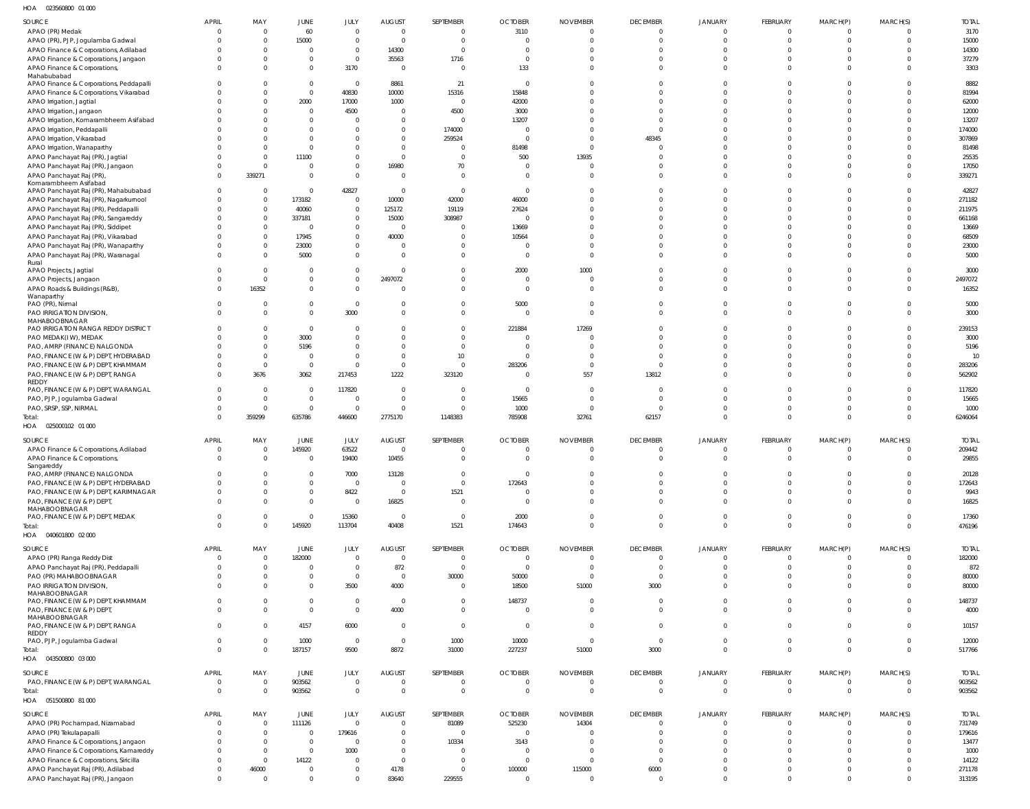| HOA<br>023560800 01 000                                               |                      |                         |                            |                                  |                                 |                          |                                  |                                  |                             |                            |                             |                               |                      |                  |
|-----------------------------------------------------------------------|----------------------|-------------------------|----------------------------|----------------------------------|---------------------------------|--------------------------|----------------------------------|----------------------------------|-----------------------------|----------------------------|-----------------------------|-------------------------------|----------------------|------------------|
| SOURCE                                                                | <b>APRIL</b>         | MAY                     | JUNE                       | JULY                             | <b>AUGUST</b>                   | SEPTEMBER                | <b>OCTOBER</b>                   | <b>NOVEMBER</b>                  | <b>DECEMBER</b>             | <b>JANUARY</b>             | <b>FEBRUARY</b>             | MARCH(P)                      | MARCH(S)             | <b>TOTAL</b>     |
| APAO (PR) Medak                                                       |                      | $\Omega$                | 60                         | $\overline{0}$                   | $\overline{0}$                  | $\overline{0}$           | 3110                             | $\overline{0}$                   | $\Omega$                    | $\Omega$                   | $\Omega$                    | $\overline{0}$                | $\Omega$             | 3170             |
| APAO (PR), PJP, Jogulamba Gadwal                                      |                      | $\Omega$                | 15000                      | $\mathbf{0}$                     | $\overline{0}$                  | $\overline{0}$           | $\overline{0}$                   | $\overline{0}$                   | $\Omega$                    | $\Omega$                   | $\Omega$                    | $\overline{0}$                | $\Omega$             | 15000            |
| APAO Finance & Corporations, Adilabad                                 |                      | $\Omega$                | $\mathbf{0}$               | $\overline{0}$                   | 14300                           | $\overline{0}$           | $\overline{0}$                   | $\Omega$                         | - 0                         | $\Omega$                   | $\Omega$                    | $\Omega$                      | $\Omega$             | 14300            |
| APAO Finance & Corporations, Jangaon                                  |                      | $\Omega$                | $\mathbf 0$                | $\overline{0}$                   | 35563                           | 1716                     | $\overline{0}$                   | $\Omega$                         | $\Omega$                    | $\Omega$                   | $\Omega$                    | $\Omega$                      | $\Omega$             | 37279            |
| APAO Finance & Corporations,                                          |                      | $\Omega$                | $\mathbf 0$                | 3170                             | $\overline{0}$                  | $\overline{0}$           | 133                              | $\Omega$                         | $\Omega$                    | $\Omega$                   | $\Omega$                    | $\Omega$                      | $\Omega$             | 3303             |
| Mahabubabad<br>APAO Finance & Corporations, Peddapalli                |                      |                         | $\mathbf 0$                | $\overline{0}$                   | 8861                            | 21                       | $\overline{0}$                   | $\Omega$                         | $\Omega$                    | $\Omega$                   | $\Omega$                    | $\Omega$                      | $\Omega$             | 8882             |
| APAO Finance & Corporations, Vikarabad                                |                      | $\Omega$                | $\mathbf 0$                | 40830                            | 10000                           | 15316                    | 15848                            | $\Omega$                         | $\Omega$                    | $\Omega$                   | $\Omega$                    | $\Omega$                      | $\Omega$             | 81994            |
| APAO Irrigation, Jagtial                                              |                      | $\Omega$                | 2000                       | 17000                            | 1000                            | $\overline{0}$           | 42000                            | $\Omega$                         | $\Omega$                    | $\Omega$                   | $\Omega$                    | $\Omega$                      | $\Omega$             | 62000            |
| APAO Irrigation, Jangaon                                              |                      | <sup>0</sup>            | $\mathbf{0}$               | 4500                             | $\mathbf 0$                     | 4500                     | 3000                             | $\Omega$                         | $\Omega$                    | $\Omega$                   | $\Omega$                    | $\Omega$                      | $\Omega$             | 12000            |
| APAO Irrigation, Komarambheem Asifabad                                |                      | $\Omega$                | $\mathbf 0$                | 0                                | $\overline{0}$                  | $\overline{0}$           | 13207                            | $\Omega$                         | $\Omega$                    | $\cap$                     | $\Omega$                    | $\Omega$                      | $\Omega$             | 13207            |
| APAO Irrigation, Peddapalli                                           |                      |                         | $\mathbf{0}$               | $\mathbf{0}$                     | $\Omega$                        | 174000                   | $\overline{0}$                   | $\Omega$                         | $\Omega$                    | $\Omega$                   | $\Omega$                    | $\Omega$                      | $\Omega$             | 174000           |
| APAO Irrigation, Vikarabad                                            |                      | $\Omega$                | $\mathbf 0$                | $\mathbf 0$                      | $\Omega$                        | 259524                   | $\circ$                          | $\Omega$                         | 48345                       | $\cap$                     | $\Omega$                    | $\Omega$                      | $\Omega$             | 307869           |
| APAO Irrigation, Wanaparthy                                           |                      | $\Omega$                | $\mathbf 0$                | $\mathbf 0$                      | $\Omega$                        | $\overline{0}$           | 81498                            | $\overline{0}$                   | $\Omega$                    | $\Omega$                   | $\Omega$                    | $\Omega$                      | $\Omega$             | 81498            |
| APAO Panchayat Raj (PR), Jagtial                                      |                      | $\Omega$                | 11100                      | $\mathbf 0$                      | $\Omega$                        | $\Omega$                 | 500                              | 13935                            | $\Omega$                    | $\Omega$                   | $\Omega$                    | $\Omega$                      | $\Omega$             | 25535            |
| APAO Panchayat Raj (PR), Jangaon                                      |                      | $\Omega$                | $\overline{0}$             | $\overline{0}$                   | 16980                           | 70                       | $\overline{0}$                   | $\Omega$                         | $\Omega$                    | $\Omega$                   | $\Omega$                    | $\Omega$                      | $\Omega$             | 17050            |
| APAO Panchayat Raj (PR)<br>Komarambheem Asifabad                      |                      | 339271                  | $\mathbf 0$                | $\mathbf{0}$                     | $\overline{0}$                  | $\Omega$                 | $\Omega$                         | $\Omega$                         | $\Omega$                    | $\Omega$                   | $\Omega$                    | $\Omega$                      | $\Omega$             | 339271           |
| APAO Panchayat Raj (PR), Mahabubabad                                  |                      | $\Omega$                | $\mathbf 0$                | 42827                            | $\overline{0}$                  | $\overline{0}$           | $\overline{0}$                   | $\Omega$                         | $\Omega$                    | $\Omega$                   | $\Omega$                    | $\Omega$                      | <sup>0</sup>         | 42827            |
| APAO Panchayat Raj (PR), Nagarkurnool                                 |                      | $\Omega$                | 173182                     | $\overline{0}$                   | 10000                           | 42000                    | 46000                            | $\Omega$                         | $\Omega$                    | $\Omega$                   | $\Omega$                    | $\Omega$                      | $\Omega$             | 271182           |
| APAO Panchayat Raj (PR), Peddapalli                                   |                      | $\Omega$                | 40060                      | $\overline{0}$                   | 125172                          | 19119                    | 27624                            | $\Omega$                         | $\Omega$                    | $\Omega$                   | $\Omega$                    | $\Omega$                      | $\Omega$             | 211975           |
| APAO Panchayat Raj (PR), Sangareddy                                   |                      | $\Omega$                | 337181                     | $\overline{0}$                   | 15000                           | 308987                   | $\Omega$                         | $\Omega$                         | $\Omega$                    | $\Omega$                   | $\Omega$                    | $\Omega$                      | $\Omega$             | 661168           |
| APAO Panchayat Raj (PR), Siddipet                                     |                      | $\Omega$                | $\Omega$                   | $\mathbf 0$                      | $\Omega$                        | $\Omega$                 | 13669                            | $\Omega$                         | $\Omega$                    | $\Omega$                   | $\Omega$                    | $\Omega$                      | <sup>0</sup>         | 13669            |
| APAO Panchayat Raj (PR), Vikarabad                                    |                      | $\Omega$                | 17945                      | $\overline{0}$                   | 40000                           | $\overline{0}$           | 10564                            | $\Omega$                         | $\Omega$                    | $\Omega$                   | $\Omega$                    | $\Omega$                      | $\Omega$             | 68509            |
| APAO Panchayat Raj (PR), Wanaparthy                                   |                      | $\mathbf 0$             | 23000                      | $\mathbf 0$                      | $\overline{0}$                  | $\overline{0}$           | $\circ$                          | $\overline{0}$                   | $\Omega$                    | $\Omega$                   | $\Omega$                    | $\Omega$                      | $\Omega$             | 23000            |
| APAO Panchayat Raj (PR), Waranagal<br>Rural                           |                      | $\Omega$                | 5000                       | $\mathbf 0$                      | $\Omega$                        | $\overline{0}$           | $\Omega$                         | $\overline{0}$                   | $\Omega$                    | $\Omega$                   | $\Omega$                    | $\Omega$                      | $\Omega$             | 5000             |
| APAO Projects, Jagtial                                                |                      | $\Omega$                | $\mathbf{0}$               | $\mathbf{0}$                     | $\Omega$                        | $\overline{0}$           | 2000                             | 1000                             | - 0                         | $\Omega$                   | $\Omega$                    | $\Omega$                      | $\Omega$             | 3000             |
| APAO Projects, Jangaon                                                |                      | $\Omega$                | $\mathbf 0$                | $\mathbf 0$                      | 2497072                         | $\overline{0}$           | $\overline{0}$                   | $\overline{0}$                   | $\Omega$                    | $\Omega$                   | $\Omega$                    | $\Omega$                      | $\Omega$             | 2497072          |
| APAO Roads & Buildings (R&B),                                         |                      | 16352                   | $\mathbf{0}$               | $\Omega$                         | - 0                             | $\Omega$                 | $\Omega$                         | $\overline{0}$                   | $\Omega$                    | $\Omega$                   | $\Omega$                    | $\Omega$                      | $\Omega$             | 16352            |
| Wanaparthy                                                            |                      |                         |                            |                                  |                                 |                          |                                  |                                  |                             |                            |                             |                               |                      |                  |
| PAO (PR), Nirmal                                                      |                      | $\Omega$                | $\mathbf 0$<br>$\mathbf 0$ | $\overline{0}$                   | $\Omega$<br>$\Omega$            | $\overline{0}$           | 5000<br>$\overline{0}$           | $\overline{0}$<br>$\overline{0}$ | $\Omega$<br>$\Omega$        | $\Omega$<br>$\Omega$       | $\Omega$<br>$\Omega$        | $\Omega$<br>$\Omega$          | $\Omega$<br>$\Omega$ | 5000             |
| PAO IRRIGATION DIVISION,<br>MAHABOOBNAGAR                             |                      |                         |                            | 3000                             |                                 | $\overline{0}$           |                                  |                                  |                             |                            |                             |                               |                      | 3000             |
| PAO IRRIGATION RANGA REDDY DISTRICT                                   |                      | $\Omega$                | $\overline{0}$             | $\mathbf{0}$                     | $\Omega$                        | $\overline{0}$           | 221884                           | 17269                            | $\Omega$                    | $\Omega$                   | $\Omega$                    | $\Omega$                      | $\Omega$             | 239153           |
| PAO MEDAK(IW), MEDAK                                                  |                      | $\Omega$                | 3000                       | $\mathbf 0$                      | $\Omega$                        | $\overline{0}$           | $\overline{0}$                   | $\Omega$                         | $\Omega$                    | $\Omega$                   | $\Omega$                    | $\Omega$                      | $\Omega$             | 3000             |
| PAO, AMRP (FINANCE) NALGONDA                                          |                      | $\Omega$                | 5196                       | $\mathbf 0$                      | $\Omega$                        | $\overline{0}$           | $\overline{0}$                   | $\Omega$                         | $\Omega$                    | $\cap$                     | $\Omega$                    | $\Omega$                      | $\Omega$             | 5196             |
| PAO, FINANCE (W & P) DEPT, HYDERABAD                                  |                      | $\Omega$                | $\overline{0}$             | $\overline{0}$                   | $\Omega$                        | 10                       | $\overline{0}$                   | $\overline{0}$                   | $\Omega$                    | $\Omega$                   | $\Omega$                    | $\Omega$                      | $\Omega$             | 10               |
| PAO, FINANCE (W & P) DEPT, KHAMMAM                                    |                      | $\Omega$                | $\mathbf 0$                | $\overline{0}$                   | $\Omega$                        | $\overline{0}$           | 283206                           | $\overline{0}$                   | $\Omega$                    | $\Omega$                   | $\Omega$                    | $\Omega$                      | $\Omega$             | 283206           |
| PAO, FINANCE (W & P) DEPT, RANGA<br>REDDY                             | $\Omega$             | 3676                    | 3062                       | 217453                           | 1222                            | 323120                   | $\overline{0}$                   | 557                              | 13812                       | $\Omega$                   | $\Omega$                    | $\Omega$                      | $\Omega$             | 562902           |
| PAO, FINANCE (W & P) DEPT, WARANGAL                                   | $\Omega$             | $\Omega$                | $\overline{0}$             | 117820                           | $\overline{0}$                  | $\overline{0}$           | $\overline{0}$                   | $\overline{0}$                   | - 0                         | $\Omega$                   | $\Omega$                    | $\Omega$                      | $\Omega$             | 117820           |
|                                                                       |                      |                         |                            |                                  |                                 |                          |                                  |                                  |                             |                            |                             |                               |                      |                  |
|                                                                       |                      | $\Omega$                | $\overline{0}$             | 0                                | $\overline{0}$                  | $\overline{0}$           |                                  | $\Omega$                         | $\Omega$                    | $\Omega$                   | $\Omega$                    | $\Omega$                      | $\Omega$             |                  |
| PAO, PJP, Jogulamba Gadwal<br>PAO, SRSP, SSP, NIRMAL                  |                      | $\Omega$                | $\overline{0}$             | $\overline{0}$                   | $\Omega$                        | $\Omega$                 | 15665<br>1000                    | $\Omega$                         | $\Omega$                    | $\Omega$                   | $\Omega$                    | $\Omega$                      | $\Omega$             | 15665<br>1000    |
| Total:                                                                |                      | 359299                  | 635786                     | 446600                           | 2775170                         | 1148383                  | 785908                           | 32761                            | 62157                       | $\Omega$                   | $\Omega$                    | $\Omega$                      | $\Omega$             | 6246064          |
| HOA  025000102  01 000                                                |                      |                         |                            |                                  |                                 |                          |                                  |                                  |                             |                            |                             |                               |                      |                  |
|                                                                       |                      |                         |                            |                                  |                                 |                          |                                  |                                  |                             |                            |                             |                               |                      |                  |
| SOURCE                                                                | <b>APRIL</b>         | MAY<br>$^{\circ}$       | JUNE                       | JULY                             | <b>AUGUST</b><br>$\overline{0}$ | SEPTEMBER<br>$\circ$     | <b>OCTOBER</b><br>$\overline{0}$ | <b>NOVEMBER</b><br>$\circ$       | <b>DECEMBER</b><br>$\Omega$ | <b>JANUARY</b><br>$\Omega$ | <b>FEBRUARY</b><br>$\Omega$ | MARCH(P)<br>- 0               | MARCH(S)             | <b>TOTAL</b>     |
| APAO Finance & Corporations, Adilabad                                 | $\Omega$             | $\mathbf{0}$            | 145920<br>$\mathbf{0}$     | 63522<br>19400                   | 10455                           | $\overline{0}$           | $\overline{0}$                   | $\overline{0}$                   | $\Omega$                    | $\Omega$                   | $\Omega$                    | $\overline{0}$                | $\Omega$             | 209442<br>29855  |
| APAO Finance & Corporations,<br>Sangareddy                            |                      |                         |                            |                                  |                                 |                          |                                  |                                  |                             |                            |                             |                               |                      |                  |
| PAO, AMRP (FINANCE) NALGONDA                                          |                      | $\Omega$                | $\mathbf{0}$               | 7000                             | 13128                           | $\overline{0}$           | $\overline{0}$                   | $\overline{0}$                   | $\Omega$                    | $\Omega$                   | $\Omega$                    | $\overline{0}$                | $\Omega$             | 20128            |
| PAO, FINANCE (W & P) DEPT, HYDERABAD                                  |                      | $\Omega$                | $\mathbf 0$                | $\mathbf{0}$                     | $\overline{0}$                  | $\overline{0}$           | 172643                           | $\overline{0}$                   | $\mathbf{0}$                | $\mathbf{0}$               | $\Omega$                    | $\overline{0}$                | $\mathbf{0}$         | 172643           |
| PAO, FINANCE (W & P) DEPT, KARIMNAGAR                                 |                      | $\Omega$                | $\mathbf 0$                | 8422                             | $\overline{0}$                  | 1521                     | $\overline{0}$                   | $\overline{0}$                   | $\Omega$                    | $\Omega$                   | $\Omega$                    | $\overline{0}$                | $\Omega$             | 9943             |
| PAO, FINANCE (W & P) DEPT,                                            |                      | $\Omega$                | $\mathbf 0$                | $\overline{0}$                   | 16825                           | $\overline{0}$           | $\overline{0}$                   | $\overline{0}$                   | $\Omega$                    | $\mathbf{0}$               | $\Omega$                    | $\overline{0}$                | $\Omega$             | 16825            |
| MAHABOOBNAGAR<br>PAO, FINANCE (W & P) DEPT, MEDAK                     |                      | $\Omega$                | $\overline{0}$             | 15360                            | $\overline{0}$                  | $\overline{\phantom{0}}$ | 2000                             | $\overline{0}$                   | $\Omega$                    | $\overline{0}$             | $\Omega$                    | $\overline{0}$                | $\Omega$             | 17360            |
| Total:                                                                |                      | $\Omega$                | 145920                     | 113704                           | 40408                           | 1521                     | 174643                           | $\overline{0}$                   | $\Omega$                    | $\overline{0}$             | $\Omega$                    | $\overline{0}$                | $\mathbf{0}$         | 476196           |
| HOA  040601800  02  000                                               |                      |                         |                            |                                  |                                 |                          |                                  |                                  |                             |                            |                             |                               |                      |                  |
| SOURCE                                                                | APRIL                | MAY                     | JUNE                       | JULY                             | <b>AUGUST</b>                   | SEPTEMBER                | <b>OCTOBER</b>                   | <b>NOVEMBER</b>                  | <b>DECEMBER</b>             | <b>JANUARY</b>             | FEBRUARY                    | MARCH(P)                      | MARCH(S)             | <b>TOTAL</b>     |
| APAO (PR) Ranga Reddy Dist                                            | $\Omega$             | $\Omega$                | 182000                     | $\overline{0}$                   | $\overline{0}$                  | $\overline{0}$           | $\overline{0}$                   | $\overline{0}$                   | $\Omega$                    | $\Omega$                   | $\Omega$                    | $\overline{0}$                | $\Omega$             | 182000           |
| APAO Panchayat Raj (PR), Peddapalli                                   |                      | $\Omega$                | $\mathbf{0}$               | $\overline{0}$                   | 872                             | $\overline{0}$           | $\overline{0}$                   | $\overline{0}$                   | $\Omega$                    | $\Omega$                   | $\Omega$                    | $\overline{0}$                | $\Omega$             | 872              |
| PAO (PR) MAHABOOBNAGAR                                                |                      | $\Omega$                | $\mathbf 0$                | $\mathbf{0}$                     | $\overline{0}$                  | 30000                    | 50000                            | $\overline{0}$                   | $\overline{0}$              | $\overline{0}$             | $\overline{0}$              | $\overline{0}$                | $\Omega$             | 80000            |
| PAO IRRIGATION DIVISION,                                              |                      | $\Omega$                | $\mathbf 0$                | 3500                             | 4000                            | $\overline{0}$           | 18500                            | 51000                            | 3000                        | $\Omega$                   | $\Omega$                    | $\overline{0}$                | $\Omega$             | 80000            |
| MAHABOOBNAGAR                                                         |                      |                         |                            |                                  |                                 |                          |                                  |                                  |                             |                            |                             |                               |                      |                  |
| PAO, FINANCE (W & P) DEPT, KHAMMAM                                    |                      | 0                       | $\mathbf{0}$               | $\overline{0}$                   | $\overline{0}$                  | $\overline{0}$           | 148737                           | $\overline{0}$                   | $\mathbf 0$                 | $\overline{0}$             | $\Omega$                    | $\overline{0}$                | $\Omega$             | 148737           |
| PAO, FINANCE (W & P) DEPT,                                            |                      | $\Omega$                | $\mathbf{0}$               | $\mathbf{0}$                     | 4000                            | $\overline{0}$           | $\overline{0}$                   | $\overline{0}$                   | $\Omega$                    | $\Omega$                   | $\Omega$                    | $\overline{0}$                | $\Omega$             | 4000             |
| MAHABOOBNAGAR<br>PAO, FINANCE (W & P) DEPT, RANGA                     |                      | $\Omega$                | 4157                       | 6000                             | $\overline{0}$                  | $\overline{0}$           | $\overline{0}$                   | $\overline{0}$                   | $\Omega$                    | $\overline{0}$             | $\Omega$                    | $\overline{0}$                | $\Omega$             | 10157            |
| REDDY                                                                 |                      |                         |                            |                                  |                                 |                          |                                  |                                  |                             |                            |                             |                               |                      |                  |
| PAO, PJP, Jogulamba Gadwal                                            | $\Omega$             | $\Omega$                | 1000                       | $\overline{0}$                   | $\overline{0}$                  | 1000                     | 10000                            | $\overline{0}$                   | $\overline{0}$              | $\Omega$                   | $\overline{0}$              | $\overline{0}$                | $\Omega$             | 12000            |
| Total:                                                                |                      | $\Omega$                | 187157                     | 9500                             | 8872                            | 31000                    | 227237                           | 51000                            | 3000                        | $\overline{0}$             | $\mathbf{0}$                | $\overline{0}$                | $\Omega$             | 517766           |
| HOA  043500800  03  000                                               |                      |                         |                            |                                  |                                 |                          |                                  |                                  |                             |                            |                             |                               |                      |                  |
| SOURCE                                                                | <b>APRIL</b>         | MAY                     | JUNE                       | JULY                             | <b>AUGUST</b>                   | SEPTEMBER                | <b>OCTOBER</b>                   | <b>NOVEMBER</b>                  | <b>DECEMBER</b>             | <b>JANUARY</b>             | FEBRUARY                    | MARCH(P)                      | MARCH(S)             | <b>TOTAL</b>     |
| PAO, FINANCE (W & P) DEPT, WARANGAL                                   | - 0                  | $\Omega$                | 903562                     | $\mathbf{0}$                     | $\Omega$                        | $\overline{0}$           | $\overline{0}$                   | $\overline{0}$                   | $\overline{0}$              | $\overline{0}$             | $\overline{0}$              | $\overline{0}$                | $\Omega$             | 903562           |
| Total:                                                                |                      | 0                       | 903562                     | $\overline{0}$                   | $\overline{0}$                  | $\overline{0}$           | $\overline{0}$                   | $\overline{0}$                   | $\overline{0}$              | $\overline{0}$             | $\overline{0}$              | $\overline{0}$                | $\overline{0}$       | 903562           |
| HOA  051500800  81 000                                                |                      |                         |                            |                                  |                                 |                          |                                  |                                  |                             |                            |                             |                               |                      |                  |
| <b>SOURCE</b>                                                         | APRIL                | MAY                     | JUNE                       | JULY                             | <b>AUGUST</b>                   | SEPTEMBER                | <b>OCTOBER</b>                   | <b>NOVEMBER</b>                  | <b>DECEMBER</b>             | <b>JANUARY</b>             | FEBRUARY                    | MARCH(P)                      | MARCH(S)             | <b>TOTAL</b>     |
| APAO (PR) Pochampad, Nizamabad                                        | $\Omega$             | $\Omega$                | 111126                     | $\overline{0}$                   | $\Omega$                        | 81089                    | 525230                           | 14304                            | $\Omega$                    | $\Omega$                   | $\Omega$                    | $\overline{0}$                | $\Omega$             | 731749           |
| APAO (PR) Tekulapapalli                                               |                      | $\Omega$                | $\mathbf{0}$               | 179616                           | $\overline{0}$                  | $\overline{0}$           | $\overline{0}$                   | $\Omega$                         | $\Omega$                    | $\Omega$                   | $\Omega$                    | $\overline{0}$                | $\Omega$             | 179616           |
| APAO Finance & Corporations, Jangaon                                  |                      | $\Omega$                | $\mathbf 0$                | $\overline{0}$                   | $\mathbf 0$                     | 10334                    | 3143                             | $\overline{0}$                   | $\Omega$                    | $\Omega$                   | $\Omega$                    | $\overline{0}$                | $\Omega$             | 13477            |
| APAO Finance & Corporations, Kamareddy                                |                      | $\Omega$                | $\mathbf 0$                | 1000                             | $\Omega$                        | $\overline{0}$           | $\overline{0}$                   | $\overline{0}$                   | $\Omega$                    | $\Omega$                   | $\Omega$                    | $\Omega$                      | $\Omega$             | 1000             |
| APAO Finance & Corporations, Siricilla                                |                      | $\Omega$                | 14122                      | $\overline{0}$                   | $\overline{0}$                  | $\overline{0}$           | $\overline{0}$                   | $\overline{0}$                   | $\Omega$                    | $\Omega$                   | $\Omega$                    | $\Omega$                      | $\Omega$             | 14122            |
| APAO Panchayat Raj (PR), Adilabad<br>APAO Panchayat Raj (PR), Jangaon | $\Omega$<br>$\Omega$ | 46000<br>$\overline{0}$ | $\mathbf 0$<br>$\mathbf 0$ | $\overline{0}$<br>$\overline{0}$ | 4178<br>83640                   | $\overline{0}$<br>229555 | 100000<br>$\overline{0}$         | 115000<br>$\overline{0}$         | 6000<br>$\overline{0}$      | $\Omega$<br>$\Omega$       | $\Omega$<br>$\Omega$        | $\overline{0}$<br>$\mathbf 0$ | $\Omega$<br>$\Omega$ | 271178<br>313195 |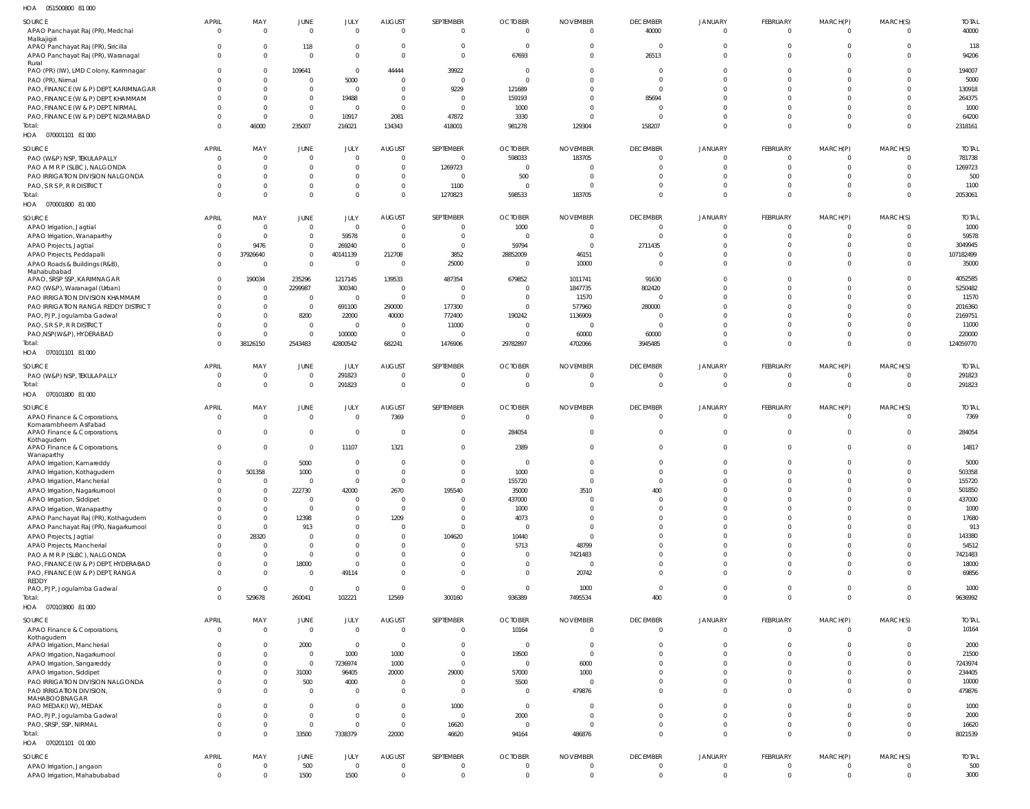051500800 81 000 HOA

| SOURCE                                         | <b>APRIL</b>   | MAY          | JUNE           | JULY           | <b>AUGUST</b>            | SEPTEMBER      | <b>OCTOBER</b> | <b>NOVEMBER</b> | <b>DECEMBER</b> | <b>JANUARY</b> | <b>FEBRUARY</b> | MARCH(P)       | MARCH(S)       | <b>TOTAL</b> |
|------------------------------------------------|----------------|--------------|----------------|----------------|--------------------------|----------------|----------------|-----------------|-----------------|----------------|-----------------|----------------|----------------|--------------|
| APAO Panchayat Raj (PR), Medchal               | $\overline{0}$ | $\mathbf{0}$ | $\mathbf 0$    | $\Omega$       | $\overline{0}$           | $\overline{0}$ | $\overline{0}$ | $\overline{0}$  | 40000           | $\overline{0}$ | $\overline{0}$  | $\overline{0}$ | $\Omega$       | 40000        |
| Malkajigiri                                    |                |              |                |                |                          |                |                |                 |                 |                |                 |                |                |              |
| APAO Panchayat Raj (PR), Siricilla             | 0              | $\mathbf{0}$ | 118            | $\Omega$       | $\overline{0}$           | $\Omega$       | $\overline{0}$ | $\Omega$        | $\overline{0}$  | $\overline{0}$ | $\Omega$        | - 0            | $\Omega$       | 118          |
| APAO Panchayat Raj (PR), Waranagal             | $\Omega$       | $\Omega$     | $\mathbf{0}$   | $\Omega$       | $\Omega$                 | $\Omega$       | 67693          | $\Omega$        | 26513           | $\Omega$       | $\Omega$        | $\Omega$       | $\Omega$       | 94206        |
| Rural<br>PAO (PR) (IW), LMD Colony, Karimnagar | 0              | $\Omega$     | 109641         | $\Omega$       | 44444                    | 39922          | $\Omega$       | $\Omega$        | $\Omega$        | $\Omega$       | $\Omega$        | $\Omega$       | $\Omega$       | 194007       |
|                                                |                |              |                |                |                          | $\Omega$       |                |                 | $\Omega$        | $\Omega$       | $\Omega$        |                |                |              |
| PAO (PR), Nirmal                               |                | $\mathbf{0}$ | $\overline{0}$ | 5000           | $\overline{\mathbf{0}}$  |                | $\sqrt{ }$     | $\Omega$        |                 |                |                 | $\Omega$       |                | 5000         |
| PAO, FINANCE (W & P) DEPT, KARIMNAGAR          |                | $\Omega$     | $\overline{0}$ | $\overline{0}$ | $\overline{0}$           | 9229           | 121689         | $\Omega$        | $\Omega$        | $\Omega$       | $\Omega$        | $\Omega$       | $\Omega$       | 130918       |
| PAO, FINANCE (W & P) DEPT, KHAMMAM             | <sup>0</sup>   | $\Omega$     | $\overline{0}$ | 19488          | $\overline{\mathbf{0}}$  | $\Omega$       | 159193         | $\Omega$        | 85694           | $\Omega$       | $\Omega$        | $\Omega$       | $\Omega$       | 264375       |
| PAO, FINANCE (W & P) DEPT, NIRMAL              |                | $\Omega$     | $\overline{0}$ | $\Omega$       | $\overline{0}$           | $\Omega$       | 1000           | $\Omega$        | $\Omega$        | $\Omega$       | $\Omega$        | $\Omega$       |                | 1000         |
| PAO, FINANCE (W & P) DEPT, NIZAMABAD           | <sup>0</sup>   | $\mathbf{0}$ | $\overline{0}$ | 10917          | 2081                     | 47872          | 3330           | $\Omega$        | $\Omega$        | $\Omega$       | $\Omega$        | $\Omega$       | $\Omega$       | 64200        |
| Total:                                         | $\Omega$       | 46000        | 235007         | 216021         | 134343                   | 418001         | 981278         | 129304          | 158207          | $\Omega$       | $\Omega$        | $\Omega$       | $\Omega$       | 2318161      |
| HOA  070001101  81 000                         |                |              |                |                |                          |                |                |                 |                 |                |                 |                |                |              |
|                                                |                |              |                |                |                          |                |                |                 |                 |                |                 |                |                |              |
| SOURCE                                         | <b>APRIL</b>   | MAY          | JUNE           | JULY           | <b>AUGUST</b>            | SEPTEMBER      | <b>OCTOBER</b> | <b>NOVEMBER</b> | <b>DECEMBER</b> | <b>JANUARY</b> | FEBRUARY        | MARCH(P)       | MARCH(S)       | <b>TOTAL</b> |
| PAO (W&P) NSP, TEKULAPALLY                     | $\Omega$       | $\Omega$     | $\overline{0}$ | $\Omega$       | $\overline{0}$           | $\Omega$       | 598033         | 183705          | $\overline{0}$  | $\Omega$       | $\Omega$        | $\overline{0}$ | $\Omega$       | 781738       |
| PAO A M R P (SLBC), NALGONDA                   |                | $\Omega$     | $\overline{0}$ | $\Omega$       | $\overline{0}$           | 1269723        | $\Omega$       | $\Omega$        | $\Omega$        | $\Omega$       | $\Omega$        | - 0            | $\Omega$       | 1269723      |
| PAO IRRIGATION DIVISION NALGONDA               |                | $\Omega$     | $\mathbf 0$    | $\Omega$       | $\Omega$                 | $\Omega$       | 500            | $\Omega$        | $\Omega$        | $\Omega$       | $\Omega$        | 0              |                | 500          |
| PAO, S R S P, R R DISTRICT                     |                | $\Omega$     | $\overline{0}$ | $\Omega$       | $\overline{0}$           | 1100           | $\Omega$       |                 | $\Omega$        | $\Omega$       | $\Omega$        | $\Omega$       |                | 1100         |
| Total:                                         | $\Omega$       | $\Omega$     | $\mathbf{0}$   | $\Omega$       | $\overline{0}$           | 1270823        | 598533         | 183705          | $\Omega$        | $\Omega$       | $\Omega$        | $\Omega$       | $\Omega$       | 2053061      |
| HOA  070001800  81 000                         |                |              |                |                |                          |                |                |                 |                 |                |                 |                |                |              |
|                                                |                |              |                |                |                          |                |                |                 |                 |                |                 |                |                |              |
| SOURCE                                         | APRIL          | MAY          | JUNE           | JULY           | <b>AUGUST</b>            | SEPTEMBER      | <b>OCTOBER</b> | <b>NOVEMBER</b> | <b>DECEMBER</b> | <b>JANUARY</b> | FEBRUARY        | MARCH(P)       | MARCH(S)       | <b>TOTAL</b> |
| APAO Irrigation, Jagtial                       | $\Omega$       | $\mathbf{0}$ | $\overline{0}$ | $\overline{0}$ | $\overline{\mathbf{0}}$  | - 0            | 1000           | - 0             | $\overline{0}$  | $\Omega$       | $\Omega$        | $\Omega$       |                | 1000         |
| APAO Irrigation, Wanaparthy                    | 0              | $\Omega$     | $\overline{0}$ | 59578          | $\overline{0}$           | $\Omega$       | $\overline{0}$ | $\overline{0}$  | $\Omega$        | $\Omega$       | $\Omega$        | $\Omega$       | $\Omega$       | 59578        |
| APAO Projects, Jagtial                         | $\Omega$       | 9476         | $\overline{0}$ | 269240         | $\overline{0}$           | $\Omega$       | 59794          | $\overline{0}$  | 2711435         | $\Omega$       | $\Omega$        | $\Omega$       | $\Omega$       | 3049945      |
|                                                | $\Omega$       |              | $\mathbf 0$    |                |                          | 3852           |                | 46151           | $\Omega$        | $\overline{0}$ | $\Omega$        | $\Omega$       | $\Omega$       |              |
| APAO Projects, Peddapalli                      |                | 37926640     |                | 40141139       | 212708                   |                | 28852009       |                 | $\Omega$        | $\Omega$       | $\Omega$        |                |                | 107182499    |
| APAO Roads & Buildings (R&B),                  | $\Omega$       | $\Omega$     | $\overline{0}$ | $\overline{0}$ | $\overline{\mathbf{0}}$  | 25000          | $\Omega$       | 10000           |                 |                |                 | $\Omega$       | $\Omega$       | 35000        |
| Mahabubabad<br>APAO, SRSP SSP, KARIMNAGAR      | $\Omega$       | 190034       | 235296         | 1217145        | 139533                   | 487354         | 679852         | 1011741         | 91630           | $\Omega$       | $\Omega$        | $\Omega$       | $\Omega$       | 4052585      |
|                                                |                |              |                |                |                          |                |                |                 |                 |                |                 |                |                |              |
| PAO (W&P), Waranagal (Urban)                   | 0              | 0            | 2299987        | 300340         | $\overline{\mathbf{0}}$  | $\Omega$       | $\Omega$       | 1847735         | 802420          | $\Omega$       | $\Omega$        | $\Omega$       | $\Omega$       | 5250482      |
| PAO IRRIGATION DIVISION KHAMMAM                | <sup>0</sup>   | $\mathbf{0}$ | $\mathbf 0$    | $\Omega$       | $\overline{0}$           | $\Omega$       | - 0            | 11570           | $\Omega$        | $\Omega$       | $\Omega$        | $\Omega$       | $\Omega$       | 11570        |
| PAO IRRIGATION RANGA REDDY DISTRICT            |                | $\mathbf{0}$ | $\mathbf 0$    | 691100         | 290000                   | 177300         | $\Omega$       | 577960          | 280000          | $\Omega$       | $\Omega$        | $\Omega$       | $\Omega$       | 2016360      |
| PAO, PJP, Jogulamba Gadwal                     |                | $\mathbf{0}$ | 8200           | 22000          | 40000                    | 772400         | 190242         | 1136909         | $\Omega$        | $\Omega$       | $\Omega$        | $\Omega$       | $\Omega$       | 2169751      |
| PAO, S R S P, R R DISTRICT                     | <sup>0</sup>   | $\mathbf 0$  | $\overline{0}$ | $\overline{0}$ | $\overline{\mathbf{0}}$  | 11000          | - 0            | $\circ$         | $\Omega$        | $\Omega$       | $\Omega$        | $\Omega$       | $\Omega$       | 11000        |
| PAO, NSP(W&P), HYDERABAD                       | 0              | $\Omega$     | $\mathbf 0$    | 100000         | $\overline{0}$           | $\sqrt{ }$     | $\Omega$       | 60000           | 60000           | $\Omega$       | $\overline{0}$  | 0              | $\Omega$       | 220000       |
| Total:                                         | $\Omega$       | 38126150     | 2543483        | 42800542       | 682241                   | 1476906        | 29782897       | 4702066         | 3945485         | $\Omega$       | $\Omega$        | $\Omega$       | $\Omega$       | 124059770    |
| HOA  070101101  81  000                        |                |              |                |                |                          |                |                |                 |                 |                |                 |                |                |              |
|                                                |                |              |                |                |                          |                |                |                 |                 |                |                 |                |                |              |
| SOURCE                                         | <b>APRIL</b>   | MAY          | JUNE           | <b>JULY</b>    | <b>AUGUST</b>            | SEPTEMBER      | <b>OCTOBER</b> | <b>NOVEMBER</b> | <b>DECEMBER</b> | <b>JANUARY</b> | FEBRUARY        | MARCH(P)       | MARCH(S)       | <b>TOTAL</b> |
| PAO (W&P) NSP, TEKULAPALLY                     | $\Omega$       | $\Omega$     | $\overline{0}$ | 291823         | $\overline{0}$           |                | $\Omega$       | $\Omega$        | $\Omega$        | $\Omega$       | $\Omega$        | - 0            | $\Omega$       | 291823       |
| Total:                                         | $\Omega$       | $\Omega$     | $\mathbf{0}$   | 291823         | $\overline{0}$           | $\Omega$       | $\overline{0}$ | $\circ$         | $\overline{0}$  | $\overline{0}$ | $\overline{0}$  | $\overline{0}$ | $\Omega$       | 291823       |
| HOA  070101800  81 000                         |                |              |                |                |                          |                |                |                 |                 |                |                 |                |                |              |
|                                                |                |              |                |                |                          |                |                |                 |                 |                |                 |                |                |              |
|                                                |                |              |                |                |                          |                |                |                 |                 |                |                 |                |                |              |
| SOURCE                                         | <b>APRIL</b>   | MAY          | JUNE           | JULY           | <b>AUGUST</b>            | SEPTEMBER      | <b>OCTOBER</b> | <b>NOVEMBER</b> | <b>DECEMBER</b> | <b>JANUARY</b> | <b>FEBRUARY</b> | MARCH(P)       | MARCH(S)       | <b>TOTAL</b> |
| APAO Finance & Corporations,                   | $\mathbf 0$    | $\mathbf{0}$ | $\mathbf 0$    | $\Omega$       | 7369                     | $\mathbf{0}$   | $\overline{0}$ | $\circ$         | $\overline{0}$  | $\overline{0}$ | $\Omega$        | $\overline{0}$ | $\Omega$       | 7369         |
| Komarambheem Asifabad                          |                |              |                |                |                          |                |                |                 |                 |                |                 |                |                |              |
| APAO Finance & Corporations,                   | $\Omega$       | $\mathbf{0}$ | $\overline{0}$ | $\overline{0}$ | $\overline{0}$           | $\overline{0}$ | 284054         | $\mathbf{0}$    | $\overline{0}$  | $\overline{0}$ | $\Omega$        | $\overline{0}$ | $\mathbf{0}$   | 284054       |
| Kothagudem                                     |                |              |                |                |                          |                |                |                 |                 |                |                 |                |                |              |
| APAO Finance & Corporations,                   | $\Omega$       | $\Omega$     | $\overline{0}$ | 11107          | 1321                     | $\mathbf{0}$   | 2389           | $\Omega$        | $\overline{0}$  | $\overline{0}$ | $\overline{0}$  | $\overline{0}$ | $\mathbf{0}$   | 14817        |
| Wanaparthy                                     |                |              |                |                |                          |                |                |                 |                 |                |                 |                |                |              |
| APAO Irrigation, Kamareddy                     | $\Omega$       | $\Omega$     | 5000           | $\Omega$       | $\overline{\mathbf{0}}$  | $\Omega$       | $\Omega$       | $\Omega$        | $\Omega$        | $\Omega$       | $\Omega$        | $\Omega$       | $\Omega$       | 5000         |
| APAO Irrigation, Kothagudem                    | 0              | 501358       | 1000           |                | $\Omega$                 |                | 1000           |                 | $\Omega$        | 0              |                 |                |                | 503358       |
| APAO Irrigation, Mancherial                    | $\Omega$       | $\mathbf{0}$ | $\mathbf 0$    | $\Omega$       | $\overline{0}$           | $\Omega$       | 155720         | $\circ$         | $\overline{0}$  | $\Omega$       | $\Omega$        | $\Omega$       |                | 155720       |
| APAO Irrigation, Nagarkurnool                  | 0              | $\mathbf 0$  | 222730         | 42000          | 2670                     | 195540         | 35000          | 3510            | 400             | $\overline{0}$ | $\overline{0}$  | $\Omega$       |                | 501850       |
| APAO Irrigation, Siddipet                      |                | $\mathbf 0$  | $\mathbf 0$    | $\Omega$       | $\overline{0}$           | $\Omega$       | 437000         | $\overline{0}$  | $\overline{0}$  | $\Omega$       | $\Omega$        | $\Omega$       | $\Omega$       | 437000       |
|                                                |                | $\mathbf{0}$ | $\mathbf 0$    | $\Omega$       | $\overline{0}$           | $\Omega$       | 1000           | - 0             | $\overline{0}$  | $\Omega$       | $\Omega$        | $\Omega$       |                | 1000         |
| APAO Irrigation, Wanaparthy                    | 0              | $\Omega$     |                | $\Omega$       |                          | $\Omega$       |                | $\Omega$        | $\Omega$        | $\Omega$       | $\Omega$        | $\Omega$       | $\Omega$       |              |
| APAO Panchayat Raj (PR), Kothagudem            |                |              | 12398          |                | 1209                     |                | 4073           |                 |                 |                |                 |                |                | 17680        |
| APAO Panchayat Raj (PR), Nagarkurnool          | 0              | $\mathbf{0}$ | 913            | $\Omega$       | $\overline{\phantom{0}}$ | $\Omega$       | $\overline{0}$ | $\overline{0}$  | $\Omega$        | $\Omega$       | $\Omega$        | $\Omega$       |                | 913          |
| APAO Projects, Jagtial                         | 0              | 28320        | $\overline{0}$ | $\Omega$       | $\overline{0}$           | 104620         | 10440          | $\overline{0}$  | $\Omega$        | $\Omega$       | $\Omega$        | $\Omega$       | $\Omega$       | 143380       |
| APAO Projects, Mancherial                      | <sup>0</sup>   | $\Omega$     | $\mathbf 0$    | $\Omega$       | $\overline{0}$           | $\Omega$       | 5713           | 48799           | $\Omega$        | $\Omega$       | $\Omega$        | $\Omega$       |                | 54512        |
| PAO A M R P (SLBC), NALGONDA                   | $\Omega$       | $\mathbf{0}$ | $\mathbf 0$    | $\Omega$       | $\overline{0}$           | $\Omega$       | $\overline{0}$ | 7421483         | $\Omega$        | $\overline{0}$ | $\Omega$        | $\Omega$       | $\Omega$       | 7421483      |
| PAO, FINANCE (W & P) DEPT, HYDERABAD           | 0              | $\mathbf 0$  | 18000          | $\overline{0}$ | $\overline{0}$           | $\Omega$       | $\Omega$       | $\overline{0}$  | $\overline{0}$  | $\overline{0}$ | $\Omega$        | $\Omega$       | $\Omega$       | 18000        |
| PAO, FINANCE (W & P) DEPT, RANGA               | $\Omega$       | $\mathbf{0}$ | $\mathbf 0$    | 49114          | $\overline{0}$           | $\overline{0}$ | $\overline{0}$ | 20742           | $\overline{0}$  | $\overline{0}$ | $\Omega$        | $\Omega$       | $\Omega$       | 69856        |
| REDDY                                          |                |              |                |                |                          |                |                |                 |                 |                |                 |                |                |              |
| PAO, PJP, Jogulamba Gadwal                     | $\mathbf 0$    | $\mathbf{0}$ | $\mathbf 0$    | $\overline{0}$ | $\overline{0}$           | $\overline{0}$ | $\overline{0}$ | 1000            | $\overline{0}$  | $\overline{0}$ | $\overline{0}$  | $\overline{0}$ | $\mathbf 0$    | 1000         |
| Total:                                         | $\Omega$       | 529678       | 260041         | 102221         | 12569                    | 300160         | 936389         | 7495534         | 400             | $\overline{0}$ | $\Omega$        | $\Omega$       | $\Omega$       | 9636992      |
| HOA  070103800  81 000                         |                |              |                |                |                          |                |                |                 |                 |                |                 |                |                |              |
|                                                |                |              |                |                |                          |                |                |                 |                 |                |                 |                |                |              |
| SOURCE                                         | <b>APRIL</b>   | MAY          | JUNE           | JULY           | <b>AUGUST</b>            | SEPTEMBER      | <b>OCTOBER</b> | <b>NOVEMBER</b> | <b>DECEMBER</b> | JANUARY        | FEBRUARY        | MARCH(P)       | MARCH(S)       | <b>TOTAL</b> |
| APAO Finance & Corporations,                   | $\overline{0}$ | $\mathbf 0$  | $\mathbf{0}$   | $\Omega$       | $\overline{0}$           | $\overline{0}$ | 10164          | $\overline{0}$  | $\overline{0}$  | $\overline{0}$ | $\overline{0}$  | $\mathbf 0$    | $\overline{0}$ | 10164        |
| Kothagudem                                     |                |              |                |                |                          |                |                |                 |                 |                |                 |                |                |              |
| APAO Irrigation, Mancherial                    | $\Omega$       | $\Omega$     | 2000           | $\overline{0}$ | $\overline{0}$           | $\Omega$       | $\overline{0}$ | $\overline{0}$  | $\overline{0}$  | $\overline{0}$ | $\Omega$        | $\mathbf{0}$   | $\Omega$       | 2000         |
| APAO Irrigation, Nagarkurnool                  | <sup>0</sup>   | $\Omega$     | $\overline{0}$ | 1000           | 1000                     | $\Omega$       | 19500          | $\overline{0}$  | $\Omega$        | $\Omega$       | $\Omega$        | $\mathbf{0}$   | $\Omega$       | 21500        |
| APAO Irrigation, Sangareddy                    |                | $\Omega$     | $\mathbf{0}$   | 7236974        | 1000                     | $\Omega$       | $\overline{0}$ | 6000            | $\Omega$        | $\Omega$       | $\Omega$        | $\Omega$       | $\Omega$       | 7243974      |
| APAO Irrigation, Siddipet                      |                | $\Omega$     | 31000          | 96405          | 20000                    | 29000          | 57000          | 1000            | $\Omega$        | $\Omega$       | $\Omega$        | $\mathbf{0}$   |                | 234405       |
| PAO IRRIGATION DIVISION NALGONDA               | 0              | $\Omega$     | 500            | 4000           | $\overline{\mathbf{0}}$  | $\Omega$       | 5500           | $\sqrt{ }$      | $\overline{0}$  | $\overline{0}$ | $\overline{0}$  | $^{\circ}$     |                | 10000        |
| PAO IRRIGATION DIVISION,                       | 0              | $\Omega$     | $\mathbf{0}$   | $\Omega$       | $\overline{0}$           | $\Omega$       | $\Omega$       | 479876          | $\Omega$        | $\Omega$       | $\Omega$        | $^{\circ}$     | $\Omega$       | 479876       |
| MAHABOOBNAGAR                                  |                |              |                |                |                          |                |                |                 |                 |                |                 |                |                |              |
| PAO MEDAK(IW), MEDAK                           | 0              | $\Omega$     | $\overline{0}$ | $\Omega$       | $\overline{0}$           | 1000           | $\overline{0}$ | - 0             | $\Omega$        | $\overline{0}$ | $\overline{0}$  | $\mathbf{0}$   | $\Omega$       | 1000         |
| PAO, PJP, Jogulamba Gadwal                     | 0              | $\Omega$     | $\overline{0}$ | $\Omega$       | $\overline{0}$           | $\overline{0}$ | 2000           | $\Omega$        | $\Omega$        | $\overline{0}$ | $\overline{0}$  | $\mathbf{0}$   | $\Omega$       | 2000         |
|                                                | 0              | $\Omega$     | $\mathbf{0}$   | $\Omega$       | $\overline{0}$           |                | $\overline{0}$ | $\Omega$        | $\overline{0}$  | $\overline{0}$ | $\overline{0}$  | $\mathbf 0$    | $\Omega$       |              |
| PAO, SRSP, SSP, NIRMAL                         | 0              | $\Omega$     |                |                |                          | 16620          |                |                 | $\Omega$        |                | $\Omega$        | $\Omega$       | $\Omega$       | 16620        |
| Total:                                         |                |              | 33500          | 7338379        | 22000                    | 46620          | 94164          | 486876          |                 | $\overline{0}$ |                 |                |                | 8021539      |
| HOA  070201101  01  000                        |                |              |                |                |                          |                |                |                 |                 |                |                 |                |                |              |
| SOURCE                                         | APRIL          | MAY          | JUNE           | <b>JULY</b>    | <b>AUGUST</b>            | SEPTEMBER      | <b>OCTOBER</b> | <b>NOVEMBER</b> | <b>DECEMBER</b> | <b>JANUARY</b> | FEBRUARY        | MARCH(P)       | MARCH(S)       | <b>TOTAL</b> |
| APAO Irrigation, Jangaon                       | $\overline{0}$ | $\mathbf{0}$ | 500            | $\overline{0}$ | $\overline{\phantom{0}}$ | - 0            | - 0            | - 0             | $\overline{0}$  | $\overline{0}$ | $\overline{0}$  | $\overline{0}$ |                | 500          |
| APAO Irrigation, Mahabubabad                   | $\mathbf{0}$   | $\mathbf 0$  | 1500           | 1500           | $\overline{0}$           | $\mathbf{0}$   | $\overline{0}$ | $\mathbf{0}$    | $\overline{0}$  | $\,0\,$        | $\overline{0}$  | $\overline{0}$ | $\mathbf 0$    | 3000         |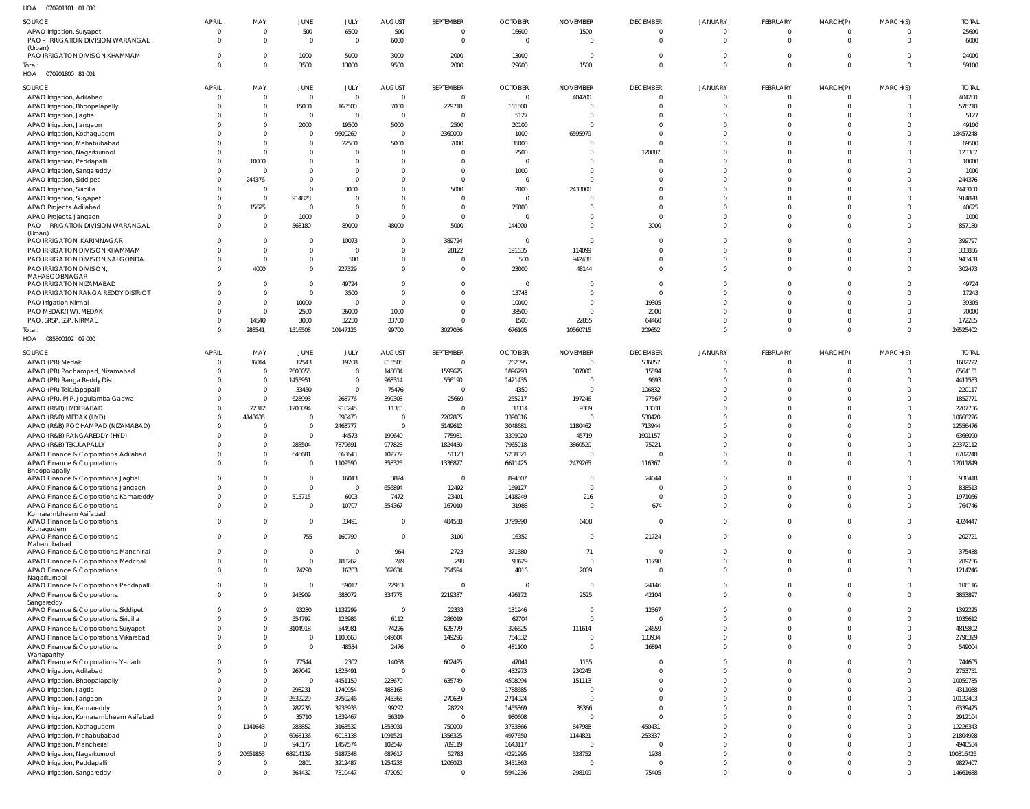| HOA | 070201101 01 000 |  |
|-----|------------------|--|

| SOURCE                                     | <b>APRIL</b> | MAY      | <b>JUNE</b>    | JULY           | <b>AUGUST</b>  | SEPTEMBER      | <b>OCTOBER</b> | <b>NOVEMBER</b> | <b>DECEMBER</b> | <b>JANUARY</b> | FEBRUARY       | MARCH(P)       | MARCH(S) | <b>TOTAL</b> |
|--------------------------------------------|--------------|----------|----------------|----------------|----------------|----------------|----------------|-----------------|-----------------|----------------|----------------|----------------|----------|--------------|
| APAO Irrigation, Suryapet                  | $\Omega$     |          | 500            | 6500           | 500            | $\overline{0}$ | 16600          | 1500            |                 | $\Omega$       | $\Omega$       | 0              |          | 25600        |
| PAO - IRRIGATION DIVISION WARANGAL         | $\Omega$     |          | $\mathbf{0}$   | $\overline{0}$ | 6000           | 0              | $\overline{0}$ | $\overline{0}$  | $\Omega$        | $\overline{0}$ | $\Omega$       | $\mathbf 0$    | $\Omega$ | 6000         |
|                                            |              |          |                |                |                |                |                |                 |                 |                |                |                |          |              |
| (Urban)<br>PAO IRRIGATION DIVISION KHAMMAM | $\Omega$     |          | 1000           |                | 3000           | 2000           | 13000          | $\overline{0}$  | $\Omega$        | $\overline{0}$ | $\Omega$       | $\mathbf 0$    |          |              |
|                                            |              |          |                | 5000           |                |                |                |                 |                 |                |                |                |          | 24000        |
| Total:                                     |              |          | 3500           | 13000          | 9500           | 2000           | 29600          | 1500            | $\Omega$        | $\Omega$       | $\Omega$       | $\Omega$       | $\Omega$ | 59100        |
| HOA  070201800  81 001                     |              |          |                |                |                |                |                |                 |                 |                |                |                |          |              |
|                                            |              |          |                |                |                |                |                |                 |                 |                |                |                |          |              |
| <b>SOURCE</b>                              | <b>APRIL</b> | MAY      | JUNE           | JULY           | <b>AUGUST</b>  | SEPTEMBER      | <b>OCTOBER</b> | <b>NOVEMBER</b> | <b>DECEMBER</b> | <b>JANUARY</b> | FEBRUARY       | MARCH(P)       | MARCH(S) | <b>TOTAL</b> |
| APAO Irrigation, Adilabad                  | $\Omega$     | $\Omega$ | $\mathbf 0$    | $\mathbf{0}$   | $\Omega$       | $\overline{0}$ | $\overline{0}$ | 404200          |                 | $\Omega$       | $\Omega$       | 0              |          | 404200       |
| APAO Irrigation, Bhoopalapally             | -0           | $\Omega$ | 15000          | 163500         | 7000           | 229710         | 161500         | 0               | $\Omega$        | $\Omega$       | $\Omega$       | 0              | $\Omega$ | 576710       |
| APAO Irrigation, Jagtial                   |              | $\Omega$ | $\mathbf{0}$   | $\mathbf{0}$   | $\overline{0}$ | $\overline{0}$ | 5127           | $\mathsf{C}$    |                 |                |                | $\Omega$       |          | 5127         |
| APAO Irrigation, Jangaon                   |              | $\Omega$ | 2000           | 19500          | 5000           | 2500           | 20100          | $\mathsf{C}$    |                 |                | $\Omega$       | $\Omega$       |          | 49100        |
|                                            |              |          |                |                |                |                |                |                 |                 |                |                |                |          |              |
| APAO Irrigation, Kothagudem                |              |          | $\mathbf 0$    | 9500269        | $\overline{0}$ | 2360000        | 1000           | 6595979         |                 |                |                | $\Omega$       |          | 18457248     |
| APAO Irrigation, Mahabubabad               |              | $\Omega$ | $\mathbf 0$    | 22500          | 5000           | 7000           | 35000          | $\Omega$        |                 |                |                | $\Omega$       |          | 69500        |
| APAO Irrigation, Nagarkurnool              |              |          | $\mathbf 0$    | 0              | $\overline{0}$ | C              | 2500           | $\mathsf{C}$    | 120887          |                |                | $\Omega$       |          | 123387       |
| APAO Irrigation, Peddapalli                |              | 10000    | $\mathbf 0$    | $\mathbf 0$    | $\Omega$       | $\Omega$       | 0              | $\Omega$        |                 |                |                | $\Omega$       |          | 10000        |
| APAO Irrigation, Sangareddy                | $\Omega$     |          | $\mathbf 0$    | $\mathbf 0$    | $\Omega$       | 0              | 1000           | 0               |                 |                |                | $\Omega$       |          | 1000         |
|                                            | $\Omega$     | 244376   | $\Omega$       | $\mathbf 0$    | $\Omega$       | $\Omega$       | $\overline{0}$ | $\Omega$        |                 |                |                | $\Omega$       |          |              |
| APAO Irrigation, Siddipet                  |              |          |                |                |                |                |                |                 |                 |                |                |                |          | 244376       |
| APAO Irrigation, Siricilla                 | $\Omega$     | - 0      | $\mathbf 0$    | 3000           | $\Omega$       | 5000           | 2000           | 2433000         |                 |                |                | $\Omega$       |          | 2443000      |
| APAO Irrigation, Suryapet                  | $\Omega$     | $\Omega$ | 914828         | 0              | $\Omega$       | $\overline{0}$ | $\overline{0}$ | $\Omega$        |                 |                | $\Omega$       | $\Omega$       |          | 914828       |
| APAO Projects, Adilabad                    | $\Omega$     | 15625    | $\overline{0}$ | $\mathbf{0}$   | $\Omega$       | 0              | 25000          | $\mathsf{C}$    | $\Omega$        |                | $\Omega$       | $\Omega$       |          | 40625        |
| APAO Projects, Jangaon                     |              | - 0      | 1000           | $\mathbf{0}$   | $\Omega$       | $\Omega$       | $\mathbf 0$    | $\Omega$        | $\Omega$        |                | $\Omega$       | $\Omega$       |          | 1000         |
| PAO - IRRIGATION DIVISION WARANGAL         | $\Omega$     |          | 568180         | 89000          | 48000          | 5000           | 144000         | $\Omega$        | 3000            | $\Omega$       | $\Omega$       | $\Omega$       |          | 857180       |
|                                            |              |          |                |                |                |                |                |                 |                 |                |                |                |          |              |
| (Urban)<br>PAO IRRIGATION KARIMNAGAR       | $\Omega$     |          | $\mathbf 0$    | 10073          | $\Omega$       | 389724         | 0              | $\overline{0}$  |                 |                |                | $\Omega$       |          | 399797       |
|                                            |              |          |                |                |                |                |                |                 |                 |                |                |                |          |              |
| PAO IRRIGATION DIVISION KHAMMAM            |              | - 0      | $\mathbf 0$    | $\mathbf 0$    | $\overline{0}$ | 28122          | 191635         | 114099          |                 |                |                | $\Omega$       |          | 333856       |
| PAO IRRIGATION DIVISION NALGONDA           |              | $\Omega$ | $\mathbf 0$    | 500            | $\Omega$       | C              | 500            | 942438          |                 |                | $\Omega$       | $\Omega$       |          | 943438       |
| PAO IRRIGATION DIVISION,                   | $\Omega$     | 4000     | $\mathbf 0$    | 227329         | $\Omega$       | $\mathbf 0$    | 23000          | 48144           | $\Omega$        | $\Omega$       | $\Omega$       | $\Omega$       |          | 302473       |
| MAHABOOBNAGAR                              |              |          |                |                |                |                |                |                 |                 |                |                |                |          |              |
| PAO IRRIGATION NIZAMABAD                   | $\Omega$     |          | $\mathbf 0$    | 49724          | $\Omega$       | $\overline{0}$ | $\overline{0}$ | $\Omega$        | $\Omega$        |                |                | $\Omega$       |          | 49724        |
| PAO IRRIGATION RANGA REDDY DISTRICT        |              | $\Omega$ | $\mathbf 0$    | 3500           | $\Omega$       | $\Omega$       | 13743          | $\Omega$        | $\Omega$        |                | $\Omega$       | $\Omega$       |          | 17243        |
|                                            | -0           | $\Omega$ | 10000          | $\overline{0}$ | $\Omega$       | $\Omega$       | 10000          | 0               | 19305           |                |                | $\Omega$       |          |              |
| PAO Irrigation Nirmal                      |              |          |                |                |                |                |                |                 |                 |                |                |                |          | 39305        |
| PAO MEDAK(IW), MEDAK                       | $\Omega$     | $\Omega$ | 2500           | 26000          | 1000           | $\mathbf 0$    | 38500          | $\overline{0}$  | 2000            |                |                | $\Omega$       |          | 70000        |
| PAO, SRSP, SSP, NIRMAL                     | $\Omega$     | 14540    | 3000           | 32230          | 33700          | C              | 1500           | 22855           | 64460           | $\Omega$       | $\Omega$       | 0              |          | 172285       |
| Total:                                     | $\Omega$     | 288541   | 1516508        | 10147125       | 99700          | 3027056        | 676105         | 10560715        | 209652          | $\Omega$       | $\Omega$       | $\Omega$       | $\Omega$ | 26525402     |
| HOA  085300102  02  000                    |              |          |                |                |                |                |                |                 |                 |                |                |                |          |              |
|                                            |              |          |                |                |                |                |                |                 |                 |                |                |                |          |              |
| SOURCE                                     | <b>APRIL</b> | MAY      | <b>JUNE</b>    | JULY           | <b>AUGUST</b>  | SEPTEMBER      | <b>OCTOBER</b> | <b>NOVEMBER</b> | <b>DECEMBER</b> | <b>JANUARY</b> | FEBRUARY       | MARCH(P)       | MARCH(S) | <b>TOTAL</b> |
| APAO (PR) Medak                            | $\Omega$     | 36014    | 12543          | 19208          | 815505         | $\overline{0}$ | 262095         | $\overline{0}$  | 536857          |                |                | 0              |          | 1682222      |
|                                            |              |          |                |                |                |                |                |                 |                 |                |                |                |          |              |
| APAO (PR) Pochampad, Nizamabad             |              | $\Omega$ | 2600055        | 0              | 145034         | 1599675        | 1896793        | 307000          | 15594           |                | $\Omega$       | $\Omega$       |          | 6564151      |
| APAO (PR) Ranga Reddy Dist                 |              | $\Omega$ | 1455951        | $\mathbf 0$    | 968314         | 556190         | 1421435        | 0               | 9693            |                |                | $\Omega$       |          | 4411583      |
| APAO (PR) Tekulapapalli                    |              | $\Omega$ | 33450          | $\mathbf 0$    | 75476          | C              | 4359           | $\mathsf{C}$    | 106832          |                |                |                |          | 220117       |
| APAO (PR), PJP, Jogulamba Gadwal           |              | - 0      | 628993         | 268776         | 399303         | 25669          | 255217         | 197246          | 77567           |                |                | $\Omega$       |          | 1852771      |
| APAO (R&B) HYDERABAD                       |              | 22312    | 1200094        | 918245         | 11351          | $\overline{0}$ | 33314          | 9389            | 13031           |                |                |                |          | 2207736      |
|                                            | $\Omega$     | 4143635  | $\mathbf 0$    | 398470         | $\overline{0}$ |                | 3390816        |                 | 530420          |                |                |                |          | 10666226     |
| APAO (R&B) MEDAK (HYD)                     |              |          |                |                |                | 2202885        |                |                 |                 |                |                |                |          |              |
| APAO (R&B) POCHAMPAD (NIZAMABAD)           |              |          | $\mathbf 0$    | 2463777        | $\overline{0}$ | 5149612        | 3048681        | 1180462         | 713944          |                |                |                |          | 12556476     |
| APAO (R&B) RANGAREDDY (HYD)                |              |          | $\mathbf{0}$   | 44573          | 199640         | 775981         | 3399020        | 45719           | 1901157         |                |                |                |          | 6366090      |
| APAO (R&B) TEKULAPALLY                     |              |          | 288504         | 7379691        | 977828         | 1824430        | 7965918        | 3860520         | 75221           |                |                |                |          | 22372112     |
| APAO Finance & Corporations, Adilabad      |              |          | 646681         | 663643         | 102772         | 51123          | 5238021        | -0              |                 |                |                | -0             |          | 6702240      |
|                                            | $\Omega$     |          | $\Omega$       | 1109590        | 358325         | 1336877        | 6611425        | 2479265         | 116367          | $\Omega$       | $\Omega$       | $\Omega$       |          | 12011849     |
| APAO Finance & Corporations,               |              |          |                |                |                |                |                |                 |                 |                |                |                |          |              |
| Bhoopalapally                              |              |          | $\mathbf 0$    | 16043          | 3824           |                | 894507         |                 | 24044           |                |                |                |          | 938418       |
| APAO Finance & Corporations, Jagtial       | $\Omega$     |          |                |                |                | $\overline{0}$ |                | $\overline{0}$  |                 | $\Omega$       | $\Omega$       | $\Omega$       |          |              |
| APAO Finance & Corporations, Jangaon       | $\Omega$     |          | $\mathbf 0$    | $\mathbf 0$    | 656894         | 12492          | 169127         | $\overline{0}$  | $\Omega$        | $\overline{0}$ | $\overline{0}$ | $\mathbf 0$    | $\Omega$ | 838513       |
| APAO Finance & Corporations, Kamareddy     | $\Omega$     |          | 515715         | 6003           | 7472           | 23401          | 1418249        | 216             | $\Omega$        | $\Omega$       | $\Omega$       | $\Omega$       | 0        | 1971056      |
| APAO Finance & Corporations,               | $\Omega$     |          | $\mathbf 0$    | 10707          | 554367         | 167010         | 31988          | $\overline{0}$  | 674             | $\overline{0}$ | $\Omega$       | $\mathbf 0$    | $\Omega$ | 764746       |
| Komarambheem Asifabad                      |              |          |                |                |                |                |                |                 |                 |                |                |                |          |              |
| APAO Finance & Corporations,               | $\Omega$     |          | $\mathbf 0$    | 33491          | $\Omega$       | 484558         | 3799990        | 6408            | $\Omega$        | $\Omega$       | $\Omega$       | $\mathbf 0$    | $\Omega$ | 4324447      |
| Kothagudem                                 |              |          |                |                |                |                |                |                 |                 |                |                |                |          |              |
| APAO Finance & Corporations,               | $\Omega$     |          | 755            | 160790         | $\overline{0}$ | 3100           | 16352          | $\overline{0}$  | 21724           | $\overline{0}$ | $\Omega$       | $\overline{0}$ | $\Omega$ | 202721       |
| Mahabubabad                                |              |          |                |                |                |                |                |                 |                 |                |                |                |          |              |
| APAO Finance & Corporations, Manchirial    | $\Omega$     |          | $\mathbf 0$    | $\mathbf{0}$   | 964            | 2723           | 371680         | 71              | $\overline{0}$  | $\Omega$       | $\overline{0}$ | $\mathbf 0$    | $\Omega$ | 375438       |
| APAO Finance & Corporations, Medchal       | $\Omega$     |          | $\mathbf{0}$   | 183262         | 249            | 298            | 93629          | $\overline{0}$  | 11798           | $\overline{0}$ | $\overline{0}$ | $\mathbf 0$    | $\Omega$ | 289236       |
| APAO Finance & Corporations,               |              |          | 74290          | 16703          | 362634         | 754594         | 4016           | 2009            | $\Omega$        | $\Omega$       | $\Omega$       | $\Omega$       | $\Omega$ | 1214246      |
| Nagarkurnool                               |              |          |                |                |                |                |                |                 |                 |                |                |                |          |              |
| APAO Finance & Corporations, Peddapalli    | $\Omega$     |          | $\mathbf 0$    | 59017          | 22953          | $\overline{0}$ | $\overline{0}$ | $\overline{0}$  | 24146           | $\Omega$       | $\Omega$       | $\mathbf 0$    | $\Omega$ | 106116       |
|                                            | $\Omega$     |          | 245909         | 583072         | 334778         | 2219337        | 426172         | 2525            | 42104           | $\Omega$       | $\Omega$       | $\mathbf 0$    | $\Omega$ | 3853897      |
| APAO Finance & Corporations,<br>Sangareddy |              |          |                |                |                |                |                |                 |                 |                |                |                |          |              |
|                                            | $\Omega$     |          | 93280          | 1132299        | $\overline{0}$ | 22333          | 131946         | $\overline{0}$  | 12367           | $\Omega$       | $\Omega$       | $\mathbf 0$    | $\Omega$ | 1392225      |
| APAO Finance & Corporations, Siddipet      |              |          |                |                |                |                |                |                 |                 |                |                |                |          |              |
| APAO Finance & Corporations, Siricilla     | $^{\circ}$   |          | 554792         | 125985         | 6112           | 286019         | 62704          | $\overline{0}$  | $\Omega$        | $\Omega$       | $\Omega$       | $\mathbf 0$    | 0        | 1035612      |
| APAO Finance & Corporations, Suryapet      | $\Omega$     | $\Omega$ | 3104918        | 544981         | 74226          | 628779         | 326625         | 111614          | 24659           | $\Omega$       | $\Omega$       | $\mathbf 0$    | $\Omega$ | 4815802      |
| APAO Finance & Corporations, Vikarabad     | $^{\circ}$   | - 0      | $\mathbf 0$    | 1108663        | 649604         | 149296         | 754832         | $\overline{0}$  | 133934          | $\Omega$       | $\Omega$       | $\mathbf 0$    | 0        | 2796329      |
| APAO Finance & Corporations,               | $\Omega$     |          | $\mathbf 0$    | 48534          | 2476           | C              | 481100         | 0               | 16894           | $\Omega$       | $\Omega$       | $\mathbf 0$    | $\Omega$ | 549004       |
| Wanaparthy                                 |              |          |                |                |                |                |                |                 |                 |                |                |                |          |              |
| APAO Finance & Corporations, Yadadri       | $\Omega$     |          | 77544          | 2302           | 14068          | 602495         | 47041          | 1155            | $\Omega$        | $\Omega$       | $\Omega$       | $\mathbf 0$    | 0        | 744605       |
| APAO Irrigation, Adilabad                  | $\Omega$     |          | 267042         | 1823491        | $\overline{0}$ | $\overline{0}$ | 432973         | 230245          | $\Omega$        | $\Omega$       | $\Omega$       | $\mathbf 0$    | $\Omega$ | 2753751      |
|                                            |              |          |                |                |                |                |                |                 |                 |                |                |                |          |              |
| APAO Irrigation, Bhoopalapally             | $\Omega$     | $\Omega$ | $\mathbf 0$    | 4451159        | 223670         | 635749         | 4598094        | 151113          | $\Omega$        | $\Omega$       | $\Omega$       | $\mathbf 0$    | 0        | 10059785     |
| APAO Irrigation, Jagtial                   |              |          | 293231         | 1740954        | 488168         | $\overline{0}$ | 1788685        | $\overline{0}$  | $\Omega$        | $\Omega$       | $\Omega$       | $\mathbf 0$    | $\Omega$ | 4311038      |
| APAO Irrigation, Jangaon                   | $\Omega$     | - 0      | 2632229        | 3759246        | 745365         | 270639         | 2714924        | $\overline{0}$  | $\Omega$        | $\Omega$       | $\Omega$       | $\mathbf 0$    |          | 10122403     |
| APAO Irrigation, Kamareddy                 | $\Omega$     | $\Omega$ | 782236         | 3935933        | 99292          | 28229          | 1455369        | 38366           | $\Omega$        | $\Omega$       | $\Omega$       | $\mathbf 0$    |          | 6339425      |
| APAO Irrigation, Komarambheem Asifabad     | $\Omega$     | - 0      | 35710          | 1839467        | 56319          | $\overline{0}$ | 980608         | $\overline{0}$  | $\Omega$        | $\Omega$       | $\Omega$       | $\mathbf 0$    |          | 2912104      |
|                                            |              |          |                |                |                |                |                |                 |                 |                |                |                |          |              |
| APAO Irrigation, Kothagudem                | $\Omega$     | 1141643  | 283852         | 3163532        | 1855031        | 750000         | 3733866        | 847988          | 450431          | $\Omega$       | $\Omega$       | $\mathbf 0$    |          | 12226343     |
| APAO Irrigation, Mahabubabad               | $\mathbf 0$  | - 0      | 6968136        | 6013138        | 1091521        | 1356325        | 4977650        | 1144821         | 253337          | $\Omega$       | $\Omega$       | $\mathbf 0$    |          | 21804928     |
| APAO Irrigation, Mancherial                | $\Omega$     | - 0      | 948177         | 1457574        | 102547         | 789119         | 1643117        | $\overline{0}$  | $\Omega$        | $\Omega$       | $\Omega$       | $\mathbf 0$    |          | 4940534      |
| APAO Irrigation, Nagarkurnool              | $\mathbf 0$  | 20651853 | 68914139       | 5187348        | 687617         | 52783          | 4291995        | 528752          | 1938            | $\Omega$       | $\Omega$       | $\overline{0}$ | $\Omega$ | 100316425    |
| APAO Irrigation, Peddapalli                | -0           |          | 2801           | 3212487        | 1954233        | 1206023        | 3451863        | 0               | $\Omega$        | $\Omega$       | $\Omega$       | $\mathbf 0$    |          | 9827407      |
|                                            |              |          |                |                |                |                |                |                 |                 |                |                |                |          |              |
| APAO Irrigation, Sangareddy                | $\mathbf{0}$ |          | 564432         | 7310447        | 472059         | $\mathbf 0$    | 5941236        | 298109          | 75405           | $\Omega$       | $\Omega$       | $\overline{0}$ | $\Omega$ | 14661688     |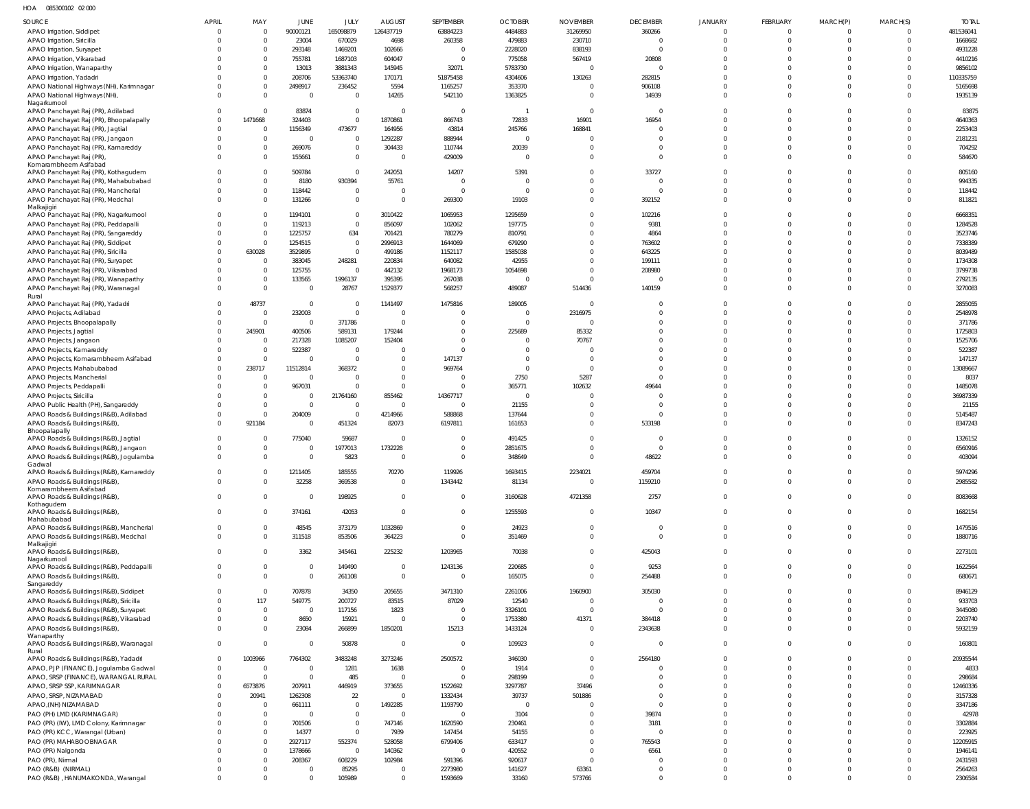HOA 085300102 02 000

| <b>SOURCE</b>                                                                     | <b>APRIL</b>         | MAY                            | JUNE                      | JULY                             | <b>AUGUST</b>            | SEPTEMBER               | <b>OCTOBER</b>            | <b>NOVEMBER</b>                  | <b>DECEMBER</b>            | <b>JANUARY</b>       | FEBRUARY             | MARCH(P)             | MARCH(S)             | <b>TOTAL</b>       |
|-----------------------------------------------------------------------------------|----------------------|--------------------------------|---------------------------|----------------------------------|--------------------------|-------------------------|---------------------------|----------------------------------|----------------------------|----------------------|----------------------|----------------------|----------------------|--------------------|
| APAO Irrigation, Siddipet                                                         | $\mathbf{0}$         | $\mathbf{0}$                   | 90000121                  | 165098879                        | 126437719                | 63884223                | 4484883                   | 31269950                         | 360266                     | $\Omega$             | $\Omega$             |                      |                      | 481536041          |
| APAO Irrigation, Siricilla                                                        | $\Omega$             | $\mathbf{0}$                   | 23004                     | 670029                           | 4698                     | 260358                  | 479883                    | 230710                           | $\overline{0}$             | $\Omega$             | $\Omega$             | $\Omega$             | $\Omega$             | 1668682            |
| APAO Irrigation, Suryapet                                                         | $\Omega$             | $\mathbf{0}$                   | 293148                    | 1469201                          | 102666                   | -C                      | 2228020                   | 838193                           | $\Omega$                   | $\Omega$             | $\Omega$             |                      |                      | 4931228            |
| APAO Irrigation, Vikarabad                                                        |                      | $\mathbf 0$                    | 755781                    | 1687103                          | 604047                   |                         | 775058                    | 567419                           | 20808                      |                      |                      |                      |                      | 4410216            |
| APAO Irrigation, Wanaparthy                                                       | $\Omega$             | $\mathbf 0$                    | 13013                     | 3881343                          | 145945                   | 32071                   | 5783730                   | $\overline{0}$                   | $\Omega$                   | $\Omega$             |                      |                      |                      | 9856102            |
| APAO Irrigation, Yadadri                                                          |                      | $\mathbf 0$                    | 208706                    | 53363740                         | 170171                   | 51875458                | 4304606                   | 130263                           | 282815                     | $\Omega$             |                      |                      | $\Omega$             | 110335759          |
| APAO National Highways (NH), Karimnagar                                           | $\Omega$<br>$\Omega$ | $\mathbf 0$<br>$\mathbf{0}$    | 2498917<br>$\overline{0}$ | 236452<br>$\Omega$               | 5594                     | 1165257                 | 353370                    | $\Omega$<br>$\Omega$             | 906108                     | $\Omega$<br>$\Omega$ | $\Omega$<br>$\Omega$ |                      | $\Omega$             | 5165698<br>1935139 |
| APAO National Highways (NH),<br>Nagarkurnool                                      |                      |                                |                           |                                  | 14265                    | 542110                  | 1363825                   |                                  | 14939                      |                      |                      |                      |                      |                    |
| APAO Panchayat Raj (PR), Adilabad                                                 | $\Omega$             | $\overline{0}$                 | 83874                     | $\overline{0}$                   | $\overline{\mathbf{0}}$  | - 0                     | $\overline{1}$            | $\overline{0}$                   | $\Omega$                   | $\Omega$             |                      |                      |                      | 83875              |
| APAO Panchayat Raj (PR), Bhoopalapally                                            | $\Omega$             | 1471668                        | 324403                    | $\overline{0}$                   | 1870861                  | 866743                  | 72833                     | 16901                            | 16954                      | $\Omega$             | $\Omega$             |                      | $\Omega$             | 4640363            |
| APAO Panchayat Raj (PR), Jagtial                                                  | $\Omega$             | $\overline{0}$                 | 1156349                   | 473677                           | 164956                   | 43814                   | 245766                    | 168841                           | $\Omega$                   | $\Omega$             | $\Omega$             |                      | $\cup$               | 2253403            |
| APAO Panchayat Raj (PR), Jangaon                                                  | $\Omega$             | $\mathbf{0}$                   | $\overline{0}$            | $\overline{0}$                   | 1292287                  | 888944                  | $\overline{0}$            | $\Omega$                         | $\Omega$                   | $\Omega$             |                      |                      |                      | 2181231            |
| APAO Panchayat Raj (PR), Kamareddy                                                | $\Omega$<br>$\Omega$ | $\mathbf 0$<br>$\mathbf 0$     | 269076<br>155661          | $\overline{0}$<br>$\Omega$       | 304433<br>$\Omega$       | 110744<br>429009        | 20039<br>$\Omega$         | $\Omega$<br>$\Omega$             | $\Omega$<br>$\Omega$       | $\Omega$<br>$\Omega$ | $\Omega$             |                      | $\Omega$<br>$\Omega$ | 704292<br>584670   |
| APAO Panchayat Raj (PR)<br>Komarambheem Asifabad                                  |                      |                                |                           |                                  |                          |                         |                           |                                  |                            |                      |                      |                      |                      |                    |
| APAO Panchayat Raj (PR), Kothagudem                                               | $\Omega$             | $\mathbf 0$                    | 509784                    | $\Omega$                         | 242051                   | 14207                   | 5391                      | $\Omega$                         | 33727                      | $\Omega$             |                      |                      |                      | 805160             |
| APAO Panchayat Raj (PR), Mahabubabad                                              | <sup>0</sup>         | $\mathbf{0}$                   | 8180                      | 930394                           | 55761                    |                         | - 0                       | $\Omega$                         | $\Omega$                   | $\Omega$             | $\Omega$             | $\Omega$             | $\Omega$             | 994335             |
| APAO Panchayat Raj (PR), Mancherial                                               | $\Omega$             | $\mathbf{0}$                   | 118442                    | $\overline{0}$                   | $\overline{0}$           | - 0                     | $\Omega$                  | $\Omega$                         | $\Omega$                   | $\Omega$             | $\Omega$             | $\Omega$             | $\Omega$             | 118442             |
| APAO Panchayat Raj (PR), Medchal<br>Malkajigiri                                   | $\Omega$             | $\mathbf 0$                    | 131266                    | $\Omega$                         | $\overline{0}$           | 269300                  | 19103                     | $\Omega$                         | 392152                     | $\Omega$             | $\Omega$             | $\Omega$             | $\Omega$             | 811821             |
| APAO Panchayat Raj (PR), Nagarkurnool                                             | $\Omega$             | $\mathbf 0$                    | 1194101                   | $\overline{0}$                   | 3010422                  | 1065953                 | 1295659                   | $\Omega$                         | 102216                     | $\Omega$             |                      |                      |                      | 6668351            |
| APAO Panchayat Raj (PR), Peddapalli                                               | $\Omega$             | $\mathbf{0}$                   | 119213                    | $\Omega$                         | 856097                   | 102062                  | 197775                    | $\Omega$                         | 9381                       | $\Omega$             | $\Omega$             |                      |                      | 1284528            |
| APAO Panchayat Raj (PR), Sangareddy                                               | $\Omega$             | $\mathbf{0}$                   | 1225757                   | 634                              | 701421                   | 780279                  | 810791                    | $\Omega$                         | 4864                       | $\Omega$             | $\Omega$             |                      |                      | 3523746            |
| APAO Panchayat Raj (PR), Siddipet                                                 | $\Omega$             | $\mathbf{0}$                   | 1254515                   | $\overline{0}$                   | 2996913                  | 1644069                 | 679290                    | $\Omega$                         | 763602                     |                      |                      |                      |                      | 7338389            |
| APAO Panchayat Raj (PR), Siricilla                                                | $\Omega$             | 630028                         | 3529895                   | $\overline{0}$                   | 499186                   | 1152117                 | 1585038                   | $\Omega$                         | 643225                     |                      |                      |                      |                      | 8039489            |
| APAO Panchayat Raj (PR), Suryapet                                                 | $\Omega$<br>$\Omega$ | $\overline{0}$<br>$\mathbf{0}$ | 383045                    | 248281<br>$\overline{0}$         | 220834                   | 640082                  | 42955                     | $\Omega$<br>$\Omega$             | 199111                     |                      |                      |                      |                      | 1734308<br>3799738 |
| APAO Panchayat Raj (PR), Vikarabad<br>APAO Panchayat Raj (PR), Wanaparthy         | $\Omega$             | $\overline{0}$                 | 125755<br>133565          | 1996137                          | 442132<br>395395         | 1968173<br>267038       | 1054698<br>$\overline{0}$ | $\Omega$                         | 208980<br>ſ                | $\Omega$             | $\Omega$             |                      | $\Omega$             | 2792135            |
| APAO Panchayat Raj (PR), Waranagal                                                | $\Omega$             | $\mathbf{0}$                   | $\overline{0}$            | 28767                            | 1529377                  | 568257                  | 489087                    | 514436                           | 140159                     | $\Omega$             | $\Omega$             |                      | $\Omega$             | 3270083            |
| Rural                                                                             |                      |                                |                           |                                  |                          |                         |                           |                                  |                            |                      |                      |                      |                      |                    |
| APAO Panchayat Raj (PR), Yadadri                                                  | $\Omega$             | 48737                          | $\overline{0}$            | $\Omega$                         | 1141497                  | 1475816                 | 189005                    | $\overline{0}$                   | $\Omega$                   |                      |                      |                      |                      | 2855055            |
| APAO Projects, Adilabad                                                           | $\Omega$             | $\mathbf 0$                    | 232003                    | $\overline{0}$                   | $\overline{0}$           |                         | $\overline{0}$            | 2316975                          | $\Omega$                   | $\Omega$             |                      |                      |                      | 2548978            |
| APAO Projects, Bhoopalapally                                                      | $\Omega$<br>$\Omega$ | $\mathbf{0}$                   | $\overline{0}$            | 371786                           | $\overline{0}$           |                         | $\overline{0}$            | $\overline{0}$                   | $\Omega$<br>$\Omega$       | $\Omega$<br>$\Omega$ |                      |                      |                      | 371786             |
| APAO Projects, Jagtial<br>APAO Projects, Jangaon                                  |                      | 245901<br>$\overline{0}$       | 400506<br>217328          | 589131<br>1085207                | 179244<br>152404         |                         | 225689<br>$\Omega$        | 85332<br>70767                   | $\Omega$                   |                      |                      |                      |                      | 1725803<br>1525706 |
| APAO Projects, Kamareddy                                                          | $\Omega$             | $\overline{0}$                 | 522387                    | $\overline{0}$                   | $\Omega$                 |                         | $\Omega$                  | C.                               | $\Omega$                   | $\Omega$             |                      |                      |                      | 522387             |
| APAO Projects, Komarambheem Asifabad                                              | <sup>0</sup>         | $\mathbf{0}$                   | $\overline{0}$            | $\overline{0}$                   | $\Omega$                 | 147137                  | $\Omega$                  | $\Omega$                         | $\Omega$                   | $\Omega$             |                      |                      |                      | 147137             |
| APAO Projects, Mahabubabad                                                        | $\Omega$             | 238717                         | 11512814                  | 368372                           | $\Omega$                 | 969764                  | $\Omega$                  | $\Omega$                         | $\Omega$                   | $\Omega$             |                      |                      |                      | 13089667           |
| APAO Projects, Mancherial                                                         |                      | $\overline{0}$                 | $\overline{0}$            | $\Omega$                         | $\Omega$                 |                         | 2750                      | 5287                             | $\Omega$                   |                      |                      |                      |                      | 8037               |
| APAO Projects, Peddapalli                                                         |                      | $\overline{0}$                 | 967031                    | $\overline{0}$                   | $\Omega$                 |                         | 365771                    | 102632                           | 49644                      | $\Omega$             |                      |                      |                      | 1485078            |
| APAO Projects, Siricilla                                                          |                      | $\mathbf{0}$                   | $\mathbf{0}$              | 21764160                         | 855462                   | 14367717                | $\overline{0}$            | $\Omega$                         | $\Omega$                   | $\Omega$             |                      |                      |                      | 36987339           |
| APAO Public Health (PH), Sangareddy                                               | $\Omega$             | $\mathbf{0}$                   | $\overline{0}$            | $\overline{0}$                   | $\Omega$                 | - 0                     | 21155                     | $\Omega$                         | $\Omega$                   | $\Omega$             |                      |                      |                      | 21155              |
| APAO Roads & Buildings (R&B), Adilabad                                            | $\Omega$<br>$\Omega$ | $\overline{0}$<br>921184       | 204009<br>$\overline{0}$  | $\overline{0}$                   | 4214966                  | 588868                  | 137644                    | $\Omega$<br>$\Omega$             | $\Omega$<br>533198         | $\Omega$<br>$\Omega$ | $\Omega$<br>$\Omega$ |                      | $\Omega$<br>$\Omega$ | 5145487<br>8347243 |
| APAO Roads & Buildings (R&B),<br>Bhoopalapally                                    |                      |                                |                           | 451324                           | 82073                    | 6197811                 | 161653                    |                                  |                            |                      |                      |                      |                      |                    |
| APAO Roads & Buildings (R&B), Jagtial                                             | $\Omega$             | $\mathbf{0}$                   | 775040                    | 59687                            | $\overline{0}$           |                         | 491425                    | $\Omega$                         | $\Omega$                   | $\Omega$             |                      |                      |                      | 1326152            |
| APAO Roads & Buildings (R&B), Jangaon                                             |                      | $\Omega$                       | - 0                       | 1977013                          | 1732228                  |                         | 2851675                   | $\Omega$                         | $\Omega$                   | $\Omega$             | $\Omega$             |                      |                      | 6560916            |
| APAO Roads & Buildings (R&B), Jogulamba                                           | $\Omega$             | $\Omega$                       | $\mathbf 0$               | 5823                             | $\overline{0}$           | $\Omega$                | 348649                    | $\Omega$                         | 48622                      | $\Omega$             | $\Omega$             | $\Omega$             | $\Omega$             | 403094             |
| Gadwal<br>APAO Roads & Buildings (R&B), Kamareddy                                 |                      | $\Omega$                       | 1211405                   | 185555                           | 70270                    | 119926                  | 1693415                   | 2234021                          | 459704                     |                      |                      |                      |                      | 5974296            |
| APAO Roads & Buildings (R&B),                                                     | $\Omega$             | $\mathbf 0$                    | 32258                     | 369538                           | $\mathbf{0}$             | 1343442                 | 81134                     | $\overline{0}$                   | 1159210                    | $\Omega$             | $\Omega$             |                      |                      | 2985582            |
| Komarambheem Asifabad                                                             |                      |                                |                           |                                  |                          |                         |                           |                                  |                            |                      |                      |                      |                      |                    |
| APAO Roads & Buildings (R&B),<br>Kothagudem                                       | $\Omega$             | $\mathbf{0}$                   | $\overline{0}$            | 198925                           | $\Omega$                 | $\Omega$                | 3160628                   | 4721358                          | 2757                       | $\mathbf{0}$         | $\Omega$             | $\Omega$             |                      | 8083668            |
| APAO Roads & Buildings (R&B),                                                     | $\Omega$             | $\mathbf{0}$                   | 374161                    | 42053                            | $\overline{0}$           | $\mathbf{0}$            | 1255593                   | $\overline{0}$                   | 10347                      | $\Omega$             | $\Omega$             | $\Omega$             | $\Omega$             | 1682154            |
| Mahabubabad                                                                       | $\Omega$             | $\mathbf{0}$                   | 48545                     |                                  | 1032869                  | $\mathbf 0$             |                           | $\overline{0}$                   |                            | $\mathbf{0}$         | $\mathbf 0$          | $\mathbf 0$          | $\Omega$             | 1479516            |
| APAO Roads & Buildings (R&B), Mancherial<br>APAO Roads & Buildings (R&B), Medchal | $\Omega$             | $\mathbf 0$                    | 311518                    | 373179<br>853506                 | 364223                   | $\Omega$                | 24923<br>351469           | $\overline{0}$                   | $\overline{0}$<br>$\Omega$ | $\Omega$             | $\Omega$             | $\Omega$             | $\Omega$             | 1880716            |
| Malkajigiri                                                                       |                      |                                |                           |                                  |                          |                         |                           |                                  |                            |                      |                      |                      |                      |                    |
| APAO Roads & Buildings (R&B),                                                     | $\Omega$             | $\Omega$                       | 3362                      | 345461                           | 225232                   | 1203965                 | 70038                     | $\overline{0}$                   | 425043                     | $\Omega$             | $\Omega$             | $\Omega$             | $\Omega$             | 2273101            |
| Nagarkurnool<br>APAO Roads & Buildings (R&B), Peddapalli                          | $\Omega$             | $\mathbf{0}$                   | $\overline{0}$            | 149490                           | $\overline{\mathbf{0}}$  | 1243136                 | 220685                    | $\mathbf{0}$                     | 9253                       | $\Omega$             | $\Omega$             | $\Omega$             | $\Omega$             | 1622564            |
| APAO Roads & Buildings (R&B)                                                      | $\Omega$             | $\mathbf 0$                    | $\overline{0}$            | 261108                           | $\overline{0}$           | $\Omega$                | 165075                    | $\mathbf{0}$                     | 254488                     | $\Omega$             | $\Omega$             | $\Omega$             | $\Omega$             | 680671             |
| Sangareddy                                                                        |                      |                                |                           |                                  |                          |                         |                           |                                  |                            |                      |                      |                      |                      |                    |
| APAO Roads & Buildings (R&B), Siddipet                                            | $\Omega$             | $\mathbf 0$                    | 707878                    | 34350                            | 205655                   | 3471310                 | 2261006                   | 1960900                          | 305030                     | $\Omega$             | $\Omega$             | $\Omega$             | $\Omega$             | 8946129            |
| APAO Roads & Buildings (R&B), Siricilla                                           | $\Omega$<br>$\Omega$ | 117<br>$\mathbf{0}$            | 549775<br>$\overline{0}$  | 200727<br>117156                 | 83515                    | 87029<br>$\mathsf{C}$   | 12540<br>3326101          | $\overline{0}$<br>$\overline{0}$ | $\Omega$<br>$\Omega$       | $\Omega$<br>$\Omega$ | $\Omega$<br>$\Omega$ | $\Omega$<br>$\Omega$ | $\Omega$<br>$\Omega$ | 933703<br>3445080  |
| APAO Roads & Buildings (R&B), Suryapet<br>APAO Roads & Buildings (R&B), Vikarabad | $\Omega$             | $\mathbf 0$                    | 8650                      | 15921                            | 1823<br>$\overline{0}$   | $\Omega$                | 1753380                   | 41371                            | 384418                     | $\Omega$             | $\Omega$             | $\Omega$             | $\Omega$             | 2203740            |
| APAO Roads & Buildings (R&B),                                                     | $\Omega$             | $\mathbf 0$                    | 23084                     | 266899                           | 1850201                  | 15213                   | 1433124                   | $\overline{0}$                   | 2343638                    | $\Omega$             | $\Omega$             | $\Omega$             | $\Omega$             | 5932159            |
| Wanaparthy                                                                        |                      |                                |                           |                                  |                          |                         |                           |                                  |                            |                      |                      |                      |                      |                    |
| APAO Roads & Buildings (R&B), Waranagal                                           | $\Omega$             | $\overline{0}$                 | $\Omega$                  | 50878                            | $\overline{\mathbf{0}}$  | $\Omega$                | 109923                    | $\mathbf{0}$                     | $\Omega$                   | $\Omega$             | $\Omega$             | $\Omega$             | $\Omega$             | 160801             |
| Rural<br>APAO Roads & Buildings (R&B), Yadadri                                    | $\Omega$             | 1003966                        | 7764302                   | 3483248                          | 3273246                  | 2500572                 | 346030                    | $\mathbf{0}$                     | 2564180                    | $\Omega$             | $\Omega$             | $\Omega$             | $\Omega$             | 20935544           |
| APAO, PJP (FINANCE), Jogulamba Gadwal                                             | $\Omega$             | $\overline{0}$                 | $\Omega$                  | 1281                             | 1638                     | - 0                     | 1914                      | $\overline{0}$                   | $\Omega$                   | $\Omega$             | $\Omega$             | $\Omega$             | $\Omega$             | 4833               |
| APAO, SRSP (FINANCE), WARANGAL RURAL                                              | $\Omega$             | $\overline{0}$                 | $\overline{0}$            | 485                              | $\overline{0}$           | $\Omega$                | 298199                    | $\overline{0}$                   | $\Omega$                   | $\Omega$             | $\Omega$             | $\Omega$             | $\Omega$             | 298684             |
| APAO, SRSP SSP, KARIMNAGAR                                                        | $\Omega$             | 6573876                        | 207911                    | 446919                           | 373655                   | 1522692                 | 3297787                   | 37496                            | $\Omega$                   | $\Omega$             | $\Omega$             | $\Omega$             | $\Omega$             | 12460336           |
| APAO, SRSP, NIZAMABAD                                                             | $\Omega$             | 20941                          | 1262308                   | 22                               | $\overline{0}$           | 1332434                 | 39737                     | 501886                           | $\Omega$                   | $\Omega$             | $\Omega$             | $\Omega$             | $\Omega$             | 3157328            |
| APAO, (NH) NIZAMABAD                                                              | $\Omega$             | $\overline{0}$                 | 661111                    | $\overline{0}$                   | 1492285                  | 1193790                 | $\overline{0}$            | $\overline{0}$                   | $\Omega$                   | $\Omega$             | $\Omega$             | $\Omega$             | $\Omega$             | 3347186            |
| PAO (PH) LMD (KARIMNAGAR)                                                         | $\Omega$             | $\mathbf{0}$<br>$\mathbf 0$    | $\Omega$<br>701506        | $\overline{0}$<br>$\overline{0}$ | $\overline{0}$<br>747146 | $\mathsf{C}$<br>1620590 | 3104<br>230461            | $\overline{0}$<br>$\mathbf{0}$   | 39874<br>3181              | $\Omega$<br>$\Omega$ | $\Omega$<br>$\Omega$ | $\Omega$<br>$\Omega$ | $\Omega$<br>$\Omega$ | 42978<br>3302884   |
| PAO (PR) (IW), LMD Colony, Karimnagar<br>PAO (PR) KCC, Warangal (Urban)           |                      | $\mathbf 0$                    | 14377                     | $\overline{0}$                   | 7939                     | 147454                  | 54155                     | $\mathbf 0$                      | $\Omega$                   | $\Omega$             | $\Omega$             | $\Omega$             | $\Omega$             | 223925             |
| PAO (PR) MAHABOOBNAGAR                                                            |                      | $\mathbf 0$                    | 2927117                   | 552374                           | 528058                   | 6799406                 | 633417                    | $\mathbf{0}$                     | 765543                     | $\Omega$             | $\Omega$             | $\Omega$             | $\Omega$             | 12205915           |
| PAO (PR) Nalgonda                                                                 |                      | $\mathbf 0$                    | 1378666                   | $\overline{0}$                   | 140362                   | $\Omega$                | 420552                    | $\overline{0}$                   | 6561                       | $\Omega$             | $\Omega$             | $\Omega$             | $\Omega$             | 1946141            |
| PAO (PR), Nirmal                                                                  |                      | $\mathbf 0$                    | 208367                    | 608229                           | 102984                   | 591396                  | 920617                    | $\overline{0}$                   | $\Omega$                   | $\Omega$             | $\Omega$             | $\Omega$             | $\Omega$             | 2431593            |
| PAO (R&B) (NIRMAL)                                                                | $\Omega$             | $\mathbf 0$                    | $\overline{0}$            | 85295                            | $\overline{0}$           | 2273980                 | 141627                    | 63361                            | $\Omega$                   | $\Omega$             | $\Omega$             | $\Omega$             | $\Omega$             | 2564263            |
| PAO (R&B), HANUMAKONDA, Warangal                                                  | $\Omega$             | $\mathbf 0$                    | $\Omega$                  | 105989                           | $\overline{0}$           | 1593669                 | 33160                     | 573766                           | $\Omega$                   | $\Omega$             | $\Omega$             | $\Omega$             | $\Omega$             | 2306584            |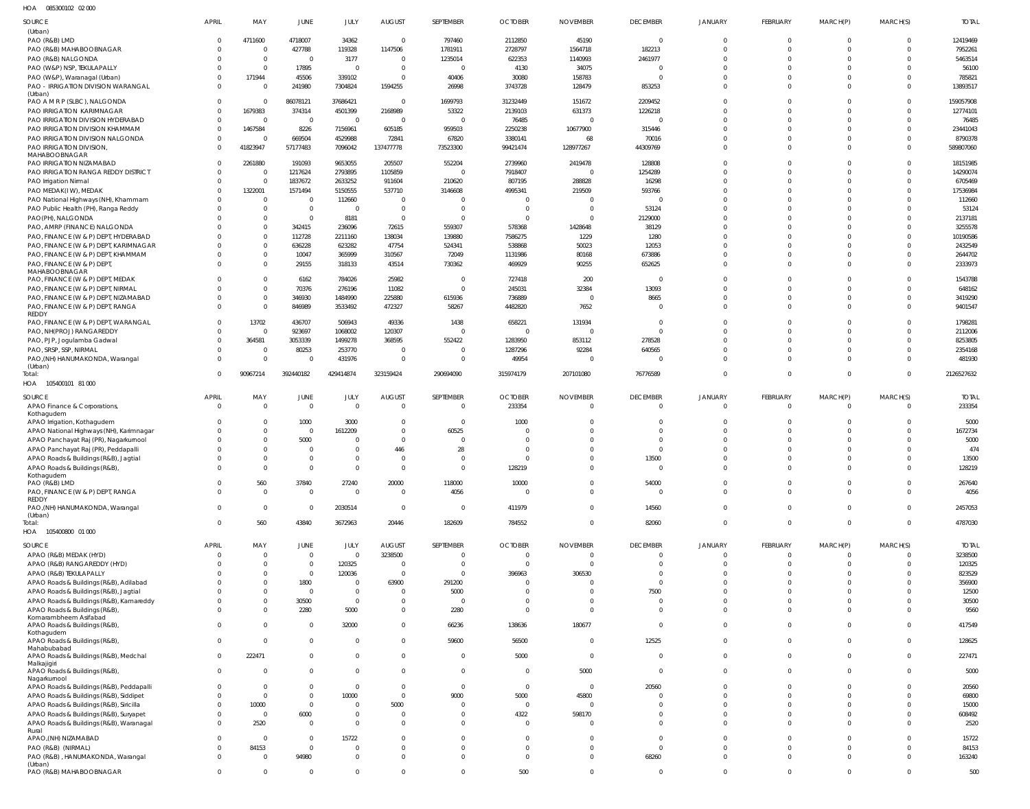085300102 02 000 HOA

| SOURCE                                                                             | <b>APRIL</b>         | MAY                        | <b>JUNE</b>                      | JULY                    | <b>AUGUST</b>                             | SEPTEMBER                      | <b>OCTOBER</b>       | <b>NOVEMBER</b>      | <b>DECEMBER</b>            | JANUARY              | <b>FEBRUARY</b>            | MARCH(P) | MARCH(S)                | <b>TOTAL</b>        |
|------------------------------------------------------------------------------------|----------------------|----------------------------|----------------------------------|-------------------------|-------------------------------------------|--------------------------------|----------------------|----------------------|----------------------------|----------------------|----------------------------|----------|-------------------------|---------------------|
| (Urban)                                                                            | $\Omega$             |                            | 4718007                          |                         | $\overline{0}$                            | 797460                         |                      | 45190                | $\overline{0}$             | $\Omega$             | $\overline{0}$             |          | $\mathbf 0$             |                     |
| PAO (R&B) LMD<br>PAO (R&B) MAHABOOBNAGAR                                           | $\Omega$             | 4711600<br>$\overline{0}$  | 427788                           | 34362<br>119328         | 1147506                                   | 1781911                        | 2112850<br>2728797   | 1564718              | 182213                     | $\Omega$             | $\Omega$                   |          | $\Omega$                | 12419469<br>7952261 |
| PAO (R&B) NALGONDA                                                                 | $\Omega$             | $\mathbf 0$                | $\overline{0}$                   | 3177                    | $\overline{0}$                            | 1235014                        | 622353               | 1140993              | 2461977                    |                      | $\Omega$                   |          |                         | 5463514             |
| PAO (W&P) NSP, TEKULAPALLY                                                         | $\Omega$             | $\mathbf 0$                | 17895                            | $\overline{\mathbf{0}}$ | $\overline{0}$                            | $\Omega$                       | 4130                 | 34075                |                            |                      | $\Omega$                   |          | $\Omega$                | 56100               |
| PAO (W&P), Waranagal (Urban)                                                       | $\Omega$             | 171944                     | 45506                            | 339102                  | $\overline{0}$                            | 40406                          | 30080                | 158783               | $\Omega$                   |                      | $\Omega$                   |          |                         | 785821              |
| PAO - IRRIGATION DIVISION WARANGAL                                                 | $\Omega$             | $\Omega$                   | 241980                           | 7304824                 | 1594255                                   | 26998                          | 3743728              | 128479               | 853253                     |                      | $\Omega$                   |          | $\Omega$                | 13893517            |
| (Urban)<br>PAO A M R P (SLBC), NALGONDA                                            | $\Omega$             | $\mathbf 0$                | 86078121                         | 37686421                | $\overline{0}$                            | 1699793                        | 31232449             | 151672               | 2209452                    |                      | $\Omega$                   |          | $\Omega$                | 159057908           |
| PAO IRRIGATION KARIMNAGAR                                                          | $\overline{0}$       | 1679383                    | 374314                           | 4501399                 | 2168989                                   | 53322                          | 2139103              | 631373               | 1226218                    |                      | $\Omega$                   |          | $\Omega$                | 12774101            |
| PAO IRRIGATION DIVISION HYDERABAD                                                  | $\overline{0}$       | $\overline{0}$             | $\overline{0}$                   | $\overline{0}$          | $\overline{0}$                            | $\Omega$                       | 76485                | $\Omega$             | $\Omega$                   |                      | $\Omega$                   |          | $\Omega$                | 76485               |
| PAO IRRIGATION DIVISION KHAMMAM                                                    | $\overline{0}$       | 1467584                    | 8226                             | 7156961                 | 605185                                    | 959503                         | 2250238              | 10677900             | 315446                     |                      | $\Omega$                   |          | $\Omega$                | 23441043            |
| PAO IRRIGATION DIVISION NALGONDA                                                   | $\mathbf 0$          | $\overline{0}$             | 669504                           | 4529988                 | 72841                                     | 67820                          | 3380141              | 68                   | 70016                      |                      | $\Omega$                   |          | $\Omega$                | 8790378             |
| PAO IRRIGATION DIVISION,                                                           | $\Omega$             | 41823947                   | 57177483                         | 7096042                 | 137477778                                 | 73523300                       | 99421474             | 128977267            | 44309769                   |                      | $\Omega$                   |          | $\Omega$                | 589807060           |
| MAHABOOBNAGAR<br>PAO IRRIGATION NIZAMABAD                                          | $\Omega$             | 2261880                    | 191093                           | 9653055                 | 205507                                    | 552204                         | 2739960              | 2419478              | 128808                     |                      | $\Omega$                   |          | $\Omega$                | 18151985            |
| PAO IRRIGATION RANGA REDDY DISTRICT                                                | $\Omega$             | $\mathbf 0$                | 1217624                          | 2793895                 | 1105859                                   | $\Omega$                       | 7918407              | $\Omega$             | 1254289                    |                      | $\Omega$                   |          | $\Omega$                | 14290074            |
| PAO Irrigation Nirmal                                                              | $\Omega$             | $\mathbf 0$                | 1837672                          | 2633252                 | 911604                                    | 210620                         | 807195               | 288828               | 16298                      |                      | $\Omega$                   |          | $\Omega$                | 6705469             |
| PAO MEDAK(IW), MEDAK                                                               | $\Omega$             | 1322001                    | 1571494                          | 5150555                 | 537710                                    | 3146608                        | 4995341              | 219509               | 593766                     |                      | $\Omega$                   |          | $\Omega$                | 17536984            |
| PAO National Highways (NH), Khammam                                                | $\Omega$             | $\mathbf 0$                | $\overline{0}$                   | 112660                  | $\overline{0}$                            |                                |                      |                      | $\Omega$                   |                      | $\Omega$                   |          |                         | 112660              |
| PAO Public Health (PH), Ranga Reddy                                                | $\Omega$             | $\mathbf 0$                | $\overline{0}$                   | $\overline{0}$          | $\overline{0}$                            |                                |                      |                      | 53124                      |                      | $\Omega$                   |          |                         | 53124               |
| PAO(PH), NALGONDA                                                                  |                      | $\mathbf 0$                | $\overline{0}$                   | 8181                    | $\overline{\mathbf{0}}$                   | $\Omega$                       |                      |                      | 2129000                    |                      | $\Omega$                   |          |                         | 2137181             |
| PAO, AMRP (FINANCE) NALGONDA                                                       | $\Omega$             | $\mathbf 0$                | 342415                           | 236096                  | 72615                                     | 559307                         | 578368               | 1428648              | 38129                      |                      | $\Omega$                   |          |                         | 3255578             |
| PAO, FINANCE (W & P) DEPT, HYDERABAD                                               | $\Omega$             | $\mathbf 0$                | 112728                           | 2211160                 | 138034                                    | 139880                         | 7586275              | 1229                 | 1280                       |                      | $\Omega$                   |          |                         | 10190586            |
| PAO, FINANCE (W & P) DEPT, KARIMNAGAR                                              | $\Omega$<br>$\Omega$ | $\mathbf 0$<br>$\mathbf 0$ | 636228<br>10047                  | 623282                  | 47754                                     | 524341                         | 538868               | 50023<br>80168       | 12053<br>673886            |                      | $\Omega$<br>$\Omega$       |          | $\Omega$                | 2432549             |
| PAO, FINANCE (W & P) DEPT, KHAMMAM<br>PAO, FINANCE (W & P) DEPT,                   | $\Omega$             | $\Omega$                   | 29155                            | 365999<br>318133        | 310567<br>43514                           | 72049<br>730362                | 1131986<br>469929    | 90255                | 652625                     | $\Omega$             | $\Omega$                   |          | $\Omega$                | 2644702<br>2333973  |
| MAHABOOBNAGAR                                                                      |                      |                            |                                  |                         |                                           |                                |                      |                      |                            |                      |                            |          |                         |                     |
| PAO, FINANCE (W & P) DEPT, MEDAK                                                   | $\Omega$             | $\Omega$                   | 6162                             | 784026                  | 25982                                     | $\Omega$                       | 727418               | 200                  | - 0                        |                      | $\Omega$                   |          |                         | 1543788             |
| PAO, FINANCE (W & P) DEPT, NIRMAL                                                  | $\Omega$             | $\mathbf 0$                | 70376                            | 276196                  | 11082                                     | $\Omega$                       | 245031               | 32384                | 13093                      |                      | $\Omega$                   |          | $\Omega$                | 648162              |
| PAO, FINANCE (W & P) DEPT, NIZAMABAD                                               | $\Omega$             | $\mathbf 0$                | 346930                           | 1484990                 | 225880                                    | 615936                         | 736889               | $\Omega$             | 8665                       |                      | $\Omega$                   |          | $\Omega$                | 3419290             |
| PAO, FINANCE (W & P) DEPT, RANGA<br><b>REDDY</b>                                   | $\Omega$             | $\mathbf 0$                | 846989                           | 3533492                 | 472327                                    | 58267                          | 4482820              | 7652                 | $\Omega$                   | $\Omega$             | $\Omega$                   |          | $\Omega$                | 9401547             |
| PAO, FINANCE (W & P) DEPT, WARANGAL                                                | $\Omega$             | 13702                      | 436707                           | 506943                  | 49336                                     | 1438                           | 658221               | 131934               | $\Omega$                   |                      | $\Omega$                   |          | $\Omega$                | 1798281             |
| PAO, NH(PROJ) RANGAREDDY                                                           | $\overline{0}$       | $\overline{0}$             | 923697                           | 1068002                 | 120307                                    |                                | $\Omega$             |                      | $\Omega$                   |                      | $\Omega$                   |          | $\Omega$                | 2112006             |
| PAO, PJP, Jogulamba Gadwal                                                         | $\Omega$             | 364581                     | 3053339                          | 1499278                 | 368595                                    | 552422                         | 1283950              | 853112               | 278528                     |                      | $\Omega$                   |          | $\Omega$                | 8253805             |
| PAO, SRSP, SSP, NIRMAL                                                             | $\Omega$             | $\overline{0}$             | 80253                            | 253770                  | $\overline{0}$                            | $\Omega$                       | 1287296              | 92284                | 640565                     |                      | $\Omega$                   |          | $\Omega$                | 2354168             |
| PAO,(NH) HANUMAKONDA, Warangal<br>(Urban)                                          | $\Omega$             | $\Omega$                   | $\overline{0}$                   | 431976                  | $\overline{0}$                            | $\Omega$                       | 49954                |                      | $\Omega$                   | $\Omega$             | $\Omega$                   |          | $\Omega$                | 481930              |
| Total:                                                                             | $\Omega$             | 90967214                   | 392440182                        | 429414874               | 323159424                                 | 290694090                      | 315974179            | 207101080            | 76776589                   | $\Omega$             | $\Omega$                   | $\Omega$ | $\mathbf 0$             | 2126527632          |
| 105400101 81 000<br>HOA                                                            |                      |                            |                                  |                         |                                           |                                |                      |                      |                            |                      |                            |          |                         |                     |
| SOURCE                                                                             | <b>APRIL</b>         | MAY                        | <b>JUNE</b>                      | JULY                    | <b>AUGUST</b>                             | SEPTEMBER                      | <b>OCTOBER</b>       | <b>NOVEMBER</b>      | <b>DECEMBER</b>            | JANUARY              | <b>FEBRUARY</b>            | MARCH(P) | MARCH(S)                | <b>TOTAL</b>        |
| APAO Finance & Corporations,                                                       | $\overline{0}$       | $\mathbf 0$                | $\overline{0}$                   | $\Omega$                | $\overline{0}$                            | $\Omega$                       | 233354               | $\Omega$             | $\Omega$                   | $\Omega$             | $\Omega$                   | $\Omega$ | $\Omega$                | 233354              |
| Kothagudem                                                                         |                      |                            |                                  |                         |                                           |                                |                      |                      |                            |                      |                            |          |                         |                     |
| APAO Irrigation, Kothagudem                                                        | $\Omega$             | $\mathbf{0}$               | 1000                             | 3000                    | $\overline{0}$                            | $\Omega$                       | 1000                 |                      |                            |                      |                            |          |                         | 5000                |
| APAO National Highways (NH), Karimnagar                                            | $\Omega$             | $\Omega$                   | $\overline{0}$                   | 1612209                 | $\overline{0}$                            | 60525                          |                      |                      | $\Omega$                   |                      | $\Omega$                   |          | $\Omega$                | 1672734             |
| APAO Panchayat Raj (PR), Nagarkurnool<br>APAO Panchayat Raj (PR), Peddapalli       | $\cap$               | $\Omega$<br>$\Omega$       | 5000<br>$\Omega$                 | $\Omega$<br>$\Omega$    | $\overline{0}$<br>446                     | $\Omega$<br>28                 |                      |                      | $\Omega$                   |                      |                            |          |                         | 5000<br>474         |
| APAO Roads & Buildings (R&B), Jagtial                                              | $\Omega$             | $\Omega$                   | $\Omega$                         | $\Omega$                | $\overline{0}$                            | $\Omega$                       |                      |                      | 13500                      |                      | $\Omega$                   |          |                         | 13500               |
| APAO Roads & Buildings (R&B),                                                      | $\Omega$             | $\mathbf{0}$               | $\overline{0}$                   | $\overline{0}$          | $\mathbf 0$                               | $\overline{0}$                 | 128219               | $\overline{0}$       |                            |                      | $\Omega$                   |          | $\mathbf 0$             | 128219              |
| Kothagudem                                                                         |                      |                            |                                  |                         |                                           |                                |                      |                      |                            |                      |                            |          |                         |                     |
| PAO (R&B) LMD                                                                      | $\overline{0}$       | 560                        | 37840                            | 27240                   | 20000                                     | 118000                         | 10000                | $\Omega$             | 54000                      | $\mathbf 0$          | $\mathbf 0$                |          | 0                       | 267640              |
| PAO, FINANCE (W & P) DEPT, RANGA<br>REDDY                                          | $\mathbf 0$          | $\mathbf 0$                | $\overline{0}$                   | $\overline{0}$          | $\overline{0}$                            | 4056                           | $\Omega$             | $\overline{0}$       | $\overline{0}$             | $\Omega$             | $\mathbf{0}$               | $\Omega$ | $\mathbf 0$             | 4056                |
| PAO,(NH) HANUMAKONDA, Warangal                                                     | $\Omega$             | $\Omega$                   | $\overline{0}$                   | 2030514                 | $\overline{\mathbf{0}}$                   | $\Omega$                       | 411979               | $\Omega$             | 14560                      | $\Omega$             | $\Omega$                   | $\Omega$ | $\Omega$                | 2457053             |
| (Urban)                                                                            |                      |                            |                                  |                         |                                           |                                |                      |                      |                            |                      |                            |          |                         |                     |
| Total:<br>HOA<br>105400800 01 000                                                  | $\Omega$             | 560                        | 43840                            | 3672963                 | 20446                                     | 182609                         | 784552               | $\Omega$             | 82060                      | $\mathbf 0$          | $\Omega$                   | $\Omega$ | $\Omega$                | 4787030             |
|                                                                                    |                      |                            |                                  |                         |                                           |                                |                      |                      |                            |                      |                            |          |                         |                     |
| SOURCE                                                                             | <b>APRIL</b>         | MAY                        | JUNE                             | JULY                    | <b>AUGUST</b>                             | SEPTEMBER                      | <b>OCTOBER</b>       | <b>NOVEMBER</b>      | <b>DECEMBER</b>            | JANUARY              | <b>FEBRUARY</b>            | MARCH(P) | MARCH(S)                | <b>TOTAL</b>        |
| APAO (R&B) MEDAK (HYD)                                                             | $\overline{0}$       | $\mathbf 0$                | $\overline{0}$                   | $\overline{0}$          | 3238500                                   | $\overline{0}$                 | $\overline{0}$       | $\Omega$             | $\mathbf 0$                | $\mathbf 0$          | $\mathbf{0}$               | - 0      | $\mathbf 0$             | 3238500             |
| APAO (R&B) RANGAREDDY (HYD)<br>APAO (R&B) TEKULAPALLY                              | $\Omega$<br>$\Omega$ | $\Omega$<br>$\Omega$       | $\overline{0}$<br>$\overline{0}$ | 120325<br>120036        | $\overline{0}$<br>$\overline{\mathbf{0}}$ | $\overline{0}$<br>$\mathbf{0}$ | $\Omega$<br>396963   | $\Omega$<br>306530   | $\mathbf 0$<br>$\mathbf 0$ | $\Omega$<br>$\Omega$ | $\overline{0}$<br>$\Omega$ | - 0      | $\mathbf 0$<br>$\Omega$ | 120325<br>823529    |
| APAO Roads & Buildings (R&B), Adilabad                                             | $\Omega$             | $\Omega$                   | 1800                             | $\overline{0}$          | 63900                                     | 291200                         |                      |                      | $\Omega$                   | $\Omega$             | $\Omega$                   |          | $\Omega$                | 356900              |
| APAO Roads & Buildings (R&B), Jagtial                                              | $\Omega$             | $\Omega$                   | $\overline{0}$                   | $\overline{0}$          | $\overline{0}$                            | 5000                           |                      | $\Omega$             | 7500                       | $\Omega$             | $\Omega$                   |          | $\Omega$                | 12500               |
| APAO Roads & Buildings (R&B), Kamareddy                                            | $\Omega$             | $\mathbf 0$                | 30500                            | $\overline{0}$          | $\overline{0}$                            | $\Omega$                       | $\Omega$             | $\Omega$             | $\overline{0}$             | $\Omega$             | $\Omega$                   |          | $\Omega$                | 30500               |
| APAO Roads & Buildings (R&B),                                                      | $\Omega$             | $\Omega$                   | 2280                             | 5000                    | $\overline{0}$                            | 2280                           | $\Omega$             | $\Omega$             | $\Omega$                   | $\Omega$             | $\Omega$                   | $\Omega$ | $\Omega$                | 9560                |
| Komarambheem Asifabad                                                              | $\Omega$             | $\Omega$                   |                                  |                         | $\overline{0}$                            |                                |                      |                      | $\Omega$                   | $\Omega$             | $\Omega$                   | $\Omega$ | $\Omega$                |                     |
| APAO Roads & Buildings (R&B),<br>Kothagudem                                        |                      |                            | $\overline{0}$                   | 32000                   |                                           | 66236                          | 138636               | 180677               |                            |                      |                            |          |                         | 417549              |
| APAO Roads & Buildings (R&B),                                                      | $\overline{0}$       | $\mathbf{0}$               | $\overline{0}$                   | $\overline{0}$          | $\overline{0}$                            | 59600                          | 56500                | $\Omega$             | 12525                      | $\Omega$             | $\mathbf 0$                | $\Omega$ | $\Omega$                | 128625              |
| Mahabubabad<br>APAO Roads & Buildings (R&B), Medchal                               | $\Omega$             | 222471                     | $\overline{0}$                   | $\overline{0}$          | $\overline{0}$                            | $\overline{0}$                 | 5000                 | $\Omega$             | $\overline{0}$             | $\Omega$             | $\Omega$                   | $\Omega$ | $\Omega$                | 227471              |
| Malkajigiri                                                                        |                      |                            |                                  |                         |                                           |                                |                      |                      |                            |                      |                            |          |                         |                     |
| APAO Roads & Buildings (R&B),                                                      | $\Omega$             | $\mathbf 0$                | $\overline{0}$                   | $\overline{0}$          | $\overline{0}$                            | $\overline{0}$                 | $\Omega$             | 5000                 | $\overline{0}$             | $\Omega$             | $\Omega$                   | $\Omega$ | $\Omega$                | 5000                |
| Nagarkurnool                                                                       | $\Omega$             | $\mathbf{0}$               | $\overline{0}$                   |                         | $\overline{0}$                            |                                | $\Omega$             | $\overline{0}$       |                            | $\Omega$             | $\mathbf 0$                |          | $\Omega$                |                     |
| APAO Roads & Buildings (R&B), Peddapalli<br>APAO Roads & Buildings (R&B), Siddipet | $\Omega$             | $\mathbf 0$                | $\mathbf{0}$                     | $\overline{0}$<br>10000 | $\overline{0}$                            | $\overline{0}$<br>9000         | 5000                 | 45800                | 20560<br>$\mathbf{0}$      | $\Omega$             | $\Omega$                   |          | $\Omega$                | 20560<br>69800      |
| APAO Roads & Buildings (R&B), Siricilla                                            | $\Omega$             | 10000                      | $\overline{0}$                   | $\mathbf{0}$            | 5000                                      | $\mathbf{0}$                   | $\Omega$             | $\Omega$             | $\Omega$                   | $\Omega$             | $\Omega$                   |          | $\Omega$                | 15000               |
| APAO Roads & Buildings (R&B), Suryapet                                             | $\Omega$             | $\overline{0}$             | 6000                             | $\mathbf{0}$            | $\overline{0}$                            | $\mathbf{0}$                   | 4322                 | 598170               | $\Omega$                   | $\Omega$             | $\Omega$                   |          | $\Omega$                | 608492              |
| APAO Roads & Buildings (R&B), Waranagal                                            | $\Omega$             | 2520                       | $\overline{0}$                   | $\overline{0}$          | $\overline{0}$                            | $\mathbf 0$                    | $\Omega$             | $\Omega$             | $\Omega$                   | $\Omega$             | $\Omega$                   | $\Omega$ | $\Omega$                | 2520                |
| Rural                                                                              |                      |                            |                                  |                         |                                           |                                |                      |                      |                            |                      |                            |          |                         |                     |
| APAO, (NH) NIZAMABAD<br>PAO (R&B) (NIRMAL)                                         | $\Omega$<br>$\Omega$ | $\mathbf 0$<br>84153       | $\overline{0}$<br>$\overline{0}$ | 15722<br>$\overline{0}$ | $\mathbf 0$<br>$\mathbf 0$                | $\Omega$<br>$\Omega$           | $\Omega$<br>$\Omega$ | $\Omega$<br>$\Omega$ | $\Omega$<br>$\Omega$       | $\Omega$<br>$\Omega$ | $\Omega$<br>$\Omega$       | $\Omega$ | $\Omega$<br>$\Omega$    | 15722<br>84153      |
| PAO (R&B), HANUMAKONDA, Warangal                                                   | $\Omega$             | $\mathbf 0$                | 94980                            | $\overline{0}$          | $\overline{0}$                            | $\mathbf{0}$                   | $\Omega$             | $\Omega$             | 68260                      | $\overline{0}$       | $\overline{0}$             | $\Omega$ | $\mathbf 0$             | 163240              |
| (Urban)                                                                            |                      |                            |                                  |                         |                                           |                                |                      |                      |                            |                      |                            |          |                         |                     |
| PAO (R&B) MAHABOOBNAGAR                                                            | $\mathbf 0$          | $\mathbf 0$                | $\overline{0}$                   | $\mathbf 0$             | $\overline{0}$                            | $\mathbf 0$                    | 500                  | $\overline{0}$       | $\overline{0}$             | $\mathbf 0$          | $\mathbf 0$                | $\Omega$ | $\mathbf 0$             | 500                 |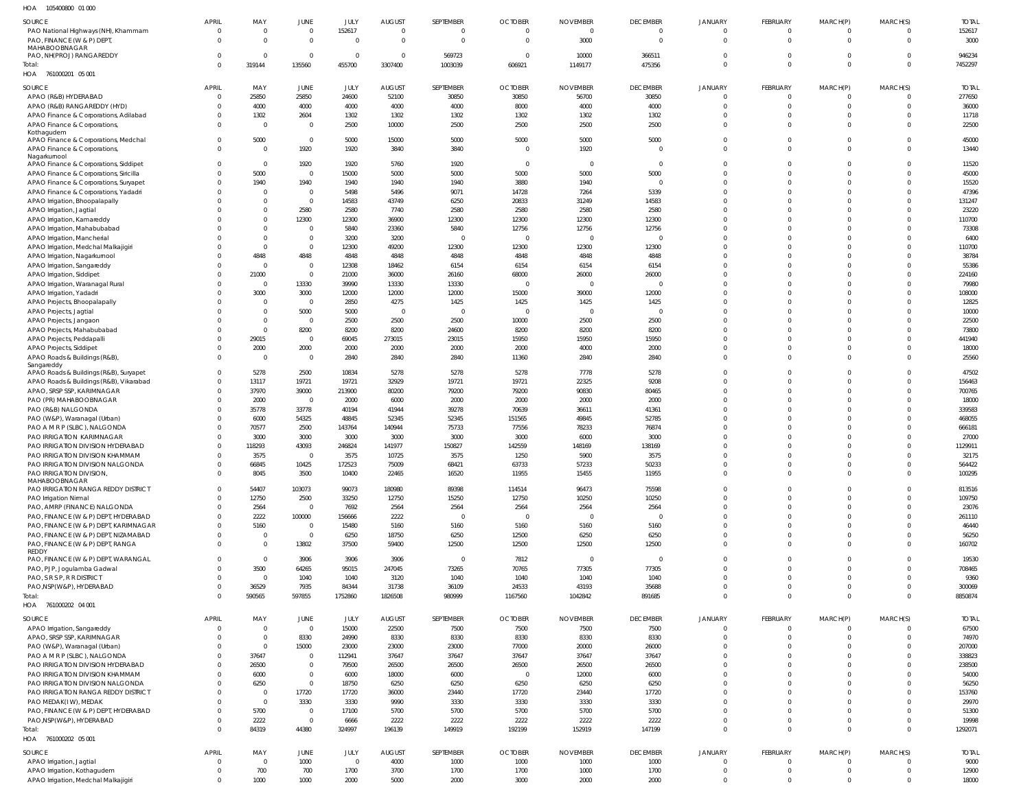105400800 01 000 HOA

| SOURCE<br>PAO National Highways (NH), Khammam                           | APRIL<br>$\Omega$        | MAY<br>$\mathbf 0$               | <b>JUNE</b><br>$\mathbf 0$ | <b>JULY</b><br>152617 | <b>AUGUST</b><br>$\overline{0}$ | SEPTEMBER         | <b>OCTOBER</b><br>$\Omega$ | <b>NOVEMBER</b><br>$\Omega$ | <b>DECEMBER</b><br>$\overline{0}$ | <b>JANUARY</b><br>$\overline{0}$ | <b>FEBRUARY</b><br>$\overline{0}$ | MARCH(P)<br>0              | MARCH(S)<br>$\Omega$ | <b>TOTAL</b><br>152617 |
|-------------------------------------------------------------------------|--------------------------|----------------------------------|----------------------------|-----------------------|---------------------------------|-------------------|----------------------------|-----------------------------|-----------------------------------|----------------------------------|-----------------------------------|----------------------------|----------------------|------------------------|
| PAO, FINANCE (W & P) DEPT,                                              | $\Omega$                 | $\overline{0}$                   | $\overline{0}$             | $\Omega$              | $\overline{0}$                  |                   |                            | 3000                        | $\overline{0}$                    | $\overline{0}$                   | $\Omega$                          | $\mathbf 0$                | $\Omega$             | 3000                   |
| MAHABOOBNAGAR                                                           |                          |                                  |                            |                       |                                 |                   |                            |                             |                                   |                                  |                                   |                            |                      |                        |
| PAO, NH(PROJ) RANGAREDDY                                                | $\Omega$                 | $\overline{0}$                   | $\overline{0}$             | $\overline{0}$        | $\overline{0}$                  | 569723            | $\Omega$                   | 10000                       | 366511                            | $\overline{0}$                   | $\overline{0}$                    | $\mathbf 0$                | $\Omega$             | 946234                 |
| Total:                                                                  | $\Omega$                 | 319144                           | 135560                     | 455700                | 3307400                         | 1003039           | 606921                     | 1149177                     | 475356                            | $\overline{0}$                   | $\Omega$                          | $\mathbf 0$                | $\Omega$             | 7452297                |
| HOA 761000201 05 001                                                    |                          |                                  |                            |                       |                                 |                   |                            |                             |                                   |                                  |                                   |                            |                      |                        |
| SOURCE                                                                  | <b>APRIL</b>             | MAY                              | JUNE                       | JULY                  | <b>AUGUST</b>                   | SEPTEMBER         | <b>OCTOBER</b>             | <b>NOVEMBER</b>             | <b>DECEMBER</b>                   | <b>JANUARY</b>                   | FEBRUARY                          | MARCH(P)                   | MARCH(S)             | <b>TOTAL</b>           |
| APAO (R&B) HYDERABAD                                                    |                          | 25850                            | 25850                      | 24600                 | 52100                           | 30850             | 30850                      | 56700                       | 30850                             | $\overline{0}$                   | $\Omega$                          | $\mathbf 0$                | $\Omega$             | 277650                 |
| APAO (R&B) RANGAREDDY (HYD)                                             |                          | 4000                             | 4000                       | 4000                  | 4000                            | 4000              | 8000                       | 4000                        | 4000                              | $\overline{0}$                   | $\Omega$                          | $\mathbf 0$                | $\overline{0}$       | 36000                  |
| APAO Finance & Corporations, Adilabad                                   |                          | 1302                             | 2604                       | 1302                  | 1302                            | 1302              | 1302                       | 1302                        | 1302                              | $\overline{0}$                   | $\Omega$                          | 0                          | $\Omega$             | 11718                  |
| APAO Finance & Corporations,                                            |                          | $\mathbf 0$                      | $\mathbf 0$                | 2500                  | 10000                           | 2500              | 2500                       | 2500                        | 2500                              | $\Omega$                         | $\Omega$                          | $\Omega$                   | $\Omega$             | 22500                  |
| Kothagudem<br>APAO Finance & Corporations, Medchal                      |                          | 5000                             | $\overline{0}$             | 5000                  | 15000                           | 5000              | 5000                       | 5000                        | 5000                              | $\overline{0}$                   | $\Omega$                          | $\mathbf 0$                | $\Omega$             | 45000                  |
| APAO Finance & Corporations,                                            |                          | $\mathbf 0$                      | 1920                       | 1920                  | 3840                            | 3840              | - 0                        | 1920                        | $\Omega$                          | $\Omega$                         | $\Omega$                          | $\Omega$                   | $\Omega$             | 13440                  |
| Nagarkurnool                                                            |                          |                                  |                            |                       |                                 |                   |                            |                             |                                   |                                  |                                   |                            |                      |                        |
| APAO Finance & Corporations, Siddipet                                   |                          | $\mathbf 0$                      | 1920                       | 1920                  | 5760                            | 1920              | $\Omega$                   | $\Omega$                    | $\overline{0}$                    | $\Omega$                         | $\Omega$                          | $\Omega$                   | $\Omega$             | 11520                  |
| APAO Finance & Corporations, Siricilla                                  |                          | 5000                             | $\mathbf 0$                | 15000                 | 5000                            | 5000              | 5000                       | 5000                        | 5000                              | $\Omega$                         | $\Omega$                          | $\Omega$                   | $\Omega$             | 45000                  |
| APAO Finance & Corporations, Suryapet                                   |                          | 1940                             | 1940                       | 1940                  | 1940                            | 1940              | 3880                       | 1940                        | $\Omega$                          | $\Omega$                         | $\Omega$                          | $\Omega$                   | $\Omega$             | 15520                  |
| APAO Finance & Corporations, Yadadri                                    |                          | $\mathbf 0$                      | $\overline{0}$             | 5498                  | 5496                            | 9071              | 14728                      | 7264                        | 5339                              | $\Omega$                         | $\Omega$                          | $\Omega$                   | $\Omega$             | 47396                  |
| APAO Irrigation, Bhoopalapally                                          |                          | $\mathbf 0$                      | $\mathbf 0$                | 14583                 | 43749                           | 6250              | 20833                      | 31249                       | 14583                             | $\Omega$<br>$\Omega$             | $\Omega$<br>$\Omega$              | $\Omega$                   | $\Omega$<br>$\Omega$ | 131247                 |
| APAO Irrigation, Jagtial<br>APAO Irrigation, Kamareddy                  |                          | $\mathbf 0$<br>$\mathbf 0$       | 2580<br>12300              | 2580<br>12300         | 7740<br>36900                   | 2580<br>12300     | 2580<br>12300              | 2580<br>12300               | 2580<br>12300                     | $\Omega$                         | $\Omega$                          | $\Omega$<br>$\Omega$       | $\Omega$             | 23220<br>110700        |
| APAO Irrigation, Mahabubabad                                            |                          | $\mathbf 0$                      | $\mathbf 0$                | 5840                  | 23360                           | 5840              | 12756                      | 12756                       | 12756                             | $\Omega$                         | $\Omega$                          | $\Omega$                   | $\Omega$             | 73308                  |
| APAO Irrigation, Mancherial                                             |                          | $\overline{0}$                   | $\mathbf 0$                | 3200                  | 3200                            | - 0               | - 0                        |                             | $\Omega$                          | $\Omega$                         | $\Omega$                          | $\Omega$                   | $\Omega$             | 6400                   |
| APAO Irrigation, Medchal Malkajigiri                                    |                          | $\mathbf 0$                      | $\mathbf 0$                | 12300                 | 49200                           | 12300             | 12300                      | 12300                       | 12300                             | $\Omega$                         | $\Omega$                          | $\Omega$                   | $\Omega$             | 110700                 |
| APAO Irrigation, Nagarkurnool                                           |                          | 4848                             | 4848                       | 4848                  | 4848                            | 4848              | 4848                       | 4848                        | 4848                              | $\Omega$                         | $\Omega$                          | $\Omega$                   | $\Omega$             | 38784                  |
| APAO Irrigation, Sangareddy                                             |                          | $\overline{0}$                   | $\overline{0}$             | 12308                 | 18462                           | 6154              | 6154                       | 6154                        | 6154                              | $\Omega$                         | $\Omega$                          | $\Omega$                   | $\Omega$             | 55386                  |
| APAO Irrigation, Siddipet                                               |                          | 21000                            | $\overline{0}$             | 21000                 | 36000                           | 26160             | 68000                      | 26000                       | 26000                             | $\Omega$                         | $\Omega$                          | $\Omega$                   | $\Omega$             | 224160                 |
| APAO Irrigation, Waranagal Rural                                        |                          | $\mathbf 0$                      | 13330                      | 39990                 | 13330                           | 13330             | - 0                        |                             | $\Omega$                          | $\Omega$                         | $\Omega$                          | $\Omega$                   | $\Omega$             | 79980                  |
| APAO Irrigation, Yadadri                                                |                          | 3000                             | 3000                       | 12000                 | 12000                           | 12000             | 15000                      | 39000                       | 12000                             | $\Omega$                         | $\Omega$                          | $\Omega$                   | $\Omega$             | 108000                 |
| APAO Projects, Bhoopalapally                                            |                          | $\mathbf 0$                      | $\mathbf 0$                | 2850                  | 4275                            | 1425              | 1425                       | 1425                        | 1425                              | $\Omega$                         | $\Omega$                          | $\Omega$                   | $\Omega$             | 12825                  |
| APAO Projects, Jagtial                                                  |                          | $\overline{0}$                   | 5000                       | 5000                  | $\overline{0}$                  | $\Omega$          | $\Omega$                   | $\mathsf{C}$                | $\overline{0}$                    | $\Omega$                         | $\Omega$                          | $\Omega$                   | $\Omega$             | 10000                  |
| APAO Projects, Jangaon                                                  |                          | $\mathbf 0$                      | $\mathbf 0$                | 2500                  | 2500                            | 2500              | 10000                      | 2500                        | 2500                              | $\Omega$                         | $\Omega$                          | $\Omega$                   | $\Omega$             | 22500                  |
| APAO Projects, Mahabubabad                                              |                          | $\overline{0}$                   | 8200                       | 8200                  | 8200                            | 24600             | 8200                       | 8200                        | 8200                              | $\Omega$                         | $\Omega$                          | $\Omega$                   | $\Omega$             | 73800                  |
| APAO Projects, Peddapalli                                               |                          | 29015                            | $\mathbf 0$                | 69045                 | 273015                          | 23015             | 15950                      | 15950                       | 15950                             | $\Omega$                         | $\Omega$                          | $\Omega$                   | $\Omega$             | 441940                 |
| APAO Projects, Siddipet                                                 |                          | 2000<br>$\overline{0}$           | 2000<br>$\overline{0}$     | 2000                  | 2000                            | 2000              | 2000                       | 4000                        | 2000                              | $\overline{0}$<br>$\Omega$       | $\Omega$<br>$\Omega$              | 0<br>$\Omega$              | $\Omega$<br>$\Omega$ | 18000                  |
| APAO Roads & Buildings (R&B),<br>Sangareddy                             |                          |                                  |                            | 2840                  | 2840                            | 2840              | 11360                      | 2840                        | 2840                              |                                  |                                   |                            |                      | 25560                  |
| APAO Roads & Buildings (R&B), Suryapet                                  |                          | 5278                             | 2500                       | 10834                 | 5278                            | 5278              | 5278                       | 7778                        | 5278                              | $\Omega$                         | $\Omega$                          | $\mathbf 0$                | $\Omega$             | 47502                  |
| APAO Roads & Buildings (R&B), Vikarabad                                 |                          | 13117                            | 19721                      | 19721                 | 32929                           | 19721             | 19721                      | 22325                       | 9208                              | $\Omega$                         | $\Omega$                          | $\Omega$                   | $\Omega$             | 156463                 |
| APAO, SRSP SSP, KARIMNAGAR                                              |                          | 37970                            | 39000                      | 213900                | 80200                           | 79200             | 79200                      | 90830                       | 80465                             | $\Omega$                         | $\Omega$                          | $\Omega$                   | $\Omega$             | 700765                 |
| PAO (PR) MAHABOOBNAGAR                                                  |                          | 2000                             | $\overline{0}$             | 2000                  | 6000                            | 2000              | 2000                       | 2000                        | 2000                              | $\Omega$                         | $\Omega$                          | $\Omega$                   | $\Omega$             | 18000                  |
| PAO (R&B) NALGONDA                                                      |                          | 35778                            | 33778                      | 40194                 | 41944                           | 39278             | 70639                      | 36611                       | 41361                             | $\Omega$                         | $\Omega$                          | $\Omega$                   | $\Omega$             | 339583                 |
| PAO (W&P), Waranagal (Urban)                                            |                          | 6000                             | 54325                      | 48845                 | 52345                           | 52345             | 151565                     | 49845                       | 52785                             | $\Omega$                         | $\Omega$                          | $\Omega$                   | $\Omega$             | 468055                 |
| PAO A M R P (SLBC), NALGONDA                                            |                          | 70577                            | 2500                       | 143764                | 140944                          | 75733             | 77556                      | 78233                       | 76874                             | $\Omega$                         | $\Omega$                          | $\Omega$                   | $\Omega$             | 666181                 |
| PAO IRRIGATION KARIMNAGAR                                               |                          | 3000                             | 3000                       | 3000                  | 3000                            | 3000              | 3000                       | 6000                        | 3000                              | $\Omega$                         | $\Omega$                          | $\Omega$                   | $\Omega$             | 27000                  |
| PAO IRRIGATION DIVISION HYDERABAD                                       |                          | 118293                           | 43093                      | 246824                | 141977                          | 150827            | 142559                     | 148169                      | 138169                            | $\Omega$<br>$\Omega$             | $\Omega$<br>$\Omega$              | $\Omega$                   | $\Omega$             | 1129911                |
| PAO IRRIGATION DIVISION KHAMMAM<br>PAO IRRIGATION DIVISION NALGONDA     |                          | 3575<br>66845                    | $\mathbf 0$<br>10425       | 3575<br>172523        | 10725<br>75009                  | 3575<br>68421     | 1250<br>63733              | 5900<br>57233               | 3575<br>50233                     | $\Omega$                         | $\Omega$                          | $\Omega$<br>$\Omega$       | $\Omega$             | 32175<br>564422        |
| <b>PAO IRRIGATION DIVISION</b>                                          | $\Omega$                 | 8045                             | 3500                       | 10400                 | 22465                           | 16520             | 11955                      | 15455                       | 11955                             | $\overline{0}$                   | $\overline{0}$                    | $\overline{0}$             | $\mathbf 0$          | 100295                 |
| MAHABOOBNAGAR                                                           |                          |                                  |                            |                       |                                 |                   |                            |                             |                                   |                                  |                                   |                            |                      |                        |
| PAO IRRIGATION RANGA REDDY DISTRICT                                     |                          | 54407                            | 103073                     | 99073                 | 180980                          | 89398             | 114514                     | 96473                       | 75598                             | $\overline{0}$                   | $\overline{0}$                    | $\mathbf 0$                | $\Omega$             | 813516                 |
| PAO Irrigation Nirmal                                                   |                          | 12750                            | 2500                       | 33250                 | 12750                           | 15250             | 12750                      | 10250                       | 10250                             | $\Omega$                         | $\Omega$                          | $\Omega$                   | $\Omega$             | 109750                 |
| PAO, AMRP (FINANCE) NALGONDA                                            |                          | 2564                             | $\mathbf 0$                | 7692                  | 2564                            | 2564              | 2564                       | 2564                        | 2564                              | $\overline{0}$                   | $\overline{0}$                    | $\mathbf 0$                | $\Omega$             | 23076                  |
| PAO, FINANCE (W & P) DEPT, HYDERABAD                                    |                          | 2222                             | 100000                     | 156666                | 2222                            | - 0               | $\Omega$                   | -C                          | $\Omega$                          | $\Omega$                         | $\Omega$                          | $\mathbf 0$                | $\Omega$             | 261110                 |
| PAO, FINANCE (W & P) DEPT, KARIMNAGAR                                   |                          | 5160                             | $\overline{0}$             | 15480                 | 5160                            | 5160              | 5160                       | 5160                        | 5160                              | $\Omega$                         | $\Omega$                          | $\mathbf 0$                | $\Omega$             | 46440                  |
| PAO, FINANCE (W & P) DEPT, NIZAMABAD                                    | $\Omega$                 | $\overline{0}$<br>$\overline{0}$ | $\overline{0}$             | 6250                  | 18750<br>59400                  | 6250              | 12500                      | 6250                        | 6250                              | $\Omega$<br>$\Omega$             | $\Omega$<br>$\Omega$              | $\mathbf 0$<br>$\mathbf 0$ | $\Omega$<br>$\Omega$ | 56250                  |
| PAO, FINANCE (W & P) DEPT, RANGA<br><b>REDDY</b>                        |                          |                                  | 13802                      | 37500                 |                                 | 12500             | 12500                      | 12500                       | 12500                             |                                  |                                   |                            |                      | 160702                 |
| PAO, FINANCE (W & P) DEPT, WARANGAL                                     |                          | $\overline{0}$                   | 3906                       | 3906                  | 3906                            | $\Omega$          | 7812                       | $\Omega$                    | $\overline{0}$                    | $\overline{0}$                   | $\Omega$                          | $\overline{0}$             | $\Omega$             | 19530                  |
| PAO, PJP, Joqulamba Gadwal                                              |                          | 3500                             | 64265                      | 95015                 | 247045                          | 73265             | 70765                      | 77305                       | 77305                             | $\overline{0}$                   | $\Omega$                          | $\mathbf 0$                | $\Omega$             | 708465                 |
| PAO, S R S P, R R DISTRICT                                              |                          | $\overline{0}$                   | 1040                       | 1040                  | 3120                            | 1040              | 1040                       | 1040                        | 1040                              | $\Omega$                         | $\Omega$                          | $\mathbf 0$                | $\Omega$             | 9360                   |
| PAO, NSP(W&P), HYDERABAD                                                |                          | 36529                            | 7935                       | 84344                 | 31738                           | 36109             | 24533                      | 43193                       | 35688                             | $\overline{0}$                   | $\overline{0}$                    | $\overline{0}$             | $\Omega$             | 300069                 |
| Total:                                                                  | $\Omega$                 | 590565                           | 597855                     | 1752860               | 1826508                         | 980999            | 1167560                    | 1042842                     | 891685                            | $\Omega$                         | $\Omega$                          | $\mathbf{0}$               | $\Omega$             | 8850874                |
| HOA 761000202 04 001                                                    |                          |                                  |                            |                       |                                 |                   |                            |                             |                                   |                                  |                                   |                            |                      |                        |
| SOURCE                                                                  | <b>APRIL</b>             | MAY                              | JUNE                       | JULY                  | <b>AUGUST</b>                   | SEPTEMBER         | <b>OCTOBER</b>             | <b>NOVEMBER</b>             | <b>DECEMBER</b>                   | <b>JANUARY</b>                   | FEBRUARY                          | MARCH(P)                   | MARCH(S)             | <b>TOTAL</b>           |
| APAO Irrigation, Sangareddy                                             | $\mathbf 0$              | $\overline{0}$                   | $\overline{0}$             | 15000                 | 22500                           | 7500              | 7500                       | 7500                        | 7500                              | $\overline{0}$                   | $\overline{0}$                    | $\overline{0}$             | $\overline{0}$       | 67500                  |
| APAO, SRSP SSP, KARIMNAGAR                                              | $\Omega$                 | $\overline{0}$                   | 8330                       | 24990                 | 8330                            | 8330              | 8330                       | 8330                        | 8330                              | $\overline{0}$                   | $\Omega$                          | $\overline{0}$             | $\Omega$             | 74970                  |
| PAO (W&P), Waranagal (Urban)                                            |                          | $\overline{0}$                   | 15000                      | 23000                 | 23000                           | 23000             | 77000                      | 20000                       | 26000                             | $\overline{0}$                   | $\Omega$                          | $\mathbf 0$                | $\Omega$             | 207000                 |
| PAO A M R P (SLBC), NALGONDA                                            |                          | 37647                            | $\overline{0}$             | 112941                | 37647                           | 37647             | 37647                      | 37647                       | 37647                             | $\Omega$                         | $\Omega$                          | $\mathbf 0$                | $\Omega$             | 338823                 |
| PAO IRRIGATION DIVISION HYDERABAD                                       |                          | 26500                            | $\overline{0}$             | 79500                 | 26500                           | 26500             | 26500                      | 26500                       | 26500                             | $\Omega$                         | $\Omega$                          | $\mathbf 0$                | $\Omega$             | 238500                 |
| PAO IRRIGATION DIVISION KHAMMAM                                         |                          | 6000                             | $\overline{0}$             | 6000                  | 18000                           | 6000              | $\overline{0}$             | 12000                       | 6000                              | $\Omega$                         | $\Omega$                          | $\mathbf 0$                | $\Omega$             | 54000                  |
| PAO IRRIGATION DIVISION NALGONDA<br>PAO IRRIGATION RANGA REDDY DISTRICT |                          | 6250<br>$\overline{0}$           | $\overline{0}$<br>17720    | 18750<br>17720        | 6250<br>36000                   | 6250<br>23440     | 6250<br>17720              | 6250<br>23440               | 6250<br>17720                     | $\Omega$<br>$\Omega$             | $\Omega$<br>$\Omega$              | $\mathbf 0$<br>$\mathbf 0$ | $\Omega$<br>$\Omega$ | 56250<br>153760        |
| PAO MEDAK(IW), MEDAK                                                    |                          | $\overline{0}$                   | 3330                       | 3330                  | 9990                            | 3330              | 3330                       | 3330                        | 3330                              | $\Omega$                         | $\Omega$                          | $\mathbf 0$                | $\Omega$             | 29970                  |
| PAO, FINANCE (W & P) DEPT, HYDERABAD                                    |                          | 5700                             | $\overline{0}$             | 17100                 | 5700                            | 5700              | 5700                       | 5700                        | 5700                              | $\Omega$                         | $\Omega$                          | $\mathbf 0$                | $\Omega$             | 51300                  |
| PAO, NSP(W&P), HYDERABAD                                                |                          | 2222                             | $\overline{0}$             | 6666                  | 2222                            | 2222              | 2222                       | 2222                        | 2222                              | $\overline{0}$                   | $\mathbf{0}$                      | $\overline{0}$             | $\Omega$             | 19998                  |
| Total:                                                                  | $\Omega$                 | 84319                            | 44380                      | 324997                | 196139                          | 149919            | 192199                     | 152919                      | 147199                            | $\overline{0}$                   | $\Omega$                          | $\mathbf{0}$               | $\Omega$             | 1292071                |
| HOA 761000202 05 001                                                    |                          |                                  |                            |                       |                                 |                   |                            |                             |                                   |                                  |                                   |                            |                      |                        |
|                                                                         |                          |                                  |                            |                       |                                 |                   |                            |                             |                                   |                                  |                                   |                            |                      |                        |
| SOURCE<br>APAO Irrigation, Jagtial                                      | <b>APRIL</b><br>$\Omega$ | MAY<br>$\overline{0}$            | JUNE<br>1000               | JULY<br>$\Omega$      | <b>AUGUST</b><br>4000           | SEPTEMBER<br>1000 | <b>OCTOBER</b><br>1000     | <b>NOVEMBER</b><br>1000     | <b>DECEMBER</b><br>1000           | <b>JANUARY</b><br>$\Omega$       | FEBRUARY<br>$\Omega$              | MARCH(P)<br>$\overline{0}$ | MARCH(S)<br>$\Omega$ | <b>TOTAL</b><br>9000   |
| APAO Irrigation, Kothagudem                                             |                          | 700                              | 700                        | 1700                  | 3700                            | 1700              | 1700                       | 1000                        | 1700                              | $\overline{0}$                   | $\overline{0}$                    | $\mathbf 0$                | $\Omega$             | 12900                  |
| APAO Irrigation, Medchal Malkajigiri                                    |                          | 1000                             | 1000                       | 2000                  | 5000                            | 2000              | 3000                       | 2000                        | 2000                              | $\overline{0}$                   | $\Omega$                          | $\mathbf 0$                | $\Omega$             | 18000                  |
|                                                                         |                          |                                  |                            |                       |                                 |                   |                            |                             |                                   |                                  |                                   |                            |                      |                        |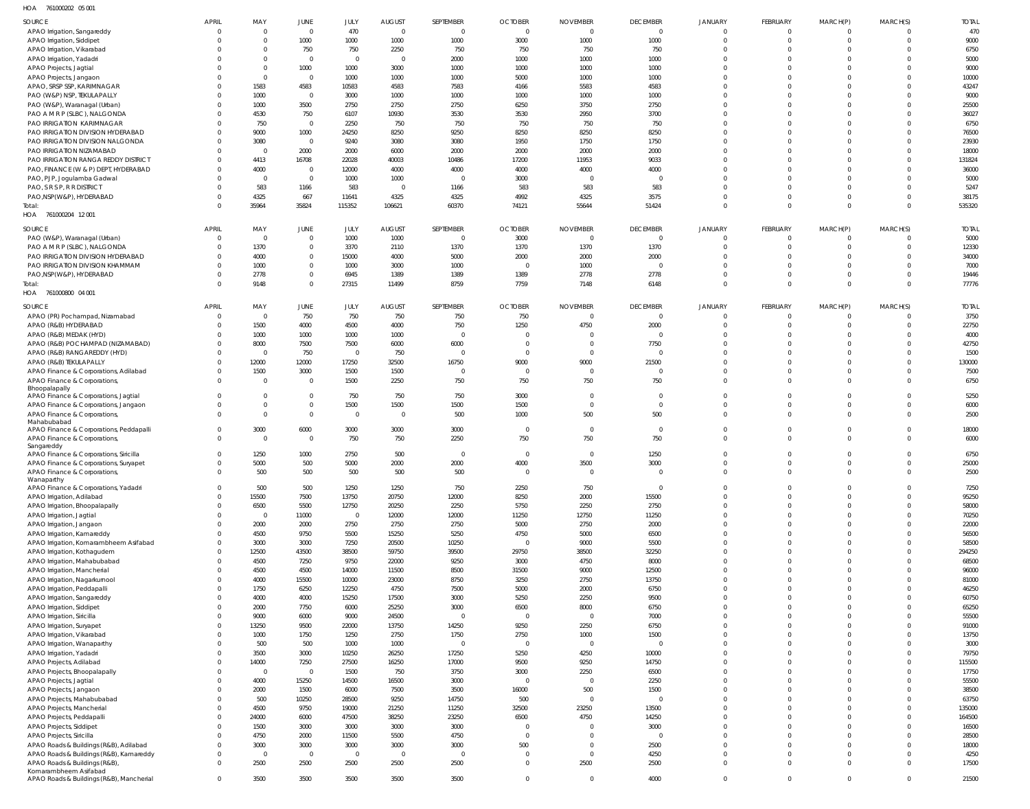761000202 05 001 HOA

| SOURCE                                                                | <b>APRIL</b>         | MAY                  | JUNE                             | JULY           | <b>AUGUST</b>  | SEPTEMBER               | <b>OCTOBER</b>         | <b>NOVEMBER</b>        | <b>DECEMBER</b>   | <b>JANUARY</b>       | FEBRUARY             | MARCH(P)                   | MARCH(S)     | <b>TOTAL</b>   |
|-----------------------------------------------------------------------|----------------------|----------------------|----------------------------------|----------------|----------------|-------------------------|------------------------|------------------------|-------------------|----------------------|----------------------|----------------------------|--------------|----------------|
| APAO Irrigation, Sangareddy                                           | - 0                  | $\Omega$             | $\mathbf 0$                      | 470            | $\overline{0}$ | $\overline{0}$          | $\overline{0}$         | $\overline{0}$         | $\overline{0}$    | $\overline{0}$       | $\overline{0}$       | $\overline{0}$             |              | 470            |
| APAO Irrigation, Siddipet                                             |                      | $\Omega$             | 1000                             | 1000           | 1000           | 1000                    | 3000                   | 1000                   | 1000              | $\Omega$             | $\Omega$             | 0                          |              | 9000           |
| APAO Irrigation, Vikarabad                                            |                      |                      | 750                              | 750            | 2250           | 750                     | 750                    | 750                    | 750               | $\Omega$             | $\Omega$             | $\Omega$                   |              | 6750           |
| APAO Irrigation, Yadadri                                              |                      | $\Omega$             | $\overline{0}$                   | $\overline{0}$ | $\overline{0}$ | 2000                    | 1000                   | 1000                   | 1000              |                      | $\Omega$             | $\Omega$                   |              | 5000           |
| APAO Projects, Jagtial                                                |                      | $\Omega$<br>$\Omega$ | 1000<br>$\overline{0}$           | 1000<br>1000   | 3000<br>1000   | 1000<br>1000            | 1000<br>5000           | 1000<br>1000           | 1000<br>1000      | $\Omega$             | $\Omega$<br>$\Omega$ | $\Omega$<br>$\Omega$       |              | 9000<br>10000  |
| APAO Projects, Jangaon<br>APAO, SRSP SSP, KARIMNAGAR                  |                      | 1583                 | 4583                             | 10583          | 4583           | 7583                    | 4166                   | 5583                   | 4583              | $\Omega$             | $\Omega$             | $\Omega$                   |              | 43247          |
| PAO (W&P) NSP, TEKULAPALLY                                            |                      | 1000                 | $\overline{0}$                   | 3000           | 1000           | 1000                    | 1000                   | 1000                   | 1000              |                      | $\Omega$             | $\Omega$                   |              | 9000           |
| PAO (W&P), Waranagal (Urban)                                          |                      | 1000                 | 3500                             | 2750           | 2750           | 2750                    | 6250                   | 3750                   | 2750              | $\Omega$             | $\Omega$             | $\Omega$                   |              | 25500          |
| PAO A M R P (SLBC), NALGONDA                                          |                      | 4530                 | 750                              | 6107           | 10930          | 3530                    | 3530                   | 2950                   | 3700              |                      | $\Omega$             | $\Omega$                   |              | 36027          |
| PAO IRRIGATION KARIMNAGAR                                             |                      | 750                  | $\overline{0}$                   | 2250           | 750            | 750                     | 750                    | 750                    | 750               | $\cap$               | $\Omega$             | $\Omega$                   |              | 6750           |
| PAO IRRIGATION DIVISION HYDERABAD                                     |                      | 9000                 | 1000                             | 24250          | 8250           | 9250                    | 8250                   | 8250                   | 8250              |                      | $\Omega$             | $\Omega$                   |              | 76500          |
| PAO IRRIGATION DIVISION NALGONDA                                      |                      | 3080                 | $\overline{0}$                   | 9240           | 3080           | 3080                    | 1950                   | 1750                   | 1750              | $\Omega$             | $\Omega$             | $\Omega$                   |              | 23930          |
| PAO IRRIGATION NIZAMABAD                                              |                      | $\Omega$             | 2000                             | 2000           | 6000           | 2000                    | 2000                   | 2000                   | 2000              | $\Omega$             | $\Omega$             | $\Omega$                   |              | 18000          |
| PAO IRRIGATION RANGA REDDY DISTRICT                                   |                      | 4413                 | 16708                            | 22028          | 40003          | 10486                   | 17200                  | 11953                  | 9033              | $\Omega$<br>$\cap$   | $\Omega$<br>$\Omega$ | $\Omega$                   |              | 131824         |
| PAO, FINANCE (W & P) DEPT, HYDERABAD<br>PAO, PJP, Jogulamba Gadwal    |                      | 4000<br>$\Omega$     | $\overline{0}$<br>$\overline{0}$ | 12000<br>1000  | 4000<br>1000   | 4000<br>C               | 4000<br>3000           | 4000<br>$\overline{0}$ | 4000<br>$\Omega$  | $\Omega$             | $\Omega$             | $\Omega$<br>$\Omega$       |              | 36000<br>5000  |
| PAO, S R S P, R R DISTRICT                                            |                      | 583                  | 1166                             | 583            | $\overline{0}$ | 1166                    | 583                    | 583                    | 583               | $\cap$               | $\Omega$             | $\Omega$                   |              | 5247           |
| PAO, NSP(W&P), HYDERABAD                                              |                      | 4325                 | 667                              | 11641          | 4325           | 4325                    | 4992                   | 4325                   | 3575              | $\Omega$             | $\Omega$             | 0                          |              | 38175          |
| Total:                                                                |                      | 35964                | 35824                            | 115352         | 106621         | 60370                   | 74121                  | 55644                  | 51424             | $\Omega$             | $\Omega$             | $\Omega$                   |              | 535320         |
| HOA 761000204 12001                                                   |                      |                      |                                  |                |                |                         |                        |                        |                   |                      |                      |                            |              |                |
| SOURCE                                                                | <b>APRIL</b>         | MAY                  | JUNE                             | JULY           | <b>AUGUST</b>  | SEPTEMBER               | <b>OCTOBER</b>         | <b>NOVEMBER</b>        | <b>DECEMBER</b>   | <b>JANUARY</b>       | FEBRUARY             | MARCH(P)                   | MARCH(S)     | <b>TOTAL</b>   |
| PAO (W&P), Waranagal (Urban)                                          | $\mathbf{0}$         | $\Omega$             | $\mathbf{0}$                     | 1000           | 1000           | $\overline{0}$          | 3000                   | $\overline{0}$         | $\Omega$          | $\Omega$             | $\Omega$             | $\Omega$                   |              | 5000           |
| PAO A M R P (SLBC), NALGONDA                                          | -0                   | 1370                 | $\mathbf{0}$                     | 3370           | 2110           | 1370                    | 1370                   | 1370                   | 1370              | $\Omega$             | $\Omega$             | $\Omega$                   |              | 12330          |
| PAO IRRIGATION DIVISION HYDERABAD                                     | - 0                  | 4000                 | $\mathbf 0$                      | 15000          | 4000           | 5000                    | 2000                   | 2000                   | 2000              | $\Omega$             | $\Omega$             | $\Omega$                   |              | 34000          |
| PAO IRRIGATION DIVISION KHAMMAM                                       | - 0                  | 1000                 | $\mathbf{0}$                     | 1000           | 3000           | 1000                    | $\overline{0}$         | 1000                   | $\Omega$          | $\Omega$             | $\Omega$             | $\Omega$                   |              | 7000           |
| PAO, NSP(W&P), HYDERABAD                                              |                      | 2778                 | $\mathbf 0$                      | 6945           | 1389           | 1389                    | 1389                   | 2778                   | 2778              | $\Omega$             | $\Omega$             | $\mathbf 0$                |              | 19446          |
| Total:                                                                | $\Omega$             | 9148                 | $\mathbf 0$                      | 27315          | 11499          | 8759                    | 7759                   | 7148                   | 6148              | $\Omega$             | $\Omega$             | $\mathbf 0$                | $\Omega$     | 77776          |
| HOA 761000800 04 001                                                  |                      |                      |                                  |                |                |                         |                        |                        |                   |                      |                      |                            |              |                |
| SOURCE                                                                | <b>APRIL</b>         | MAY                  | JUNE                             | JULY           | <b>AUGUST</b>  | SEPTEMBER               | <b>OCTOBER</b>         | <b>NOVEMBER</b>        | <b>DECEMBER</b>   | <b>JANUARY</b>       | FEBRUARY             | MARCH(P)                   | MARCH(S)     | <b>TOTAL</b>   |
| APAO (PR) Pochampad, Nizamabad                                        | $\Omega$             | $\Omega$             | 750                              | 750            | 750            | 750                     | 750                    | $\overline{0}$         | $\Omega$          | $\Omega$             | $\Omega$             | 0                          |              | 3750           |
| APAO (R&B) HYDERABAD                                                  |                      | 1500                 | 4000                             | 4500           | 4000           | 750                     | 1250                   | 4750                   | 2000              | $\Omega$             | $\Omega$             | $\mathbf 0$                | $\Omega$     | 22750          |
| APAO (R&B) MEDAK (HYD)                                                |                      | 1000                 | 1000                             | 1000           | 1000           | $\overline{0}$          | $\Omega$               | $\Omega$               | $\Omega$          | $\Omega$             | $\Omega$             | $\Omega$                   |              | 4000           |
| APAO (R&B) POCHAMPAD (NIZAMABAD)                                      |                      | 8000                 | 7500                             | 7500           | 6000           | 6000                    | 0                      | 0                      | 7750              | $\Omega$             | $\Omega$             | $\Omega$                   |              | 42750          |
| APAO (R&B) RANGAREDDY (HYD)                                           |                      | $\Omega$             | 750                              | $\overline{0}$ | 750            | $\overline{0}$          | $\Omega$               | $\overline{0}$         | $\cap$            | $\cap$               | $\Omega$             | $\Omega$                   |              | 1500           |
| APAO (R&B) TEKULAPALLY                                                | $\Omega$             | 12000                | 12000                            | 17250          | 32500          | 16750<br>$\overline{0}$ | 9000<br>$\overline{0}$ | 9000<br>$\overline{0}$ | 21500<br>$\Omega$ | $\Omega$<br>$\Omega$ | $\Omega$<br>$\Omega$ | $\Omega$                   |              | 130000         |
| APAO Finance & Corporations, Adilabad<br>APAO Finance & Corporations, | $\Omega$             | 1500<br>$\Omega$     | 3000<br>$\overline{0}$           | 1500<br>1500   | 1500<br>2250   | 750                     | 750                    | 750                    | 750               | $\Omega$             | $\Omega$             | 0<br>$\mathbf 0$           |              | 7500<br>6750   |
| Bhoopalapally                                                         |                      |                      |                                  |                |                |                         |                        |                        |                   |                      |                      |                            |              |                |
| APAO Finance & Corporations, Jagtial                                  | $\Omega$             | $\Omega$             | $\mathbb O$                      | 750            | 750            | 750                     | 3000                   | 0                      | $\overline{0}$    | $\Omega$             | $\Omega$             | $\mathbf 0$                | $\Omega$     | 5250           |
| APAO Finance & Corporations, Jangaon                                  |                      | $\Omega$             | $\mathbf 0$                      | 1500           | 1500           | 1500                    | 1500                   | $\overline{0}$         | $\Omega$          | $\Omega$             | $\Omega$             | $\mathbf 0$                | $\Omega$     | 6000           |
| APAO Finance & Corporations,                                          |                      | $\Omega$             | $\mathbf{0}$                     | $\overline{0}$ | $\overline{0}$ | 500                     | 1000                   | 500                    | 500               | $\Omega$             | $\Omega$             | $\Omega$                   | $\Omega$     | 2500           |
| Mahabubabad<br>APAO Finance & Corporations, Peddapalli                | $\Omega$             | 3000                 | 6000                             | 3000           | 3000           | 3000                    | $\overline{0}$         | $\overline{0}$         | $\Omega$          | $\Omega$             | $\Omega$             | $\mathbf 0$                | $\Omega$     | 18000          |
| APAO Finance & Corporations,                                          | $\Omega$             | $\Omega$             | $\overline{0}$                   | 750            | 750            | 2250                    | 750                    | 750                    | 750               | $\Omega$             | $\Omega$             | $\Omega$                   |              | 6000           |
| Sangareddy                                                            |                      |                      |                                  |                |                |                         |                        |                        |                   |                      |                      |                            |              |                |
| APAO Finance & Corporations, Siricilla                                |                      | 1250                 | 1000                             | 2750           | 500            | C                       | $\overline{0}$         | $\Omega$               | 1250              |                      | $\Omega$             | $\Omega$                   |              | 6750           |
| APAO Finance & Corporations, Suryapet<br>APAO Finance & Corporations, | $\mathbf{0}$         | 5000<br>500          | 500<br>500                       | 5000<br>500    | 2000<br>500    | 2000<br>500             | 4000                   | 3500                   | 3000              | $\Omega$             | $\Omega$<br>$\cap$   | $\Omega$                   | $\Omega$     | 25000<br>2500  |
| Wanaparthy                                                            |                      |                      |                                  |                |                |                         |                        |                        |                   |                      |                      |                            |              |                |
| APAO Finance & Corporations, Yadadri                                  | $\Omega$             | 500                  | 500                              | 1250           | 1250           | 750                     | 2250                   | 750                    | $\overline{0}$    | $\overline{0}$       | $\overline{0}$       | $\mathbf 0$                | 0            | 7250           |
| APAO Irrigation, Adilabad                                             | $\Omega$             | 15500                | 7500                             | 13750          | 20750          | 12000                   | 8250                   | 2000                   | 15500             | $\overline{0}$       | $\overline{0}$       | $\mathbf 0$                | $\Omega$     | 95250          |
| APAO Irrigation, Bhoopalapally                                        | $\Omega$             | 6500                 | 5500                             | 12750          | 20250          | 2250                    | 5750                   | 2250                   | 2750              | $\Omega$             | $\overline{0}$       | $\mathbf 0$                | $\Omega$     | 58000          |
| APAO Irrigation, Jagtial                                              |                      | $\Omega$             | 11000                            | $\mathbf 0$    | 12000          | 12000                   | 11250                  | 12750                  | 11250             | $\Omega$             | $\overline{0}$       | $\mathbf 0$                | $\Omega$     | 70250          |
| APAO Irrigation, Jangaon                                              | $\Omega$<br>- 0      | 2000<br>4500         | 2000<br>9750                     | 2750<br>5500   | 2750<br>15250  | 2750<br>5250            | 5000<br>4750           | 2750<br>5000           | 2000<br>6500      | $\Omega$<br>$\Omega$ | $\Omega$<br>$\Omega$ | $\mathbf 0$<br>$\mathbf 0$ | 0            | 22000<br>56500 |
| APAO Irrigation, Kamareddy<br>APAO Irrigation, Komarambheem Asifabad  | $\Omega$             | 3000                 | 3000                             | 7250           | 20500          | 10250                   | $\overline{0}$         | 9000                   | 5500              | $\Omega$             | $\Omega$             | $\mathbf 0$                | <sup>0</sup> | 58500          |
| APAO Irrigation, Kothagudem                                           | $\Omega$             | 12500                | 43500                            | 38500          | 59750          | 39500                   | 29750                  | 38500                  | 32250             | $\Omega$             | $\Omega$             | $\mathbf 0$                |              | 294250         |
| APAO Irrigation, Mahabubabad                                          | $\Omega$             | 4500                 | 7250                             | 9750           | 22000          | 9250                    | 3000                   | 4750                   | 8000              | $\Omega$             | $\Omega$             | $\mathbf 0$                | 0            | 68500          |
| APAO Irrigation, Mancherial                                           |                      | 4500                 | 4500                             | 14000          | 11500          | 8500                    | 31500                  | 9000                   | 12500             | $\Omega$             | $\Omega$             | $\mathbf 0$                |              | 96000          |
| APAO Irrigation, Nagarkurnool                                         | $\Omega$             | 4000                 | 15500                            | 10000          | 23000          | 8750                    | 3250                   | 2750                   | 13750             | $\Omega$             | $\Omega$             | $\mathbf 0$                | 0            | 81000          |
| APAO Irrigation, Peddapalli                                           | -0                   | 1750                 | 6250                             | 12250          | 4750           | 7500                    | 5000                   | 2000                   | 6750              | $\Omega$             | $\Omega$             | $\mathbf 0$                |              | 46250          |
| APAO Irrigation, Sangareddy                                           | $\Omega$             | 4000                 | 4000                             | 15250          | 17500          | 3000                    | 5250                   | 2250                   | 9500              | $\Omega$             | $\Omega$             | $\mathbf 0$                | 0            | 60750          |
| APAO Irrigation, Siddipet                                             | $\Omega$             | 2000                 | 7750                             | 6000           | 25250          | 3000                    | 6500                   | 8000                   | 6750              | $\Omega$             | $\Omega$             | $\mathbf 0$                |              | 65250          |
| APAO Irrigation, Siricilla                                            | $\Omega$<br>$\Omega$ | 9000                 | 6000                             | 9000           | 24500          | $\overline{0}$          | $\overline{0}$         | $\overline{0}$         | 7000              | $\Omega$<br>$\Omega$ | $\Omega$<br>$\Omega$ | $\mathbf 0$<br>$\mathbf 0$ |              | 55500          |
| APAO Irrigation, Suryapet<br>APAO Irrigation, Vikarabad               | $\Omega$             | 13250<br>1000        | 9500<br>1750                     | 22000<br>1250  | 13750<br>2750  | 14250<br>1750           | 9250<br>2750           | 2250<br>1000           | 6750<br>1500      | $\Omega$             | $\Omega$             | $\mathbf 0$                |              | 91000<br>13750 |
| APAO Irrigation, Wanaparthy                                           |                      | 500                  | 500                              | 1000           | 1000           | $\mathbf 0$             | $\overline{0}$         | $\mathbf 0$            | $\overline{0}$    | $\Omega$             | $\Omega$             | $\mathbf 0$                | $\Omega$     | 3000           |
| APAO Irrigation, Yadadri                                              |                      | 3500                 | 3000                             | 10250          | 26250          | 17250                   | 5250                   | 4250                   | 10000             | $\Omega$             | $\Omega$             | $\mathbf 0$                | 0            | 79750          |
| APAO Projects, Adilabad                                               | $\Omega$             | 14000                | 7250                             | 27500          | 16250          | 17000                   | 9500                   | 9250                   | 14750             | $\Omega$             | $\Omega$             | $\mathbf 0$                | $\Omega$     | 115500         |
| APAO Projects, Bhoopalapally                                          | $\Omega$             | $\Omega$             | $\overline{0}$                   | 1500           | 750            | 3750                    | 3000                   | 2250                   | 6500              | $\Omega$             | $\Omega$             | $\mathbf 0$                | 0            | 17750          |
| APAO Projects, Jagtial                                                |                      | 4000                 | 15250                            | 14500          | 16500          | 3000                    | $\overline{0}$         | $\overline{0}$         | 2250              | $\Omega$             | $\Omega$             | $\mathbf 0$                |              | 55500          |
| APAO Projects, Jangaon                                                |                      | 2000                 | 1500                             | 6000           | 7500           | 3500                    | 16000                  | 500                    | 1500              | $\Omega$             | $\Omega$             | $\mathbf 0$                | 0            | 38500          |
| APAO Projects, Mahabubabad                                            | - 0                  | 500                  | 10250                            | 28500          | 9250           | 14750                   | 500                    | $\mathbf 0$            | $\overline{0}$    | $\Omega$             | $\Omega$             | $\mathbf 0$                |              | 63750          |
| APAO Projects, Mancherial                                             | $\Omega$             | 4500                 | 9750                             | 19000          | 21250          | 11250                   | 32500                  | 23250                  | 13500             | $\Omega$             | $\Omega$             | $\mathbf 0$                | 0            | 135000         |
| APAO Projects, Peddapalli                                             | $\Omega$<br>$\Omega$ | 24000<br>1500        | 6000<br>3000                     | 47500<br>3000  | 38250<br>3000  | 23250<br>3000           | 6500<br>$\overline{0}$ | 4750<br>0              | 14250<br>3000     | $\Omega$<br>$\Omega$ | $\Omega$<br>$\Omega$ | $\mathbf 0$<br>$\mathbf 0$ |              | 164500         |
| APAO Projects, Siddipet<br>APAO Projects, Siricilla                   | $\Omega$             | 4750                 | 2000                             | 11500          | 5500           | 4750                    | $\overline{0}$         | $\overline{0}$         | $\overline{0}$    | $\Omega$             | $\Omega$             | $\mathbf 0$                | $\Omega$     | 16500<br>28500 |
| APAO Roads & Buildings (R&B), Adilabad                                | $\Omega$             | 3000                 | 3000                             | 3000           | 3000           | 3000                    | 500                    | $\overline{0}$         | 2500              | $\Omega$             | $\Omega$             | $\mathbf 0$                | 0            | 18000          |
| APAO Roads & Buildings (R&B), Kamareddy                               | $\Omega$             | $\Omega$             | $\overline{0}$                   | $\mathbf{0}$   | $\overline{0}$ | $\overline{0}$          | $\overline{0}$         | $\overline{0}$         | 4250              | $\mathbf{0}$         | $\overline{0}$       | $\mathbf 0$                | $\Omega$     | 4250           |
| APAO Roads & Buildings (R&B),                                         | $\Omega$             | 2500                 | 2500                             | 2500           | 2500           | 2500                    | $\mathbf{0}$           | 2500                   | 2500              | $\Omega$             | $\overline{0}$       | $\mathbf 0$                | <sup>0</sup> | 17500          |
| Komarambheem Asifabad                                                 |                      |                      |                                  |                |                |                         |                        |                        |                   |                      |                      |                            |              |                |
| APAO Roads & Buildings (R&B), Mancherial                              | $\mathbf 0$          | 3500                 | 3500                             | 3500           | 3500           | 3500                    | $\mathbf 0$            | $\mathbf 0$            | 4000              | $\overline{0}$       | $\overline{0}$       | $\overline{0}$             | $\mathbf 0$  | 21500          |